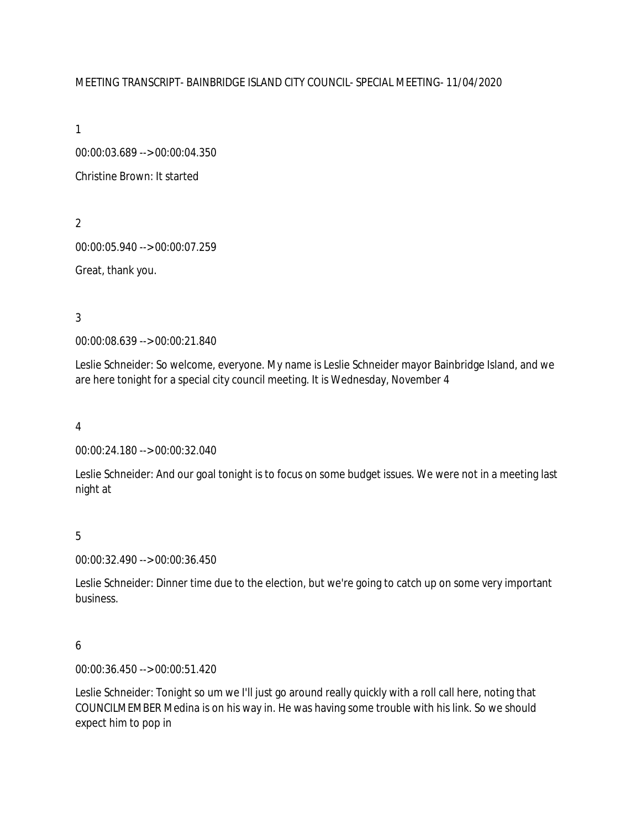## MEETING TRANSCRIPT- BAINBRIDGE ISLAND CITY COUNCIL- SPECIAL MEETING- 11/04/2020

1

00:00:03.689 --> 00:00:04.350 Christine Brown: It started

2

00:00:05.940 --> 00:00:07.259

Great, thank you.

3

00:00:08.639 --> 00:00:21.840

Leslie Schneider: So welcome, everyone. My name is Leslie Schneider mayor Bainbridge Island, and we are here tonight for a special city council meeting. It is Wednesday, November 4

4

00:00:24.180 --> 00:00:32.040

Leslie Schneider: And our goal tonight is to focus on some budget issues. We were not in a meeting last night at

5

00:00:32.490 --> 00:00:36.450

Leslie Schneider: Dinner time due to the election, but we're going to catch up on some very important business.

# 6

00:00:36.450 --> 00:00:51.420

Leslie Schneider: Tonight so um we I'll just go around really quickly with a roll call here, noting that COUNCILMEMBER Medina is on his way in. He was having some trouble with his link. So we should expect him to pop in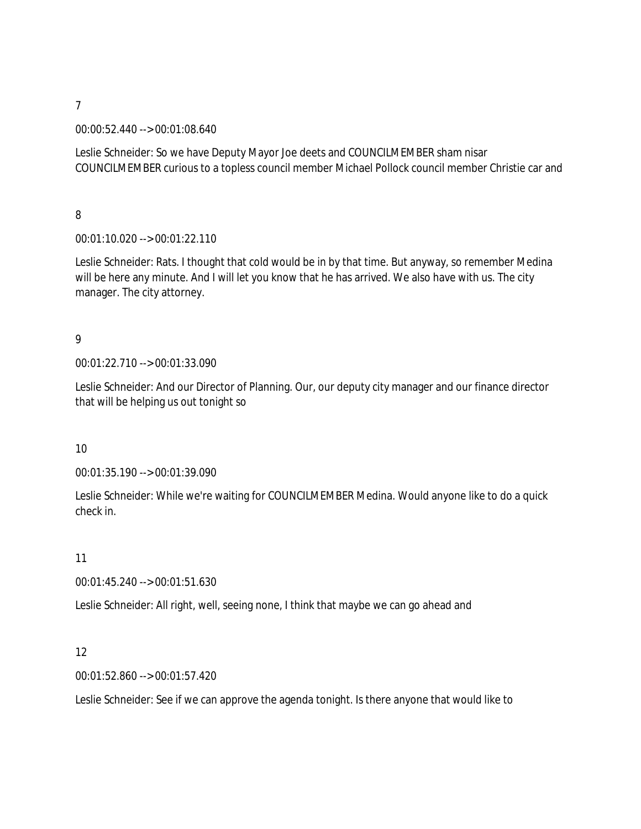00:00:52.440 --> 00:01:08.640

Leslie Schneider: So we have Deputy Mayor Joe deets and COUNCILMEMBER sham nisar COUNCILMEMBER curious to a topless council member Michael Pollock council member Christie car and

8

00:01:10.020 --> 00:01:22.110

Leslie Schneider: Rats. I thought that cold would be in by that time. But anyway, so remember Medina will be here any minute. And I will let you know that he has arrived. We also have with us. The city manager. The city attorney.

# 9

00:01:22.710 --> 00:01:33.090

Leslie Schneider: And our Director of Planning. Our, our deputy city manager and our finance director that will be helping us out tonight so

## 10

00:01:35.190 --> 00:01:39.090

Leslie Schneider: While we're waiting for COUNCILMEMBER Medina. Would anyone like to do a quick check in.

## 11

00:01:45.240 --> 00:01:51.630

Leslie Schneider: All right, well, seeing none, I think that maybe we can go ahead and

# 12

00:01:52.860 --> 00:01:57.420

Leslie Schneider: See if we can approve the agenda tonight. Is there anyone that would like to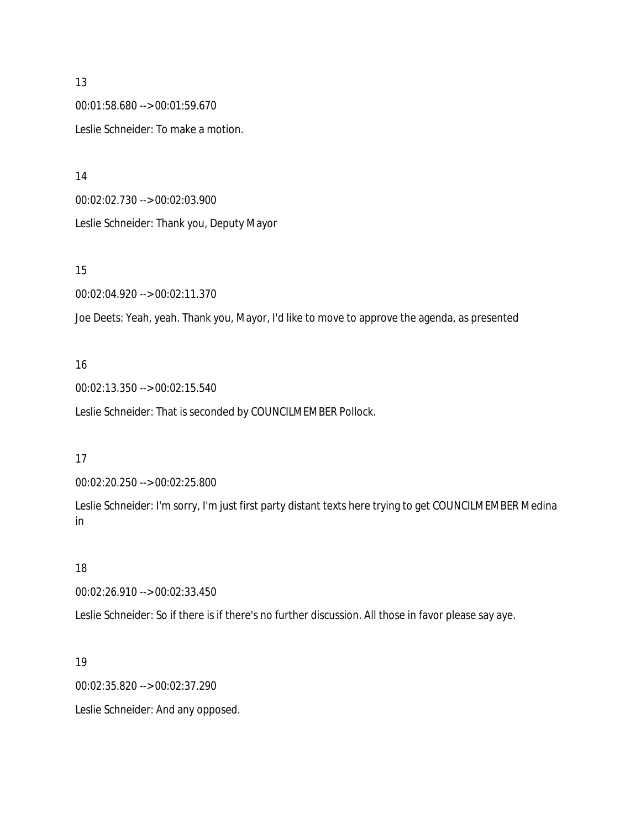00:01:58.680 --> 00:01:59.670 Leslie Schneider: To make a motion.

14

00:02:02.730 --> 00:02:03.900 Leslie Schneider: Thank you, Deputy Mayor

## 15

00:02:04.920 --> 00:02:11.370

Joe Deets: Yeah, yeah. Thank you, Mayor, I'd like to move to approve the agenda, as presented

## 16

00:02:13.350 --> 00:02:15.540

Leslie Schneider: That is seconded by COUNCILMEMBER Pollock.

## 17

00:02:20.250 --> 00:02:25.800

Leslie Schneider: I'm sorry, I'm just first party distant texts here trying to get COUNCILMEMBER Medina in

## 18

00:02:26.910 --> 00:02:33.450

Leslie Schneider: So if there is if there's no further discussion. All those in favor please say aye.

# 19

00:02:35.820 --> 00:02:37.290

Leslie Schneider: And any opposed.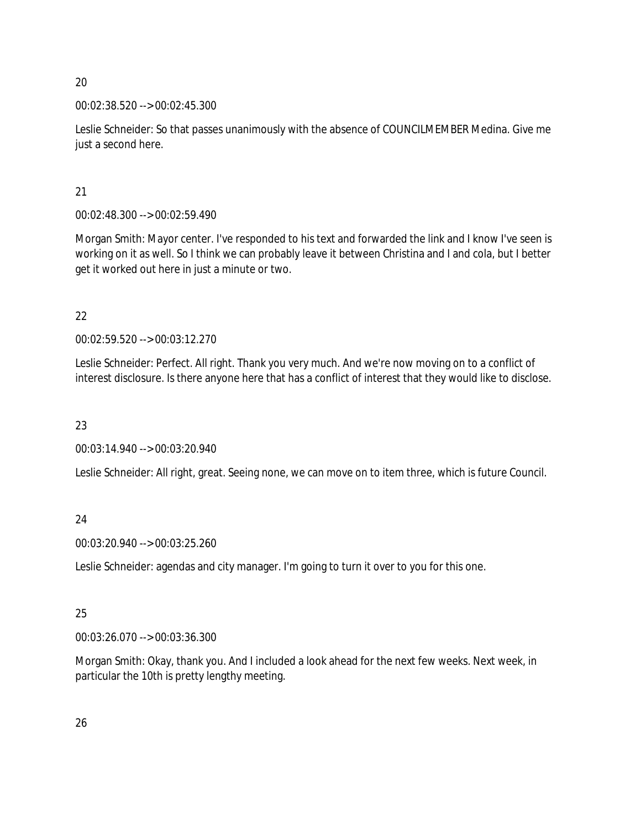00:02:38.520 --> 00:02:45.300

Leslie Schneider: So that passes unanimously with the absence of COUNCILMEMBER Medina. Give me just a second here.

21

00:02:48.300 --> 00:02:59.490

Morgan Smith: Mayor center. I've responded to his text and forwarded the link and I know I've seen is working on it as well. So I think we can probably leave it between Christina and I and cola, but I better get it worked out here in just a minute or two.

22

00:02:59.520 --> 00:03:12.270

Leslie Schneider: Perfect. All right. Thank you very much. And we're now moving on to a conflict of interest disclosure. Is there anyone here that has a conflict of interest that they would like to disclose.

23

00:03:14.940 --> 00:03:20.940

Leslie Schneider: All right, great. Seeing none, we can move on to item three, which is future Council.

24

00:03:20.940 --> 00:03:25.260

Leslie Schneider: agendas and city manager. I'm going to turn it over to you for this one.

# 25

00:03:26.070 --> 00:03:36.300

Morgan Smith: Okay, thank you. And I included a look ahead for the next few weeks. Next week, in particular the 10th is pretty lengthy meeting.

26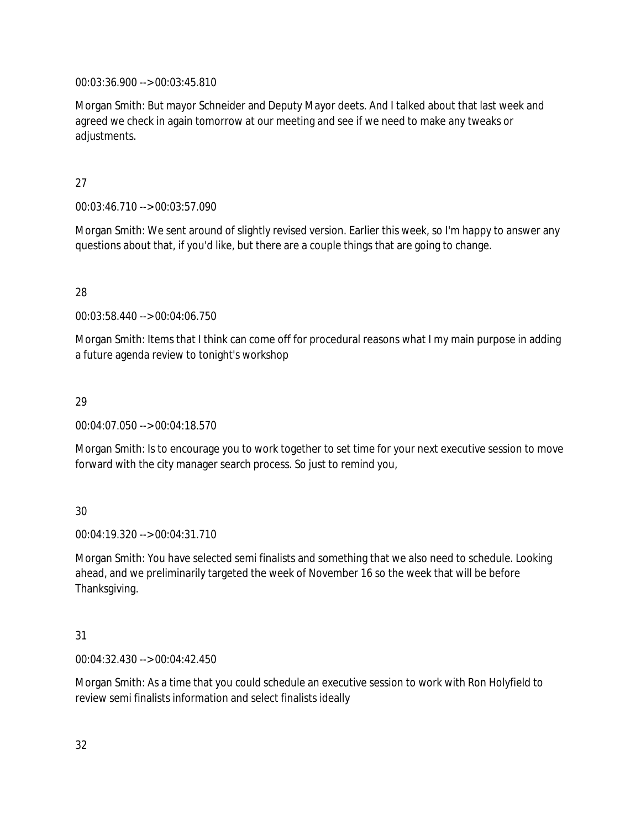00:03:36.900 --> 00:03:45.810

Morgan Smith: But mayor Schneider and Deputy Mayor deets. And I talked about that last week and agreed we check in again tomorrow at our meeting and see if we need to make any tweaks or adjustments.

# 27

00:03:46.710 --> 00:03:57.090

Morgan Smith: We sent around of slightly revised version. Earlier this week, so I'm happy to answer any questions about that, if you'd like, but there are a couple things that are going to change.

# 28

00:03:58.440 --> 00:04:06.750

Morgan Smith: Items that I think can come off for procedural reasons what I my main purpose in adding a future agenda review to tonight's workshop

# 29

00:04:07.050 --> 00:04:18.570

Morgan Smith: Is to encourage you to work together to set time for your next executive session to move forward with the city manager search process. So just to remind you,

# 30

00:04:19.320 --> 00:04:31.710

Morgan Smith: You have selected semi finalists and something that we also need to schedule. Looking ahead, and we preliminarily targeted the week of November 16 so the week that will be before Thanksgiving.

# 31

00:04:32.430 --> 00:04:42.450

Morgan Smith: As a time that you could schedule an executive session to work with Ron Holyfield to review semi finalists information and select finalists ideally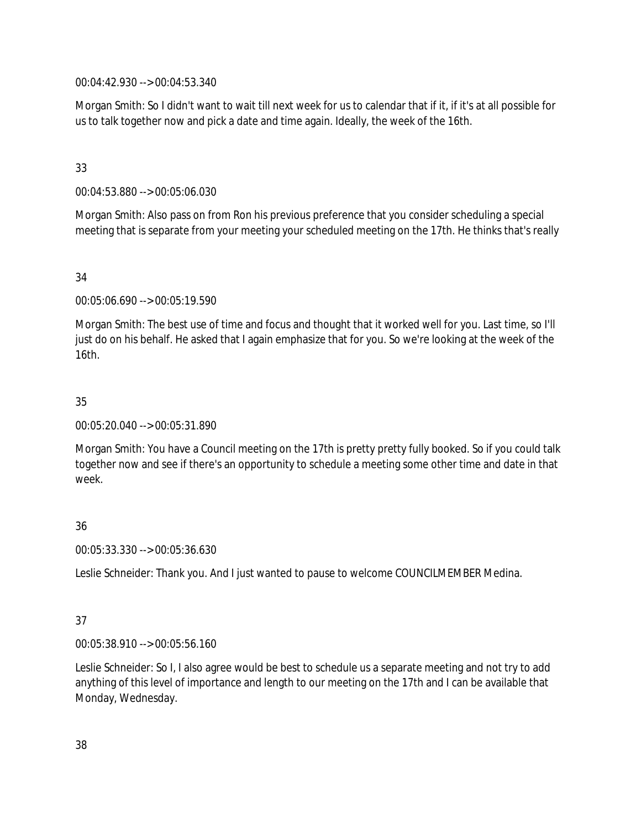00:04:42.930 --> 00:04:53.340

Morgan Smith: So I didn't want to wait till next week for us to calendar that if it, if it's at all possible for us to talk together now and pick a date and time again. Ideally, the week of the 16th.

## 33

00:04:53.880 --> 00:05:06.030

Morgan Smith: Also pass on from Ron his previous preference that you consider scheduling a special meeting that is separate from your meeting your scheduled meeting on the 17th. He thinks that's really

## 34

00:05:06.690 --> 00:05:19.590

Morgan Smith: The best use of time and focus and thought that it worked well for you. Last time, so I'll just do on his behalf. He asked that I again emphasize that for you. So we're looking at the week of the 16th.

## 35

00:05:20.040 --> 00:05:31.890

Morgan Smith: You have a Council meeting on the 17th is pretty pretty fully booked. So if you could talk together now and see if there's an opportunity to schedule a meeting some other time and date in that week.

# 36

00:05:33.330 --> 00:05:36.630

Leslie Schneider: Thank you. And I just wanted to pause to welcome COUNCILMEMBER Medina.

# 37

00:05:38.910 --> 00:05:56.160

Leslie Schneider: So I, I also agree would be best to schedule us a separate meeting and not try to add anything of this level of importance and length to our meeting on the 17th and I can be available that Monday, Wednesday.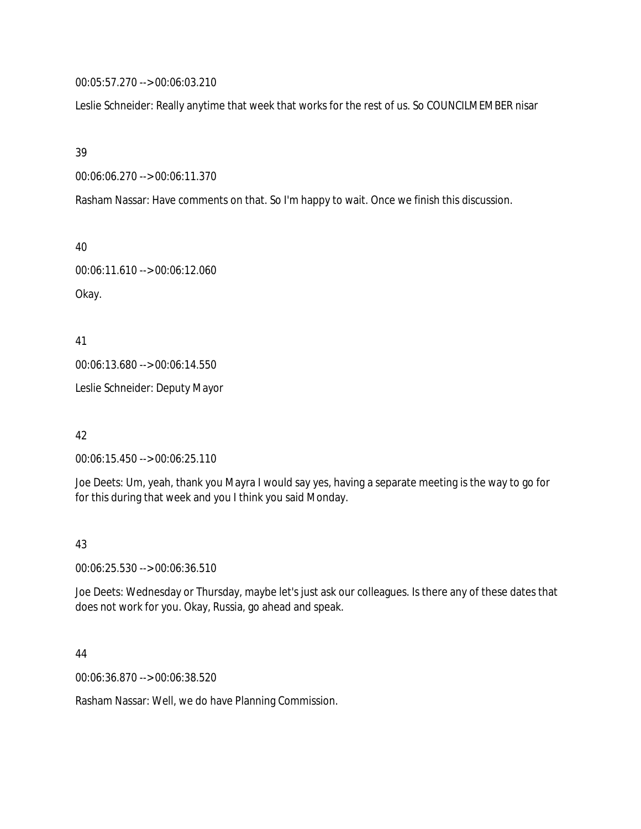00:05:57.270 --> 00:06:03.210

Leslie Schneider: Really anytime that week that works for the rest of us. So COUNCILMEMBER nisar

39

00:06:06.270 --> 00:06:11.370

Rasham Nassar: Have comments on that. So I'm happy to wait. Once we finish this discussion.

40

00:06:11.610 --> 00:06:12.060 Okay.

41 00:06:13.680 --> 00:06:14.550 Leslie Schneider: Deputy Mayor

42

00:06:15.450 --> 00:06:25.110

Joe Deets: Um, yeah, thank you Mayra I would say yes, having a separate meeting is the way to go for for this during that week and you I think you said Monday.

43

00:06:25.530 --> 00:06:36.510

Joe Deets: Wednesday or Thursday, maybe let's just ask our colleagues. Is there any of these dates that does not work for you. Okay, Russia, go ahead and speak.

44

00:06:36.870 --> 00:06:38.520

Rasham Nassar: Well, we do have Planning Commission.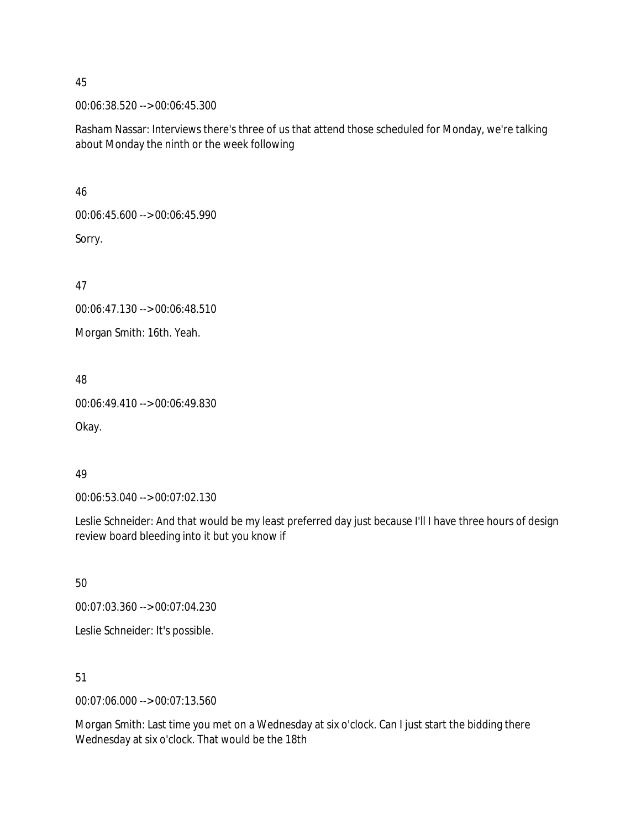00:06:38.520 --> 00:06:45.300

Rasham Nassar: Interviews there's three of us that attend those scheduled for Monday, we're talking about Monday the ninth or the week following

46

00:06:45.600 --> 00:06:45.990 Sorry.

47

00:06:47.130 --> 00:06:48.510

Morgan Smith: 16th. Yeah.

48

00:06:49.410 --> 00:06:49.830

Okay.

# 49

00:06:53.040 --> 00:07:02.130

Leslie Schneider: And that would be my least preferred day just because I'll I have three hours of design review board bleeding into it but you know if

50

00:07:03.360 --> 00:07:04.230

Leslie Schneider: It's possible.

51

00:07:06.000 --> 00:07:13.560

Morgan Smith: Last time you met on a Wednesday at six o'clock. Can I just start the bidding there Wednesday at six o'clock. That would be the 18th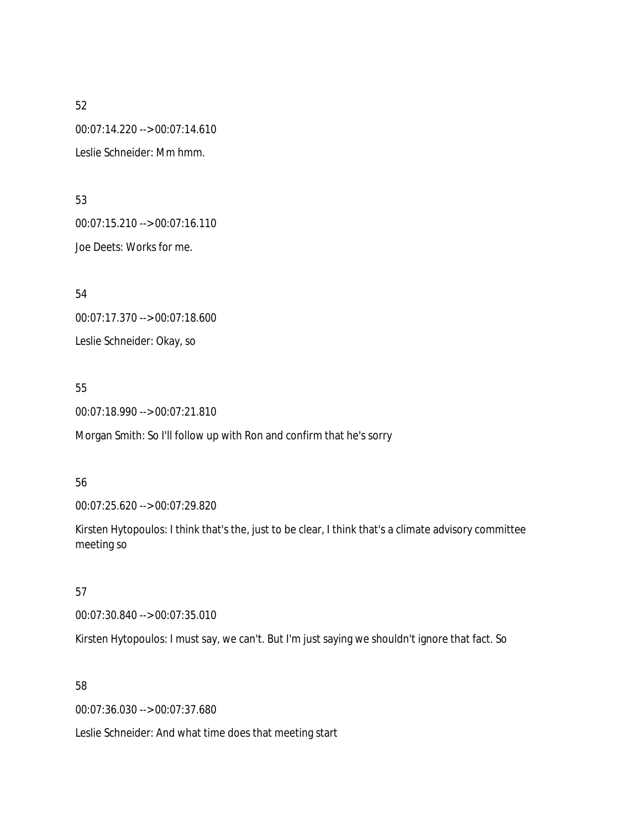52 00:07:14.220 --> 00:07:14.610 Leslie Schneider: Mm hmm.

53 00:07:15.210 --> 00:07:16.110 Joe Deets: Works for me.

54 00:07:17.370 --> 00:07:18.600 Leslie Schneider: Okay, so

55 00:07:18.990 --> 00:07:21.810

Morgan Smith: So I'll follow up with Ron and confirm that he's sorry

56

00:07:25.620 --> 00:07:29.820

Kirsten Hytopoulos: I think that's the, just to be clear, I think that's a climate advisory committee meeting so

57

00:07:30.840 --> 00:07:35.010

Kirsten Hytopoulos: I must say, we can't. But I'm just saying we shouldn't ignore that fact. So

58

00:07:36.030 --> 00:07:37.680

Leslie Schneider: And what time does that meeting start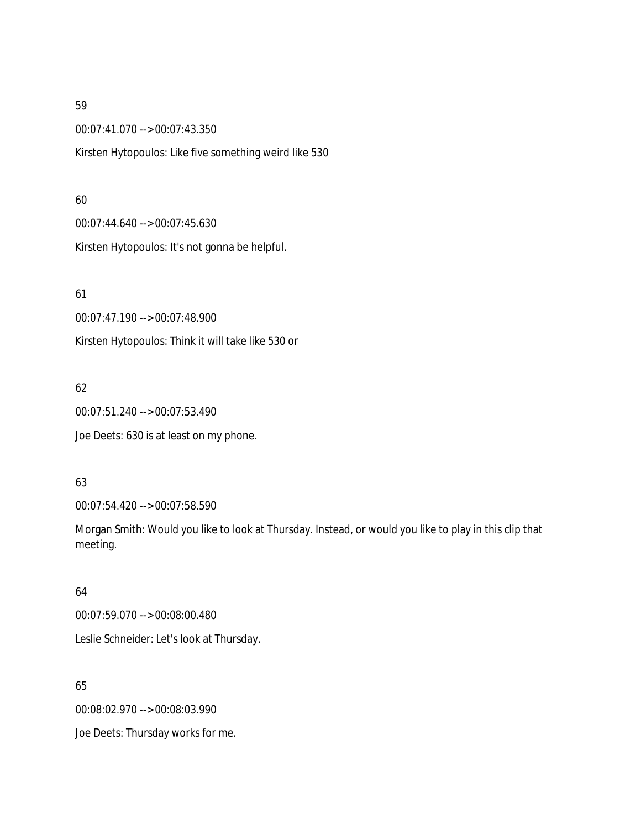00:07:41.070 --> 00:07:43.350

Kirsten Hytopoulos: Like five something weird like 530

## 60

00:07:44.640 --> 00:07:45.630 Kirsten Hytopoulos: It's not gonna be helpful.

61

00:07:47.190 --> 00:07:48.900

Kirsten Hytopoulos: Think it will take like 530 or

# 62

00:07:51.240 --> 00:07:53.490

Joe Deets: 630 is at least on my phone.

# 63

00:07:54.420 --> 00:07:58.590

Morgan Smith: Would you like to look at Thursday. Instead, or would you like to play in this clip that meeting.

# 64

00:07:59.070 --> 00:08:00.480 Leslie Schneider: Let's look at Thursday.

# 65

00:08:02.970 --> 00:08:03.990

Joe Deets: Thursday works for me.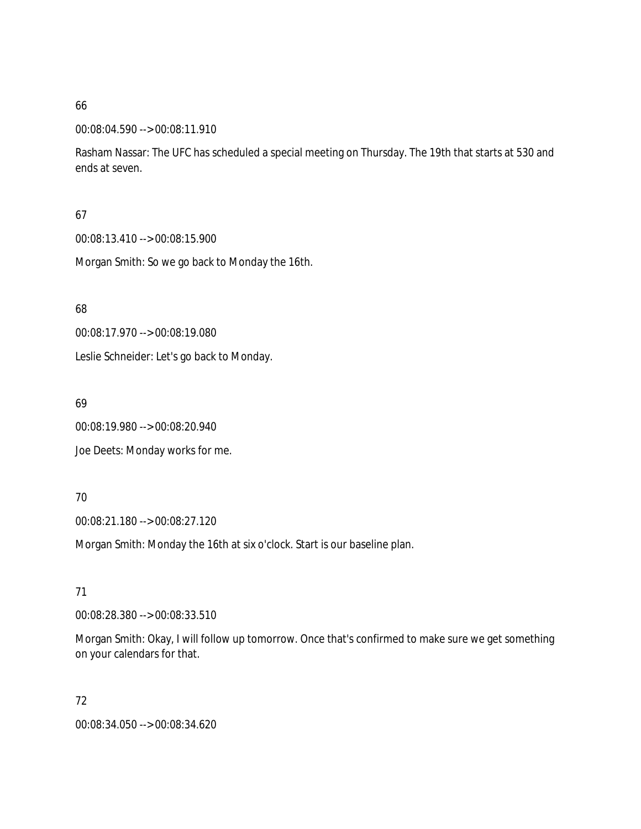## 00:08:04.590 --> 00:08:11.910

Rasham Nassar: The UFC has scheduled a special meeting on Thursday. The 19th that starts at 530 and ends at seven.

## 67

00:08:13.410 --> 00:08:15.900

Morgan Smith: So we go back to Monday the 16th.

68

00:08:17.970 --> 00:08:19.080

Leslie Schneider: Let's go back to Monday.

69

00:08:19.980 --> 00:08:20.940

Joe Deets: Monday works for me.

## 70

00:08:21.180 --> 00:08:27.120

Morgan Smith: Monday the 16th at six o'clock. Start is our baseline plan.

# 71

00:08:28.380 --> 00:08:33.510

Morgan Smith: Okay, I will follow up tomorrow. Once that's confirmed to make sure we get something on your calendars for that.

72

00:08:34.050 --> 00:08:34.620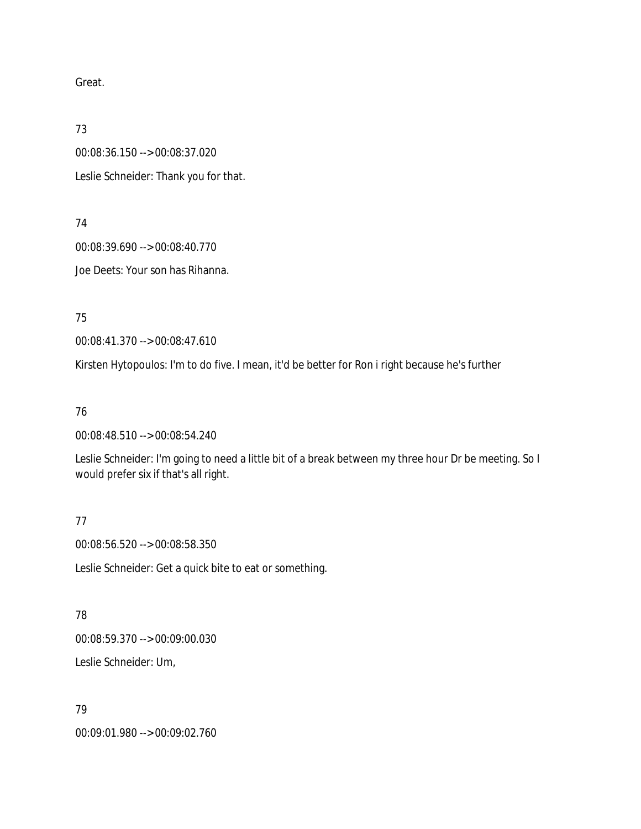Great.

73

00:08:36.150 --> 00:08:37.020 Leslie Schneider: Thank you for that.

74

00:08:39.690 --> 00:08:40.770 Joe Deets: Your son has Rihanna.

75

00:08:41.370 --> 00:08:47.610

Kirsten Hytopoulos: I'm to do five. I mean, it'd be better for Ron i right because he's further

# 76

00:08:48.510 --> 00:08:54.240

Leslie Schneider: I'm going to need a little bit of a break between my three hour Dr be meeting. So I would prefer six if that's all right.

77

00:08:56.520 --> 00:08:58.350

Leslie Schneider: Get a quick bite to eat or something.

78 00:08:59.370 --> 00:09:00.030 Leslie Schneider: Um,

# 79

00:09:01.980 --> 00:09:02.760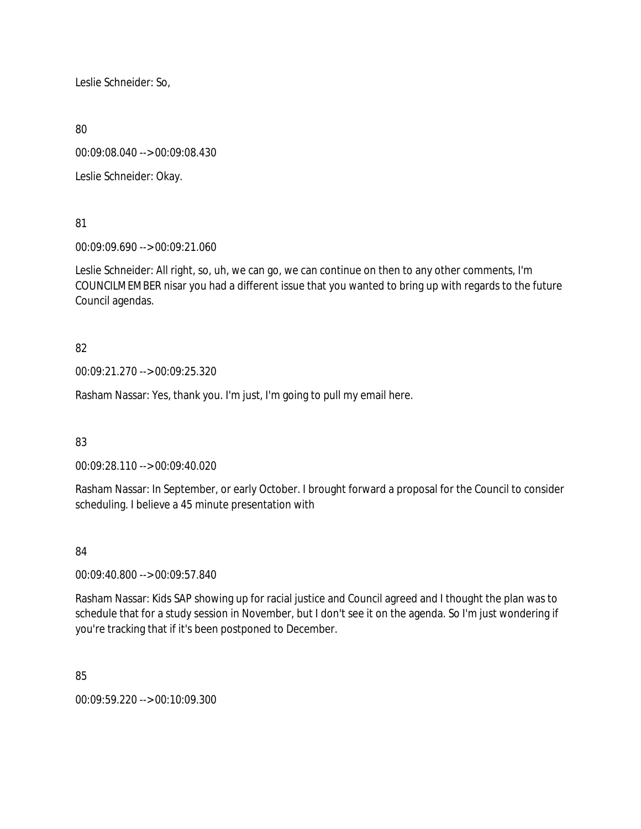Leslie Schneider: So,

80

00:09:08.040 --> 00:09:08.430

Leslie Schneider: Okay.

81

00:09:09.690 --> 00:09:21.060

Leslie Schneider: All right, so, uh, we can go, we can continue on then to any other comments, I'm COUNCILMEMBER nisar you had a different issue that you wanted to bring up with regards to the future Council agendas.

# 82

00:09:21.270 --> 00:09:25.320

Rasham Nassar: Yes, thank you. I'm just, I'm going to pull my email here.

# 83

00:09:28.110 --> 00:09:40.020

Rasham Nassar: In September, or early October. I brought forward a proposal for the Council to consider scheduling. I believe a 45 minute presentation with

# 84

00:09:40.800 --> 00:09:57.840

Rasham Nassar: Kids SAP showing up for racial justice and Council agreed and I thought the plan was to schedule that for a study session in November, but I don't see it on the agenda. So I'm just wondering if you're tracking that if it's been postponed to December.

85

00:09:59.220 --> 00:10:09.300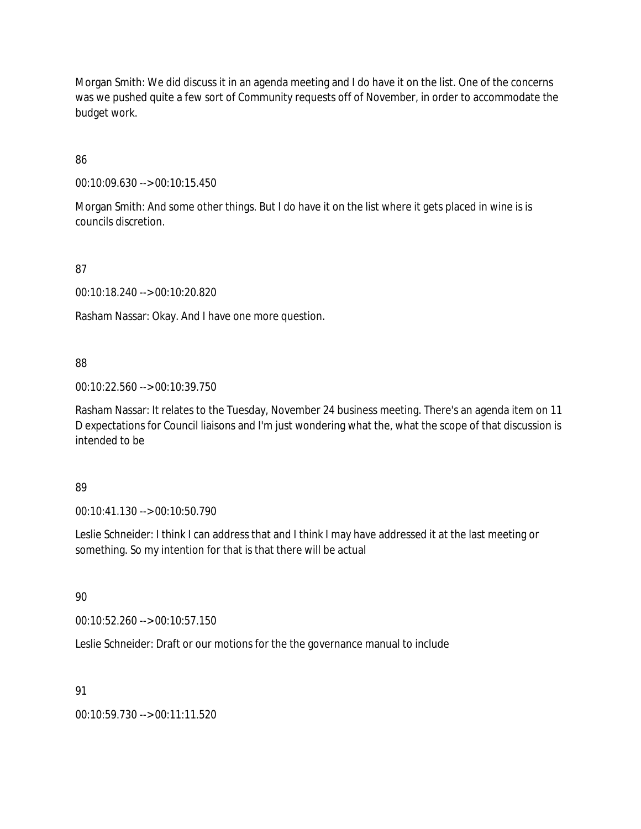Morgan Smith: We did discuss it in an agenda meeting and I do have it on the list. One of the concerns was we pushed quite a few sort of Community requests off of November, in order to accommodate the budget work.

86

00:10:09.630 --> 00:10:15.450

Morgan Smith: And some other things. But I do have it on the list where it gets placed in wine is is councils discretion.

87

00:10:18.240 --> 00:10:20.820

Rasham Nassar: Okay. And I have one more question.

88

00:10:22.560 --> 00:10:39.750

Rasham Nassar: It relates to the Tuesday, November 24 business meeting. There's an agenda item on 11 D expectations for Council liaisons and I'm just wondering what the, what the scope of that discussion is intended to be

89

00:10:41.130 --> 00:10:50.790

Leslie Schneider: I think I can address that and I think I may have addressed it at the last meeting or something. So my intention for that is that there will be actual

90

00:10:52.260 --> 00:10:57.150

Leslie Schneider: Draft or our motions for the the governance manual to include

91

00:10:59.730 --> 00:11:11.520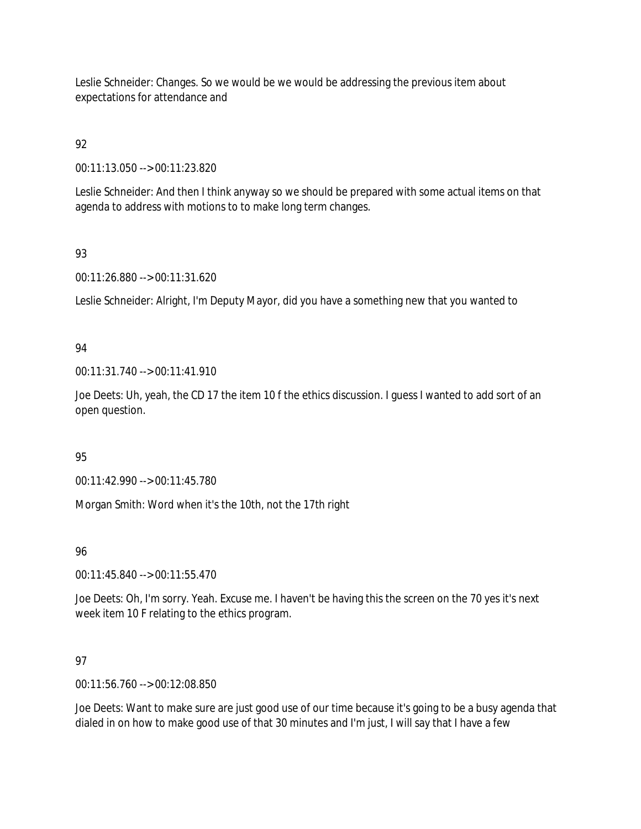Leslie Schneider: Changes. So we would be we would be addressing the previous item about expectations for attendance and

# 92

00:11:13.050 --> 00:11:23.820

Leslie Schneider: And then I think anyway so we should be prepared with some actual items on that agenda to address with motions to to make long term changes.

# 93

00:11:26.880 --> 00:11:31.620

Leslie Schneider: Alright, I'm Deputy Mayor, did you have a something new that you wanted to

# 94

00:11:31.740 --> 00:11:41.910

Joe Deets: Uh, yeah, the CD 17 the item 10 f the ethics discussion. I guess I wanted to add sort of an open question.

# 95

00:11:42.990 --> 00:11:45.780

Morgan Smith: Word when it's the 10th, not the 17th right

# 96

00:11:45.840 --> 00:11:55.470

Joe Deets: Oh, I'm sorry. Yeah. Excuse me. I haven't be having this the screen on the 70 yes it's next week item 10 F relating to the ethics program.

# 97

00:11:56.760 --> 00:12:08.850

Joe Deets: Want to make sure are just good use of our time because it's going to be a busy agenda that dialed in on how to make good use of that 30 minutes and I'm just, I will say that I have a few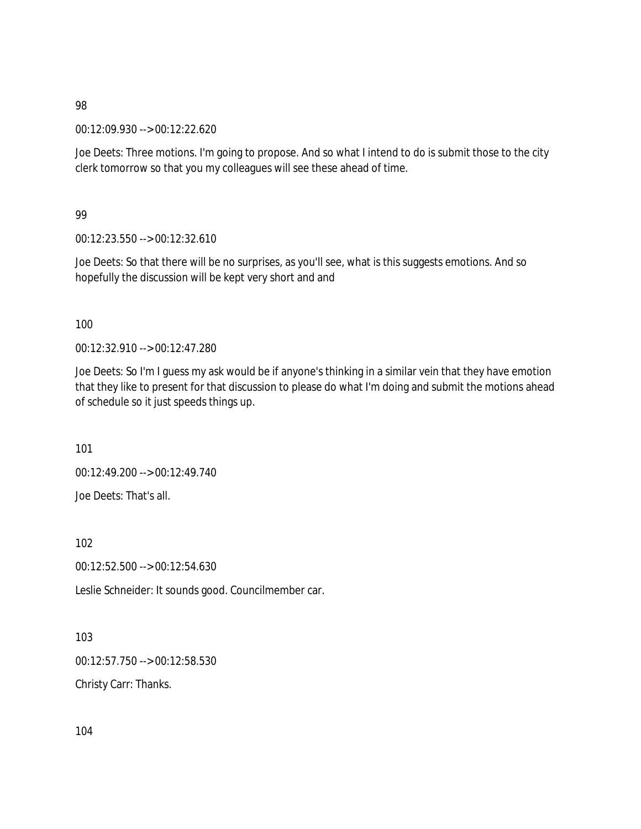00:12:09.930 --> 00:12:22.620

Joe Deets: Three motions. I'm going to propose. And so what I intend to do is submit those to the city clerk tomorrow so that you my colleagues will see these ahead of time.

99

00:12:23.550 --> 00:12:32.610

Joe Deets: So that there will be no surprises, as you'll see, what is this suggests emotions. And so hopefully the discussion will be kept very short and and

100

00:12:32.910 --> 00:12:47.280

Joe Deets: So I'm I guess my ask would be if anyone's thinking in a similar vein that they have emotion that they like to present for that discussion to please do what I'm doing and submit the motions ahead of schedule so it just speeds things up.

101

00:12:49.200 --> 00:12:49.740 Joe Deets: That's all.

102

00:12:52.500 --> 00:12:54.630

Leslie Schneider: It sounds good. Councilmember car.

103 00:12:57.750 --> 00:12:58.530

Christy Carr: Thanks.

104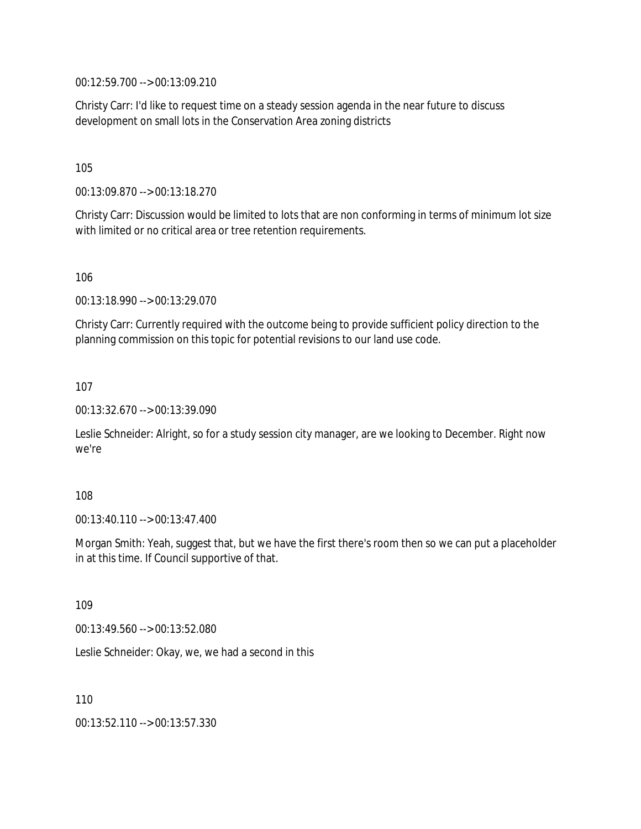00:12:59.700 --> 00:13:09.210

Christy Carr: I'd like to request time on a steady session agenda in the near future to discuss development on small lots in the Conservation Area zoning districts

105

00:13:09.870 --> 00:13:18.270

Christy Carr: Discussion would be limited to lots that are non conforming in terms of minimum lot size with limited or no critical area or tree retention requirements.

106

00:13:18.990 --> 00:13:29.070

Christy Carr: Currently required with the outcome being to provide sufficient policy direction to the planning commission on this topic for potential revisions to our land use code.

107

00:13:32.670 --> 00:13:39.090

Leslie Schneider: Alright, so for a study session city manager, are we looking to December. Right now we're

108

00:13:40.110 --> 00:13:47.400

Morgan Smith: Yeah, suggest that, but we have the first there's room then so we can put a placeholder in at this time. If Council supportive of that.

109

00:13:49.560 --> 00:13:52.080

Leslie Schneider: Okay, we, we had a second in this

110

00:13:52.110 --> 00:13:57.330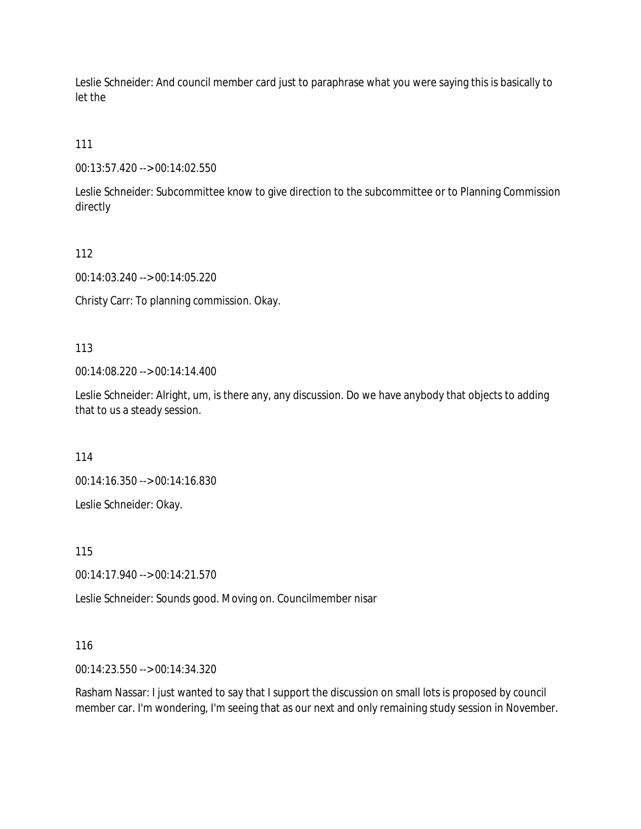Leslie Schneider: And council member card just to paraphrase what you were saying this is basically to let the

111

00:13:57.420 --> 00:14:02.550

Leslie Schneider: Subcommittee know to give direction to the subcommittee or to Planning Commission directly

112

00:14:03.240 --> 00:14:05.220

Christy Carr: To planning commission. Okay.

113

00:14:08.220 --> 00:14:14.400

Leslie Schneider: Alright, um, is there any, any discussion. Do we have anybody that objects to adding that to us a steady session.

114

00:14:16.350 --> 00:14:16.830

Leslie Schneider: Okay.

115

00:14:17.940 --> 00:14:21.570

Leslie Schneider: Sounds good. Moving on. Councilmember nisar

116

00:14:23.550 --> 00:14:34.320

Rasham Nassar: I just wanted to say that I support the discussion on small lots is proposed by council member car. I'm wondering, I'm seeing that as our next and only remaining study session in November.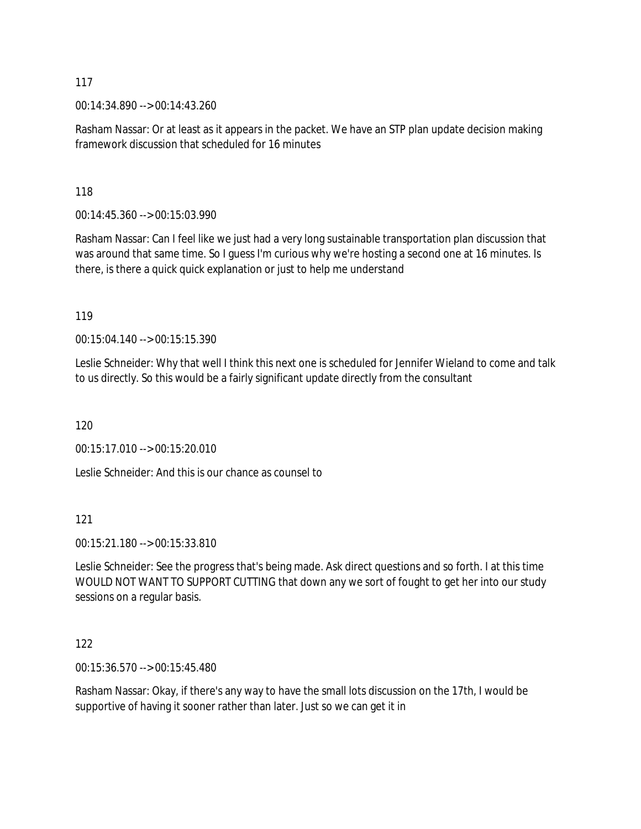00:14:34.890 --> 00:14:43.260

Rasham Nassar: Or at least as it appears in the packet. We have an STP plan update decision making framework discussion that scheduled for 16 minutes

118

00:14:45.360 --> 00:15:03.990

Rasham Nassar: Can I feel like we just had a very long sustainable transportation plan discussion that was around that same time. So I guess I'm curious why we're hosting a second one at 16 minutes. Is there, is there a quick quick explanation or just to help me understand

119

00:15:04.140 --> 00:15:15.390

Leslie Schneider: Why that well I think this next one is scheduled for Jennifer Wieland to come and talk to us directly. So this would be a fairly significant update directly from the consultant

120

00:15:17.010 --> 00:15:20.010

Leslie Schneider: And this is our chance as counsel to

121

00:15:21.180 --> 00:15:33.810

Leslie Schneider: See the progress that's being made. Ask direct questions and so forth. I at this time WOULD NOT WANT TO SUPPORT CUTTING that down any we sort of fought to get her into our study sessions on a regular basis.

122

00:15:36.570 --> 00:15:45.480

Rasham Nassar: Okay, if there's any way to have the small lots discussion on the 17th, I would be supportive of having it sooner rather than later. Just so we can get it in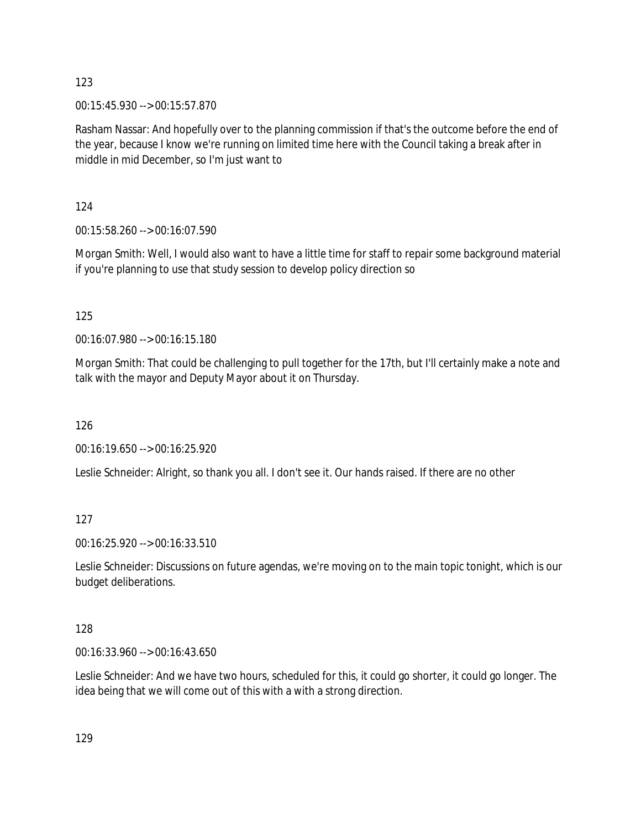00:15:45.930 --> 00:15:57.870

Rasham Nassar: And hopefully over to the planning commission if that's the outcome before the end of the year, because I know we're running on limited time here with the Council taking a break after in middle in mid December, so I'm just want to

124

00:15:58.260 --> 00:16:07.590

Morgan Smith: Well, I would also want to have a little time for staff to repair some background material if you're planning to use that study session to develop policy direction so

125

00:16:07.980 --> 00:16:15.180

Morgan Smith: That could be challenging to pull together for the 17th, but I'll certainly make a note and talk with the mayor and Deputy Mayor about it on Thursday.

126

00:16:19.650 --> 00:16:25.920

Leslie Schneider: Alright, so thank you all. I don't see it. Our hands raised. If there are no other

127

00:16:25.920 --> 00:16:33.510

Leslie Schneider: Discussions on future agendas, we're moving on to the main topic tonight, which is our budget deliberations.

128

00:16:33.960 --> 00:16:43.650

Leslie Schneider: And we have two hours, scheduled for this, it could go shorter, it could go longer. The idea being that we will come out of this with a with a strong direction.

129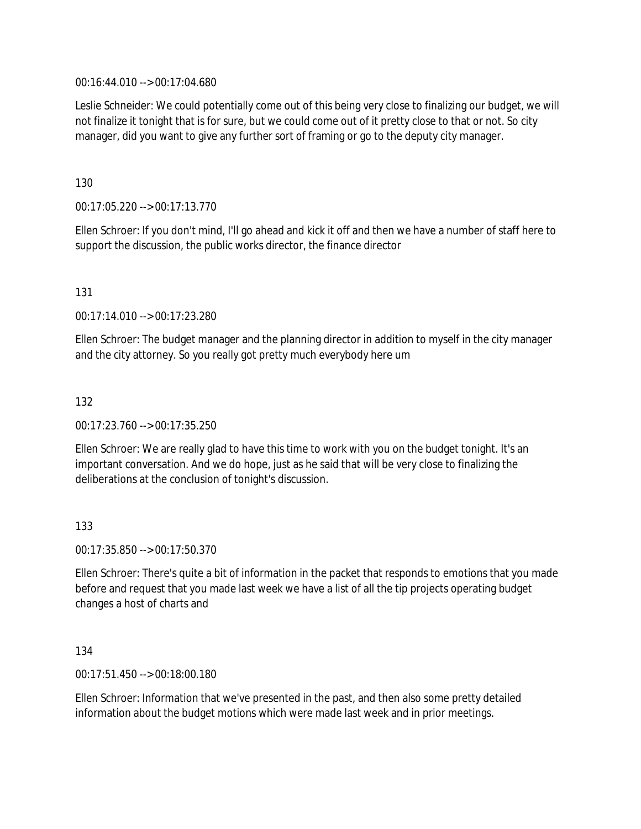00:16:44.010 --> 00:17:04.680

Leslie Schneider: We could potentially come out of this being very close to finalizing our budget, we will not finalize it tonight that is for sure, but we could come out of it pretty close to that or not. So city manager, did you want to give any further sort of framing or go to the deputy city manager.

130

00:17:05.220 --> 00:17:13.770

Ellen Schroer: If you don't mind, I'll go ahead and kick it off and then we have a number of staff here to support the discussion, the public works director, the finance director

131

00:17:14.010 --> 00:17:23.280

Ellen Schroer: The budget manager and the planning director in addition to myself in the city manager and the city attorney. So you really got pretty much everybody here um

132

00:17:23.760 --> 00:17:35.250

Ellen Schroer: We are really glad to have this time to work with you on the budget tonight. It's an important conversation. And we do hope, just as he said that will be very close to finalizing the deliberations at the conclusion of tonight's discussion.

133

00:17:35.850 --> 00:17:50.370

Ellen Schroer: There's quite a bit of information in the packet that responds to emotions that you made before and request that you made last week we have a list of all the tip projects operating budget changes a host of charts and

134

00:17:51.450 --> 00:18:00.180

Ellen Schroer: Information that we've presented in the past, and then also some pretty detailed information about the budget motions which were made last week and in prior meetings.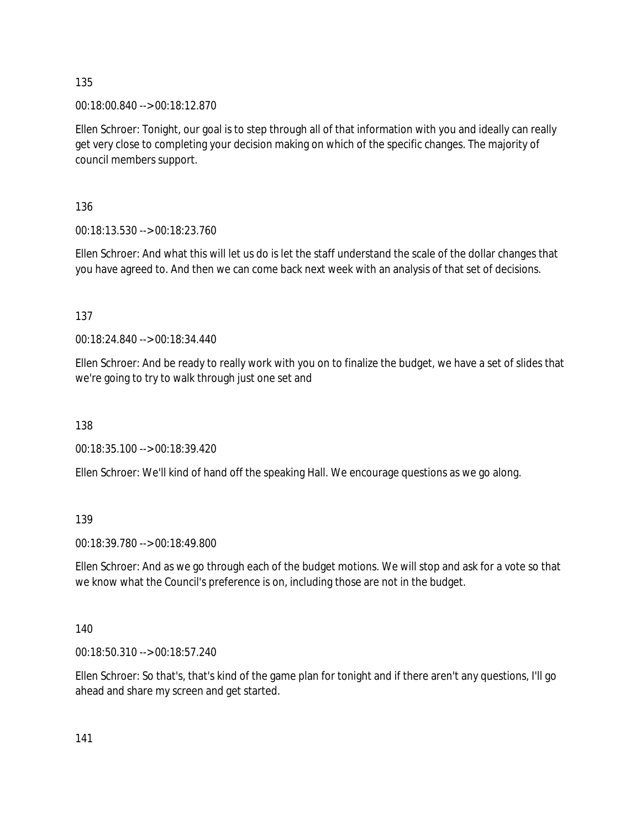00:18:00.840 --> 00:18:12.870

Ellen Schroer: Tonight, our goal is to step through all of that information with you and ideally can really get very close to completing your decision making on which of the specific changes. The majority of council members support.

136

00:18:13.530 --> 00:18:23.760

Ellen Schroer: And what this will let us do is let the staff understand the scale of the dollar changes that you have agreed to. And then we can come back next week with an analysis of that set of decisions.

137

00:18:24.840 --> 00:18:34.440

Ellen Schroer: And be ready to really work with you on to finalize the budget, we have a set of slides that we're going to try to walk through just one set and

138

00:18:35.100 --> 00:18:39.420

Ellen Schroer: We'll kind of hand off the speaking Hall. We encourage questions as we go along.

139

00:18:39.780 --> 00:18:49.800

Ellen Schroer: And as we go through each of the budget motions. We will stop and ask for a vote so that we know what the Council's preference is on, including those are not in the budget.

140

00:18:50.310 --> 00:18:57.240

Ellen Schroer: So that's, that's kind of the game plan for tonight and if there aren't any questions, I'll go ahead and share my screen and get started.

141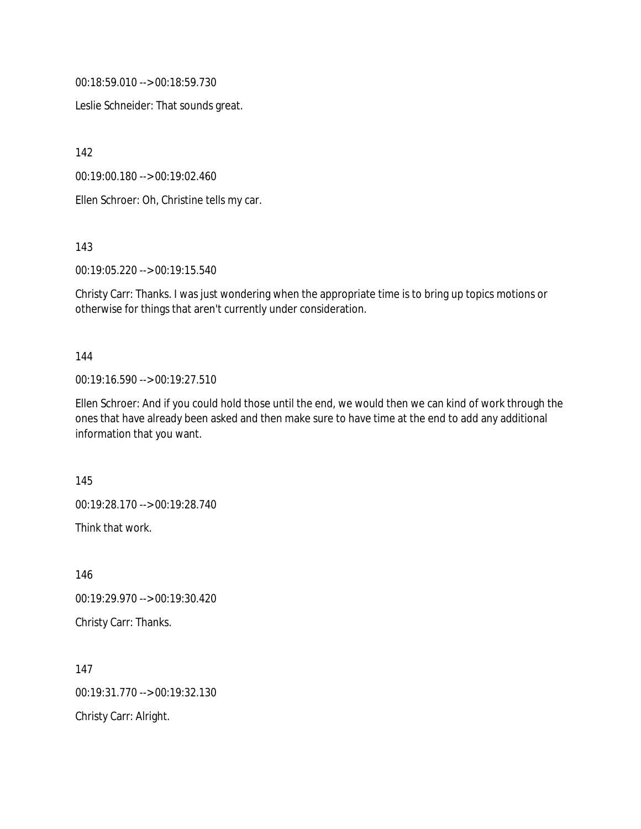00:18:59.010 --> 00:18:59.730

Leslie Schneider: That sounds great.

142

00:19:00.180 --> 00:19:02.460

Ellen Schroer: Oh, Christine tells my car.

143

00:19:05.220 --> 00:19:15.540

Christy Carr: Thanks. I was just wondering when the appropriate time is to bring up topics motions or otherwise for things that aren't currently under consideration.

#### 144

00:19:16.590 --> 00:19:27.510

Ellen Schroer: And if you could hold those until the end, we would then we can kind of work through the ones that have already been asked and then make sure to have time at the end to add any additional information that you want.

145

00:19:28.170 --> 00:19:28.740

Think that work.

146 00:19:29.970 --> 00:19:30.420 Christy Carr: Thanks.

147 00:19:31.770 --> 00:19:32.130 Christy Carr: Alright.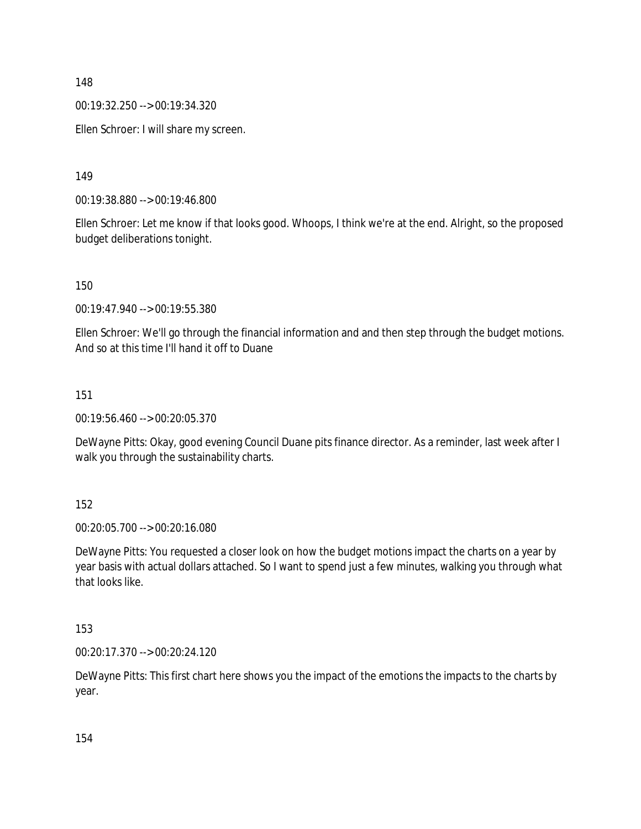00:19:32.250 --> 00:19:34.320

Ellen Schroer: I will share my screen.

149

00:19:38.880 --> 00:19:46.800

Ellen Schroer: Let me know if that looks good. Whoops, I think we're at the end. Alright, so the proposed budget deliberations tonight.

150

00:19:47.940 --> 00:19:55.380

Ellen Schroer: We'll go through the financial information and and then step through the budget motions. And so at this time I'll hand it off to Duane

151

00:19:56.460 --> 00:20:05.370

DeWayne Pitts: Okay, good evening Council Duane pits finance director. As a reminder, last week after I walk you through the sustainability charts.

152

00:20:05.700 --> 00:20:16.080

DeWayne Pitts: You requested a closer look on how the budget motions impact the charts on a year by year basis with actual dollars attached. So I want to spend just a few minutes, walking you through what that looks like.

153

00:20:17.370 --> 00:20:24.120

DeWayne Pitts: This first chart here shows you the impact of the emotions the impacts to the charts by year.

154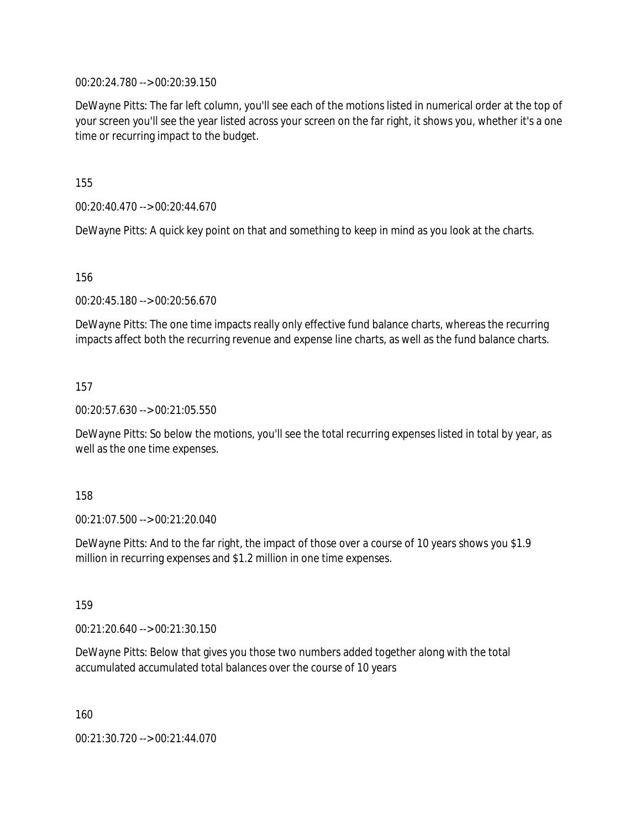00:20:24.780 --> 00:20:39.150

DeWayne Pitts: The far left column, you'll see each of the motions listed in numerical order at the top of your screen you'll see the year listed across your screen on the far right, it shows you, whether it's a one time or recurring impact to the budget.

155

00:20:40.470 --> 00:20:44.670

DeWayne Pitts: A quick key point on that and something to keep in mind as you look at the charts.

156

00:20:45.180 --> 00:20:56.670

DeWayne Pitts: The one time impacts really only effective fund balance charts, whereas the recurring impacts affect both the recurring revenue and expense line charts, as well as the fund balance charts.

157

00:20:57.630 --> 00:21:05.550

DeWayne Pitts: So below the motions, you'll see the total recurring expenses listed in total by year, as well as the one time expenses.

158

00:21:07.500 --> 00:21:20.040

DeWayne Pitts: And to the far right, the impact of those over a course of 10 years shows you \$1.9 million in recurring expenses and \$1.2 million in one time expenses.

159

00:21:20.640 --> 00:21:30.150

DeWayne Pitts: Below that gives you those two numbers added together along with the total accumulated accumulated total balances over the course of 10 years

160

00:21:30.720 --> 00:21:44.070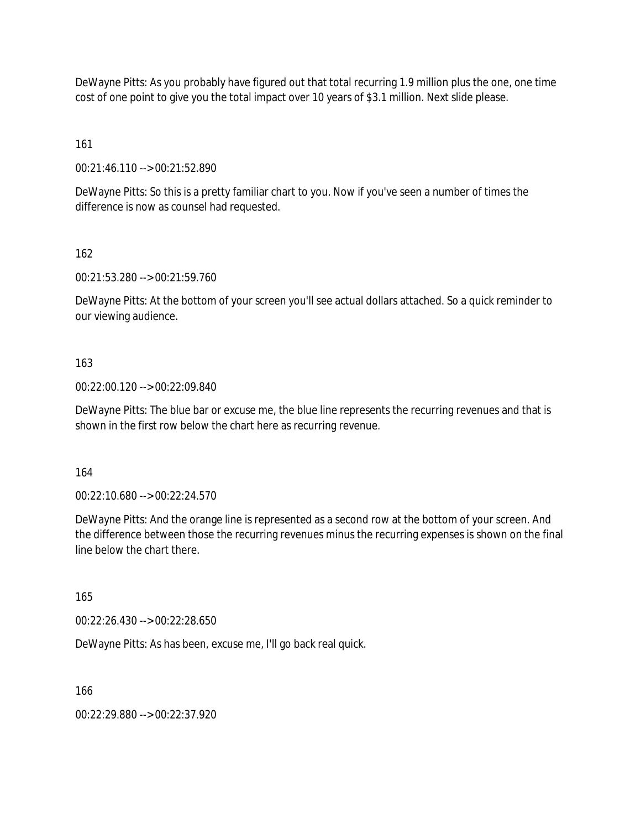DeWayne Pitts: As you probably have figured out that total recurring 1.9 million plus the one, one time cost of one point to give you the total impact over 10 years of \$3.1 million. Next slide please.

161

00:21:46.110 --> 00:21:52.890

DeWayne Pitts: So this is a pretty familiar chart to you. Now if you've seen a number of times the difference is now as counsel had requested.

162

00:21:53.280 --> 00:21:59.760

DeWayne Pitts: At the bottom of your screen you'll see actual dollars attached. So a quick reminder to our viewing audience.

## 163

00:22:00.120 --> 00:22:09.840

DeWayne Pitts: The blue bar or excuse me, the blue line represents the recurring revenues and that is shown in the first row below the chart here as recurring revenue.

164

00:22:10.680 --> 00:22:24.570

DeWayne Pitts: And the orange line is represented as a second row at the bottom of your screen. And the difference between those the recurring revenues minus the recurring expenses is shown on the final line below the chart there.

165

00:22:26.430 --> 00:22:28.650

DeWayne Pitts: As has been, excuse me, I'll go back real quick.

166

00:22:29.880 --> 00:22:37.920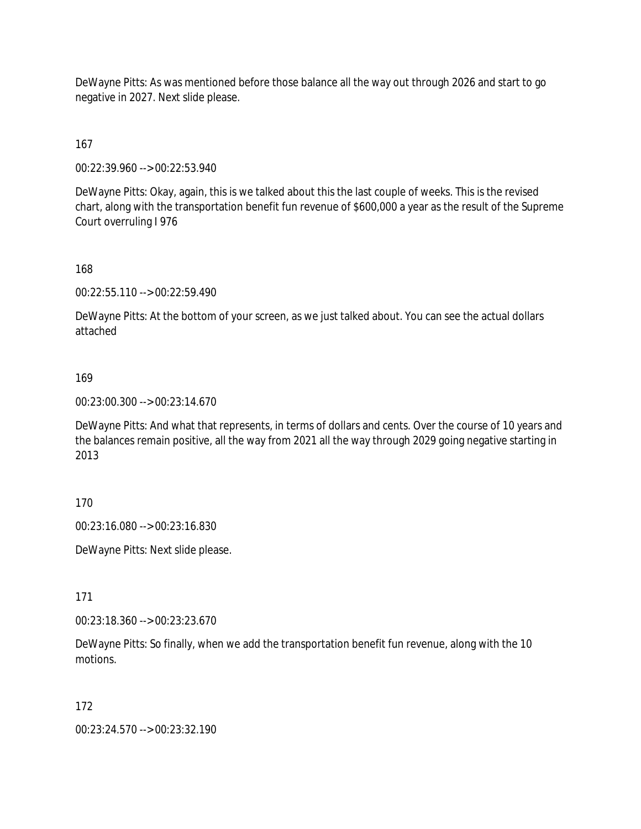DeWayne Pitts: As was mentioned before those balance all the way out through 2026 and start to go negative in 2027. Next slide please.

167

00:22:39.960 --> 00:22:53.940

DeWayne Pitts: Okay, again, this is we talked about this the last couple of weeks. This is the revised chart, along with the transportation benefit fun revenue of \$600,000 a year as the result of the Supreme Court overruling I 976

168

00:22:55.110 --> 00:22:59.490

DeWayne Pitts: At the bottom of your screen, as we just talked about. You can see the actual dollars attached

169

00:23:00.300 --> 00:23:14.670

DeWayne Pitts: And what that represents, in terms of dollars and cents. Over the course of 10 years and the balances remain positive, all the way from 2021 all the way through 2029 going negative starting in 2013

170

00:23:16.080 --> 00:23:16.830

DeWayne Pitts: Next slide please.

171

00:23:18.360 --> 00:23:23.670

DeWayne Pitts: So finally, when we add the transportation benefit fun revenue, along with the 10 motions.

172

00:23:24.570 --> 00:23:32.190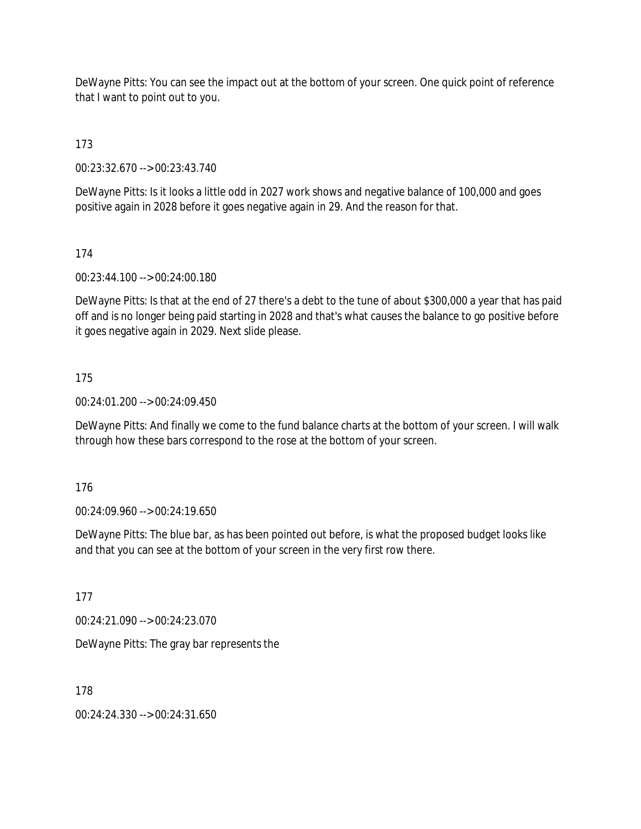DeWayne Pitts: You can see the impact out at the bottom of your screen. One quick point of reference that I want to point out to you.

173

00:23:32.670 --> 00:23:43.740

DeWayne Pitts: Is it looks a little odd in 2027 work shows and negative balance of 100,000 and goes positive again in 2028 before it goes negative again in 29. And the reason for that.

174

00:23:44.100 --> 00:24:00.180

DeWayne Pitts: Is that at the end of 27 there's a debt to the tune of about \$300,000 a year that has paid off and is no longer being paid starting in 2028 and that's what causes the balance to go positive before it goes negative again in 2029. Next slide please.

175

00:24:01.200 --> 00:24:09.450

DeWayne Pitts: And finally we come to the fund balance charts at the bottom of your screen. I will walk through how these bars correspond to the rose at the bottom of your screen.

176

00:24:09.960 --> 00:24:19.650

DeWayne Pitts: The blue bar, as has been pointed out before, is what the proposed budget looks like and that you can see at the bottom of your screen in the very first row there.

177

00:24:21.090 --> 00:24:23.070

DeWayne Pitts: The gray bar represents the

178

00:24:24.330 --> 00:24:31.650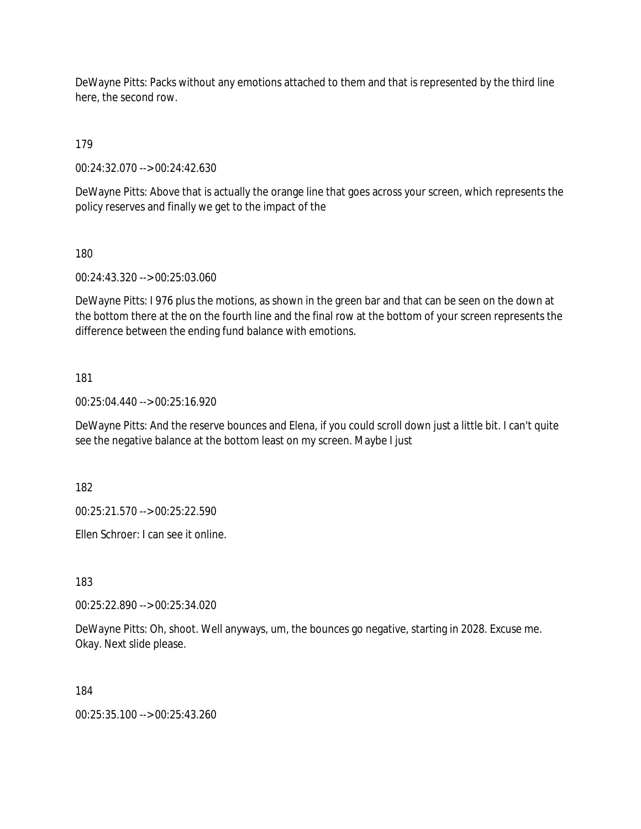DeWayne Pitts: Packs without any emotions attached to them and that is represented by the third line here, the second row.

179

00:24:32.070 --> 00:24:42.630

DeWayne Pitts: Above that is actually the orange line that goes across your screen, which represents the policy reserves and finally we get to the impact of the

180

00:24:43.320 --> 00:25:03.060

DeWayne Pitts: I 976 plus the motions, as shown in the green bar and that can be seen on the down at the bottom there at the on the fourth line and the final row at the bottom of your screen represents the difference between the ending fund balance with emotions.

181

00:25:04.440 --> 00:25:16.920

DeWayne Pitts: And the reserve bounces and Elena, if you could scroll down just a little bit. I can't quite see the negative balance at the bottom least on my screen. Maybe I just

182

00:25:21.570 --> 00:25:22.590

Ellen Schroer: I can see it online.

183

00:25:22.890 --> 00:25:34.020

DeWayne Pitts: Oh, shoot. Well anyways, um, the bounces go negative, starting in 2028. Excuse me. Okay. Next slide please.

184

00:25:35.100 --> 00:25:43.260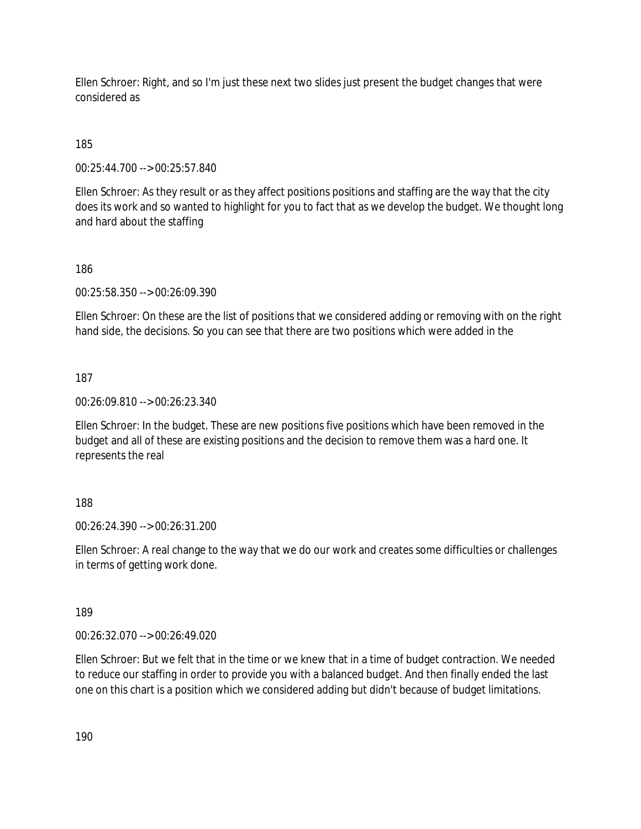Ellen Schroer: Right, and so I'm just these next two slides just present the budget changes that were considered as

# 185

00:25:44.700 --> 00:25:57.840

Ellen Schroer: As they result or as they affect positions positions and staffing are the way that the city does its work and so wanted to highlight for you to fact that as we develop the budget. We thought long and hard about the staffing

## 186

00:25:58.350 --> 00:26:09.390

Ellen Schroer: On these are the list of positions that we considered adding or removing with on the right hand side, the decisions. So you can see that there are two positions which were added in the

## 187

00:26:09.810 --> 00:26:23.340

Ellen Schroer: In the budget. These are new positions five positions which have been removed in the budget and all of these are existing positions and the decision to remove them was a hard one. It represents the real

## 188

00:26:24.390 --> 00:26:31.200

Ellen Schroer: A real change to the way that we do our work and creates some difficulties or challenges in terms of getting work done.

## 189

00:26:32.070 --> 00:26:49.020

Ellen Schroer: But we felt that in the time or we knew that in a time of budget contraction. We needed to reduce our staffing in order to provide you with a balanced budget. And then finally ended the last one on this chart is a position which we considered adding but didn't because of budget limitations.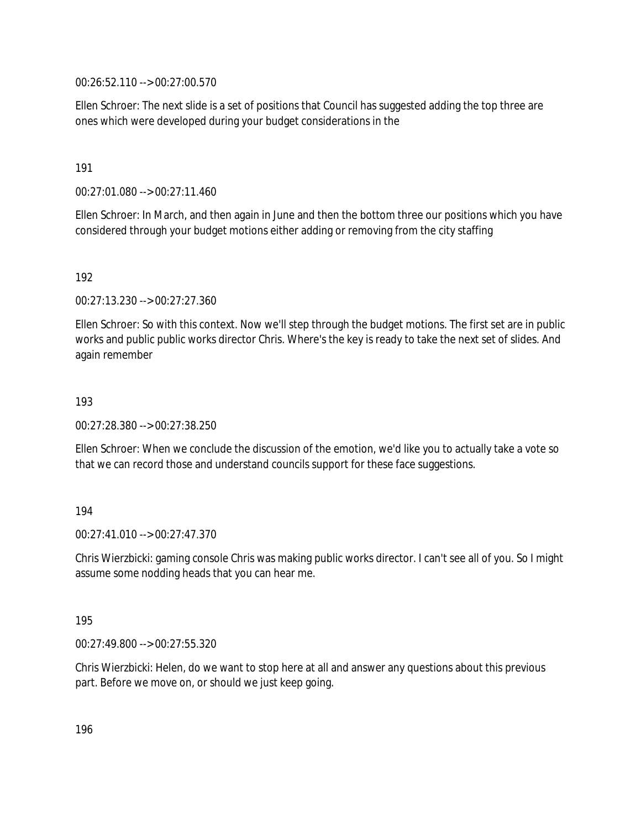00:26:52.110 --> 00:27:00.570

Ellen Schroer: The next slide is a set of positions that Council has suggested adding the top three are ones which were developed during your budget considerations in the

191

00:27:01.080 --> 00:27:11.460

Ellen Schroer: In March, and then again in June and then the bottom three our positions which you have considered through your budget motions either adding or removing from the city staffing

192

00:27:13.230 --> 00:27:27.360

Ellen Schroer: So with this context. Now we'll step through the budget motions. The first set are in public works and public public works director Chris. Where's the key is ready to take the next set of slides. And again remember

193

00:27:28.380 --> 00:27:38.250

Ellen Schroer: When we conclude the discussion of the emotion, we'd like you to actually take a vote so that we can record those and understand councils support for these face suggestions.

194

 $00.27:41.010 -> 00.27:47.370$ 

Chris Wierzbicki: gaming console Chris was making public works director. I can't see all of you. So I might assume some nodding heads that you can hear me.

195

00:27:49.800 --> 00:27:55.320

Chris Wierzbicki: Helen, do we want to stop here at all and answer any questions about this previous part. Before we move on, or should we just keep going.

196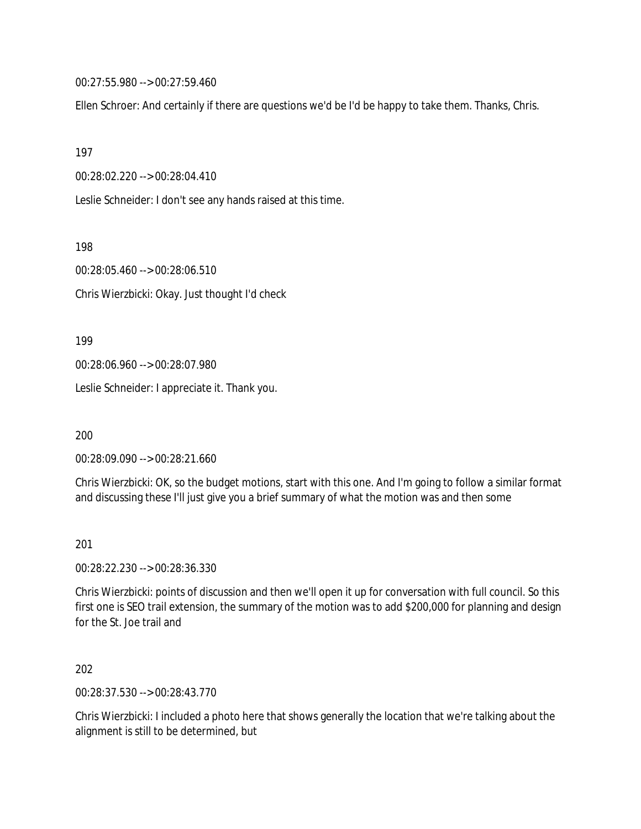00:27:55.980 --> 00:27:59.460

Ellen Schroer: And certainly if there are questions we'd be I'd be happy to take them. Thanks, Chris.

197

00:28:02.220 --> 00:28:04.410

Leslie Schneider: I don't see any hands raised at this time.

198

00:28:05.460 --> 00:28:06.510

Chris Wierzbicki: Okay. Just thought I'd check

199

00:28:06.960 --> 00:28:07.980

Leslie Schneider: I appreciate it. Thank you.

200

00:28:09.090 --> 00:28:21.660

Chris Wierzbicki: OK, so the budget motions, start with this one. And I'm going to follow a similar format and discussing these I'll just give you a brief summary of what the motion was and then some

201

00:28:22.230 --> 00:28:36.330

Chris Wierzbicki: points of discussion and then we'll open it up for conversation with full council. So this first one is SEO trail extension, the summary of the motion was to add \$200,000 for planning and design for the St. Joe trail and

202

00:28:37.530 --> 00:28:43.770

Chris Wierzbicki: I included a photo here that shows generally the location that we're talking about the alignment is still to be determined, but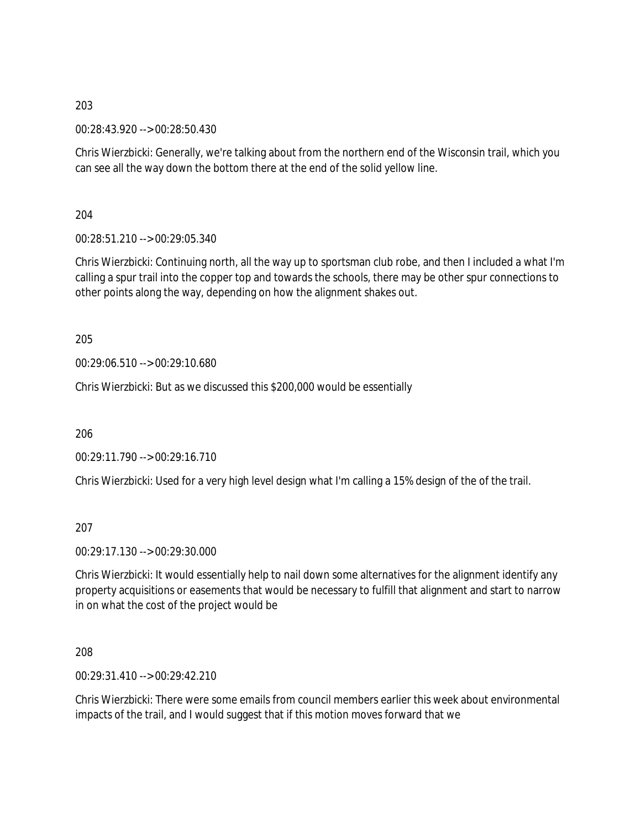00:28:43.920 --> 00:28:50.430

Chris Wierzbicki: Generally, we're talking about from the northern end of the Wisconsin trail, which you can see all the way down the bottom there at the end of the solid yellow line.

204

00:28:51.210 --> 00:29:05.340

Chris Wierzbicki: Continuing north, all the way up to sportsman club robe, and then I included a what I'm calling a spur trail into the copper top and towards the schools, there may be other spur connections to other points along the way, depending on how the alignment shakes out.

205

00:29:06.510 --> 00:29:10.680

Chris Wierzbicki: But as we discussed this \$200,000 would be essentially

206

00:29:11.790 --> 00:29:16.710

Chris Wierzbicki: Used for a very high level design what I'm calling a 15% design of the of the trail.

207

00:29:17.130 --> 00:29:30.000

Chris Wierzbicki: It would essentially help to nail down some alternatives for the alignment identify any property acquisitions or easements that would be necessary to fulfill that alignment and start to narrow in on what the cost of the project would be

208

 $00.29.31.410 -5.00.29.42.210$ 

Chris Wierzbicki: There were some emails from council members earlier this week about environmental impacts of the trail, and I would suggest that if this motion moves forward that we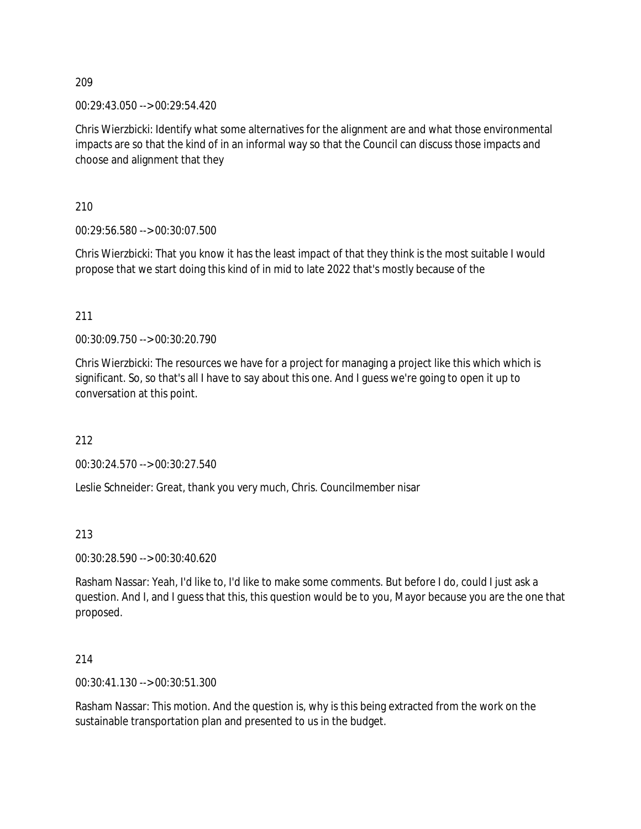00:29:43.050 --> 00:29:54.420

Chris Wierzbicki: Identify what some alternatives for the alignment are and what those environmental impacts are so that the kind of in an informal way so that the Council can discuss those impacts and choose and alignment that they

210

00:29:56.580 --> 00:30:07.500

Chris Wierzbicki: That you know it has the least impact of that they think is the most suitable I would propose that we start doing this kind of in mid to late 2022 that's mostly because of the

211

00:30:09.750 --> 00:30:20.790

Chris Wierzbicki: The resources we have for a project for managing a project like this which which is significant. So, so that's all I have to say about this one. And I guess we're going to open it up to conversation at this point.

212

00:30:24.570 --> 00:30:27.540

Leslie Schneider: Great, thank you very much, Chris. Councilmember nisar

213

00:30:28.590 --> 00:30:40.620

Rasham Nassar: Yeah, I'd like to, I'd like to make some comments. But before I do, could I just ask a question. And I, and I guess that this, this question would be to you, Mayor because you are the one that proposed.

214

00:30:41.130 --> 00:30:51.300

Rasham Nassar: This motion. And the question is, why is this being extracted from the work on the sustainable transportation plan and presented to us in the budget.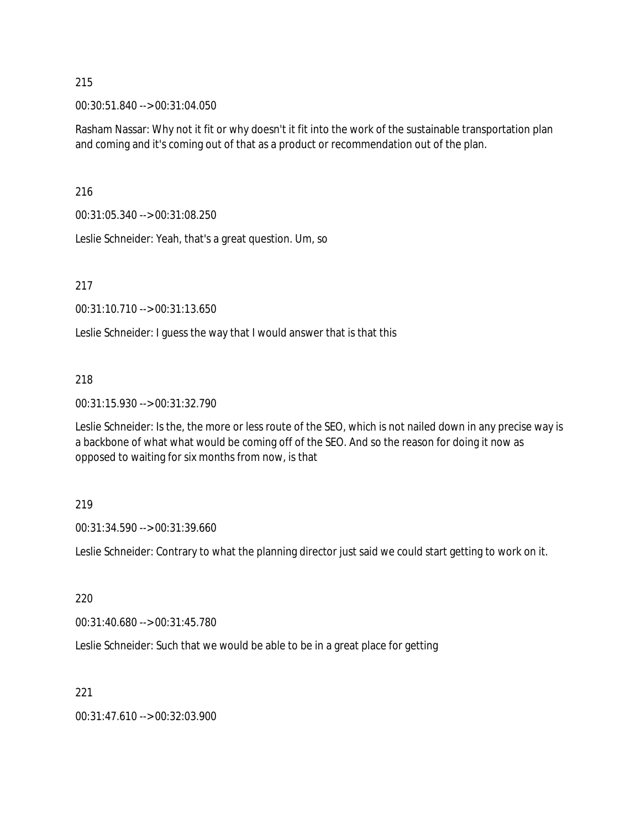00:30:51.840 --> 00:31:04.050

Rasham Nassar: Why not it fit or why doesn't it fit into the work of the sustainable transportation plan and coming and it's coming out of that as a product or recommendation out of the plan.

216

00:31:05.340 --> 00:31:08.250

Leslie Schneider: Yeah, that's a great question. Um, so

217

00:31:10.710 --> 00:31:13.650

Leslie Schneider: I guess the way that I would answer that is that this

#### 218

00:31:15.930 --> 00:31:32.790

Leslie Schneider: Is the, the more or less route of the SEO, which is not nailed down in any precise way is a backbone of what what would be coming off of the SEO. And so the reason for doing it now as opposed to waiting for six months from now, is that

#### 219

00:31:34.590 --> 00:31:39.660

Leslie Schneider: Contrary to what the planning director just said we could start getting to work on it.

#### 220

00:31:40.680 --> 00:31:45.780

Leslie Schneider: Such that we would be able to be in a great place for getting

## 221

00:31:47.610 --> 00:32:03.900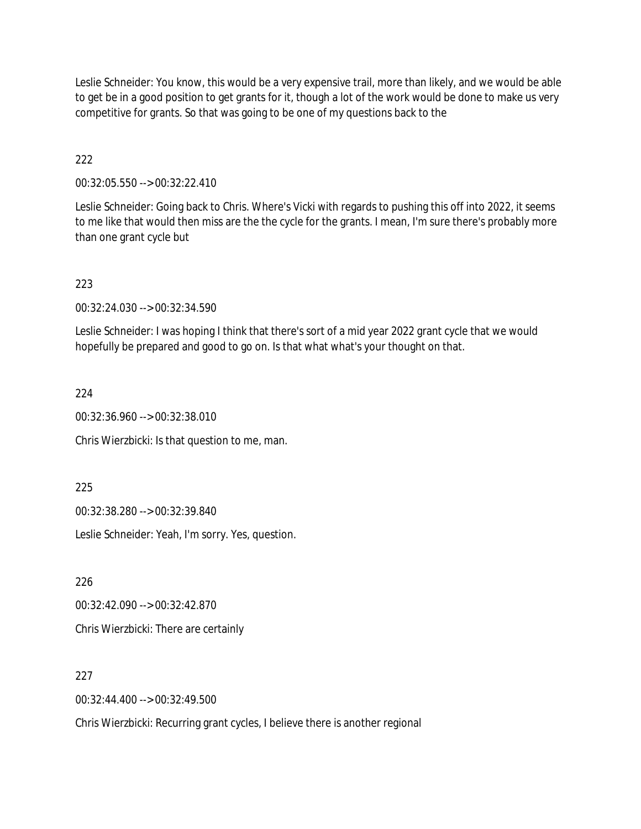Leslie Schneider: You know, this would be a very expensive trail, more than likely, and we would be able to get be in a good position to get grants for it, though a lot of the work would be done to make us very competitive for grants. So that was going to be one of my questions back to the

222

00:32:05.550 --> 00:32:22.410

Leslie Schneider: Going back to Chris. Where's Vicki with regards to pushing this off into 2022, it seems to me like that would then miss are the the cycle for the grants. I mean, I'm sure there's probably more than one grant cycle but

223

00:32:24.030 --> 00:32:34.590

Leslie Schneider: I was hoping I think that there's sort of a mid year 2022 grant cycle that we would hopefully be prepared and good to go on. Is that what what's your thought on that.

224

00:32:36.960 --> 00:32:38.010

Chris Wierzbicki: Is that question to me, man.

225

00:32:38.280 --> 00:32:39.840

Leslie Schneider: Yeah, I'm sorry. Yes, question.

226

00:32:42.090 --> 00:32:42.870

Chris Wierzbicki: There are certainly

227

00:32:44.400 --> 00:32:49.500

Chris Wierzbicki: Recurring grant cycles, I believe there is another regional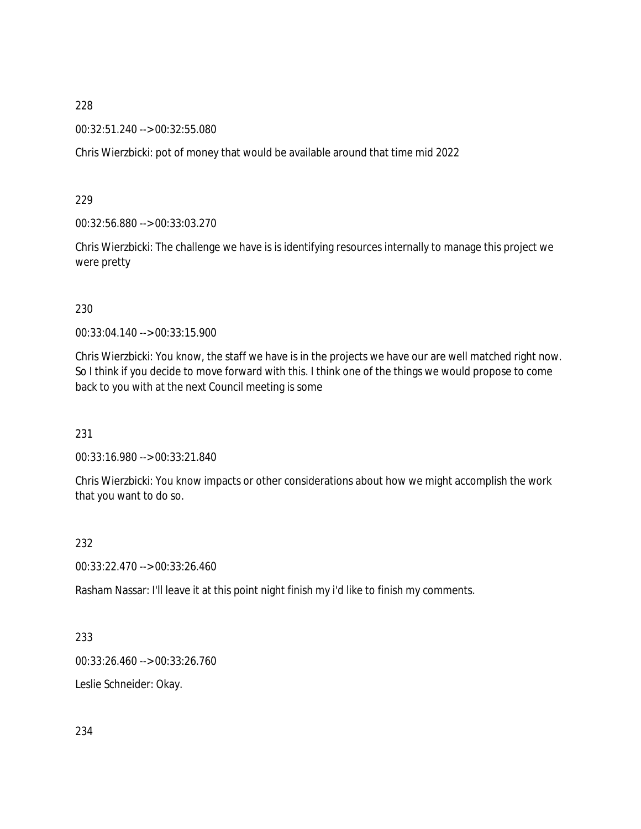00:32:51.240 --> 00:32:55.080

Chris Wierzbicki: pot of money that would be available around that time mid 2022

229

00:32:56.880 --> 00:33:03.270

Chris Wierzbicki: The challenge we have is is identifying resources internally to manage this project we were pretty

### 230

00:33:04.140 --> 00:33:15.900

Chris Wierzbicki: You know, the staff we have is in the projects we have our are well matched right now. So I think if you decide to move forward with this. I think one of the things we would propose to come back to you with at the next Council meeting is some

231

00:33:16.980 --> 00:33:21.840

Chris Wierzbicki: You know impacts or other considerations about how we might accomplish the work that you want to do so.

232

00:33:22.470 --> 00:33:26.460

Rasham Nassar: I'll leave it at this point night finish my i'd like to finish my comments.

233

00:33:26.460 --> 00:33:26.760

Leslie Schneider: Okay.

234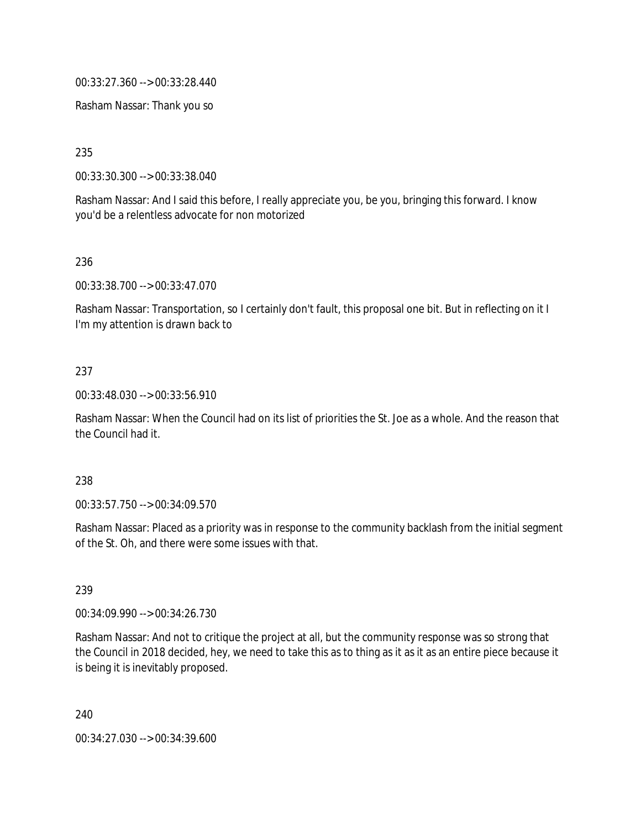00:33:27.360 --> 00:33:28.440

Rasham Nassar: Thank you so

235

00:33:30.300 --> 00:33:38.040

Rasham Nassar: And I said this before, I really appreciate you, be you, bringing this forward. I know you'd be a relentless advocate for non motorized

236

00:33:38.700 --> 00:33:47.070

Rasham Nassar: Transportation, so I certainly don't fault, this proposal one bit. But in reflecting on it I I'm my attention is drawn back to

### 237

00:33:48.030 --> 00:33:56.910

Rasham Nassar: When the Council had on its list of priorities the St. Joe as a whole. And the reason that the Council had it.

#### 238

00:33:57.750 --> 00:34:09.570

Rasham Nassar: Placed as a priority was in response to the community backlash from the initial segment of the St. Oh, and there were some issues with that.

239

00:34:09.990 --> 00:34:26.730

Rasham Nassar: And not to critique the project at all, but the community response was so strong that the Council in 2018 decided, hey, we need to take this as to thing as it as it as an entire piece because it is being it is inevitably proposed.

240

00:34:27.030 --> 00:34:39.600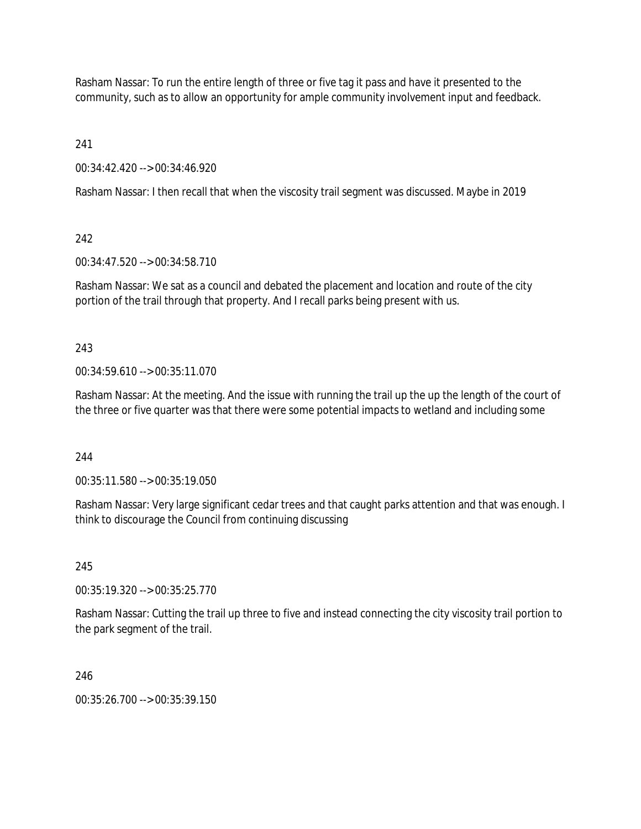Rasham Nassar: To run the entire length of three or five tag it pass and have it presented to the community, such as to allow an opportunity for ample community involvement input and feedback.

241

00:34:42.420 --> 00:34:46.920

Rasham Nassar: I then recall that when the viscosity trail segment was discussed. Maybe in 2019

242

00:34:47.520 --> 00:34:58.710

Rasham Nassar: We sat as a council and debated the placement and location and route of the city portion of the trail through that property. And I recall parks being present with us.

243

00:34:59.610 --> 00:35:11.070

Rasham Nassar: At the meeting. And the issue with running the trail up the up the length of the court of the three or five quarter was that there were some potential impacts to wetland and including some

244

00:35:11.580 --> 00:35:19.050

Rasham Nassar: Very large significant cedar trees and that caught parks attention and that was enough. I think to discourage the Council from continuing discussing

245

00:35:19.320 --> 00:35:25.770

Rasham Nassar: Cutting the trail up three to five and instead connecting the city viscosity trail portion to the park segment of the trail.

246

00:35:26.700 --> 00:35:39.150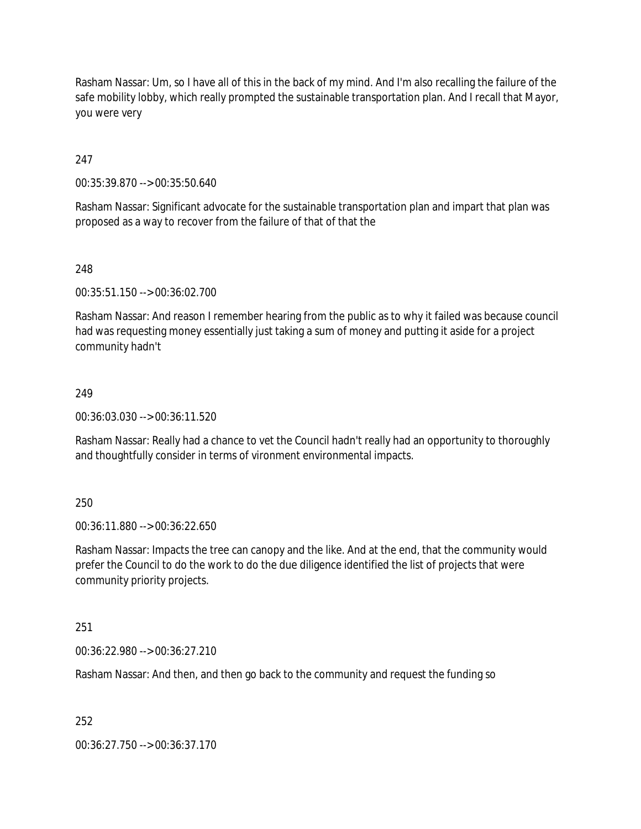Rasham Nassar: Um, so I have all of this in the back of my mind. And I'm also recalling the failure of the safe mobility lobby, which really prompted the sustainable transportation plan. And I recall that Mayor, you were very

247

00:35:39.870 --> 00:35:50.640

Rasham Nassar: Significant advocate for the sustainable transportation plan and impart that plan was proposed as a way to recover from the failure of that of that the

248

00:35:51.150 --> 00:36:02.700

Rasham Nassar: And reason I remember hearing from the public as to why it failed was because council had was requesting money essentially just taking a sum of money and putting it aside for a project community hadn't

#### 249

00:36:03.030 --> 00:36:11.520

Rasham Nassar: Really had a chance to vet the Council hadn't really had an opportunity to thoroughly and thoughtfully consider in terms of vironment environmental impacts.

### 250

00:36:11.880 --> 00:36:22.650

Rasham Nassar: Impacts the tree can canopy and the like. And at the end, that the community would prefer the Council to do the work to do the due diligence identified the list of projects that were community priority projects.

251

00:36:22.980 --> 00:36:27.210

Rasham Nassar: And then, and then go back to the community and request the funding so

252

00:36:27.750 --> 00:36:37.170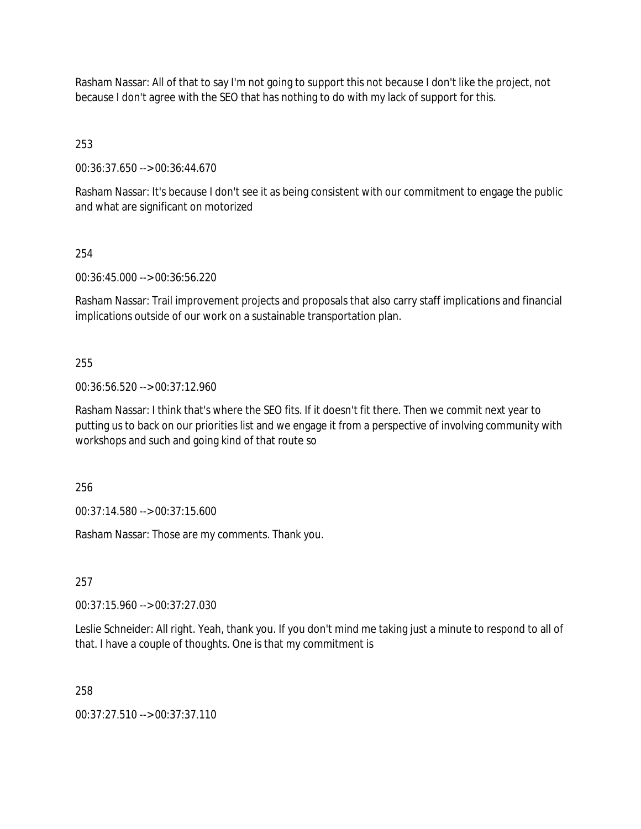Rasham Nassar: All of that to say I'm not going to support this not because I don't like the project, not because I don't agree with the SEO that has nothing to do with my lack of support for this.

253

00:36:37.650 --> 00:36:44.670

Rasham Nassar: It's because I don't see it as being consistent with our commitment to engage the public and what are significant on motorized

254

00:36:45.000 --> 00:36:56.220

Rasham Nassar: Trail improvement projects and proposals that also carry staff implications and financial implications outside of our work on a sustainable transportation plan.

255

00:36:56.520 --> 00:37:12.960

Rasham Nassar: I think that's where the SEO fits. If it doesn't fit there. Then we commit next year to putting us to back on our priorities list and we engage it from a perspective of involving community with workshops and such and going kind of that route so

256

00:37:14.580 --> 00:37:15.600

Rasham Nassar: Those are my comments. Thank you.

257

00:37:15.960 --> 00:37:27.030

Leslie Schneider: All right. Yeah, thank you. If you don't mind me taking just a minute to respond to all of that. I have a couple of thoughts. One is that my commitment is

258

00:37:27.510 --> 00:37:37.110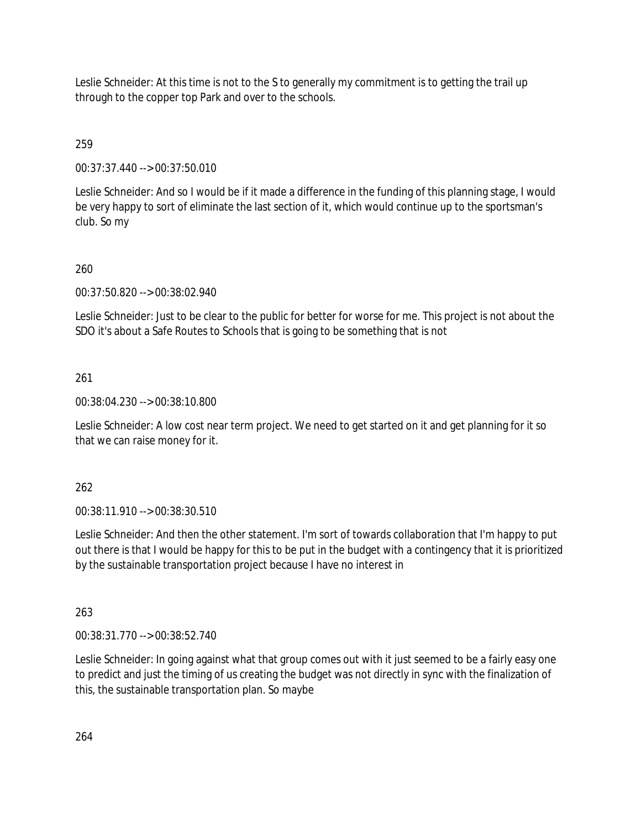Leslie Schneider: At this time is not to the S to generally my commitment is to getting the trail up through to the copper top Park and over to the schools.

259

00:37:37.440 --> 00:37:50.010

Leslie Schneider: And so I would be if it made a difference in the funding of this planning stage, I would be very happy to sort of eliminate the last section of it, which would continue up to the sportsman's club. So my

# 260

00:37:50.820 --> 00:38:02.940

Leslie Schneider: Just to be clear to the public for better for worse for me. This project is not about the SDO it's about a Safe Routes to Schools that is going to be something that is not

# 261

00:38:04.230 --> 00:38:10.800

Leslie Schneider: A low cost near term project. We need to get started on it and get planning for it so that we can raise money for it.

262

00:38:11.910 --> 00:38:30.510

Leslie Schneider: And then the other statement. I'm sort of towards collaboration that I'm happy to put out there is that I would be happy for this to be put in the budget with a contingency that it is prioritized by the sustainable transportation project because I have no interest in

263

00:38:31.770 --> 00:38:52.740

Leslie Schneider: In going against what that group comes out with it just seemed to be a fairly easy one to predict and just the timing of us creating the budget was not directly in sync with the finalization of this, the sustainable transportation plan. So maybe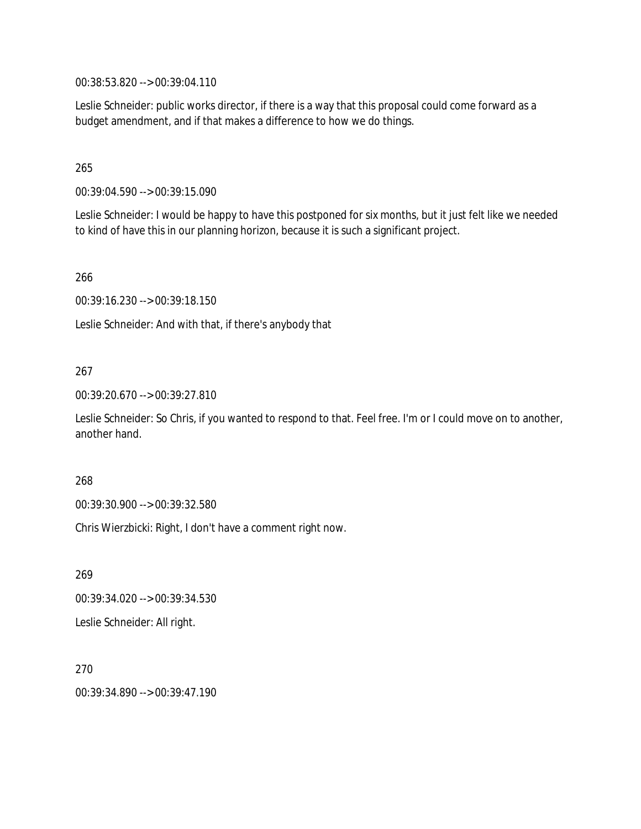00:38:53.820 --> 00:39:04.110

Leslie Schneider: public works director, if there is a way that this proposal could come forward as a budget amendment, and if that makes a difference to how we do things.

# 265

00:39:04.590 --> 00:39:15.090

Leslie Schneider: I would be happy to have this postponed for six months, but it just felt like we needed to kind of have this in our planning horizon, because it is such a significant project.

266

00:39:16.230 --> 00:39:18.150

Leslie Schneider: And with that, if there's anybody that

### 267

00:39:20.670 --> 00:39:27.810

Leslie Schneider: So Chris, if you wanted to respond to that. Feel free. I'm or I could move on to another, another hand.

#### 268

00:39:30.900 --> 00:39:32.580

Chris Wierzbicki: Right, I don't have a comment right now.

269 00:39:34.020 --> 00:39:34.530 Leslie Schneider: All right.

270 00:39:34.890 --> 00:39:47.190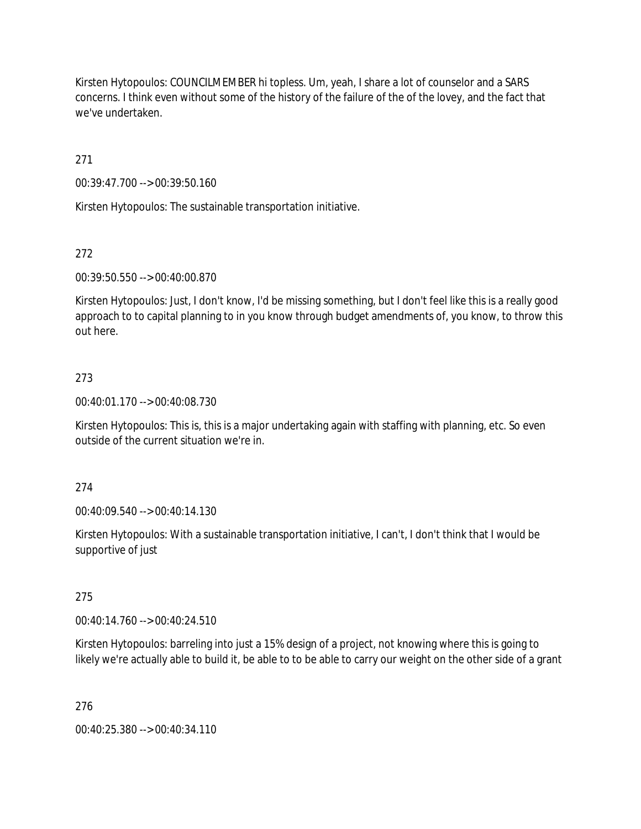Kirsten Hytopoulos: COUNCILMEMBER hi topless. Um, yeah, I share a lot of counselor and a SARS concerns. I think even without some of the history of the failure of the of the lovey, and the fact that we've undertaken.

271

00:39:47.700 --> 00:39:50.160

Kirsten Hytopoulos: The sustainable transportation initiative.

# 272

00:39:50.550 --> 00:40:00.870

Kirsten Hytopoulos: Just, I don't know, I'd be missing something, but I don't feel like this is a really good approach to to capital planning to in you know through budget amendments of, you know, to throw this out here.

# 273

00:40:01.170 --> 00:40:08.730

Kirsten Hytopoulos: This is, this is a major undertaking again with staffing with planning, etc. So even outside of the current situation we're in.

### 274

00:40:09.540 --> 00:40:14.130

Kirsten Hytopoulos: With a sustainable transportation initiative, I can't, I don't think that I would be supportive of just

### 275

00:40:14.760 --> 00:40:24.510

Kirsten Hytopoulos: barreling into just a 15% design of a project, not knowing where this is going to likely we're actually able to build it, be able to to be able to carry our weight on the other side of a grant

### 276

00:40:25.380 --> 00:40:34.110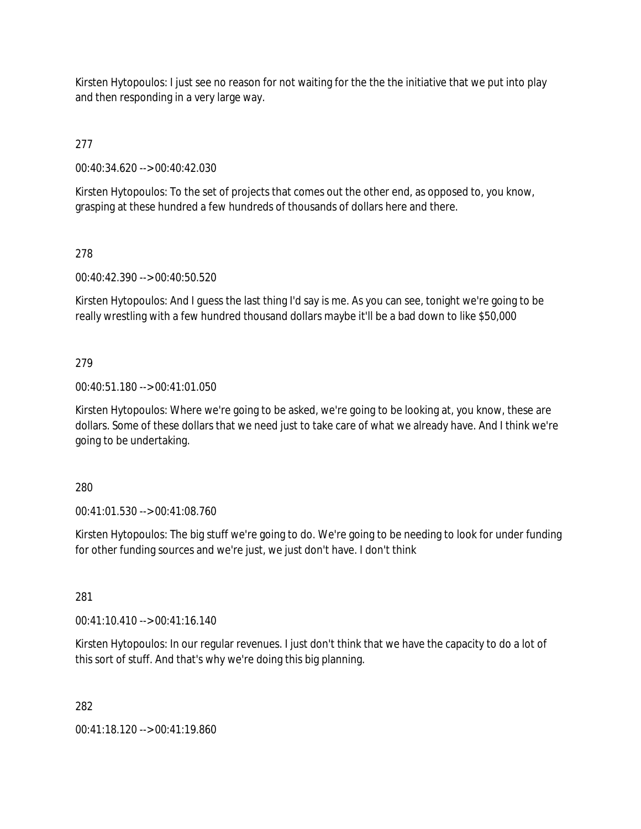Kirsten Hytopoulos: I just see no reason for not waiting for the the the initiative that we put into play and then responding in a very large way.

277

00:40:34.620 --> 00:40:42.030

Kirsten Hytopoulos: To the set of projects that comes out the other end, as opposed to, you know, grasping at these hundred a few hundreds of thousands of dollars here and there.

# 278

00:40:42.390 --> 00:40:50.520

Kirsten Hytopoulos: And I guess the last thing I'd say is me. As you can see, tonight we're going to be really wrestling with a few hundred thousand dollars maybe it'll be a bad down to like \$50,000

# 279

### 00:40:51.180 --> 00:41:01.050

Kirsten Hytopoulos: Where we're going to be asked, we're going to be looking at, you know, these are dollars. Some of these dollars that we need just to take care of what we already have. And I think we're going to be undertaking.

### 280

00:41:01.530 --> 00:41:08.760

Kirsten Hytopoulos: The big stuff we're going to do. We're going to be needing to look for under funding for other funding sources and we're just, we just don't have. I don't think

### 281

00:41:10.410 --> 00:41:16.140

Kirsten Hytopoulos: In our regular revenues. I just don't think that we have the capacity to do a lot of this sort of stuff. And that's why we're doing this big planning.

282

00:41:18.120 --> 00:41:19.860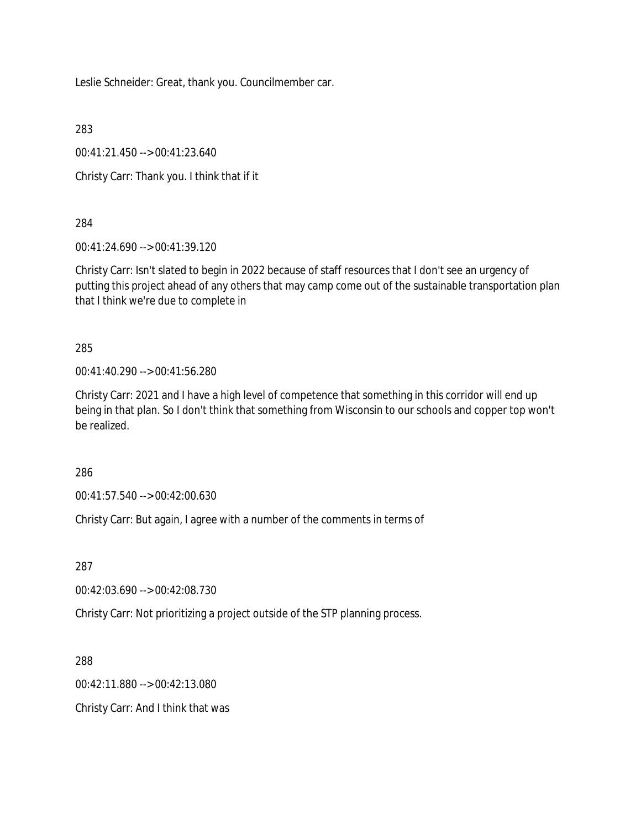Leslie Schneider: Great, thank you. Councilmember car.

283

00:41:21.450 --> 00:41:23.640

Christy Carr: Thank you. I think that if it

284

00:41:24.690 --> 00:41:39.120

Christy Carr: Isn't slated to begin in 2022 because of staff resources that I don't see an urgency of putting this project ahead of any others that may camp come out of the sustainable transportation plan that I think we're due to complete in

285

00:41:40.290 --> 00:41:56.280

Christy Carr: 2021 and I have a high level of competence that something in this corridor will end up being in that plan. So I don't think that something from Wisconsin to our schools and copper top won't be realized.

286

00:41:57.540 --> 00:42:00.630

Christy Carr: But again, I agree with a number of the comments in terms of

287

00:42:03.690 --> 00:42:08.730

Christy Carr: Not prioritizing a project outside of the STP planning process.

288

00:42:11.880 --> 00:42:13.080

Christy Carr: And I think that was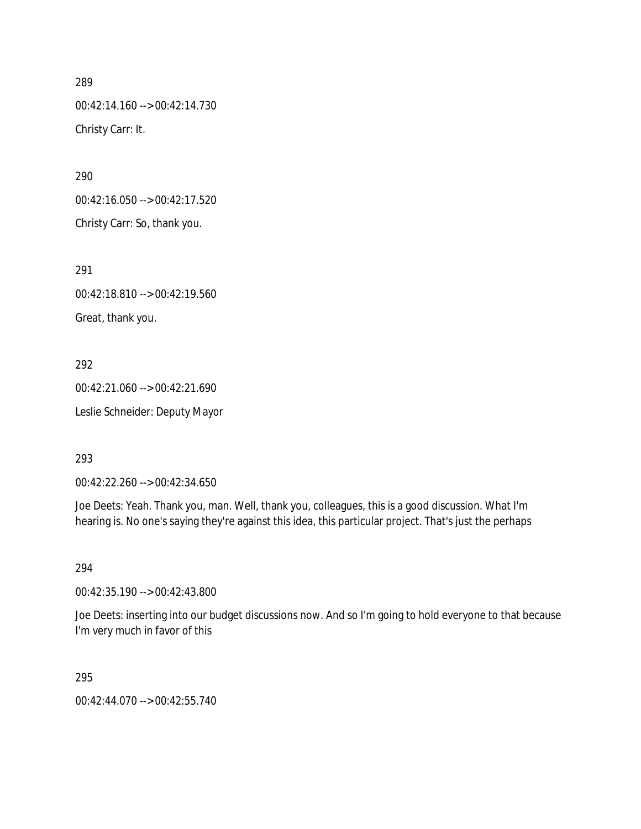00:42:14.160 --> 00:42:14.730 Christy Carr: It.

290

00:42:16.050 --> 00:42:17.520 Christy Carr: So, thank you.

291

00:42:18.810 --> 00:42:19.560 Great, thank you.

292

00:42:21.060 --> 00:42:21.690 Leslie Schneider: Deputy Mayor

293

00:42:22.260 --> 00:42:34.650

Joe Deets: Yeah. Thank you, man. Well, thank you, colleagues, this is a good discussion. What I'm hearing is. No one's saying they're against this idea, this particular project. That's just the perhaps

294

00:42:35.190 --> 00:42:43.800

Joe Deets: inserting into our budget discussions now. And so I'm going to hold everyone to that because I'm very much in favor of this

295

00:42:44.070 --> 00:42:55.740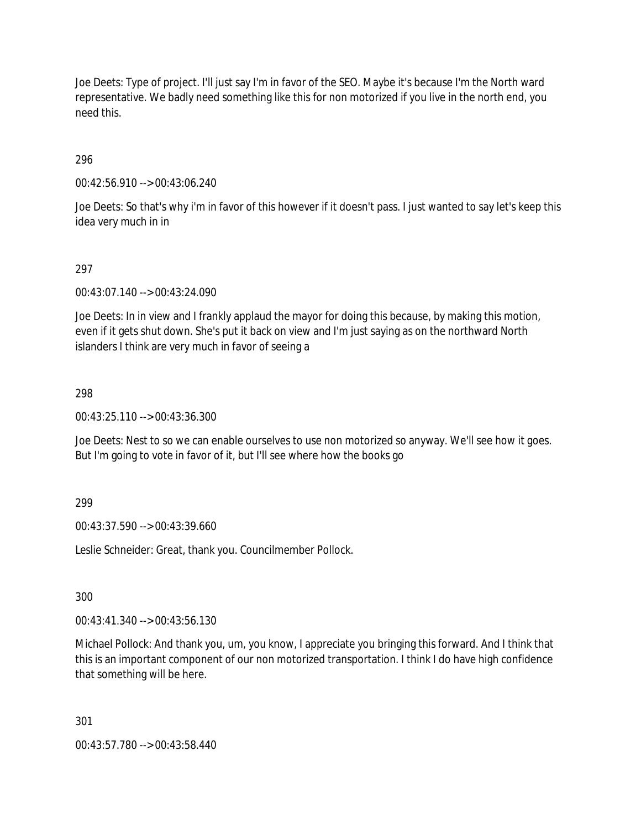Joe Deets: Type of project. I'll just say I'm in favor of the SEO. Maybe it's because I'm the North ward representative. We badly need something like this for non motorized if you live in the north end, you need this.

296

00:42:56.910 --> 00:43:06.240

Joe Deets: So that's why i'm in favor of this however if it doesn't pass. I just wanted to say let's keep this idea very much in in

# 297

00:43:07.140 --> 00:43:24.090

Joe Deets: In in view and I frankly applaud the mayor for doing this because, by making this motion, even if it gets shut down. She's put it back on view and I'm just saying as on the northward North islanders I think are very much in favor of seeing a

### 298

00:43:25.110 --> 00:43:36.300

Joe Deets: Nest to so we can enable ourselves to use non motorized so anyway. We'll see how it goes. But I'm going to vote in favor of it, but I'll see where how the books go

### 299

00:43:37.590 --> 00:43:39.660

Leslie Schneider: Great, thank you. Councilmember Pollock.

300

00:43:41.340 --> 00:43:56.130

Michael Pollock: And thank you, um, you know, I appreciate you bringing this forward. And I think that this is an important component of our non motorized transportation. I think I do have high confidence that something will be here.

301

00:43:57.780 --> 00:43:58.440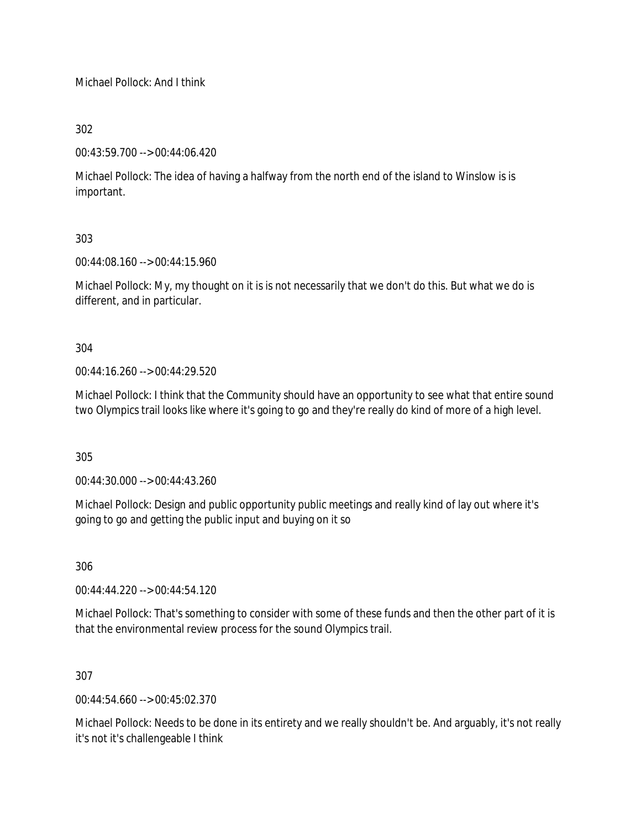Michael Pollock: And I think

302

00:43:59.700 --> 00:44:06.420

Michael Pollock: The idea of having a halfway from the north end of the island to Winslow is is important.

303

00:44:08.160 --> 00:44:15.960

Michael Pollock: My, my thought on it is is not necessarily that we don't do this. But what we do is different, and in particular.

304

 $0.44.16.260 - 0.00.44.29.520$ 

Michael Pollock: I think that the Community should have an opportunity to see what that entire sound two Olympics trail looks like where it's going to go and they're really do kind of more of a high level.

305

00:44:30.000 --> 00:44:43.260

Michael Pollock: Design and public opportunity public meetings and really kind of lay out where it's going to go and getting the public input and buying on it so

306

00:44:44.220 --> 00:44:54.120

Michael Pollock: That's something to consider with some of these funds and then the other part of it is that the environmental review process for the sound Olympics trail.

307

00:44:54.660 --> 00:45:02.370

Michael Pollock: Needs to be done in its entirety and we really shouldn't be. And arguably, it's not really it's not it's challengeable I think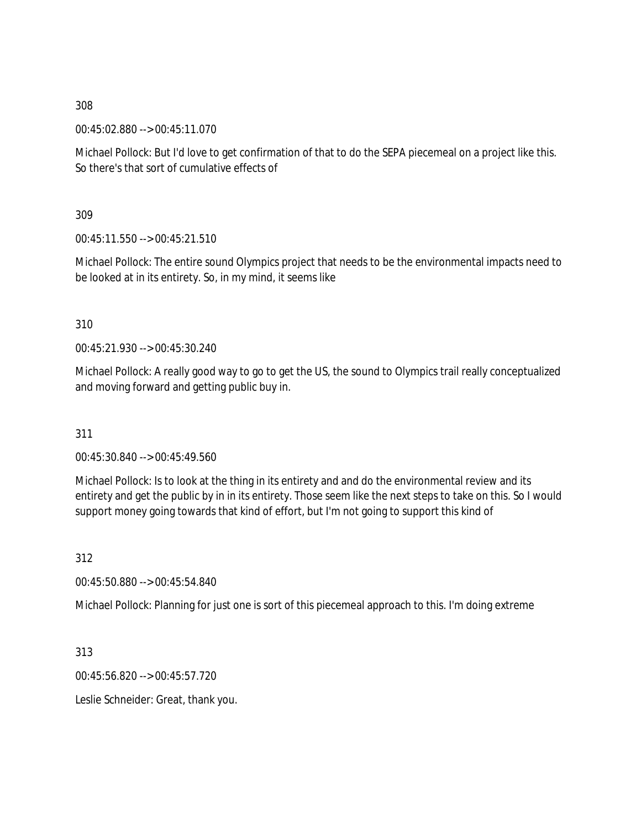00:45:02.880 --> 00:45:11.070

Michael Pollock: But I'd love to get confirmation of that to do the SEPA piecemeal on a project like this. So there's that sort of cumulative effects of

309

00:45:11.550 --> 00:45:21.510

Michael Pollock: The entire sound Olympics project that needs to be the environmental impacts need to be looked at in its entirety. So, in my mind, it seems like

310

00:45:21.930 --> 00:45:30.240

Michael Pollock: A really good way to go to get the US, the sound to Olympics trail really conceptualized and moving forward and getting public buy in.

311

00:45:30.840 --> 00:45:49.560

Michael Pollock: Is to look at the thing in its entirety and and do the environmental review and its entirety and get the public by in in its entirety. Those seem like the next steps to take on this. So I would support money going towards that kind of effort, but I'm not going to support this kind of

312

00:45:50.880 --> 00:45:54.840

Michael Pollock: Planning for just one is sort of this piecemeal approach to this. I'm doing extreme

313

00:45:56.820 --> 00:45:57.720

Leslie Schneider: Great, thank you.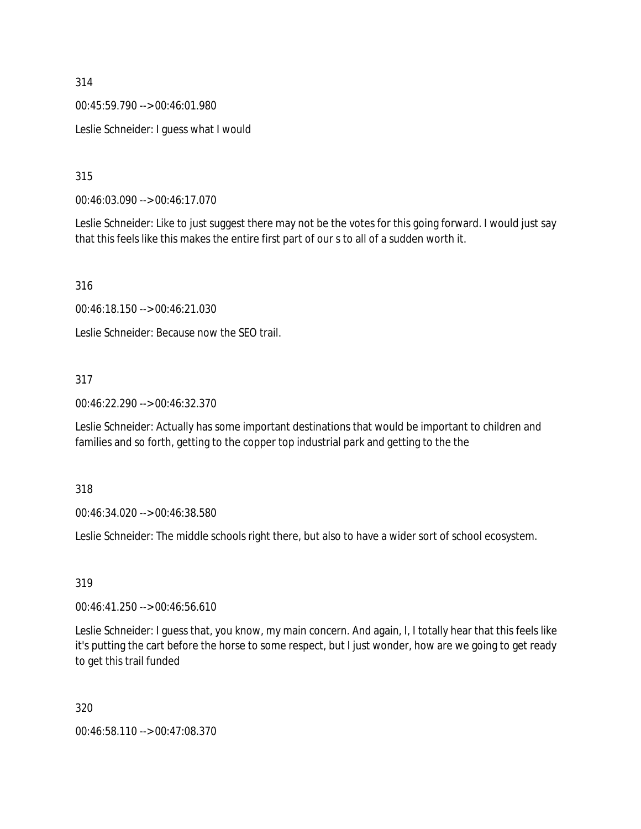00:45:59.790 --> 00:46:01.980

Leslie Schneider: I guess what I would

315

00:46:03.090 --> 00:46:17.070

Leslie Schneider: Like to just suggest there may not be the votes for this going forward. I would just say that this feels like this makes the entire first part of our s to all of a sudden worth it.

316

00:46:18.150 --> 00:46:21.030

Leslie Schneider: Because now the SEO trail.

### 317

00:46:22.290 --> 00:46:32.370

Leslie Schneider: Actually has some important destinations that would be important to children and families and so forth, getting to the copper top industrial park and getting to the the

318

00:46:34.020 --> 00:46:38.580

Leslie Schneider: The middle schools right there, but also to have a wider sort of school ecosystem.

319

00:46:41.250 --> 00:46:56.610

Leslie Schneider: I guess that, you know, my main concern. And again, I, I totally hear that this feels like it's putting the cart before the horse to some respect, but I just wonder, how are we going to get ready to get this trail funded

320

00:46:58.110 --> 00:47:08.370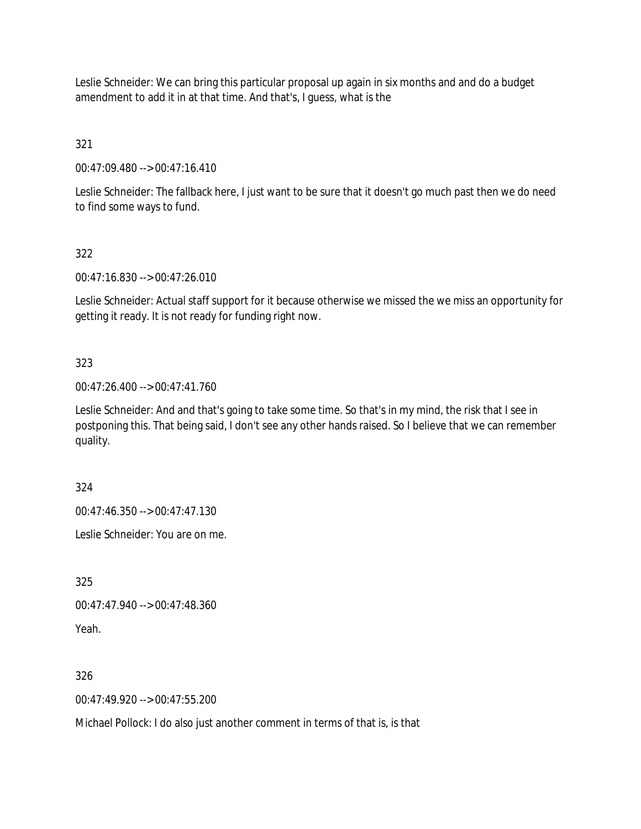Leslie Schneider: We can bring this particular proposal up again in six months and and do a budget amendment to add it in at that time. And that's, I guess, what is the

321

00:47:09.480 --> 00:47:16.410

Leslie Schneider: The fallback here, I just want to be sure that it doesn't go much past then we do need to find some ways to fund.

# 322

00:47:16.830 --> 00:47:26.010

Leslie Schneider: Actual staff support for it because otherwise we missed the we miss an opportunity for getting it ready. It is not ready for funding right now.

# 323

00:47:26.400 --> 00:47:41.760

Leslie Schneider: And and that's going to take some time. So that's in my mind, the risk that I see in postponing this. That being said, I don't see any other hands raised. So I believe that we can remember quality.

324

00:47:46.350 --> 00:47:47.130

Leslie Schneider: You are on me.

325

00:47:47.940 --> 00:47:48.360

Yeah.

326

 $0.47:49.920 - 0.0147:55.200$ 

Michael Pollock: I do also just another comment in terms of that is, is that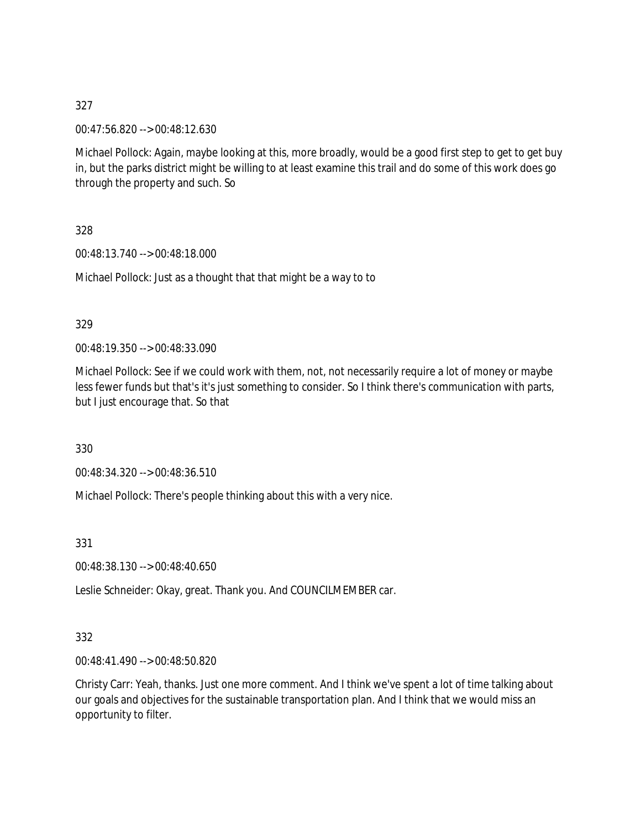00:47:56.820 --> 00:48:12.630

Michael Pollock: Again, maybe looking at this, more broadly, would be a good first step to get to get buy in, but the parks district might be willing to at least examine this trail and do some of this work does go through the property and such. So

328

00:48:13.740 --> 00:48:18.000

Michael Pollock: Just as a thought that that might be a way to to

#### 329

00:48:19.350 --> 00:48:33.090

Michael Pollock: See if we could work with them, not, not necessarily require a lot of money or maybe less fewer funds but that's it's just something to consider. So I think there's communication with parts, but I just encourage that. So that

330

00:48:34.320 --> 00:48:36.510

Michael Pollock: There's people thinking about this with a very nice.

331

00:48:38.130 --> 00:48:40.650

Leslie Schneider: Okay, great. Thank you. And COUNCILMEMBER car.

### 332

00:48:41.490 --> 00:48:50.820

Christy Carr: Yeah, thanks. Just one more comment. And I think we've spent a lot of time talking about our goals and objectives for the sustainable transportation plan. And I think that we would miss an opportunity to filter.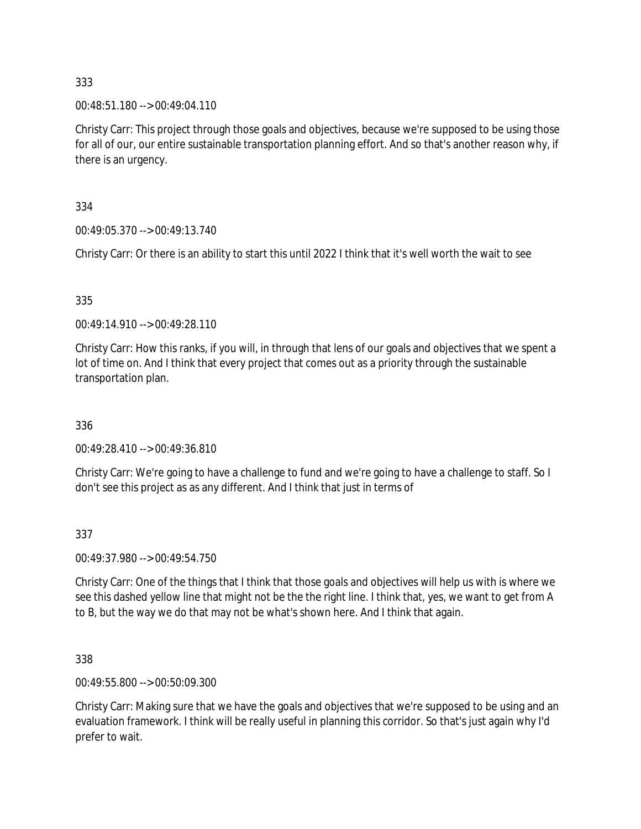00:48:51.180 --> 00:49:04.110

Christy Carr: This project through those goals and objectives, because we're supposed to be using those for all of our, our entire sustainable transportation planning effort. And so that's another reason why, if there is an urgency.

334

00:49:05.370 --> 00:49:13.740

Christy Carr: Or there is an ability to start this until 2022 I think that it's well worth the wait to see

#### 335

00:49:14.910 --> 00:49:28.110

Christy Carr: How this ranks, if you will, in through that lens of our goals and objectives that we spent a lot of time on. And I think that every project that comes out as a priority through the sustainable transportation plan.

336

00:49:28.410 --> 00:49:36.810

Christy Carr: We're going to have a challenge to fund and we're going to have a challenge to staff. So I don't see this project as as any different. And I think that just in terms of

#### 337

00:49:37.980 --> 00:49:54.750

Christy Carr: One of the things that I think that those goals and objectives will help us with is where we see this dashed yellow line that might not be the the right line. I think that, yes, we want to get from A to B, but the way we do that may not be what's shown here. And I think that again.

338

00:49:55.800 --> 00:50:09.300

Christy Carr: Making sure that we have the goals and objectives that we're supposed to be using and an evaluation framework. I think will be really useful in planning this corridor. So that's just again why I'd prefer to wait.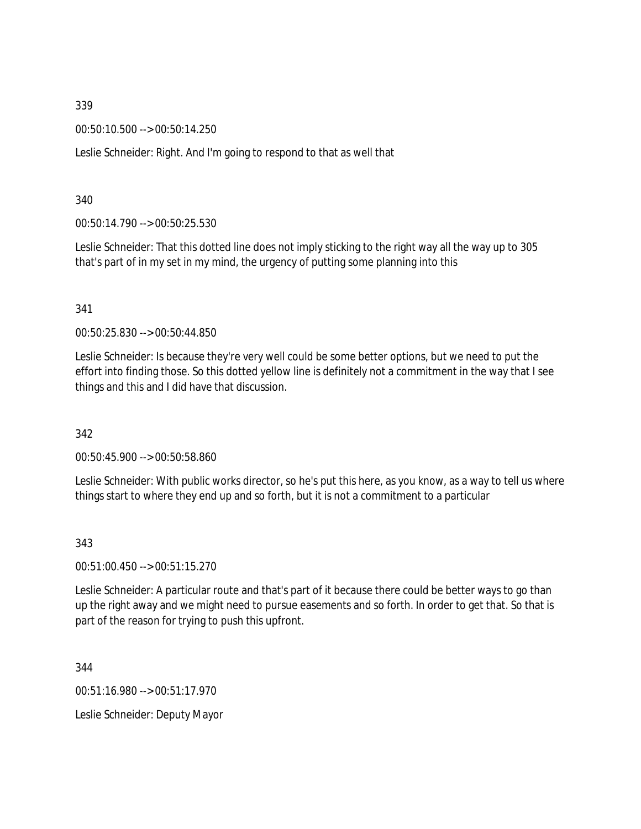00:50:10.500 --> 00:50:14.250

Leslie Schneider: Right. And I'm going to respond to that as well that

340

00:50:14.790 --> 00:50:25.530

Leslie Schneider: That this dotted line does not imply sticking to the right way all the way up to 305 that's part of in my set in my mind, the urgency of putting some planning into this

341

00:50:25.830 --> 00:50:44.850

Leslie Schneider: Is because they're very well could be some better options, but we need to put the effort into finding those. So this dotted yellow line is definitely not a commitment in the way that I see things and this and I did have that discussion.

342

00:50:45.900 --> 00:50:58.860

Leslie Schneider: With public works director, so he's put this here, as you know, as a way to tell us where things start to where they end up and so forth, but it is not a commitment to a particular

343

00:51:00.450 --> 00:51:15.270

Leslie Schneider: A particular route and that's part of it because there could be better ways to go than up the right away and we might need to pursue easements and so forth. In order to get that. So that is part of the reason for trying to push this upfront.

344

00:51:16.980 --> 00:51:17.970 Leslie Schneider: Deputy Mayor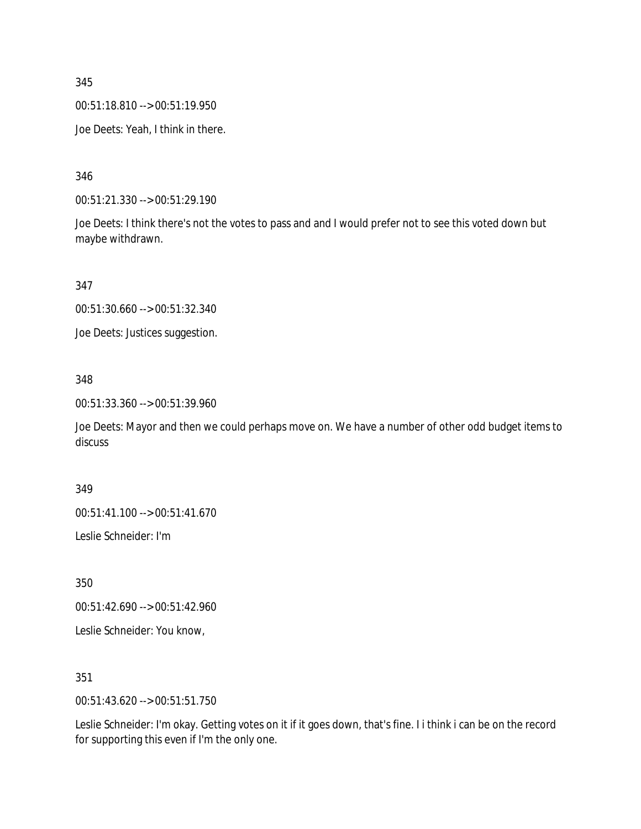00:51:18.810 --> 00:51:19.950

Joe Deets: Yeah, I think in there.

346

00:51:21.330 --> 00:51:29.190

Joe Deets: I think there's not the votes to pass and and I would prefer not to see this voted down but maybe withdrawn.

347

00:51:30.660 --> 00:51:32.340

Joe Deets: Justices suggestion.

348

00:51:33.360 --> 00:51:39.960

Joe Deets: Mayor and then we could perhaps move on. We have a number of other odd budget items to discuss

349

00:51:41.100 --> 00:51:41.670

Leslie Schneider: I'm

350

00:51:42.690 --> 00:51:42.960

Leslie Schneider: You know,

351

00:51:43.620 --> 00:51:51.750

Leslie Schneider: I'm okay. Getting votes on it if it goes down, that's fine. I i think i can be on the record for supporting this even if I'm the only one.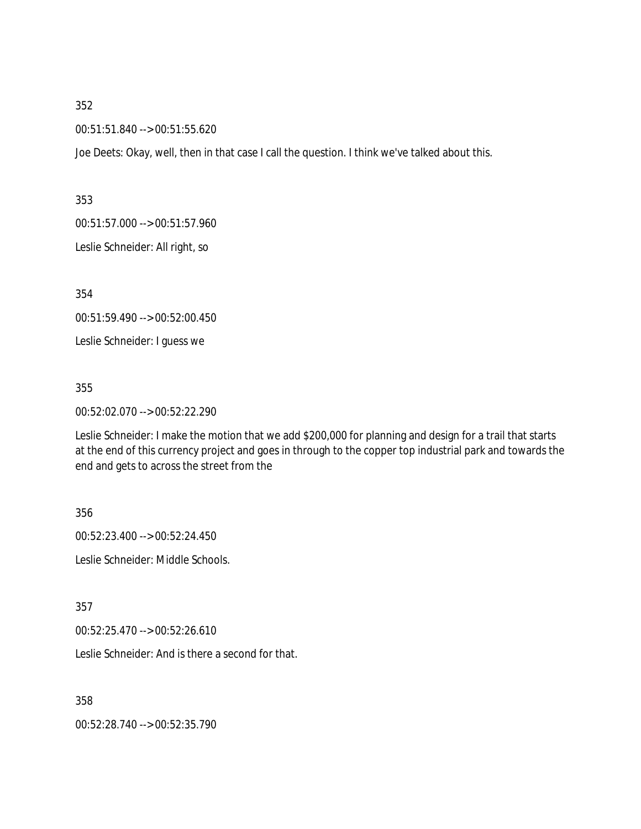00:51:51.840 --> 00:51:55.620

Joe Deets: Okay, well, then in that case I call the question. I think we've talked about this.

353

00:51:57.000 --> 00:51:57.960

Leslie Schneider: All right, so

354

00:51:59.490 --> 00:52:00.450

Leslie Schneider: I guess we

355

00:52:02.070 --> 00:52:22.290

Leslie Schneider: I make the motion that we add \$200,000 for planning and design for a trail that starts at the end of this currency project and goes in through to the copper top industrial park and towards the end and gets to across the street from the

356

00:52:23.400 --> 00:52:24.450

Leslie Schneider: Middle Schools.

357

00:52:25.470 --> 00:52:26.610

Leslie Schneider: And is there a second for that.

358

00:52:28.740 --> 00:52:35.790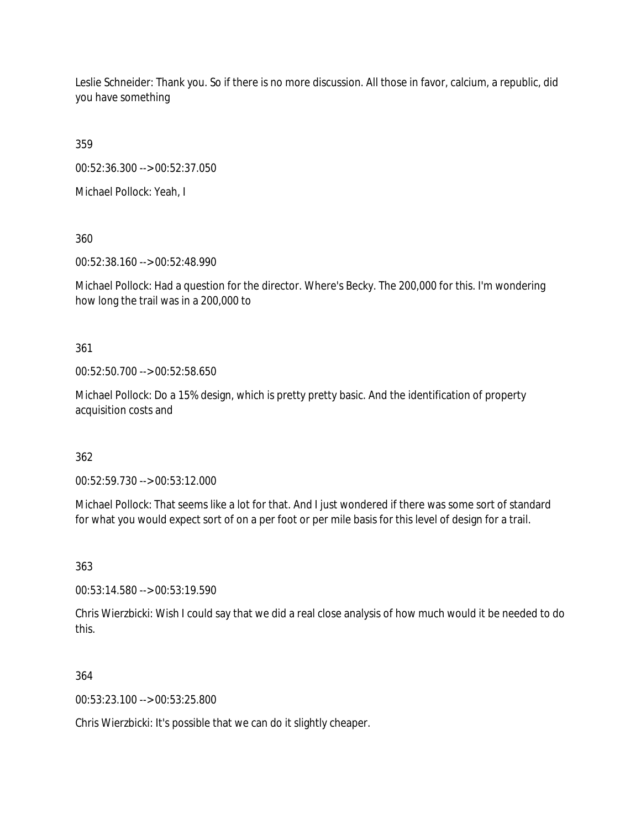Leslie Schneider: Thank you. So if there is no more discussion. All those in favor, calcium, a republic, did you have something

359

00:52:36.300 --> 00:52:37.050

Michael Pollock: Yeah, I

360

00:52:38.160 --> 00:52:48.990

Michael Pollock: Had a question for the director. Where's Becky. The 200,000 for this. I'm wondering how long the trail was in a 200,000 to

361

00:52:50.700 --> 00:52:58.650

Michael Pollock: Do a 15% design, which is pretty pretty basic. And the identification of property acquisition costs and

362

00:52:59.730 --> 00:53:12.000

Michael Pollock: That seems like a lot for that. And I just wondered if there was some sort of standard for what you would expect sort of on a per foot or per mile basis for this level of design for a trail.

363

00:53:14.580 --> 00:53:19.590

Chris Wierzbicki: Wish I could say that we did a real close analysis of how much would it be needed to do this.

364

00:53:23.100 --> 00:53:25.800

Chris Wierzbicki: It's possible that we can do it slightly cheaper.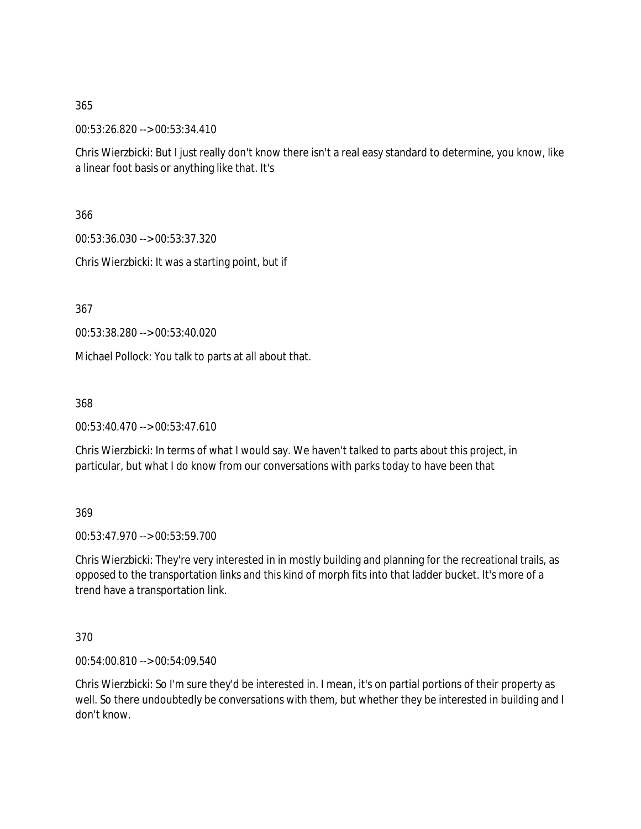00:53:26.820 --> 00:53:34.410

Chris Wierzbicki: But I just really don't know there isn't a real easy standard to determine, you know, like a linear foot basis or anything like that. It's

366

00:53:36.030 --> 00:53:37.320

Chris Wierzbicki: It was a starting point, but if

367

00:53:38.280 --> 00:53:40.020

Michael Pollock: You talk to parts at all about that.

368

00:53:40.470 --> 00:53:47.610

Chris Wierzbicki: In terms of what I would say. We haven't talked to parts about this project, in particular, but what I do know from our conversations with parks today to have been that

369

00:53:47.970 --> 00:53:59.700

Chris Wierzbicki: They're very interested in in mostly building and planning for the recreational trails, as opposed to the transportation links and this kind of morph fits into that ladder bucket. It's more of a trend have a transportation link.

370

00:54:00.810 --> 00:54:09.540

Chris Wierzbicki: So I'm sure they'd be interested in. I mean, it's on partial portions of their property as well. So there undoubtedly be conversations with them, but whether they be interested in building and I don't know.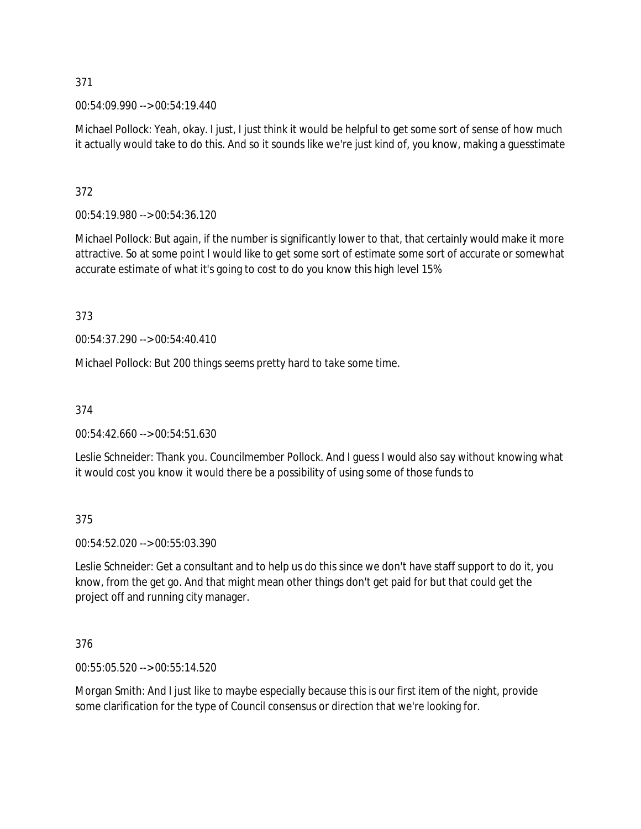00:54:09.990 --> 00:54:19.440

Michael Pollock: Yeah, okay. I just, I just think it would be helpful to get some sort of sense of how much it actually would take to do this. And so it sounds like we're just kind of, you know, making a guesstimate

## 372

00:54:19.980 --> 00:54:36.120

Michael Pollock: But again, if the number is significantly lower to that, that certainly would make it more attractive. So at some point I would like to get some sort of estimate some sort of accurate or somewhat accurate estimate of what it's going to cost to do you know this high level 15%

373

00:54:37.290 --> 00:54:40.410

Michael Pollock: But 200 things seems pretty hard to take some time.

374

00:54:42.660 --> 00:54:51.630

Leslie Schneider: Thank you. Councilmember Pollock. And I guess I would also say without knowing what it would cost you know it would there be a possibility of using some of those funds to

375

00:54:52.020 --> 00:55:03.390

Leslie Schneider: Get a consultant and to help us do this since we don't have staff support to do it, you know, from the get go. And that might mean other things don't get paid for but that could get the project off and running city manager.

376

00:55:05.520 --> 00:55:14.520

Morgan Smith: And I just like to maybe especially because this is our first item of the night, provide some clarification for the type of Council consensus or direction that we're looking for.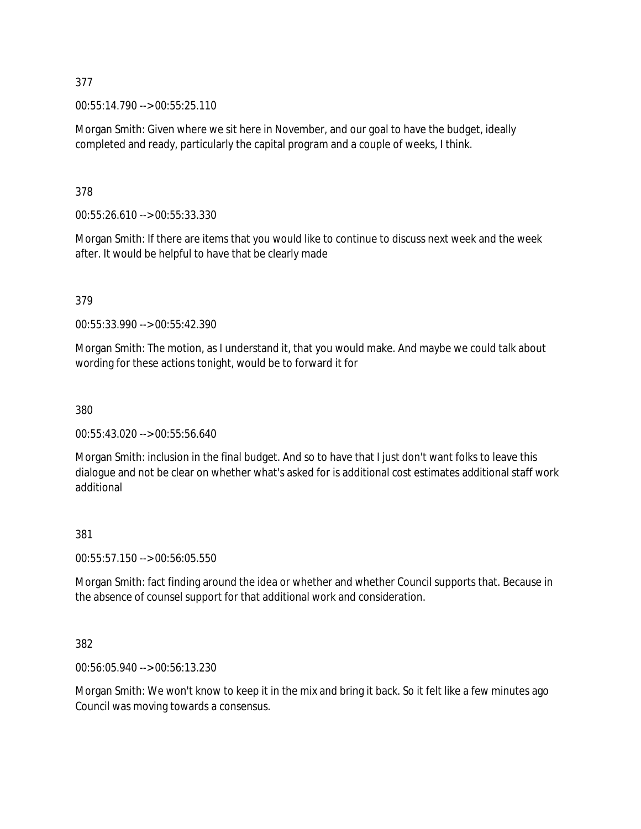00:55:14.790 --> 00:55:25.110

Morgan Smith: Given where we sit here in November, and our goal to have the budget, ideally completed and ready, particularly the capital program and a couple of weeks, I think.

378

00:55:26.610 --> 00:55:33.330

Morgan Smith: If there are items that you would like to continue to discuss next week and the week after. It would be helpful to have that be clearly made

379

00:55:33.990 --> 00:55:42.390

Morgan Smith: The motion, as I understand it, that you would make. And maybe we could talk about wording for these actions tonight, would be to forward it for

380

00:55:43.020 --> 00:55:56.640

Morgan Smith: inclusion in the final budget. And so to have that I just don't want folks to leave this dialogue and not be clear on whether what's asked for is additional cost estimates additional staff work additional

### 381

00:55:57.150 --> 00:56:05.550

Morgan Smith: fact finding around the idea or whether and whether Council supports that. Because in the absence of counsel support for that additional work and consideration.

382

00:56:05.940 --> 00:56:13.230

Morgan Smith: We won't know to keep it in the mix and bring it back. So it felt like a few minutes ago Council was moving towards a consensus.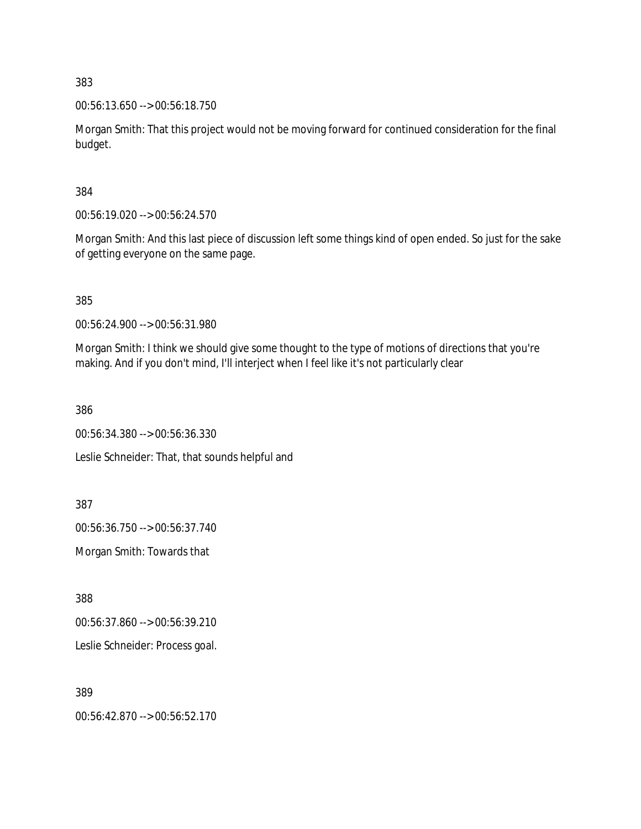00:56:13.650 --> 00:56:18.750

Morgan Smith: That this project would not be moving forward for continued consideration for the final budget.

384

00:56:19.020 --> 00:56:24.570

Morgan Smith: And this last piece of discussion left some things kind of open ended. So just for the sake of getting everyone on the same page.

385

00:56:24.900 --> 00:56:31.980

Morgan Smith: I think we should give some thought to the type of motions of directions that you're making. And if you don't mind, I'll interject when I feel like it's not particularly clear

386

00:56:34.380 --> 00:56:36.330 Leslie Schneider: That, that sounds helpful and

387

00:56:36.750 --> 00:56:37.740

Morgan Smith: Towards that

388

00:56:37.860 --> 00:56:39.210

Leslie Schneider: Process goal.

389

00:56:42.870 --> 00:56:52.170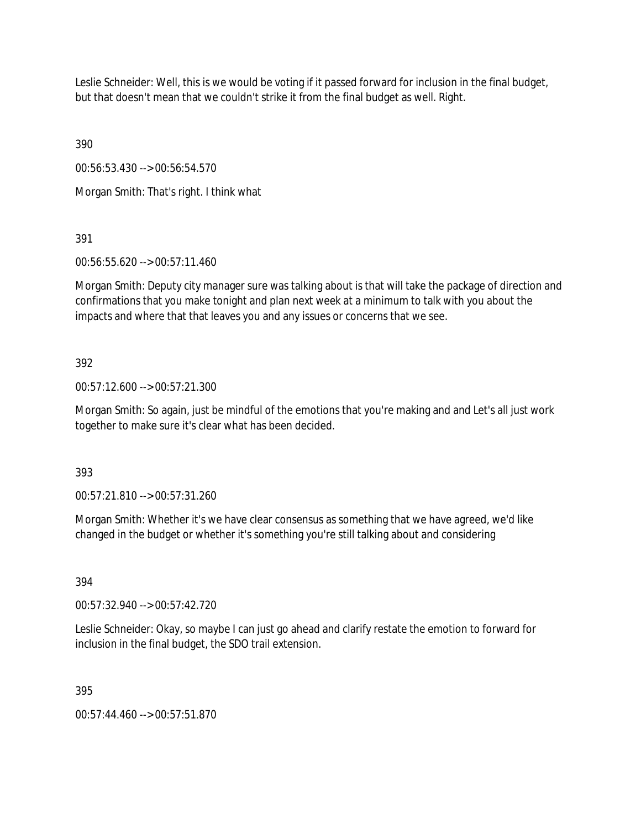Leslie Schneider: Well, this is we would be voting if it passed forward for inclusion in the final budget, but that doesn't mean that we couldn't strike it from the final budget as well. Right.

390

00:56:53.430 --> 00:56:54.570

Morgan Smith: That's right. I think what

391

00:56:55.620 --> 00:57:11.460

Morgan Smith: Deputy city manager sure was talking about is that will take the package of direction and confirmations that you make tonight and plan next week at a minimum to talk with you about the impacts and where that that leaves you and any issues or concerns that we see.

# 392

00:57:12.600 --> 00:57:21.300

Morgan Smith: So again, just be mindful of the emotions that you're making and and Let's all just work together to make sure it's clear what has been decided.

393

00:57:21.810 --> 00:57:31.260

Morgan Smith: Whether it's we have clear consensus as something that we have agreed, we'd like changed in the budget or whether it's something you're still talking about and considering

394

00:57:32.940 --> 00:57:42.720

Leslie Schneider: Okay, so maybe I can just go ahead and clarify restate the emotion to forward for inclusion in the final budget, the SDO trail extension.

395

00:57:44.460 --> 00:57:51.870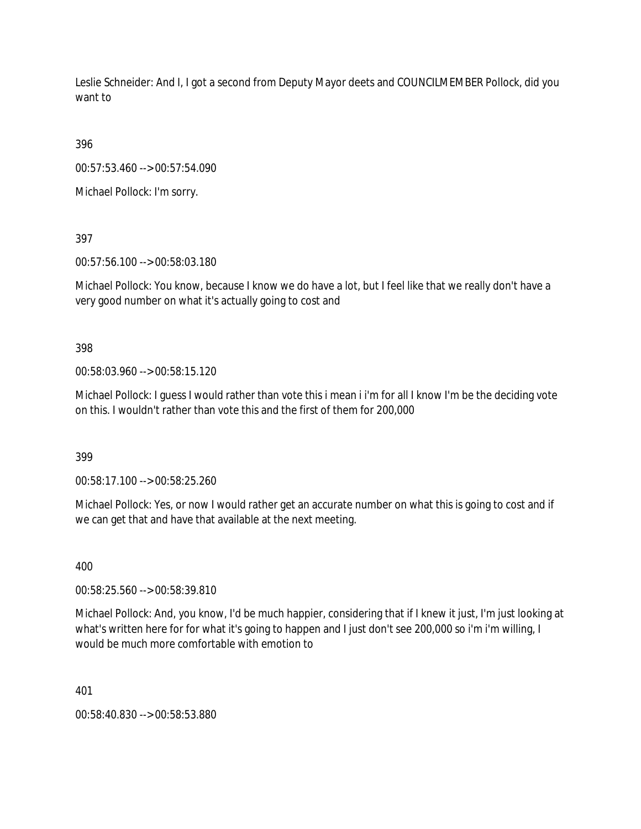Leslie Schneider: And I, I got a second from Deputy Mayor deets and COUNCILMEMBER Pollock, did you want to

396

00:57:53.460 --> 00:57:54.090

Michael Pollock: I'm sorry.

397

00:57:56.100 --> 00:58:03.180

Michael Pollock: You know, because I know we do have a lot, but I feel like that we really don't have a very good number on what it's actually going to cost and

398

00:58:03.960 --> 00:58:15.120

Michael Pollock: I guess I would rather than vote this i mean i i'm for all I know I'm be the deciding vote on this. I wouldn't rather than vote this and the first of them for 200,000

399

00:58:17.100 --> 00:58:25.260

Michael Pollock: Yes, or now I would rather get an accurate number on what this is going to cost and if we can get that and have that available at the next meeting.

400

00:58:25.560 --> 00:58:39.810

Michael Pollock: And, you know, I'd be much happier, considering that if I knew it just, I'm just looking at what's written here for for what it's going to happen and I just don't see 200,000 so i'm i'm willing, I would be much more comfortable with emotion to

401

00:58:40.830 --> 00:58:53.880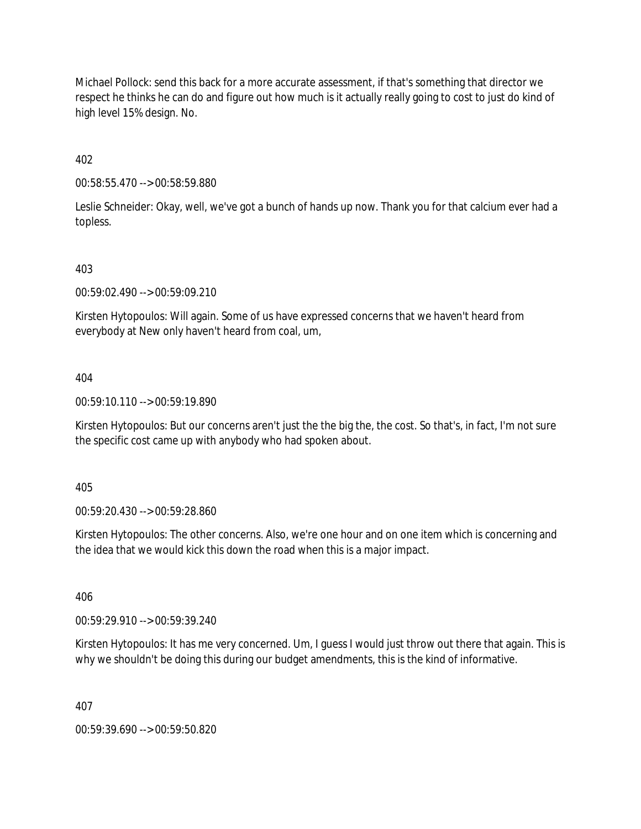Michael Pollock: send this back for a more accurate assessment, if that's something that director we respect he thinks he can do and figure out how much is it actually really going to cost to just do kind of high level 15% design. No.

402

00:58:55.470 --> 00:58:59.880

Leslie Schneider: Okay, well, we've got a bunch of hands up now. Thank you for that calcium ever had a topless.

403

00:59:02.490 --> 00:59:09.210

Kirsten Hytopoulos: Will again. Some of us have expressed concerns that we haven't heard from everybody at New only haven't heard from coal, um,

404

00:59:10.110 --> 00:59:19.890

Kirsten Hytopoulos: But our concerns aren't just the the big the, the cost. So that's, in fact, I'm not sure the specific cost came up with anybody who had spoken about.

405

00:59:20.430 --> 00:59:28.860

Kirsten Hytopoulos: The other concerns. Also, we're one hour and on one item which is concerning and the idea that we would kick this down the road when this is a major impact.

406

00:59:29.910 --> 00:59:39.240

Kirsten Hytopoulos: It has me very concerned. Um, I guess I would just throw out there that again. This is why we shouldn't be doing this during our budget amendments, this is the kind of informative.

407

00:59:39.690 --> 00:59:50.820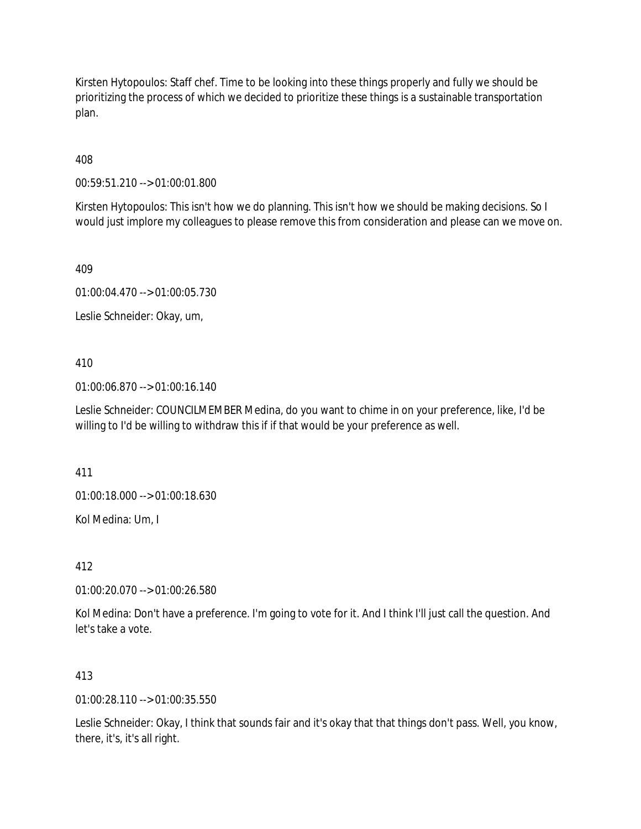Kirsten Hytopoulos: Staff chef. Time to be looking into these things properly and fully we should be prioritizing the process of which we decided to prioritize these things is a sustainable transportation plan.

408

00:59:51.210 --> 01:00:01.800

Kirsten Hytopoulos: This isn't how we do planning. This isn't how we should be making decisions. So I would just implore my colleagues to please remove this from consideration and please can we move on.

409

01:00:04.470 --> 01:00:05.730

Leslie Schneider: Okay, um,

#### 410

01:00:06.870 --> 01:00:16.140

Leslie Schneider: COUNCILMEMBER Medina, do you want to chime in on your preference, like, I'd be willing to I'd be willing to withdraw this if if that would be your preference as well.

411

01:00:18.000 --> 01:00:18.630

Kol Medina: Um, I

412

01:00:20.070 --> 01:00:26.580

Kol Medina: Don't have a preference. I'm going to vote for it. And I think I'll just call the question. And let's take a vote.

### 413

01:00:28.110 --> 01:00:35.550

Leslie Schneider: Okay, I think that sounds fair and it's okay that that things don't pass. Well, you know, there, it's, it's all right.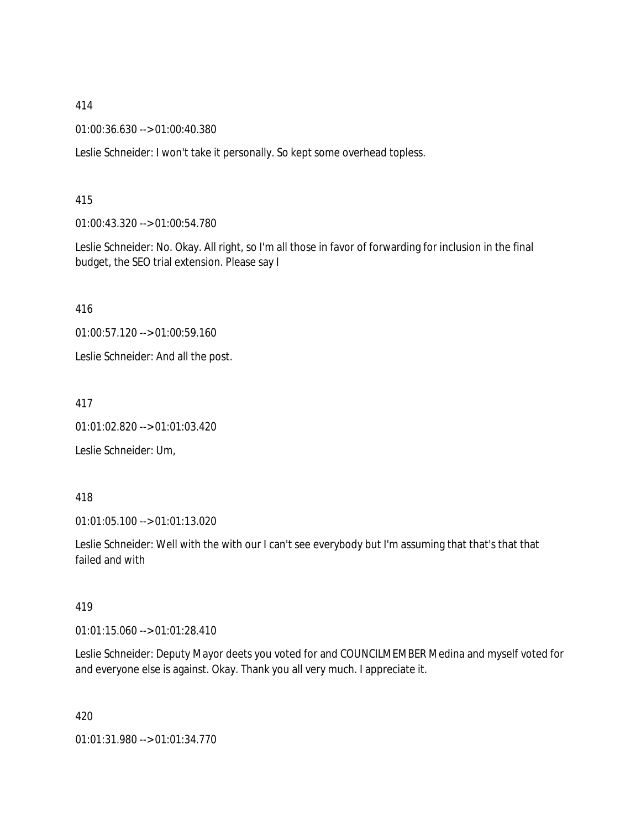01:00:36.630 --> 01:00:40.380

Leslie Schneider: I won't take it personally. So kept some overhead topless.

#### 415

01:00:43.320 --> 01:00:54.780

Leslie Schneider: No. Okay. All right, so I'm all those in favor of forwarding for inclusion in the final budget, the SEO trial extension. Please say I

416

01:00:57.120 --> 01:00:59.160

Leslie Schneider: And all the post.

417

01:01:02.820 --> 01:01:03.420

Leslie Schneider: Um,

#### 418

01:01:05.100 --> 01:01:13.020

Leslie Schneider: Well with the with our I can't see everybody but I'm assuming that that's that that failed and with

#### 419

01:01:15.060 --> 01:01:28.410

Leslie Schneider: Deputy Mayor deets you voted for and COUNCILMEMBER Medina and myself voted for and everyone else is against. Okay. Thank you all very much. I appreciate it.

420

01:01:31.980 --> 01:01:34.770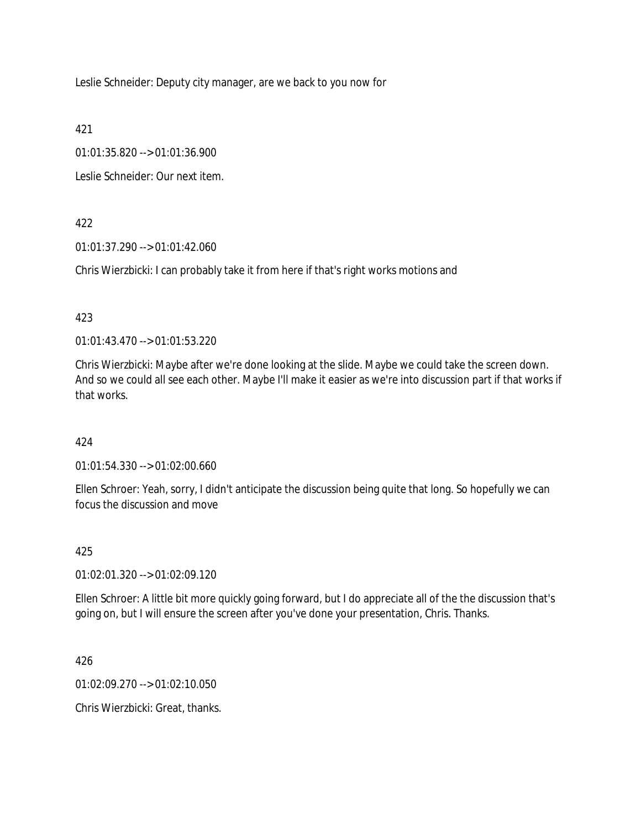Leslie Schneider: Deputy city manager, are we back to you now for

421

01:01:35.820 --> 01:01:36.900

Leslie Schneider: Our next item.

422

01:01:37.290 --> 01:01:42.060

Chris Wierzbicki: I can probably take it from here if that's right works motions and

423

01:01:43.470 --> 01:01:53.220

Chris Wierzbicki: Maybe after we're done looking at the slide. Maybe we could take the screen down. And so we could all see each other. Maybe I'll make it easier as we're into discussion part if that works if that works.

424

01:01:54.330 --> 01:02:00.660

Ellen Schroer: Yeah, sorry, I didn't anticipate the discussion being quite that long. So hopefully we can focus the discussion and move

425

01:02:01.320 --> 01:02:09.120

Ellen Schroer: A little bit more quickly going forward, but I do appreciate all of the the discussion that's going on, but I will ensure the screen after you've done your presentation, Chris. Thanks.

426

01:02:09.270 --> 01:02:10.050

Chris Wierzbicki: Great, thanks.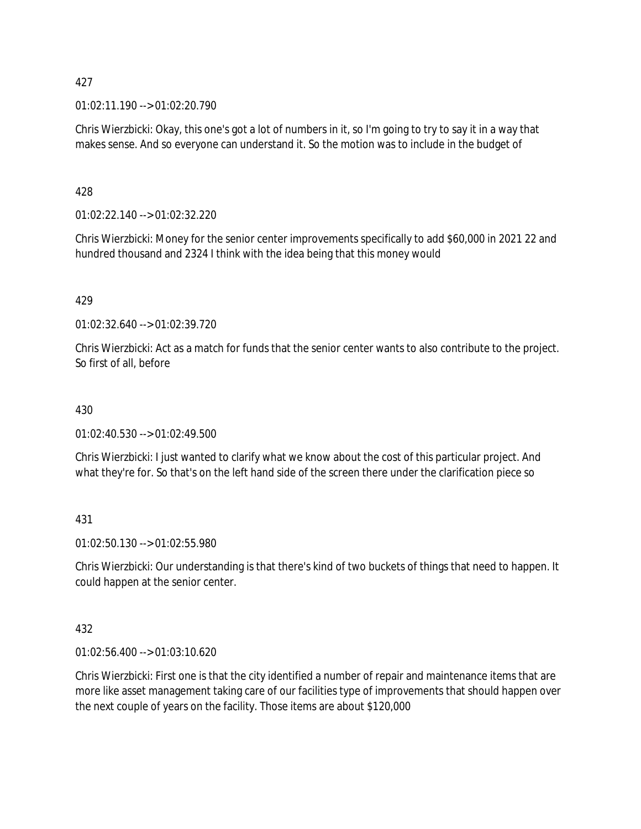01:02:11.190 --> 01:02:20.790

Chris Wierzbicki: Okay, this one's got a lot of numbers in it, so I'm going to try to say it in a way that makes sense. And so everyone can understand it. So the motion was to include in the budget of

428

01:02:22.140 --> 01:02:32.220

Chris Wierzbicki: Money for the senior center improvements specifically to add \$60,000 in 2021 22 and hundred thousand and 2324 I think with the idea being that this money would

### 429

01:02:32.640 --> 01:02:39.720

Chris Wierzbicki: Act as a match for funds that the senior center wants to also contribute to the project. So first of all, before

#### 430

01:02:40.530 --> 01:02:49.500

Chris Wierzbicki: I just wanted to clarify what we know about the cost of this particular project. And what they're for. So that's on the left hand side of the screen there under the clarification piece so

431

01:02:50.130 --> 01:02:55.980

Chris Wierzbicki: Our understanding is that there's kind of two buckets of things that need to happen. It could happen at the senior center.

### 432

01:02:56.400 --> 01:03:10.620

Chris Wierzbicki: First one is that the city identified a number of repair and maintenance items that are more like asset management taking care of our facilities type of improvements that should happen over the next couple of years on the facility. Those items are about \$120,000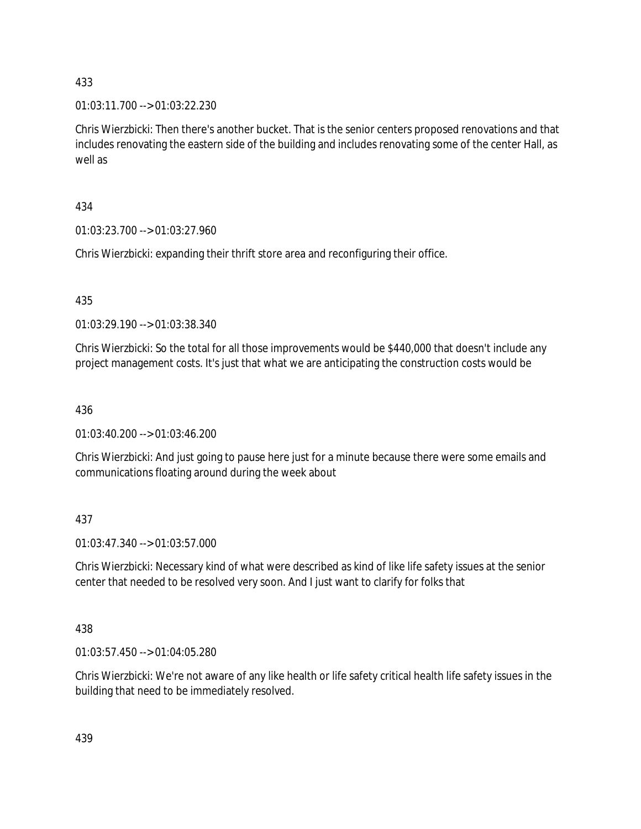01:03:11.700 --> 01:03:22.230

Chris Wierzbicki: Then there's another bucket. That is the senior centers proposed renovations and that includes renovating the eastern side of the building and includes renovating some of the center Hall, as well as

434

01:03:23.700 --> 01:03:27.960

Chris Wierzbicki: expanding their thrift store area and reconfiguring their office.

435

01:03:29.190 --> 01:03:38.340

Chris Wierzbicki: So the total for all those improvements would be \$440,000 that doesn't include any project management costs. It's just that what we are anticipating the construction costs would be

436

01:03:40.200 --> 01:03:46.200

Chris Wierzbicki: And just going to pause here just for a minute because there were some emails and communications floating around during the week about

437

01:03:47.340 --> 01:03:57.000

Chris Wierzbicki: Necessary kind of what were described as kind of like life safety issues at the senior center that needed to be resolved very soon. And I just want to clarify for folks that

438

01:03:57.450 --> 01:04:05.280

Chris Wierzbicki: We're not aware of any like health or life safety critical health life safety issues in the building that need to be immediately resolved.

439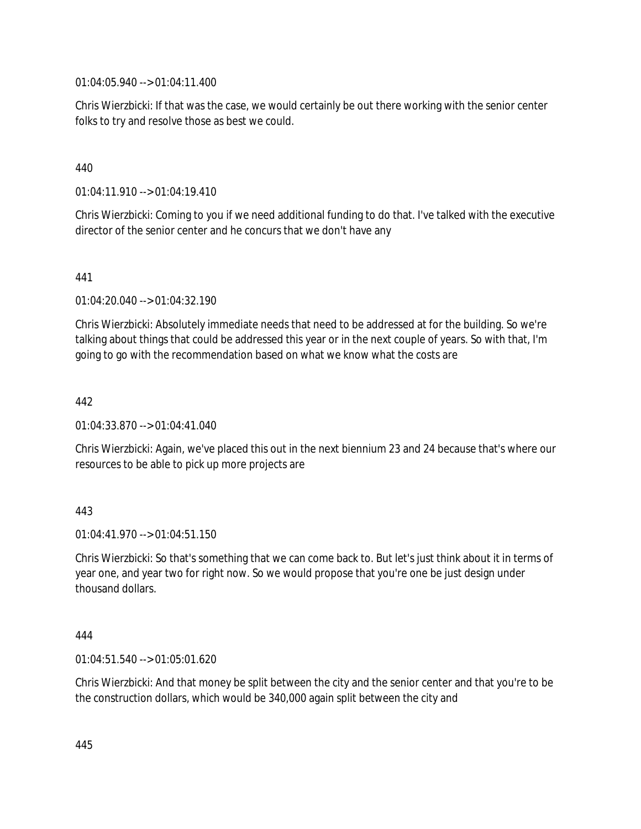01:04:05.940 --> 01:04:11.400

Chris Wierzbicki: If that was the case, we would certainly be out there working with the senior center folks to try and resolve those as best we could.

# 440

01:04:11.910 --> 01:04:19.410

Chris Wierzbicki: Coming to you if we need additional funding to do that. I've talked with the executive director of the senior center and he concurs that we don't have any

### 441

01:04:20.040 --> 01:04:32.190

Chris Wierzbicki: Absolutely immediate needs that need to be addressed at for the building. So we're talking about things that could be addressed this year or in the next couple of years. So with that, I'm going to go with the recommendation based on what we know what the costs are

### 442

01:04:33.870 --> 01:04:41.040

Chris Wierzbicki: Again, we've placed this out in the next biennium 23 and 24 because that's where our resources to be able to pick up more projects are

### 443

 $01:04:41.970 \rightarrow 01:04:51.150$ 

Chris Wierzbicki: So that's something that we can come back to. But let's just think about it in terms of year one, and year two for right now. So we would propose that you're one be just design under thousand dollars.

#### 444

01:04:51.540 --> 01:05:01.620

Chris Wierzbicki: And that money be split between the city and the senior center and that you're to be the construction dollars, which would be 340,000 again split between the city and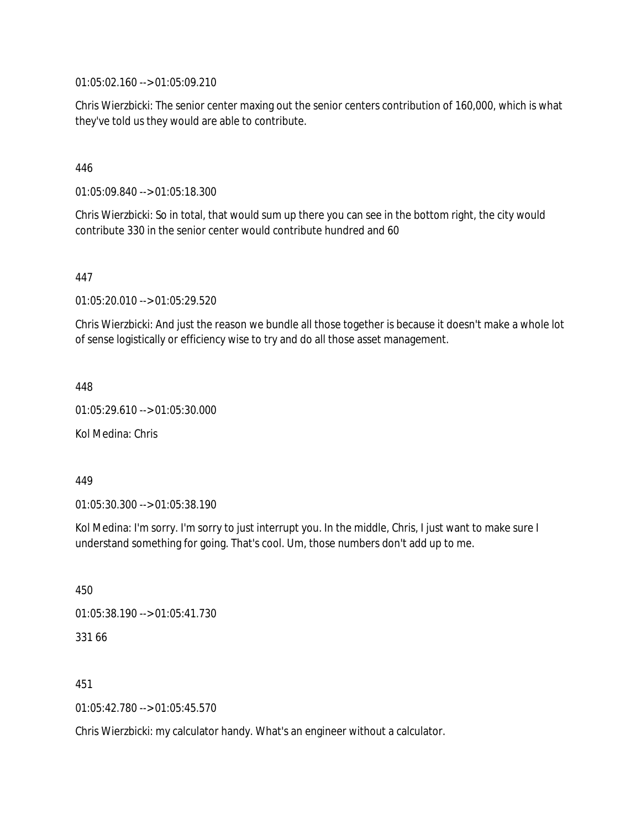01:05:02.160 --> 01:05:09.210

Chris Wierzbicki: The senior center maxing out the senior centers contribution of 160,000, which is what they've told us they would are able to contribute.

## 446

01:05:09.840 --> 01:05:18.300

Chris Wierzbicki: So in total, that would sum up there you can see in the bottom right, the city would contribute 330 in the senior center would contribute hundred and 60

### 447

01:05:20.010 --> 01:05:29.520

Chris Wierzbicki: And just the reason we bundle all those together is because it doesn't make a whole lot of sense logistically or efficiency wise to try and do all those asset management.

448

01:05:29.610 --> 01:05:30.000

Kol Medina: Chris

449

01:05:30.300 --> 01:05:38.190

Kol Medina: I'm sorry. I'm sorry to just interrupt you. In the middle, Chris, I just want to make sure I understand something for going. That's cool. Um, those numbers don't add up to me.

450

01:05:38.190 --> 01:05:41.730

331 66

451

01:05:42.780 --> 01:05:45.570

Chris Wierzbicki: my calculator handy. What's an engineer without a calculator.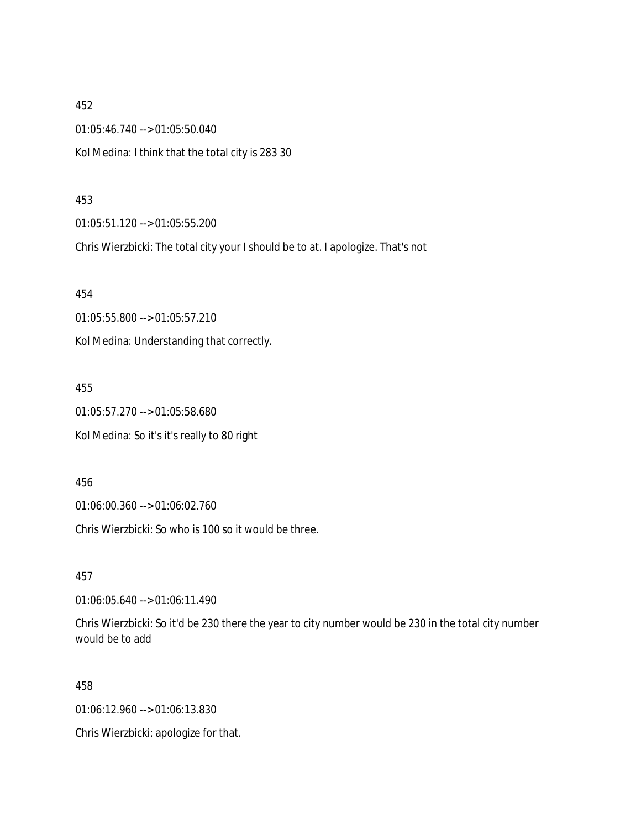452 01:05:46.740 --> 01:05:50.040 Kol Medina: I think that the total city is 283 30

#### 453

01:05:51.120 --> 01:05:55.200

Chris Wierzbicki: The total city your I should be to at. I apologize. That's not

454

01:05:55.800 --> 01:05:57.210

Kol Medina: Understanding that correctly.

455

01:05:57.270 --> 01:05:58.680 Kol Medina: So it's it's really to 80 right

456

01:06:00.360 --> 01:06:02.760

Chris Wierzbicki: So who is 100 so it would be three.

457

01:06:05.640 --> 01:06:11.490

Chris Wierzbicki: So it'd be 230 there the year to city number would be 230 in the total city number would be to add

458

01:06:12.960 --> 01:06:13.830

Chris Wierzbicki: apologize for that.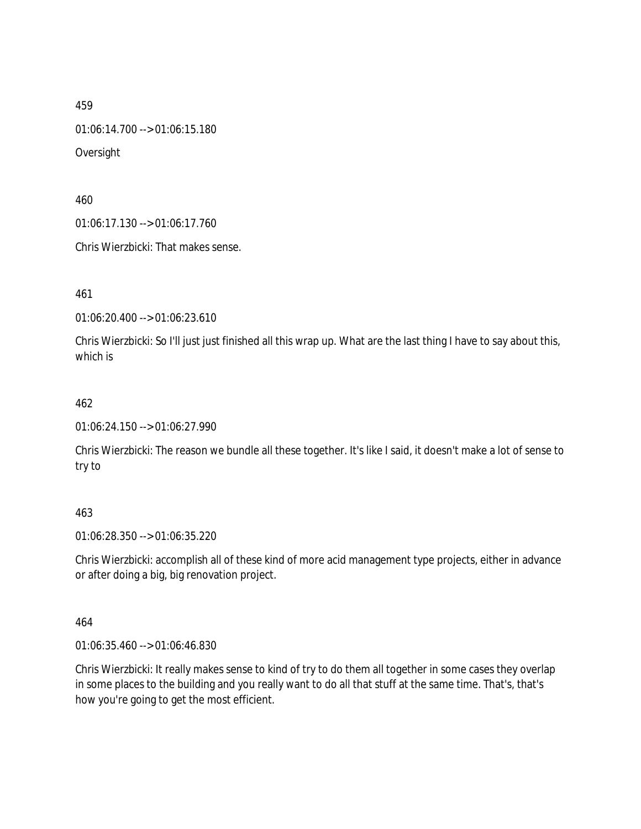01:06:14.700 --> 01:06:15.180

Oversight

460

01:06:17.130 --> 01:06:17.760

Chris Wierzbicki: That makes sense.

461

01:06:20.400 --> 01:06:23.610

Chris Wierzbicki: So I'll just just finished all this wrap up. What are the last thing I have to say about this, which is

# 462

01:06:24.150 --> 01:06:27.990

Chris Wierzbicki: The reason we bundle all these together. It's like I said, it doesn't make a lot of sense to try to

#### 463

01:06:28.350 --> 01:06:35.220

Chris Wierzbicki: accomplish all of these kind of more acid management type projects, either in advance or after doing a big, big renovation project.

464

01:06:35.460 --> 01:06:46.830

Chris Wierzbicki: It really makes sense to kind of try to do them all together in some cases they overlap in some places to the building and you really want to do all that stuff at the same time. That's, that's how you're going to get the most efficient.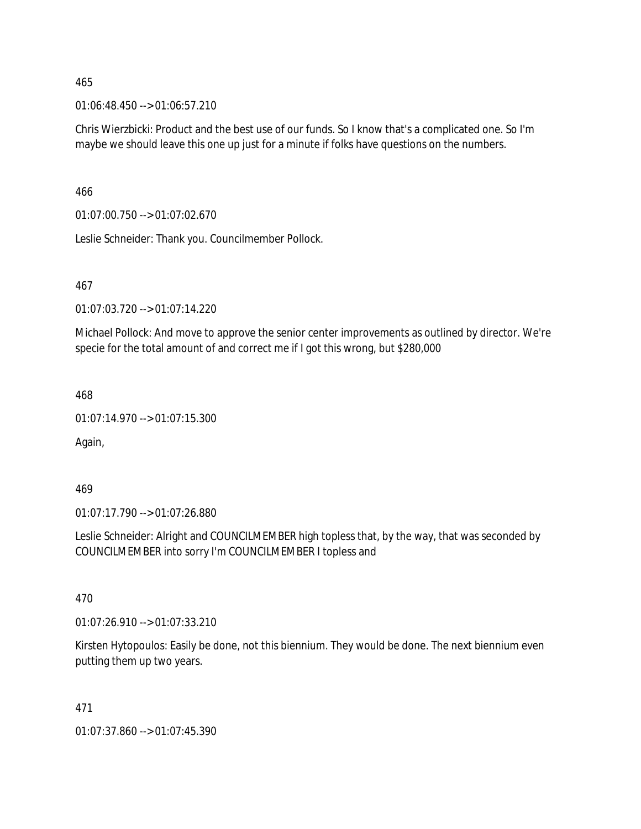01:06:48.450 --> 01:06:57.210

Chris Wierzbicki: Product and the best use of our funds. So I know that's a complicated one. So I'm maybe we should leave this one up just for a minute if folks have questions on the numbers.

466

01:07:00.750 --> 01:07:02.670

Leslie Schneider: Thank you. Councilmember Pollock.

#### 467

01:07:03.720 --> 01:07:14.220

Michael Pollock: And move to approve the senior center improvements as outlined by director. We're specie for the total amount of and correct me if I got this wrong, but \$280,000

468

01:07:14.970 --> 01:07:15.300

Again,

469

01:07:17.790 --> 01:07:26.880

Leslie Schneider: Alright and COUNCILMEMBER high topless that, by the way, that was seconded by COUNCILMEMBER into sorry I'm COUNCILMEMBER I topless and

470

01:07:26.910 --> 01:07:33.210

Kirsten Hytopoulos: Easily be done, not this biennium. They would be done. The next biennium even putting them up two years.

471

01:07:37.860 --> 01:07:45.390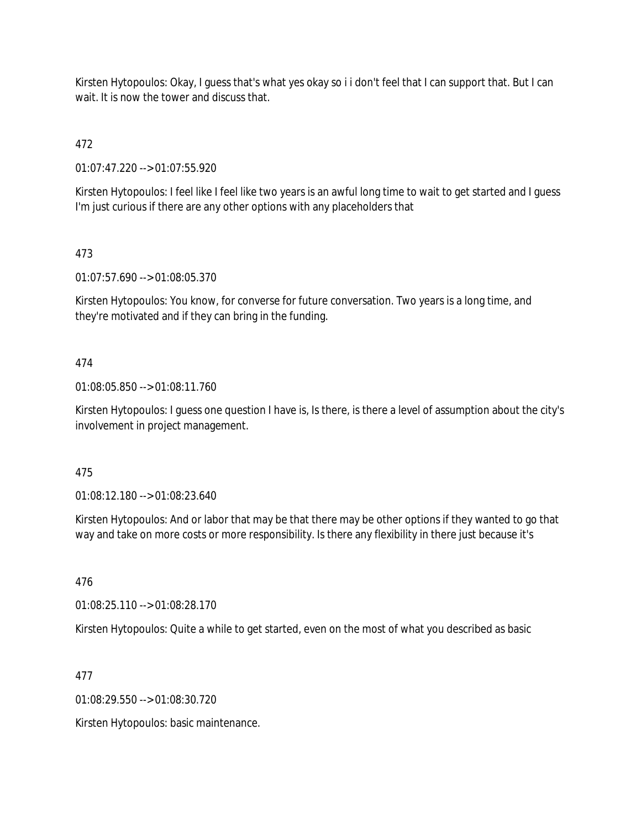Kirsten Hytopoulos: Okay, I guess that's what yes okay so i i don't feel that I can support that. But I can wait. It is now the tower and discuss that.

472

01:07:47.220 --> 01:07:55.920

Kirsten Hytopoulos: I feel like I feel like two years is an awful long time to wait to get started and I guess I'm just curious if there are any other options with any placeholders that

# 473

01:07:57.690 --> 01:08:05.370

Kirsten Hytopoulos: You know, for converse for future conversation. Two years is a long time, and they're motivated and if they can bring in the funding.

# 474

01:08:05.850 --> 01:08:11.760

Kirsten Hytopoulos: I guess one question I have is, Is there, is there a level of assumption about the city's involvement in project management.

#### 475

01:08:12.180 --> 01:08:23.640

Kirsten Hytopoulos: And or labor that may be that there may be other options if they wanted to go that way and take on more costs or more responsibility. Is there any flexibility in there just because it's

476

01:08:25.110 --> 01:08:28.170

Kirsten Hytopoulos: Quite a while to get started, even on the most of what you described as basic

477

01:08:29.550 --> 01:08:30.720

Kirsten Hytopoulos: basic maintenance.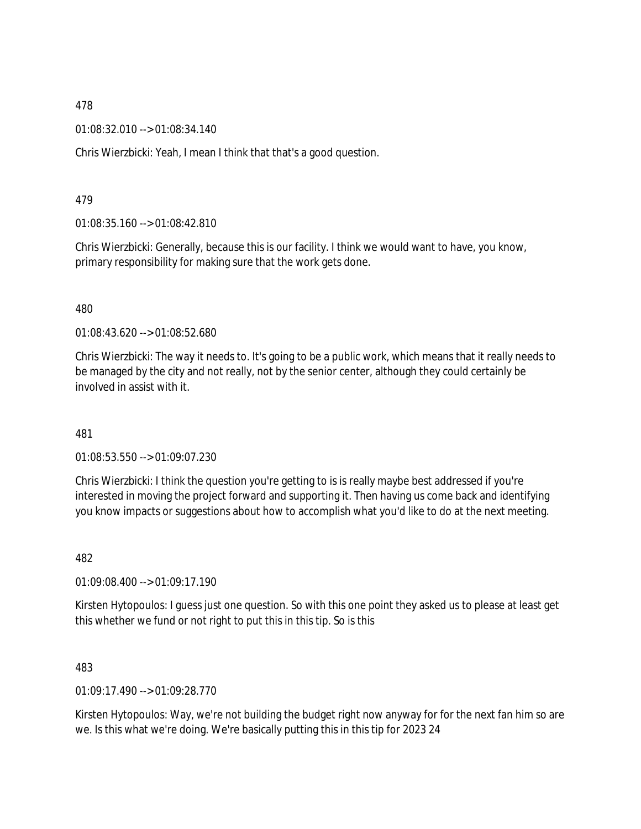01:08:32.010 --> 01:08:34.140

Chris Wierzbicki: Yeah, I mean I think that that's a good question.

479

01:08:35.160 --> 01:08:42.810

Chris Wierzbicki: Generally, because this is our facility. I think we would want to have, you know, primary responsibility for making sure that the work gets done.

480

01:08:43.620 --> 01:08:52.680

Chris Wierzbicki: The way it needs to. It's going to be a public work, which means that it really needs to be managed by the city and not really, not by the senior center, although they could certainly be involved in assist with it.

481

01:08:53.550 --> 01:09:07.230

Chris Wierzbicki: I think the question you're getting to is is really maybe best addressed if you're interested in moving the project forward and supporting it. Then having us come back and identifying you know impacts or suggestions about how to accomplish what you'd like to do at the next meeting.

482

01:09:08.400 --> 01:09:17.190

Kirsten Hytopoulos: I guess just one question. So with this one point they asked us to please at least get this whether we fund or not right to put this in this tip. So is this

483

01:09:17.490 --> 01:09:28.770

Kirsten Hytopoulos: Way, we're not building the budget right now anyway for for the next fan him so are we. Is this what we're doing. We're basically putting this in this tip for 2023 24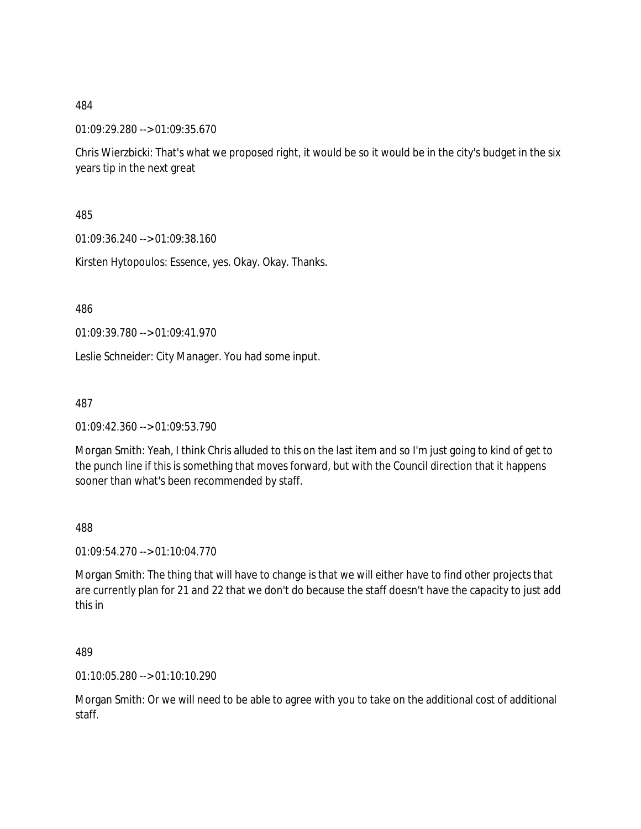01:09:29.280 --> 01:09:35.670

Chris Wierzbicki: That's what we proposed right, it would be so it would be in the city's budget in the six years tip in the next great

485

01:09:36.240 --> 01:09:38.160

Kirsten Hytopoulos: Essence, yes. Okay. Okay. Thanks.

486

01:09:39.780 --> 01:09:41.970

Leslie Schneider: City Manager. You had some input.

487

01:09:42.360 --> 01:09:53.790

Morgan Smith: Yeah, I think Chris alluded to this on the last item and so I'm just going to kind of get to the punch line if this is something that moves forward, but with the Council direction that it happens sooner than what's been recommended by staff.

488

01:09:54.270 --> 01:10:04.770

Morgan Smith: The thing that will have to change is that we will either have to find other projects that are currently plan for 21 and 22 that we don't do because the staff doesn't have the capacity to just add this in

489

01:10:05.280 --> 01:10:10.290

Morgan Smith: Or we will need to be able to agree with you to take on the additional cost of additional staff.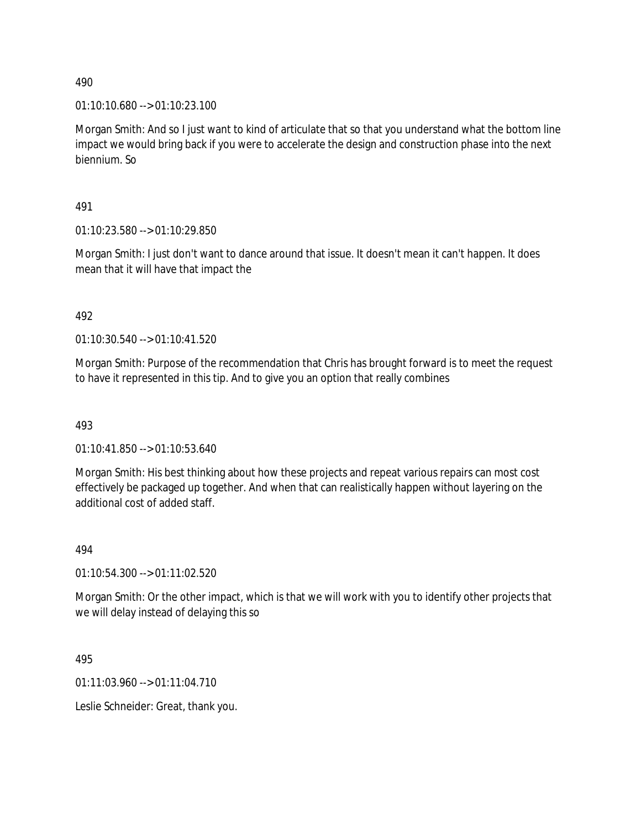01:10:10.680 --> 01:10:23.100

Morgan Smith: And so I just want to kind of articulate that so that you understand what the bottom line impact we would bring back if you were to accelerate the design and construction phase into the next biennium. So

491

01:10:23.580 --> 01:10:29.850

Morgan Smith: I just don't want to dance around that issue. It doesn't mean it can't happen. It does mean that it will have that impact the

492

01:10:30.540 --> 01:10:41.520

Morgan Smith: Purpose of the recommendation that Chris has brought forward is to meet the request to have it represented in this tip. And to give you an option that really combines

493

01:10:41.850 --> 01:10:53.640

Morgan Smith: His best thinking about how these projects and repeat various repairs can most cost effectively be packaged up together. And when that can realistically happen without layering on the additional cost of added staff.

494

01:10:54.300 --> 01:11:02.520

Morgan Smith: Or the other impact, which is that we will work with you to identify other projects that we will delay instead of delaying this so

495

 $01:11:03.960 \rightarrow 01:11:04.710$ 

Leslie Schneider: Great, thank you.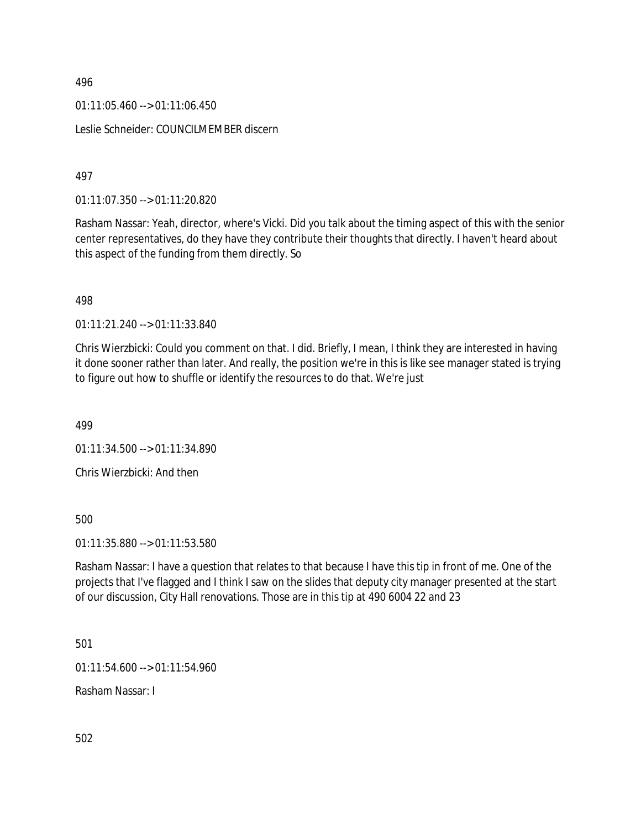$01:11:05.460 \rightarrow 01:11:06.450$ 

Leslie Schneider: COUNCILMEMBER discern

497

01:11:07.350 --> 01:11:20.820

Rasham Nassar: Yeah, director, where's Vicki. Did you talk about the timing aspect of this with the senior center representatives, do they have they contribute their thoughts that directly. I haven't heard about this aspect of the funding from them directly. So

498

01:11:21.240 --> 01:11:33.840

Chris Wierzbicki: Could you comment on that. I did. Briefly, I mean, I think they are interested in having it done sooner rather than later. And really, the position we're in this is like see manager stated is trying to figure out how to shuffle or identify the resources to do that. We're just

499

01:11:34.500 --> 01:11:34.890

Chris Wierzbicki: And then

500

01:11:35.880 --> 01:11:53.580

Rasham Nassar: I have a question that relates to that because I have this tip in front of me. One of the projects that I've flagged and I think I saw on the slides that deputy city manager presented at the start of our discussion, City Hall renovations. Those are in this tip at 490 6004 22 and 23

501

01:11:54.600 --> 01:11:54.960

Rasham Nassar: I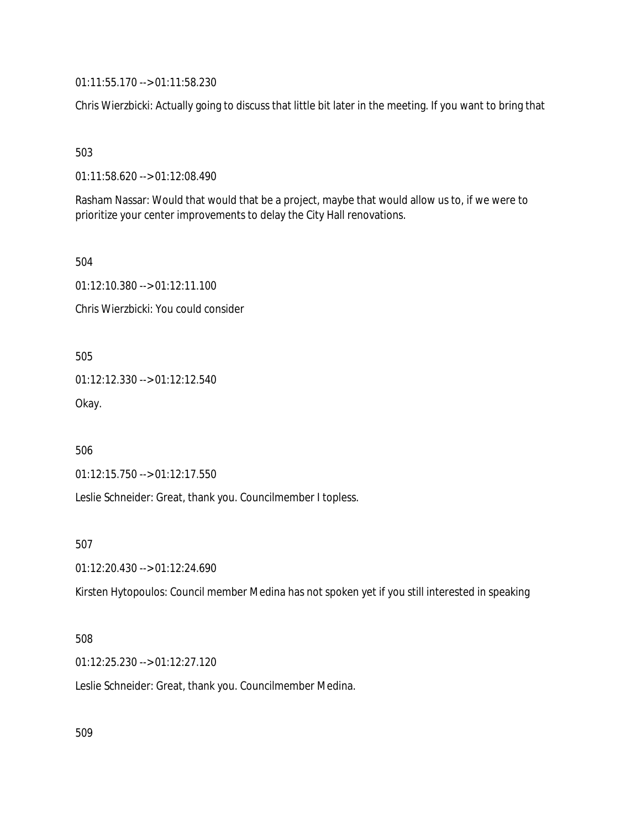01:11:55.170 --> 01:11:58.230

Chris Wierzbicki: Actually going to discuss that little bit later in the meeting. If you want to bring that

503

01:11:58.620 --> 01:12:08.490

Rasham Nassar: Would that would that be a project, maybe that would allow us to, if we were to prioritize your center improvements to delay the City Hall renovations.

504

01:12:10.380 --> 01:12:11.100 Chris Wierzbicki: You could consider

505

01:12:12.330 --> 01:12:12.540

Okay.

506

01:12:15.750 --> 01:12:17.550

Leslie Schneider: Great, thank you. Councilmember I topless.

507

01:12:20.430 --> 01:12:24.690

Kirsten Hytopoulos: Council member Medina has not spoken yet if you still interested in speaking

#### 508

01:12:25.230 --> 01:12:27.120

Leslie Schneider: Great, thank you. Councilmember Medina.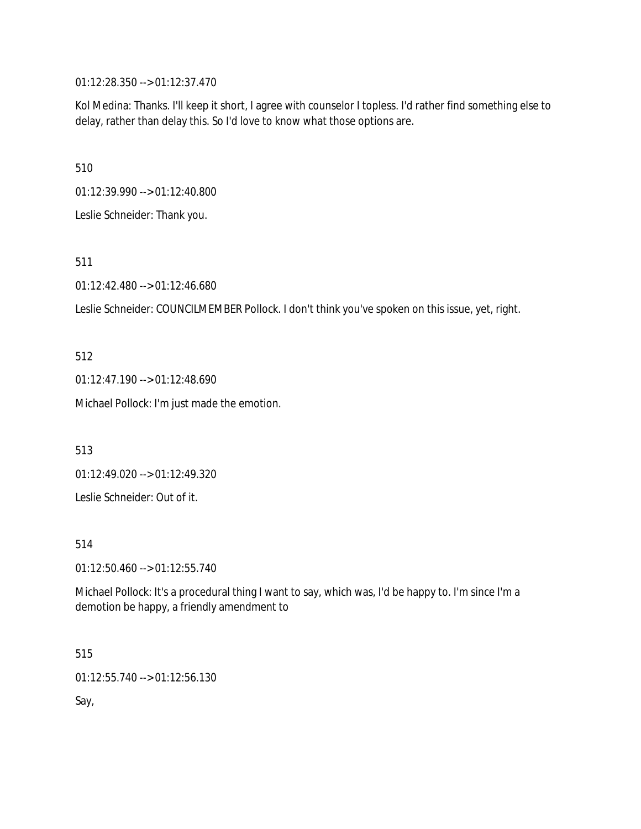01:12:28.350 --> 01:12:37.470

Kol Medina: Thanks. I'll keep it short, I agree with counselor I topless. I'd rather find something else to delay, rather than delay this. So I'd love to know what those options are.

510

01:12:39.990 --> 01:12:40.800

Leslie Schneider: Thank you.

511

01:12:42.480 --> 01:12:46.680

Leslie Schneider: COUNCILMEMBER Pollock. I don't think you've spoken on this issue, yet, right.

512

01:12:47.190 --> 01:12:48.690

Michael Pollock: I'm just made the emotion.

513

01:12:49.020 --> 01:12:49.320

Leslie Schneider: Out of it.

514

01:12:50.460 --> 01:12:55.740

Michael Pollock: It's a procedural thing I want to say, which was, I'd be happy to. I'm since I'm a demotion be happy, a friendly amendment to

515

01:12:55.740 --> 01:12:56.130

Say,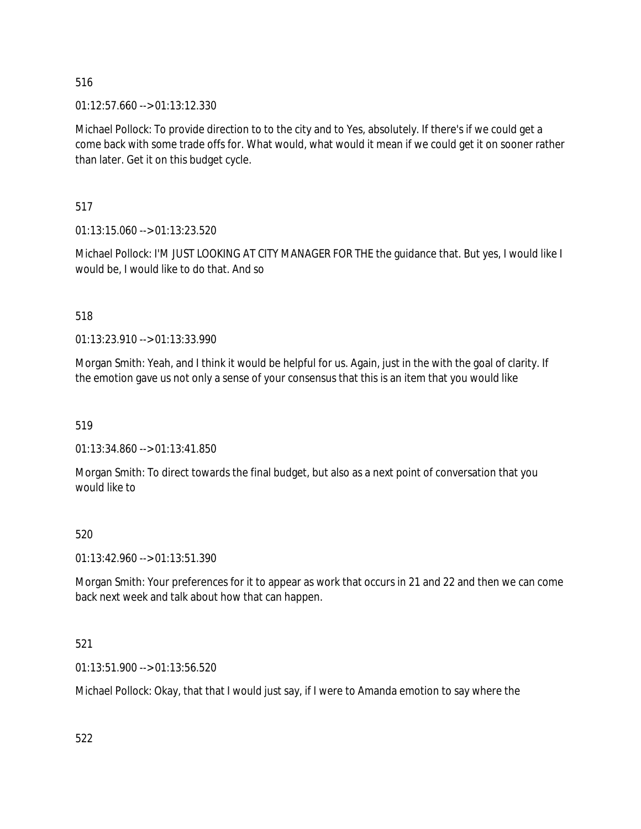$01:12:57.660 \rightarrow 01:13:12.330$ 

Michael Pollock: To provide direction to to the city and to Yes, absolutely. If there's if we could get a come back with some trade offs for. What would, what would it mean if we could get it on sooner rather than later. Get it on this budget cycle.

517

01:13:15.060 --> 01:13:23.520

Michael Pollock: I'M JUST LOOKING AT CITY MANAGER FOR THE the guidance that. But yes, I would like I would be, I would like to do that. And so

518

01:13:23.910 --> 01:13:33.990

Morgan Smith: Yeah, and I think it would be helpful for us. Again, just in the with the goal of clarity. If the emotion gave us not only a sense of your consensus that this is an item that you would like

519

01:13:34.860 --> 01:13:41.850

Morgan Smith: To direct towards the final budget, but also as a next point of conversation that you would like to

#### 520

01:13:42.960 --> 01:13:51.390

Morgan Smith: Your preferences for it to appear as work that occurs in 21 and 22 and then we can come back next week and talk about how that can happen.

#### 521

01:13:51.900 --> 01:13:56.520

Michael Pollock: Okay, that that I would just say, if I were to Amanda emotion to say where the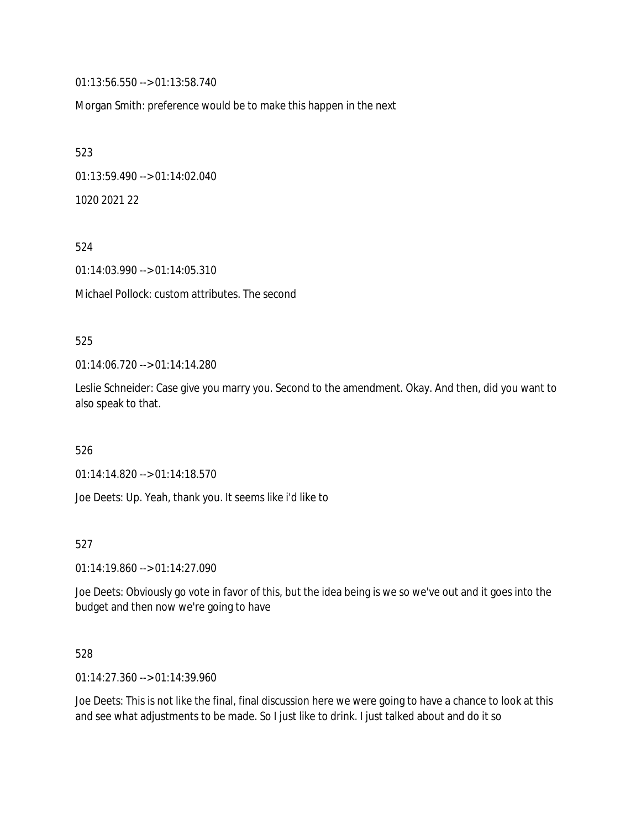01:13:56.550 --> 01:13:58.740

Morgan Smith: preference would be to make this happen in the next

523 01:13:59.490 --> 01:14:02.040 1020 2021 22

524

01:14:03.990 --> 01:14:05.310

Michael Pollock: custom attributes. The second

#### 525

01:14:06.720 --> 01:14:14.280

Leslie Schneider: Case give you marry you. Second to the amendment. Okay. And then, did you want to also speak to that.

526

01:14:14.820 --> 01:14:18.570

Joe Deets: Up. Yeah, thank you. It seems like i'd like to

527

01:14:19.860 --> 01:14:27.090

Joe Deets: Obviously go vote in favor of this, but the idea being is we so we've out and it goes into the budget and then now we're going to have

528

01:14:27.360 --> 01:14:39.960

Joe Deets: This is not like the final, final discussion here we were going to have a chance to look at this and see what adjustments to be made. So I just like to drink. I just talked about and do it so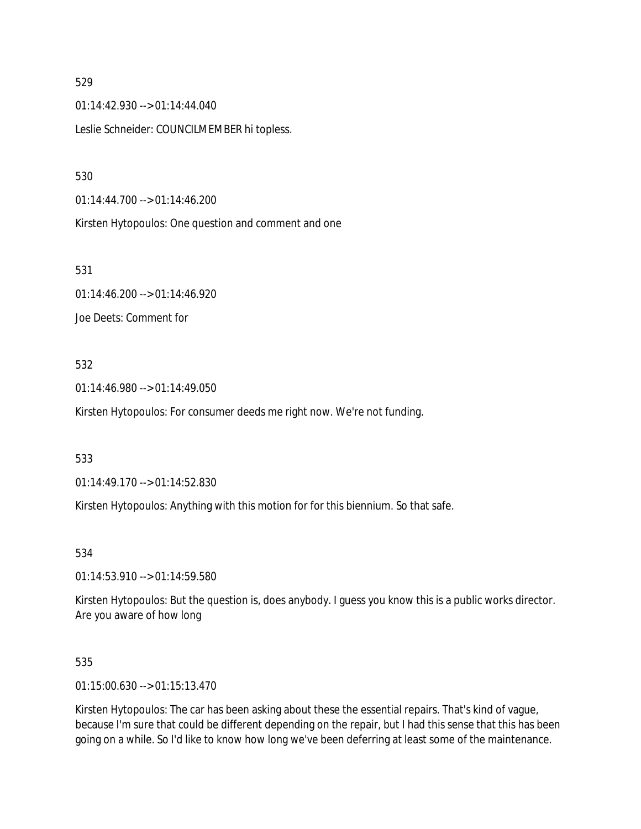01:14:42.930 --> 01:14:44.040 Leslie Schneider: COUNCILMEMBER hi topless.

530

01:14:44.700 --> 01:14:46.200

Kirsten Hytopoulos: One question and comment and one

531

01:14:46.200 --> 01:14:46.920 Joe Deets: Comment for

#### 532

01:14:46.980 --> 01:14:49.050

Kirsten Hytopoulos: For consumer deeds me right now. We're not funding.

533

01:14:49.170 --> 01:14:52.830

Kirsten Hytopoulos: Anything with this motion for for this biennium. So that safe.

534

01:14:53.910 --> 01:14:59.580

Kirsten Hytopoulos: But the question is, does anybody. I guess you know this is a public works director. Are you aware of how long

535

01:15:00.630 --> 01:15:13.470

Kirsten Hytopoulos: The car has been asking about these the essential repairs. That's kind of vague, because I'm sure that could be different depending on the repair, but I had this sense that this has been going on a while. So I'd like to know how long we've been deferring at least some of the maintenance.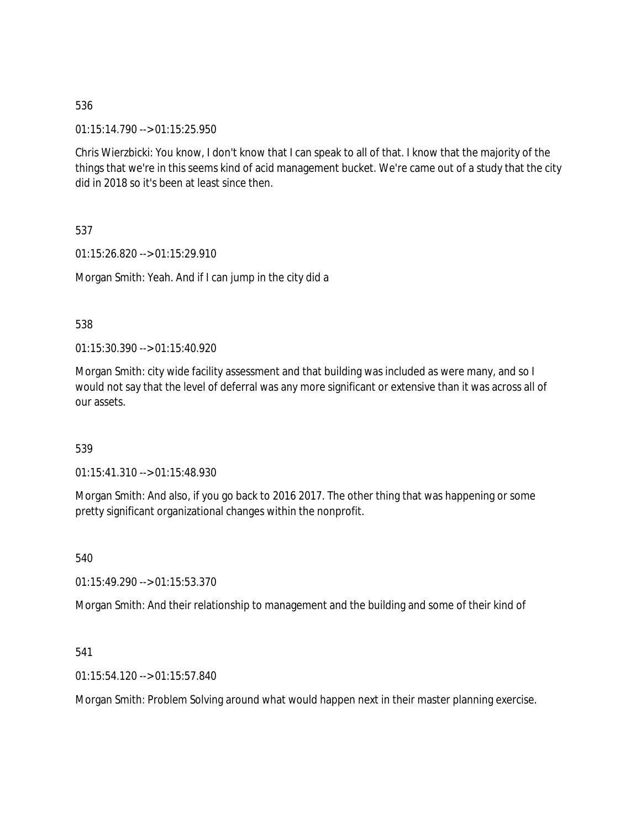01:15:14.790 --> 01:15:25.950

Chris Wierzbicki: You know, I don't know that I can speak to all of that. I know that the majority of the things that we're in this seems kind of acid management bucket. We're came out of a study that the city did in 2018 so it's been at least since then.

537

01:15:26.820 --> 01:15:29.910

Morgan Smith: Yeah. And if I can jump in the city did a

538

01:15:30.390 --> 01:15:40.920

Morgan Smith: city wide facility assessment and that building was included as were many, and so I would not say that the level of deferral was any more significant or extensive than it was across all of our assets.

539

01:15:41.310 --> 01:15:48.930

Morgan Smith: And also, if you go back to 2016 2017. The other thing that was happening or some pretty significant organizational changes within the nonprofit.

540

01:15:49.290 --> 01:15:53.370

Morgan Smith: And their relationship to management and the building and some of their kind of

541

01:15:54.120 --> 01:15:57.840

Morgan Smith: Problem Solving around what would happen next in their master planning exercise.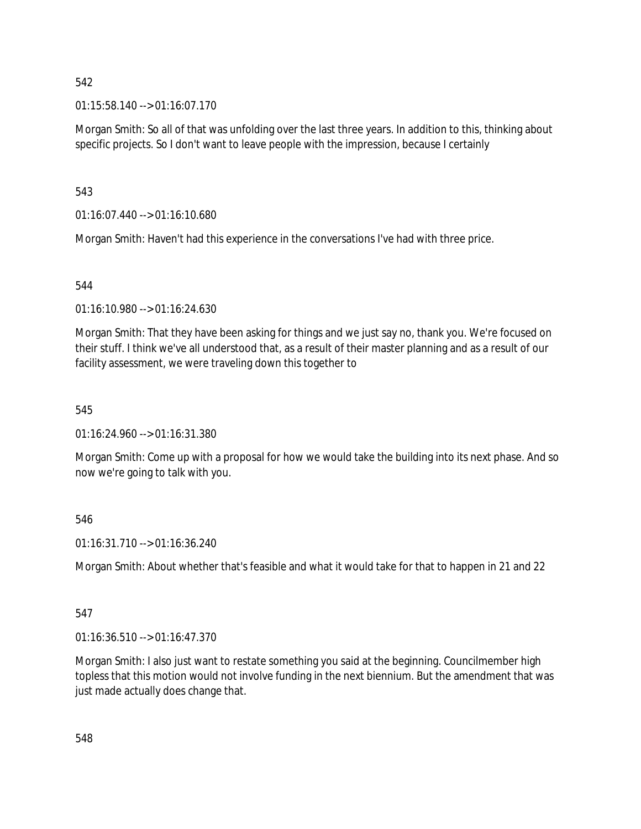01:15:58.140 --> 01:16:07.170

Morgan Smith: So all of that was unfolding over the last three years. In addition to this, thinking about specific projects. So I don't want to leave people with the impression, because I certainly

543

01:16:07.440 --> 01:16:10.680

Morgan Smith: Haven't had this experience in the conversations I've had with three price.

544

01:16:10.980 --> 01:16:24.630

Morgan Smith: That they have been asking for things and we just say no, thank you. We're focused on their stuff. I think we've all understood that, as a result of their master planning and as a result of our facility assessment, we were traveling down this together to

545

01:16:24.960 --> 01:16:31.380

Morgan Smith: Come up with a proposal for how we would take the building into its next phase. And so now we're going to talk with you.

546

01:16:31.710 --> 01:16:36.240

Morgan Smith: About whether that's feasible and what it would take for that to happen in 21 and 22

# 547

01:16:36.510 --> 01:16:47.370

Morgan Smith: I also just want to restate something you said at the beginning. Councilmember high topless that this motion would not involve funding in the next biennium. But the amendment that was just made actually does change that.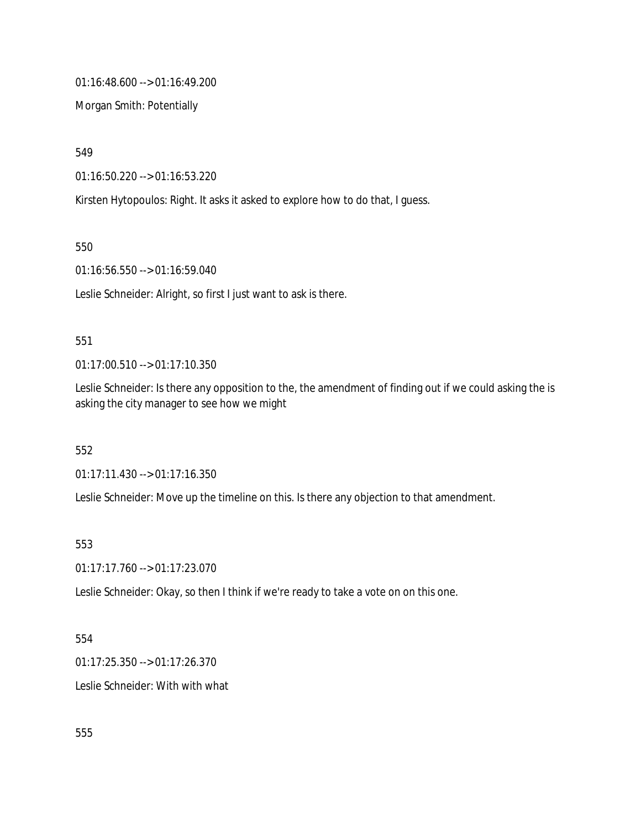01:16:48.600 --> 01:16:49.200

Morgan Smith: Potentially

549

01:16:50.220 --> 01:16:53.220

Kirsten Hytopoulos: Right. It asks it asked to explore how to do that, I guess.

550

01:16:56.550 --> 01:16:59.040

Leslie Schneider: Alright, so first I just want to ask is there.

#### 551

01:17:00.510 --> 01:17:10.350

Leslie Schneider: Is there any opposition to the, the amendment of finding out if we could asking the is asking the city manager to see how we might

552

01:17:11.430 --> 01:17:16.350

Leslie Schneider: Move up the timeline on this. Is there any objection to that amendment.

## 553

01:17:17.760 --> 01:17:23.070

Leslie Schneider: Okay, so then I think if we're ready to take a vote on on this one.

#### 554

01:17:25.350 --> 01:17:26.370

Leslie Schneider: With with what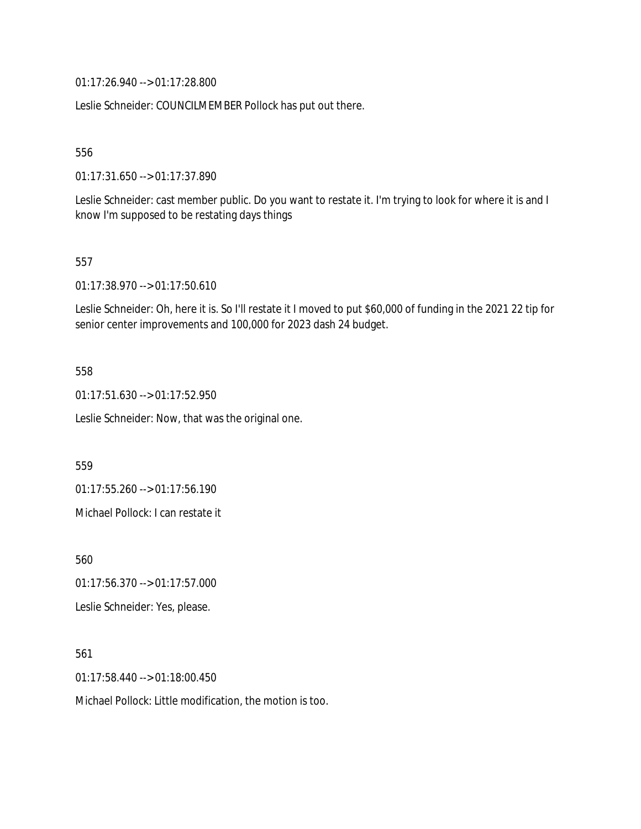01:17:26.940 --> 01:17:28.800

Leslie Schneider: COUNCILMEMBER Pollock has put out there.

556

01:17:31.650 --> 01:17:37.890

Leslie Schneider: cast member public. Do you want to restate it. I'm trying to look for where it is and I know I'm supposed to be restating days things

557

01:17:38.970 --> 01:17:50.610

Leslie Schneider: Oh, here it is. So I'll restate it I moved to put \$60,000 of funding in the 2021 22 tip for senior center improvements and 100,000 for 2023 dash 24 budget.

558

01:17:51.630 --> 01:17:52.950

Leslie Schneider: Now, that was the original one.

559

01:17:55.260 --> 01:17:56.190

Michael Pollock: I can restate it

560

01:17:56.370 --> 01:17:57.000

Leslie Schneider: Yes, please.

561

01:17:58.440 --> 01:18:00.450

Michael Pollock: Little modification, the motion is too.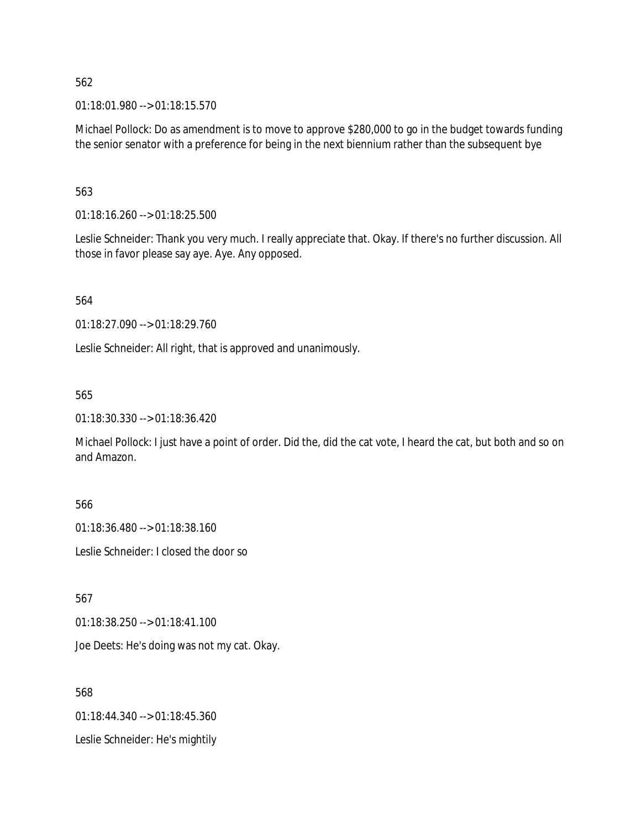01:18:01.980 --> 01:18:15.570

Michael Pollock: Do as amendment is to move to approve \$280,000 to go in the budget towards funding the senior senator with a preference for being in the next biennium rather than the subsequent bye

#### 563

01:18:16.260 --> 01:18:25.500

Leslie Schneider: Thank you very much. I really appreciate that. Okay. If there's no further discussion. All those in favor please say aye. Aye. Any opposed.

564

01:18:27.090 --> 01:18:29.760

Leslie Schneider: All right, that is approved and unanimously.

#### 565

01:18:30.330 --> 01:18:36.420

Michael Pollock: I just have a point of order. Did the, did the cat vote, I heard the cat, but both and so on and Amazon.

566

01:18:36.480 --> 01:18:38.160

Leslie Schneider: I closed the door so

567

01:18:38.250 --> 01:18:41.100

Joe Deets: He's doing was not my cat. Okay.

568

01:18:44.340 --> 01:18:45.360

Leslie Schneider: He's mightily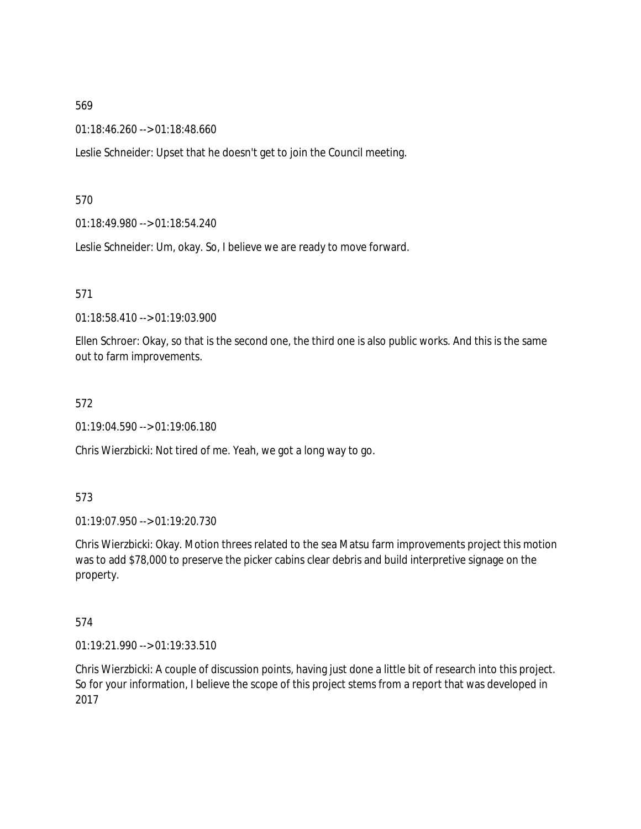01:18:46.260 --> 01:18:48.660

Leslie Schneider: Upset that he doesn't get to join the Council meeting.

#### 570

01:18:49.980 --> 01:18:54.240

Leslie Schneider: Um, okay. So, I believe we are ready to move forward.

#### 571

01:18:58.410 --> 01:19:03.900

Ellen Schroer: Okay, so that is the second one, the third one is also public works. And this is the same out to farm improvements.

#### 572

01:19:04.590 --> 01:19:06.180

Chris Wierzbicki: Not tired of me. Yeah, we got a long way to go.

#### 573

01:19:07.950 --> 01:19:20.730

Chris Wierzbicki: Okay. Motion threes related to the sea Matsu farm improvements project this motion was to add \$78,000 to preserve the picker cabins clear debris and build interpretive signage on the property.

#### 574

01:19:21.990 --> 01:19:33.510

Chris Wierzbicki: A couple of discussion points, having just done a little bit of research into this project. So for your information, I believe the scope of this project stems from a report that was developed in 2017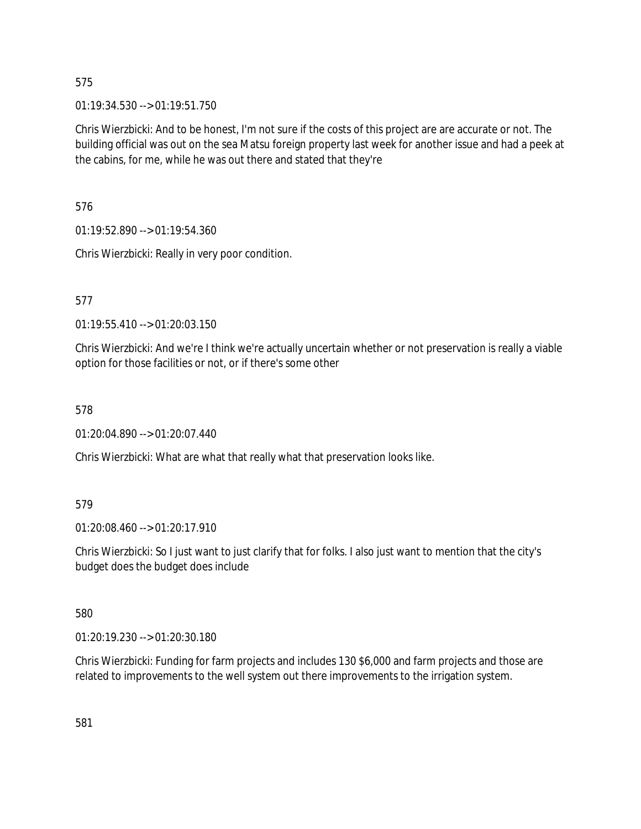01:19:34.530 --> 01:19:51.750

Chris Wierzbicki: And to be honest, I'm not sure if the costs of this project are are accurate or not. The building official was out on the sea Matsu foreign property last week for another issue and had a peek at the cabins, for me, while he was out there and stated that they're

576

01:19:52.890 --> 01:19:54.360

Chris Wierzbicki: Really in very poor condition.

577

01:19:55.410 --> 01:20:03.150

Chris Wierzbicki: And we're I think we're actually uncertain whether or not preservation is really a viable option for those facilities or not, or if there's some other

578

01:20:04.890 --> 01:20:07.440

Chris Wierzbicki: What are what that really what that preservation looks like.

#### 579

01:20:08.460 --> 01:20:17.910

Chris Wierzbicki: So I just want to just clarify that for folks. I also just want to mention that the city's budget does the budget does include

580

01:20:19.230 --> 01:20:30.180

Chris Wierzbicki: Funding for farm projects and includes 130 \$6,000 and farm projects and those are related to improvements to the well system out there improvements to the irrigation system.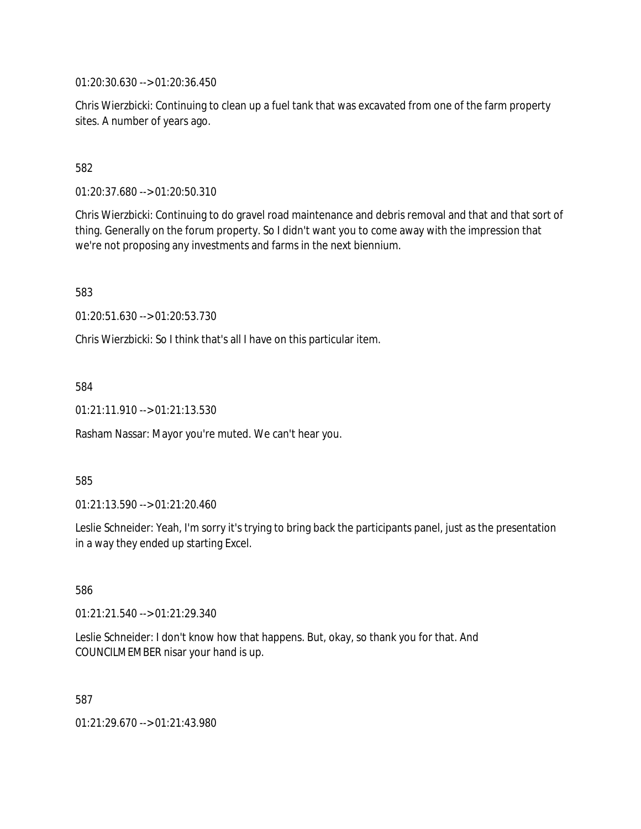01:20:30.630 --> 01:20:36.450

Chris Wierzbicki: Continuing to clean up a fuel tank that was excavated from one of the farm property sites. A number of years ago.

582

01:20:37.680 --> 01:20:50.310

Chris Wierzbicki: Continuing to do gravel road maintenance and debris removal and that and that sort of thing. Generally on the forum property. So I didn't want you to come away with the impression that we're not proposing any investments and farms in the next biennium.

583

01:20:51.630 --> 01:20:53.730

Chris Wierzbicki: So I think that's all I have on this particular item.

584

01:21:11.910 --> 01:21:13.530

Rasham Nassar: Mayor you're muted. We can't hear you.

585

01:21:13.590 --> 01:21:20.460

Leslie Schneider: Yeah, I'm sorry it's trying to bring back the participants panel, just as the presentation in a way they ended up starting Excel.

586

01:21:21.540 --> 01:21:29.340

Leslie Schneider: I don't know how that happens. But, okay, so thank you for that. And COUNCILMEMBER nisar your hand is up.

587

01:21:29.670 --> 01:21:43.980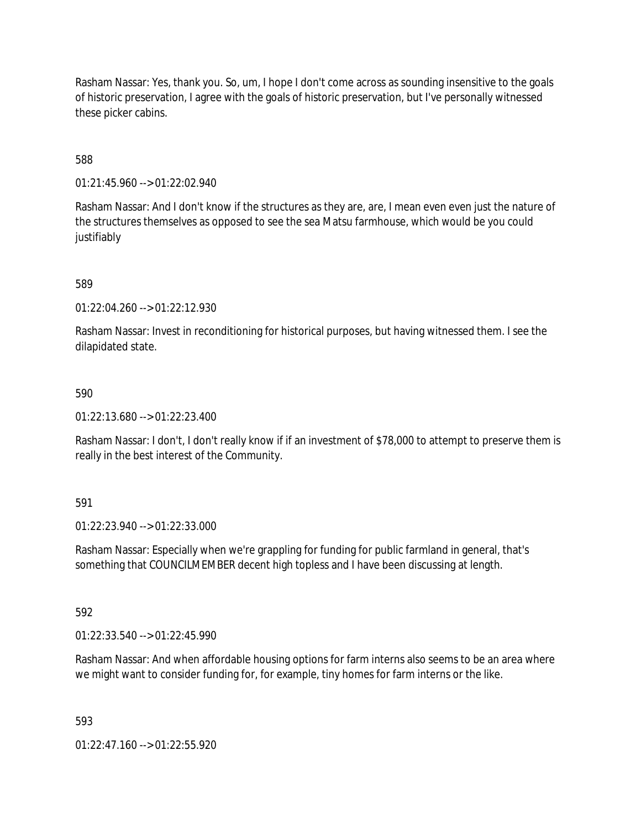Rasham Nassar: Yes, thank you. So, um, I hope I don't come across as sounding insensitive to the goals of historic preservation, I agree with the goals of historic preservation, but I've personally witnessed these picker cabins.

588

01:21:45.960 --> 01:22:02.940

Rasham Nassar: And I don't know if the structures as they are, are, I mean even even just the nature of the structures themselves as opposed to see the sea Matsu farmhouse, which would be you could justifiably

589

01:22:04.260 --> 01:22:12.930

Rasham Nassar: Invest in reconditioning for historical purposes, but having witnessed them. I see the dilapidated state.

590

01:22:13.680 --> 01:22:23.400

Rasham Nassar: I don't, I don't really know if if an investment of \$78,000 to attempt to preserve them is really in the best interest of the Community.

591

01:22:23.940 --> 01:22:33.000

Rasham Nassar: Especially when we're grappling for funding for public farmland in general, that's something that COUNCILMEMBER decent high topless and I have been discussing at length.

592

01:22:33.540 --> 01:22:45.990

Rasham Nassar: And when affordable housing options for farm interns also seems to be an area where we might want to consider funding for, for example, tiny homes for farm interns or the like.

593

01:22:47.160 --> 01:22:55.920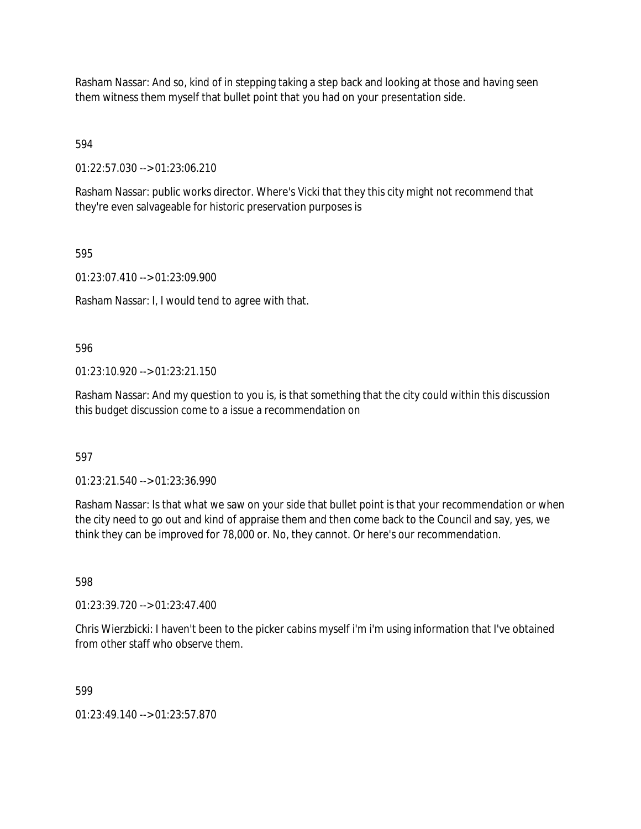Rasham Nassar: And so, kind of in stepping taking a step back and looking at those and having seen them witness them myself that bullet point that you had on your presentation side.

594

01:22:57.030 --> 01:23:06.210

Rasham Nassar: public works director. Where's Vicki that they this city might not recommend that they're even salvageable for historic preservation purposes is

595

01:23:07.410 --> 01:23:09.900

Rasham Nassar: I, I would tend to agree with that.

596

 $01:23:10.920 \rightarrow 01:23:21.150$ 

Rasham Nassar: And my question to you is, is that something that the city could within this discussion this budget discussion come to a issue a recommendation on

597

01:23:21.540 --> 01:23:36.990

Rasham Nassar: Is that what we saw on your side that bullet point is that your recommendation or when the city need to go out and kind of appraise them and then come back to the Council and say, yes, we think they can be improved for 78,000 or. No, they cannot. Or here's our recommendation.

598

01:23:39.720 --> 01:23:47.400

Chris Wierzbicki: I haven't been to the picker cabins myself i'm i'm using information that I've obtained from other staff who observe them.

599

01:23:49.140 --> 01:23:57.870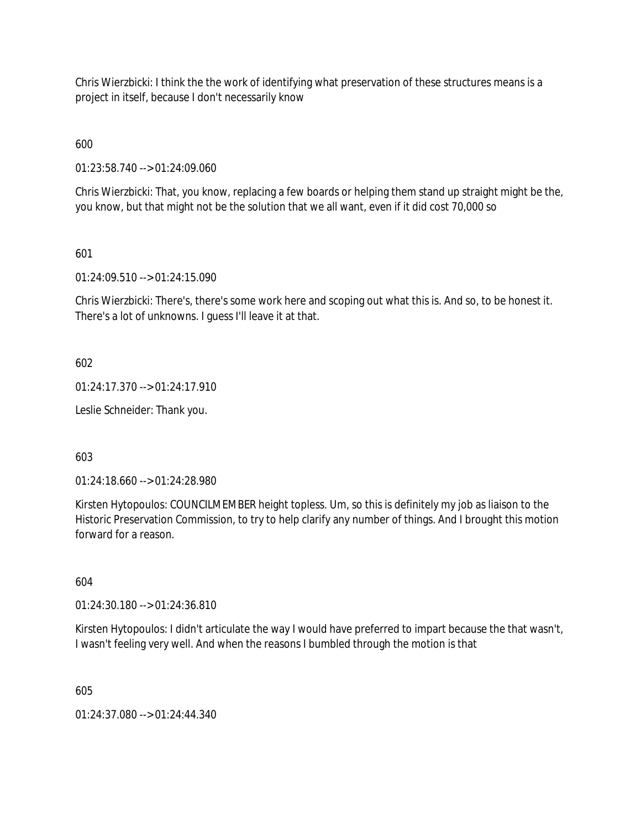Chris Wierzbicki: I think the the work of identifying what preservation of these structures means is a project in itself, because I don't necessarily know

600

01:23:58.740 --> 01:24:09.060

Chris Wierzbicki: That, you know, replacing a few boards or helping them stand up straight might be the, you know, but that might not be the solution that we all want, even if it did cost 70,000 so

# 601

01:24:09.510 --> 01:24:15.090

Chris Wierzbicki: There's, there's some work here and scoping out what this is. And so, to be honest it. There's a lot of unknowns. I guess I'll leave it at that.

602

01:24:17.370 --> 01:24:17.910

Leslie Schneider: Thank you.

603

01:24:18.660 --> 01:24:28.980

Kirsten Hytopoulos: COUNCILMEMBER height topless. Um, so this is definitely my job as liaison to the Historic Preservation Commission, to try to help clarify any number of things. And I brought this motion forward for a reason.

604

01:24:30.180 --> 01:24:36.810

Kirsten Hytopoulos: I didn't articulate the way I would have preferred to impart because the that wasn't, I wasn't feeling very well. And when the reasons I bumbled through the motion is that

605

01:24:37.080 --> 01:24:44.340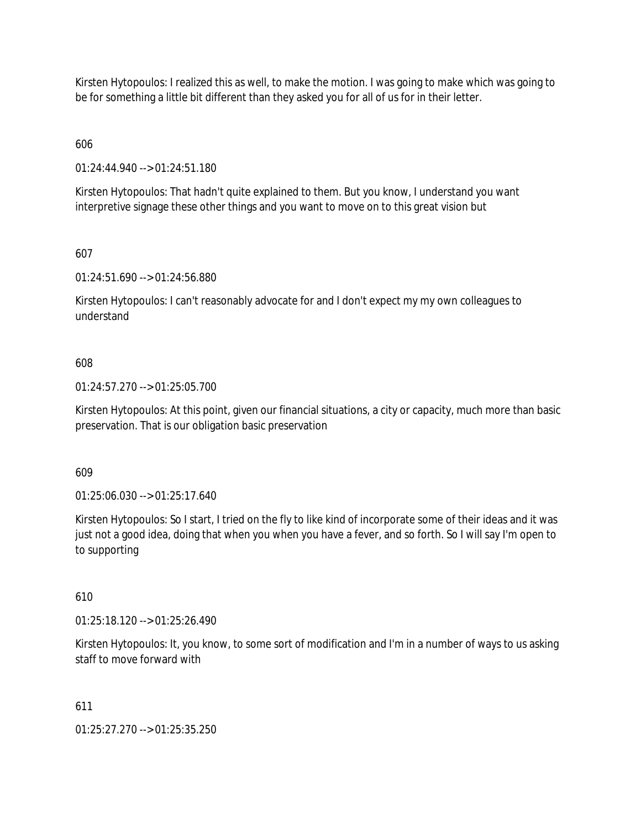Kirsten Hytopoulos: I realized this as well, to make the motion. I was going to make which was going to be for something a little bit different than they asked you for all of us for in their letter.

606

01:24:44.940 --> 01:24:51.180

Kirsten Hytopoulos: That hadn't quite explained to them. But you know, I understand you want interpretive signage these other things and you want to move on to this great vision but

607

01:24:51.690 --> 01:24:56.880

Kirsten Hytopoulos: I can't reasonably advocate for and I don't expect my my own colleagues to understand

#### 608

01:24:57.270 --> 01:25:05.700

Kirsten Hytopoulos: At this point, given our financial situations, a city or capacity, much more than basic preservation. That is our obligation basic preservation

609

01:25:06.030 --> 01:25:17.640

Kirsten Hytopoulos: So I start, I tried on the fly to like kind of incorporate some of their ideas and it was just not a good idea, doing that when you when you have a fever, and so forth. So I will say I'm open to to supporting

610

01:25:18.120 --> 01:25:26.490

Kirsten Hytopoulos: It, you know, to some sort of modification and I'm in a number of ways to us asking staff to move forward with

611

01:25:27.270 --> 01:25:35.250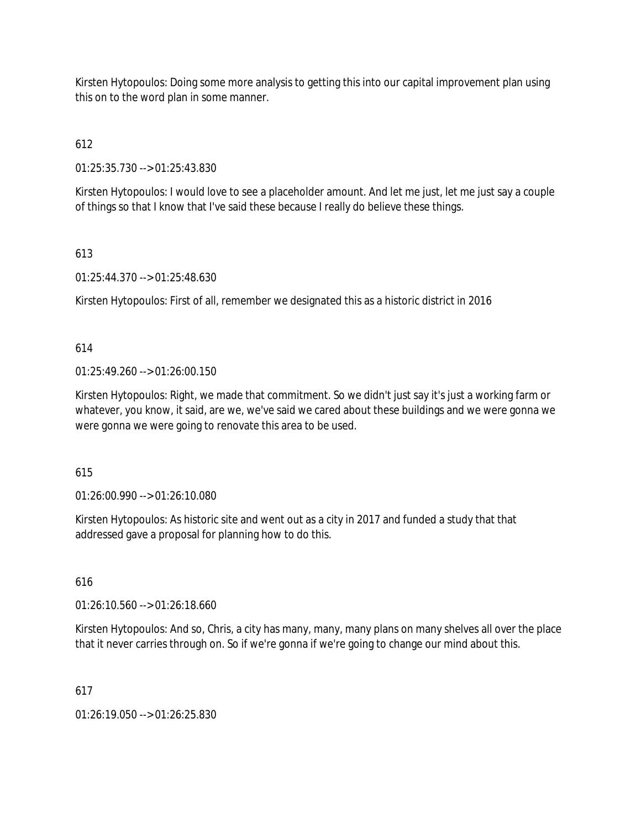Kirsten Hytopoulos: Doing some more analysis to getting this into our capital improvement plan using this on to the word plan in some manner.

# 612

01:25:35.730 --> 01:25:43.830

Kirsten Hytopoulos: I would love to see a placeholder amount. And let me just, let me just say a couple of things so that I know that I've said these because I really do believe these things.

# 613

01:25:44.370 --> 01:25:48.630

Kirsten Hytopoulos: First of all, remember we designated this as a historic district in 2016

# 614

01:25:49.260 --> 01:26:00.150

Kirsten Hytopoulos: Right, we made that commitment. So we didn't just say it's just a working farm or whatever, you know, it said, are we, we've said we cared about these buildings and we were gonna we were gonna we were going to renovate this area to be used.

# 615

01:26:00.990 --> 01:26:10.080

Kirsten Hytopoulos: As historic site and went out as a city in 2017 and funded a study that that addressed gave a proposal for planning how to do this.

# 616

01:26:10.560 --> 01:26:18.660

Kirsten Hytopoulos: And so, Chris, a city has many, many, many plans on many shelves all over the place that it never carries through on. So if we're gonna if we're going to change our mind about this.

# 617

01:26:19.050 --> 01:26:25.830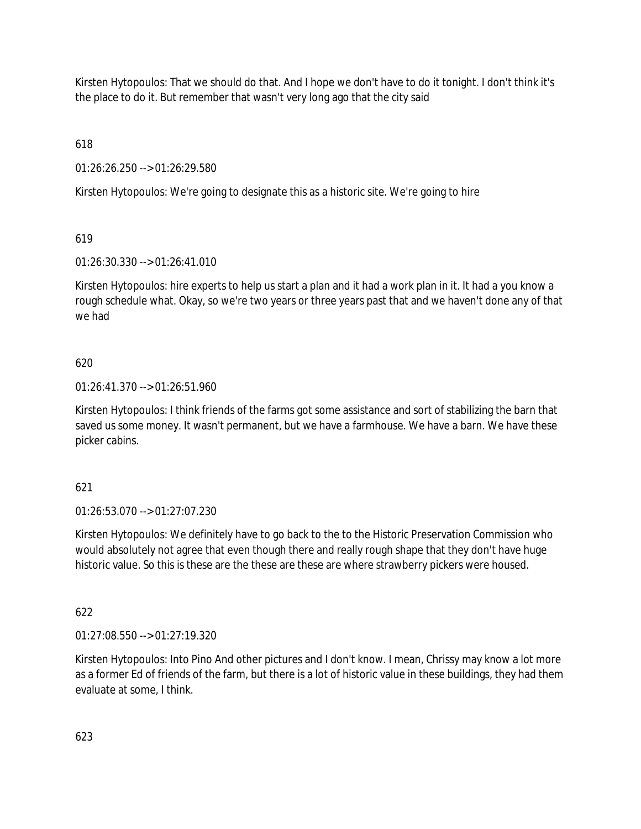Kirsten Hytopoulos: That we should do that. And I hope we don't have to do it tonight. I don't think it's the place to do it. But remember that wasn't very long ago that the city said

618

01:26:26.250 --> 01:26:29.580

Kirsten Hytopoulos: We're going to designate this as a historic site. We're going to hire

619

01:26:30.330 --> 01:26:41.010

Kirsten Hytopoulos: hire experts to help us start a plan and it had a work plan in it. It had a you know a rough schedule what. Okay, so we're two years or three years past that and we haven't done any of that we had

# 620

01:26:41.370 --> 01:26:51.960

Kirsten Hytopoulos: I think friends of the farms got some assistance and sort of stabilizing the barn that saved us some money. It wasn't permanent, but we have a farmhouse. We have a barn. We have these picker cabins.

# 621

01:26:53.070 --> 01:27:07.230

Kirsten Hytopoulos: We definitely have to go back to the to the Historic Preservation Commission who would absolutely not agree that even though there and really rough shape that they don't have huge historic value. So this is these are the these are these are where strawberry pickers were housed.

622

01:27:08.550 --> 01:27:19.320

Kirsten Hytopoulos: Into Pino And other pictures and I don't know. I mean, Chrissy may know a lot more as a former Ed of friends of the farm, but there is a lot of historic value in these buildings, they had them evaluate at some, I think.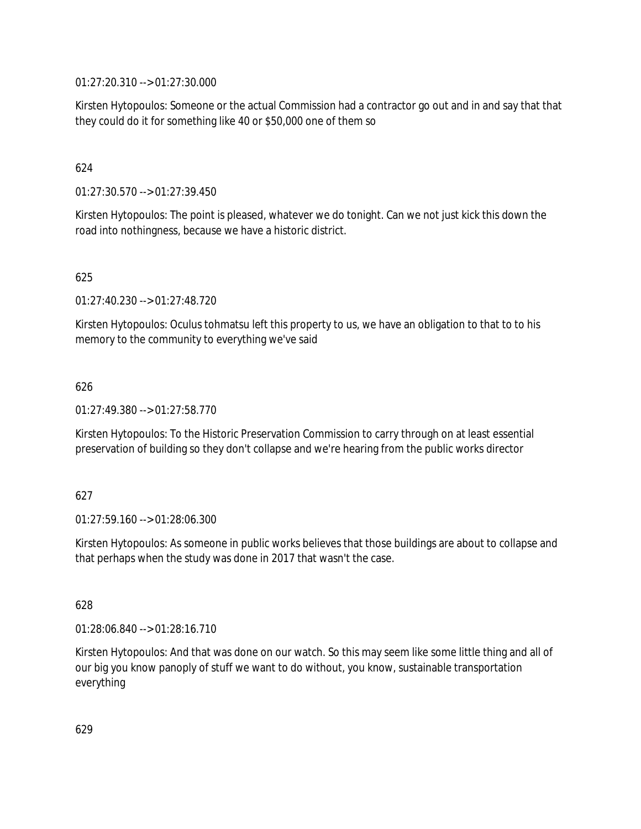01:27:20.310 --> 01:27:30.000

Kirsten Hytopoulos: Someone or the actual Commission had a contractor go out and in and say that that they could do it for something like 40 or \$50,000 one of them so

# 624

01:27:30.570 --> 01:27:39.450

Kirsten Hytopoulos: The point is pleased, whatever we do tonight. Can we not just kick this down the road into nothingness, because we have a historic district.

#### 625

01:27:40.230 --> 01:27:48.720

Kirsten Hytopoulos: Oculus tohmatsu left this property to us, we have an obligation to that to to his memory to the community to everything we've said

#### 626

01:27:49.380 --> 01:27:58.770

Kirsten Hytopoulos: To the Historic Preservation Commission to carry through on at least essential preservation of building so they don't collapse and we're hearing from the public works director

#### 627

01:27:59.160 --> 01:28:06.300

Kirsten Hytopoulos: As someone in public works believes that those buildings are about to collapse and that perhaps when the study was done in 2017 that wasn't the case.

#### 628

01:28:06.840 --> 01:28:16.710

Kirsten Hytopoulos: And that was done on our watch. So this may seem like some little thing and all of our big you know panoply of stuff we want to do without, you know, sustainable transportation everything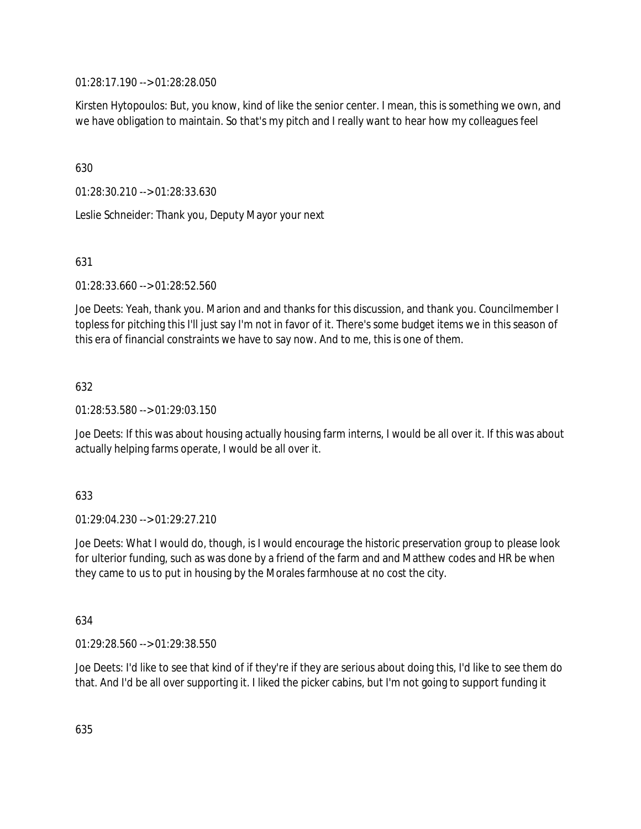01:28:17.190 --> 01:28:28.050

Kirsten Hytopoulos: But, you know, kind of like the senior center. I mean, this is something we own, and we have obligation to maintain. So that's my pitch and I really want to hear how my colleagues feel

630

01:28:30.210 --> 01:28:33.630

Leslie Schneider: Thank you, Deputy Mayor your next

631

01:28:33.660 --> 01:28:52.560

Joe Deets: Yeah, thank you. Marion and and thanks for this discussion, and thank you. Councilmember I topless for pitching this I'll just say I'm not in favor of it. There's some budget items we in this season of this era of financial constraints we have to say now. And to me, this is one of them.

632

01:28:53.580 --> 01:29:03.150

Joe Deets: If this was about housing actually housing farm interns, I would be all over it. If this was about actually helping farms operate, I would be all over it.

633

01:29:04.230 --> 01:29:27.210

Joe Deets: What I would do, though, is I would encourage the historic preservation group to please look for ulterior funding, such as was done by a friend of the farm and and Matthew codes and HR be when they came to us to put in housing by the Morales farmhouse at no cost the city.

634

01:29:28.560 --> 01:29:38.550

Joe Deets: I'd like to see that kind of if they're if they are serious about doing this, I'd like to see them do that. And I'd be all over supporting it. I liked the picker cabins, but I'm not going to support funding it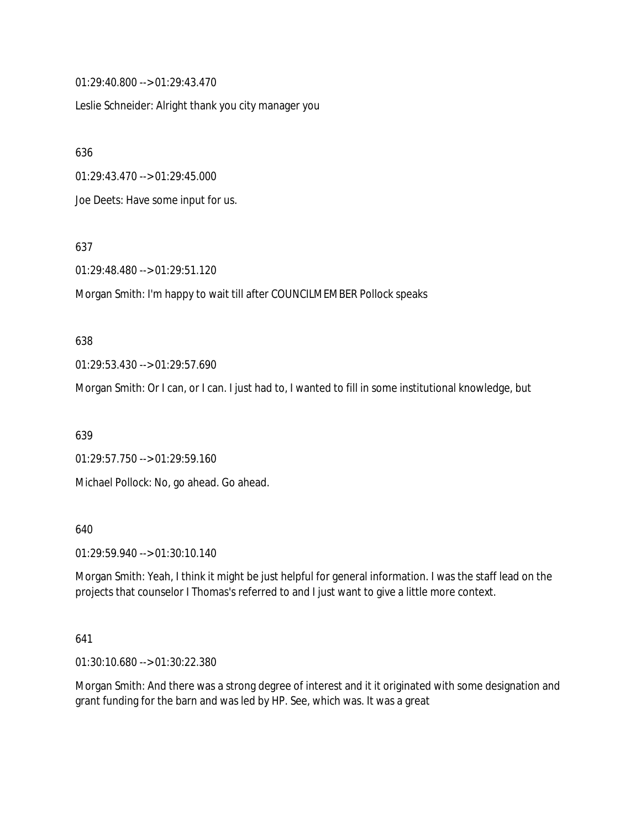01:29:40.800 --> 01:29:43.470

Leslie Schneider: Alright thank you city manager you

636

01:29:43.470 --> 01:29:45.000

Joe Deets: Have some input for us.

637

01:29:48.480 --> 01:29:51.120

Morgan Smith: I'm happy to wait till after COUNCILMEMBER Pollock speaks

#### 638

01:29:53.430 --> 01:29:57.690

Morgan Smith: Or I can, or I can. I just had to, I wanted to fill in some institutional knowledge, but

639

01:29:57.750 --> 01:29:59.160 Michael Pollock: No, go ahead. Go ahead.

640

01:29:59.940 --> 01:30:10.140

Morgan Smith: Yeah, I think it might be just helpful for general information. I was the staff lead on the projects that counselor I Thomas's referred to and I just want to give a little more context.

#### 641

01:30:10.680 --> 01:30:22.380

Morgan Smith: And there was a strong degree of interest and it it originated with some designation and grant funding for the barn and was led by HP. See, which was. It was a great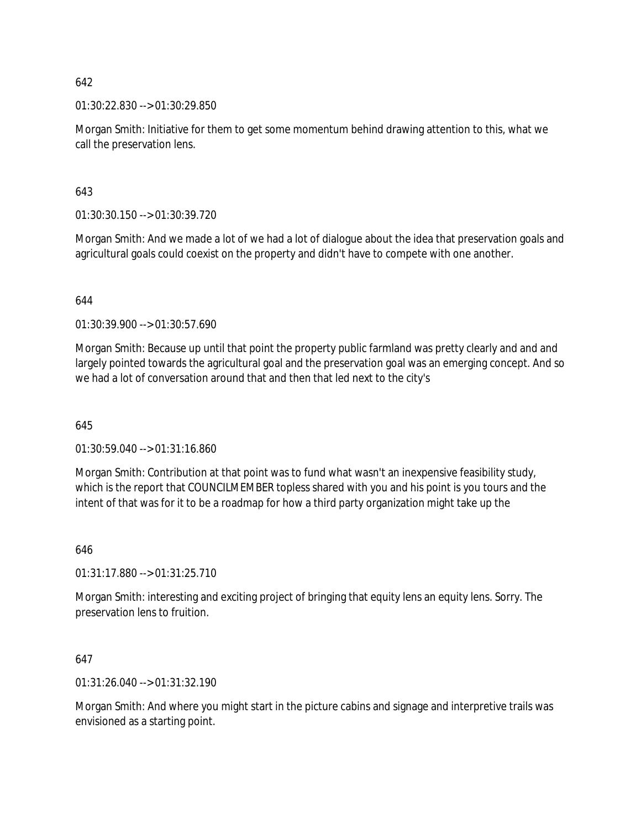01:30:22.830 --> 01:30:29.850

Morgan Smith: Initiative for them to get some momentum behind drawing attention to this, what we call the preservation lens.

643

01:30:30.150 --> 01:30:39.720

Morgan Smith: And we made a lot of we had a lot of dialogue about the idea that preservation goals and agricultural goals could coexist on the property and didn't have to compete with one another.

644

01:30:39.900 --> 01:30:57.690

Morgan Smith: Because up until that point the property public farmland was pretty clearly and and and largely pointed towards the agricultural goal and the preservation goal was an emerging concept. And so we had a lot of conversation around that and then that led next to the city's

645

01:30:59.040 --> 01:31:16.860

Morgan Smith: Contribution at that point was to fund what wasn't an inexpensive feasibility study, which is the report that COUNCILMEMBER topless shared with you and his point is you tours and the intent of that was for it to be a roadmap for how a third party organization might take up the

646

01:31:17.880 --> 01:31:25.710

Morgan Smith: interesting and exciting project of bringing that equity lens an equity lens. Sorry. The preservation lens to fruition.

647

01:31:26.040 --> 01:31:32.190

Morgan Smith: And where you might start in the picture cabins and signage and interpretive trails was envisioned as a starting point.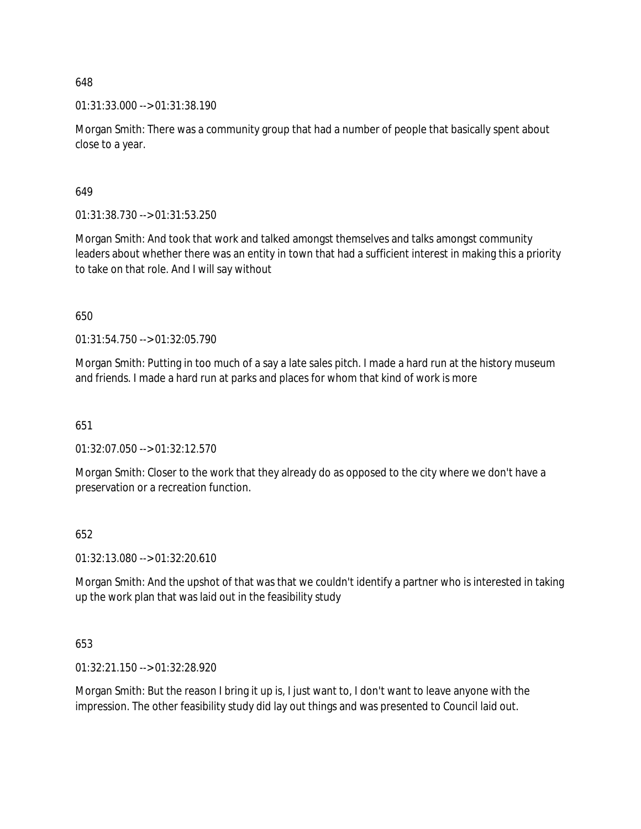01:31:33.000 --> 01:31:38.190

Morgan Smith: There was a community group that had a number of people that basically spent about close to a year.

649

01:31:38.730 --> 01:31:53.250

Morgan Smith: And took that work and talked amongst themselves and talks amongst community leaders about whether there was an entity in town that had a sufficient interest in making this a priority to take on that role. And I will say without

650

01:31:54.750 --> 01:32:05.790

Morgan Smith: Putting in too much of a say a late sales pitch. I made a hard run at the history museum and friends. I made a hard run at parks and places for whom that kind of work is more

651

01:32:07.050 --> 01:32:12.570

Morgan Smith: Closer to the work that they already do as opposed to the city where we don't have a preservation or a recreation function.

#### 652

01:32:13.080 --> 01:32:20.610

Morgan Smith: And the upshot of that was that we couldn't identify a partner who is interested in taking up the work plan that was laid out in the feasibility study

653

01:32:21.150 --> 01:32:28.920

Morgan Smith: But the reason I bring it up is, I just want to, I don't want to leave anyone with the impression. The other feasibility study did lay out things and was presented to Council laid out.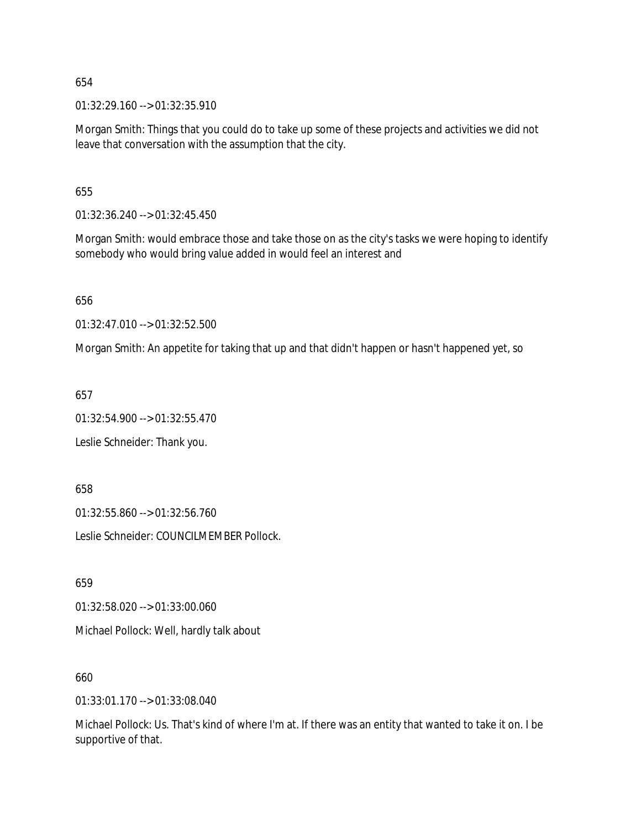01:32:29.160 --> 01:32:35.910

Morgan Smith: Things that you could do to take up some of these projects and activities we did not leave that conversation with the assumption that the city.

655

01:32:36.240 --> 01:32:45.450

Morgan Smith: would embrace those and take those on as the city's tasks we were hoping to identify somebody who would bring value added in would feel an interest and

656

01:32:47.010 --> 01:32:52.500

Morgan Smith: An appetite for taking that up and that didn't happen or hasn't happened yet, so

657

01:32:54.900 --> 01:32:55.470

Leslie Schneider: Thank you.

658

01:32:55.860 --> 01:32:56.760

Leslie Schneider: COUNCILMEMBER Pollock.

659

01:32:58.020 --> 01:33:00.060

Michael Pollock: Well, hardly talk about

660

01:33:01.170 --> 01:33:08.040

Michael Pollock: Us. That's kind of where I'm at. If there was an entity that wanted to take it on. I be supportive of that.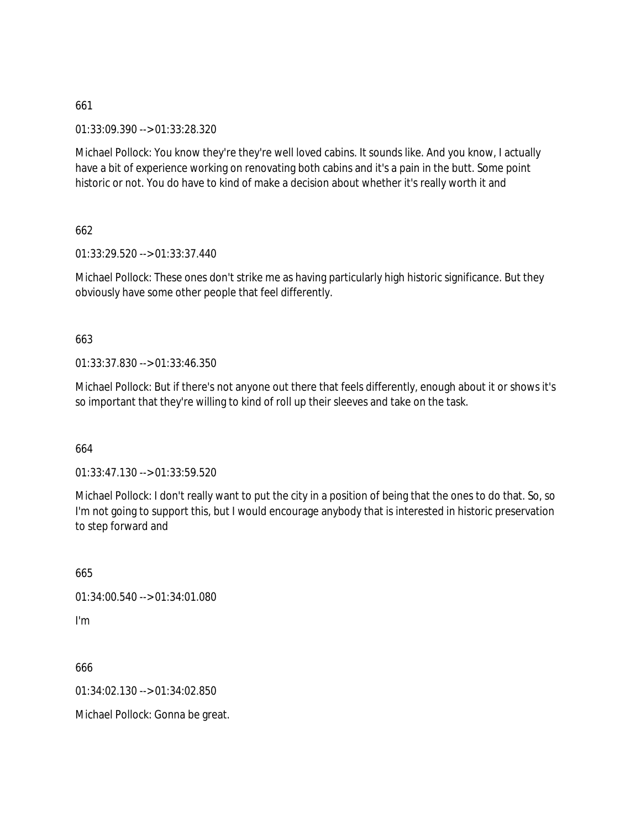01:33:09.390 --> 01:33:28.320

Michael Pollock: You know they're they're well loved cabins. It sounds like. And you know, I actually have a bit of experience working on renovating both cabins and it's a pain in the butt. Some point historic or not. You do have to kind of make a decision about whether it's really worth it and

662

01:33:29.520 --> 01:33:37.440

Michael Pollock: These ones don't strike me as having particularly high historic significance. But they obviously have some other people that feel differently.

# 663

01:33:37.830 --> 01:33:46.350

Michael Pollock: But if there's not anyone out there that feels differently, enough about it or shows it's so important that they're willing to kind of roll up their sleeves and take on the task.

664

01:33:47.130 --> 01:33:59.520

Michael Pollock: I don't really want to put the city in a position of being that the ones to do that. So, so I'm not going to support this, but I would encourage anybody that is interested in historic preservation to step forward and

665

01:34:00.540 --> 01:34:01.080

I'm

666

01:34:02.130 --> 01:34:02.850

Michael Pollock: Gonna be great.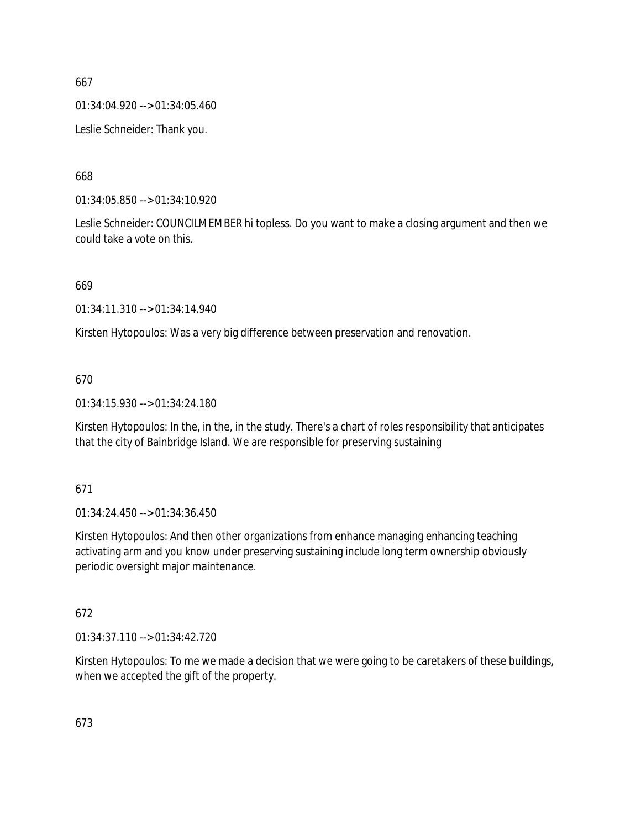01:34:04.920 --> 01:34:05.460

Leslie Schneider: Thank you.

668

01:34:05.850 --> 01:34:10.920

Leslie Schneider: COUNCILMEMBER hi topless. Do you want to make a closing argument and then we could take a vote on this.

669

01:34:11.310 --> 01:34:14.940

Kirsten Hytopoulos: Was a very big difference between preservation and renovation.

# 670

01:34:15.930 --> 01:34:24.180

Kirsten Hytopoulos: In the, in the, in the study. There's a chart of roles responsibility that anticipates that the city of Bainbridge Island. We are responsible for preserving sustaining

671

01:34:24.450 --> 01:34:36.450

Kirsten Hytopoulos: And then other organizations from enhance managing enhancing teaching activating arm and you know under preserving sustaining include long term ownership obviously periodic oversight major maintenance.

672

01:34:37.110 --> 01:34:42.720

Kirsten Hytopoulos: To me we made a decision that we were going to be caretakers of these buildings, when we accepted the gift of the property.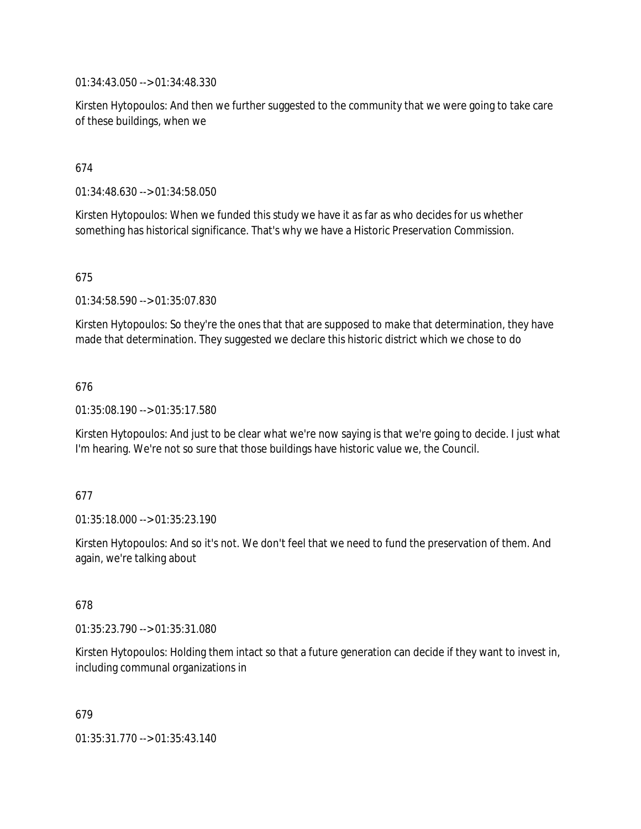01:34:43.050 --> 01:34:48.330

Kirsten Hytopoulos: And then we further suggested to the community that we were going to take care of these buildings, when we

# 674

01:34:48.630 --> 01:34:58.050

Kirsten Hytopoulos: When we funded this study we have it as far as who decides for us whether something has historical significance. That's why we have a Historic Preservation Commission.

# 675

01:34:58.590 --> 01:35:07.830

Kirsten Hytopoulos: So they're the ones that that are supposed to make that determination, they have made that determination. They suggested we declare this historic district which we chose to do

# 676

01:35:08.190 --> 01:35:17.580

Kirsten Hytopoulos: And just to be clear what we're now saying is that we're going to decide. I just what I'm hearing. We're not so sure that those buildings have historic value we, the Council.

#### 677

01:35:18.000 --> 01:35:23.190

Kirsten Hytopoulos: And so it's not. We don't feel that we need to fund the preservation of them. And again, we're talking about

#### 678

01:35:23.790 --> 01:35:31.080

Kirsten Hytopoulos: Holding them intact so that a future generation can decide if they want to invest in, including communal organizations in

679

01:35:31.770 --> 01:35:43.140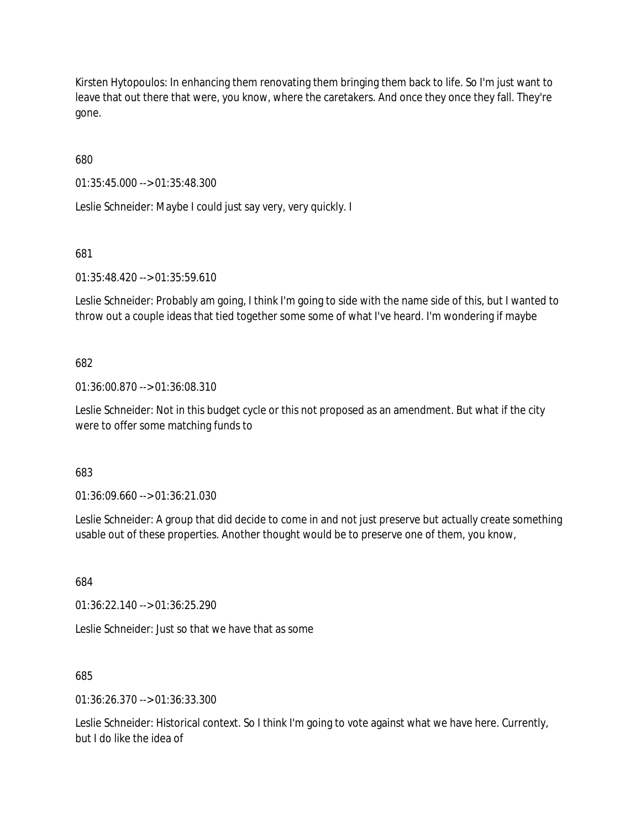Kirsten Hytopoulos: In enhancing them renovating them bringing them back to life. So I'm just want to leave that out there that were, you know, where the caretakers. And once they once they fall. They're gone.

680

01:35:45.000 --> 01:35:48.300

Leslie Schneider: Maybe I could just say very, very quickly. I

681

01:35:48.420 --> 01:35:59.610

Leslie Schneider: Probably am going, I think I'm going to side with the name side of this, but I wanted to throw out a couple ideas that tied together some some of what I've heard. I'm wondering if maybe

682

01:36:00.870 --> 01:36:08.310

Leslie Schneider: Not in this budget cycle or this not proposed as an amendment. But what if the city were to offer some matching funds to

683

01:36:09.660 --> 01:36:21.030

Leslie Schneider: A group that did decide to come in and not just preserve but actually create something usable out of these properties. Another thought would be to preserve one of them, you know,

684

01:36:22.140 --> 01:36:25.290

Leslie Schneider: Just so that we have that as some

685

01:36:26.370 --> 01:36:33.300

Leslie Schneider: Historical context. So I think I'm going to vote against what we have here. Currently, but I do like the idea of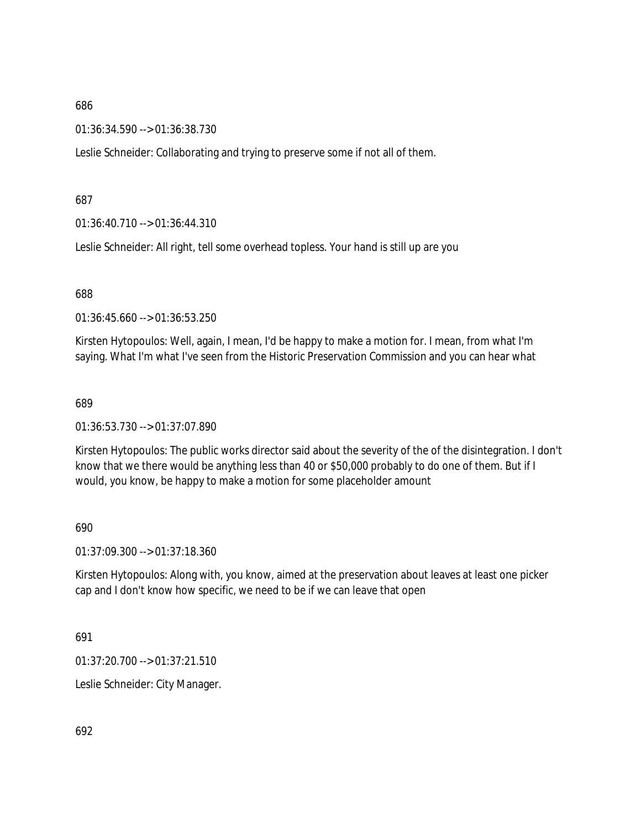01:36:34.590 --> 01:36:38.730

Leslie Schneider: Collaborating and trying to preserve some if not all of them.

687

01:36:40.710 --> 01:36:44.310

Leslie Schneider: All right, tell some overhead topless. Your hand is still up are you

688

01:36:45.660 --> 01:36:53.250

Kirsten Hytopoulos: Well, again, I mean, I'd be happy to make a motion for. I mean, from what I'm saying. What I'm what I've seen from the Historic Preservation Commission and you can hear what

689

01:36:53.730 --> 01:37:07.890

Kirsten Hytopoulos: The public works director said about the severity of the of the disintegration. I don't know that we there would be anything less than 40 or \$50,000 probably to do one of them. But if I would, you know, be happy to make a motion for some placeholder amount

690

01:37:09.300 --> 01:37:18.360

Kirsten Hytopoulos: Along with, you know, aimed at the preservation about leaves at least one picker cap and I don't know how specific, we need to be if we can leave that open

691

01:37:20.700 --> 01:37:21.510

Leslie Schneider: City Manager.

692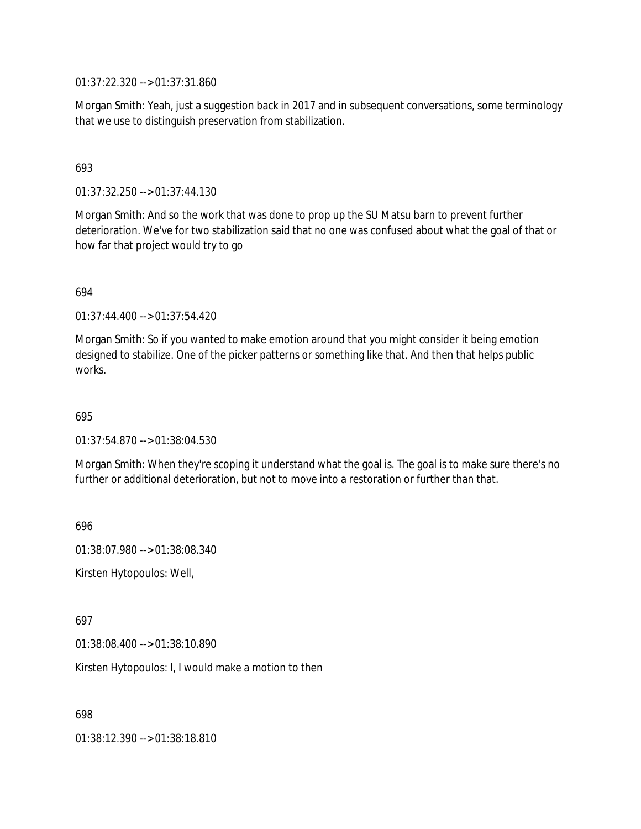01:37:22.320 --> 01:37:31.860

Morgan Smith: Yeah, just a suggestion back in 2017 and in subsequent conversations, some terminology that we use to distinguish preservation from stabilization.

### 693

01:37:32.250 --> 01:37:44.130

Morgan Smith: And so the work that was done to prop up the SU Matsu barn to prevent further deterioration. We've for two stabilization said that no one was confused about what the goal of that or how far that project would try to go

#### 694

01:37:44.400 --> 01:37:54.420

Morgan Smith: So if you wanted to make emotion around that you might consider it being emotion designed to stabilize. One of the picker patterns or something like that. And then that helps public works.

### 695

01:37:54.870 --> 01:38:04.530

Morgan Smith: When they're scoping it understand what the goal is. The goal is to make sure there's no further or additional deterioration, but not to move into a restoration or further than that.

696

01:38:07.980 --> 01:38:08.340

Kirsten Hytopoulos: Well,

#### 697

01:38:08.400 --> 01:38:10.890

Kirsten Hytopoulos: I, I would make a motion to then

698

01:38:12.390 --> 01:38:18.810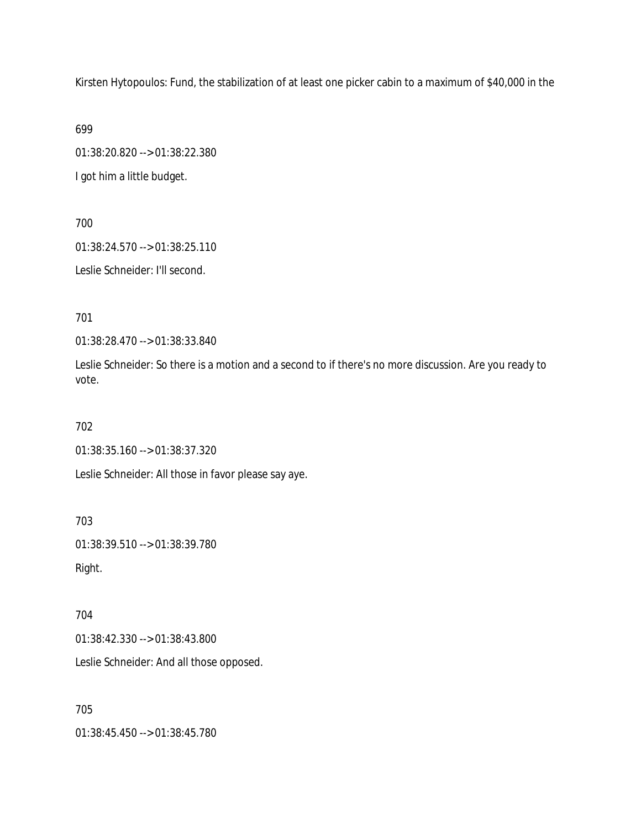Kirsten Hytopoulos: Fund, the stabilization of at least one picker cabin to a maximum of \$40,000 in the

699

01:38:20.820 --> 01:38:22.380

I got him a little budget.

700

01:38:24.570 --> 01:38:25.110

Leslie Schneider: I'll second.

701

01:38:28.470 --> 01:38:33.840

Leslie Schneider: So there is a motion and a second to if there's no more discussion. Are you ready to vote.

702

01:38:35.160 --> 01:38:37.320

Leslie Schneider: All those in favor please say aye.

703

01:38:39.510 --> 01:38:39.780 Right.

704

01:38:42.330 --> 01:38:43.800

Leslie Schneider: And all those opposed.

705

01:38:45.450 --> 01:38:45.780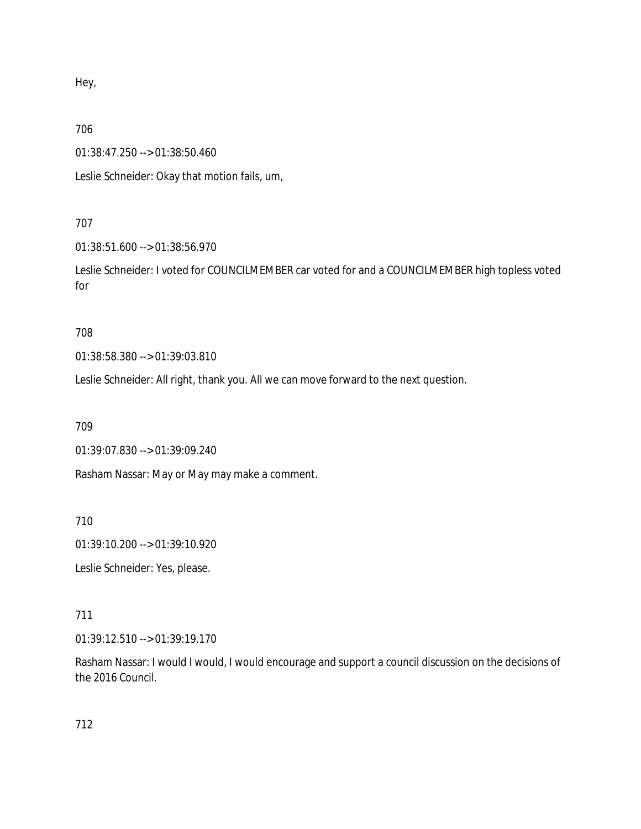Hey,

706

01:38:47.250 --> 01:38:50.460

Leslie Schneider: Okay that motion fails, um,

# 707

01:38:51.600 --> 01:38:56.970

Leslie Schneider: I voted for COUNCILMEMBER car voted for and a COUNCILMEMBER high topless voted for

708

01:38:58.380 --> 01:39:03.810

Leslie Schneider: All right, thank you. All we can move forward to the next question.

709

01:39:07.830 --> 01:39:09.240

Rasham Nassar: May or May may make a comment.

710

01:39:10.200 --> 01:39:10.920

Leslie Schneider: Yes, please.

# 711

01:39:12.510 --> 01:39:19.170

Rasham Nassar: I would I would, I would encourage and support a council discussion on the decisions of the 2016 Council.

712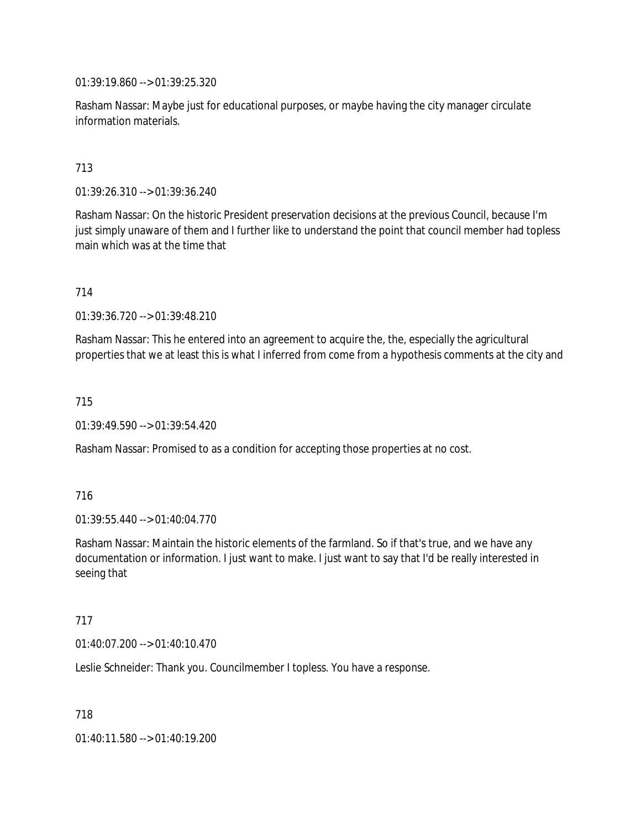01:39:19.860 --> 01:39:25.320

Rasham Nassar: Maybe just for educational purposes, or maybe having the city manager circulate information materials.

### 713

01:39:26.310 --> 01:39:36.240

Rasham Nassar: On the historic President preservation decisions at the previous Council, because I'm just simply unaware of them and I further like to understand the point that council member had topless main which was at the time that

#### 714

01:39:36.720 --> 01:39:48.210

Rasham Nassar: This he entered into an agreement to acquire the, the, especially the agricultural properties that we at least this is what I inferred from come from a hypothesis comments at the city and

#### 715

01:39:49.590 --> 01:39:54.420

Rasham Nassar: Promised to as a condition for accepting those properties at no cost.

### 716

01:39:55.440 --> 01:40:04.770

Rasham Nassar: Maintain the historic elements of the farmland. So if that's true, and we have any documentation or information. I just want to make. I just want to say that I'd be really interested in seeing that

### 717

01:40:07.200 --> 01:40:10.470

Leslie Schneider: Thank you. Councilmember I topless. You have a response.

718

01:40:11.580 --> 01:40:19.200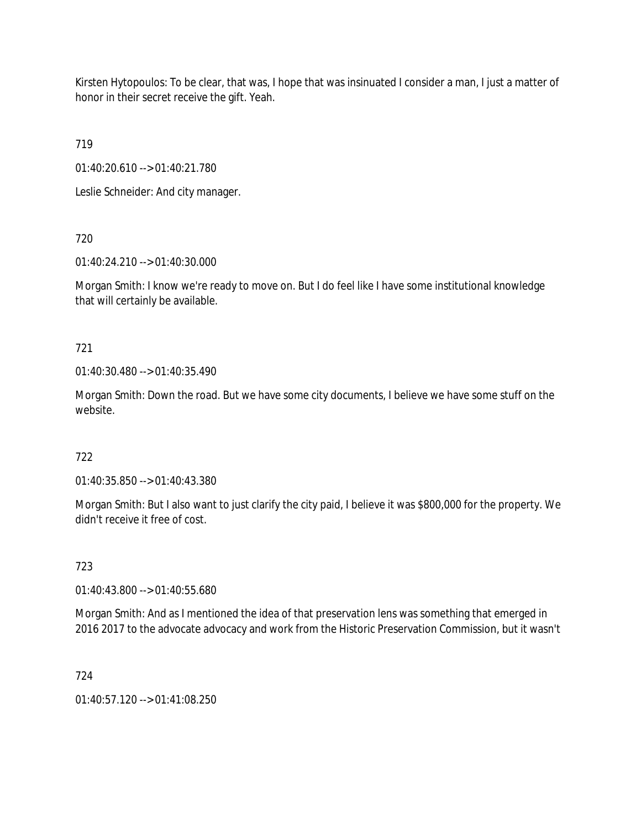Kirsten Hytopoulos: To be clear, that was, I hope that was insinuated I consider a man, I just a matter of honor in their secret receive the gift. Yeah.

719

01:40:20.610 --> 01:40:21.780

Leslie Schneider: And city manager.

720

01:40:24.210 --> 01:40:30.000

Morgan Smith: I know we're ready to move on. But I do feel like I have some institutional knowledge that will certainly be available.

721

01:40:30.480 --> 01:40:35.490

Morgan Smith: Down the road. But we have some city documents, I believe we have some stuff on the website.

722

01:40:35.850 --> 01:40:43.380

Morgan Smith: But I also want to just clarify the city paid, I believe it was \$800,000 for the property. We didn't receive it free of cost.

723

01:40:43.800 --> 01:40:55.680

Morgan Smith: And as I mentioned the idea of that preservation lens was something that emerged in 2016 2017 to the advocate advocacy and work from the Historic Preservation Commission, but it wasn't

724

 $01:40:57.120 \rightarrow 01:41:08.250$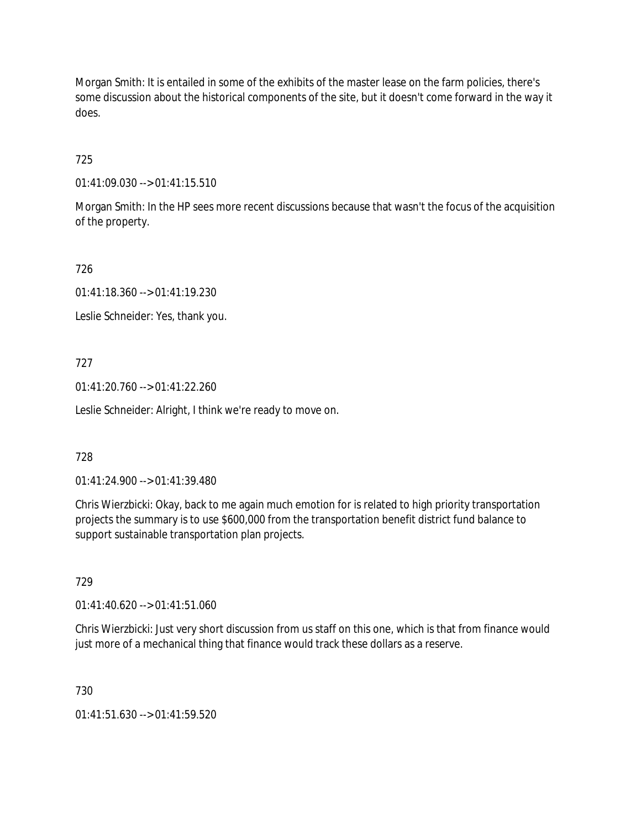Morgan Smith: It is entailed in some of the exhibits of the master lease on the farm policies, there's some discussion about the historical components of the site, but it doesn't come forward in the way it does.

725

01:41:09.030 --> 01:41:15.510

Morgan Smith: In the HP sees more recent discussions because that wasn't the focus of the acquisition of the property.

726

01:41:18.360 --> 01:41:19.230

Leslie Schneider: Yes, thank you.

727

01:41:20.760 --> 01:41:22.260

Leslie Schneider: Alright, I think we're ready to move on.

728

01:41:24.900 --> 01:41:39.480

Chris Wierzbicki: Okay, back to me again much emotion for is related to high priority transportation projects the summary is to use \$600,000 from the transportation benefit district fund balance to support sustainable transportation plan projects.

729

01:41:40.620 --> 01:41:51.060

Chris Wierzbicki: Just very short discussion from us staff on this one, which is that from finance would just more of a mechanical thing that finance would track these dollars as a reserve.

730

01:41:51.630 --> 01:41:59.520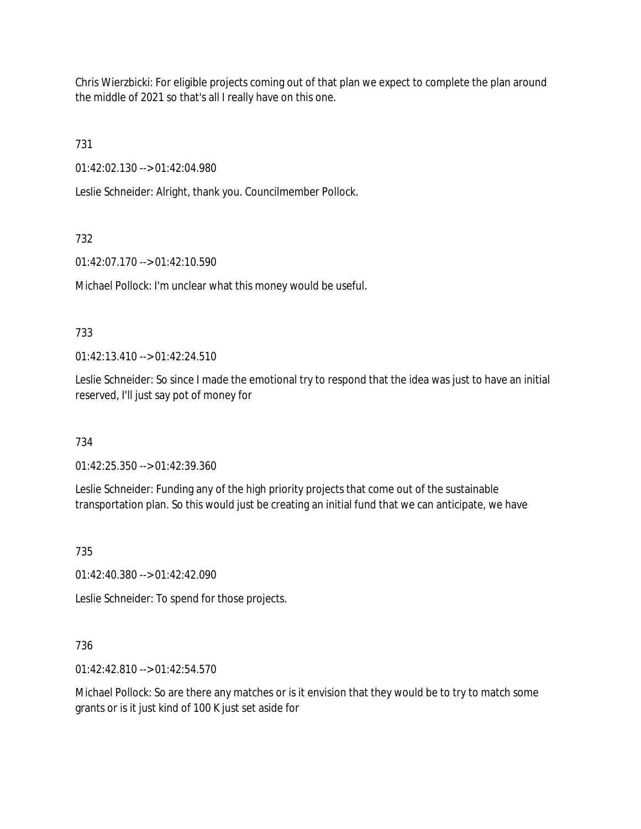Chris Wierzbicki: For eligible projects coming out of that plan we expect to complete the plan around the middle of 2021 so that's all I really have on this one.

731

01:42:02.130 --> 01:42:04.980

Leslie Schneider: Alright, thank you. Councilmember Pollock.

# 732

01:42:07.170 --> 01:42:10.590

Michael Pollock: I'm unclear what this money would be useful.

# 733

01:42:13.410 --> 01:42:24.510

Leslie Schneider: So since I made the emotional try to respond that the idea was just to have an initial reserved, I'll just say pot of money for

# 734

01:42:25.350 --> 01:42:39.360

Leslie Schneider: Funding any of the high priority projects that come out of the sustainable transportation plan. So this would just be creating an initial fund that we can anticipate, we have

735

01:42:40.380 --> 01:42:42.090

Leslie Schneider: To spend for those projects.

# 736

01:42:42.810 --> 01:42:54.570

Michael Pollock: So are there any matches or is it envision that they would be to try to match some grants or is it just kind of 100 K just set aside for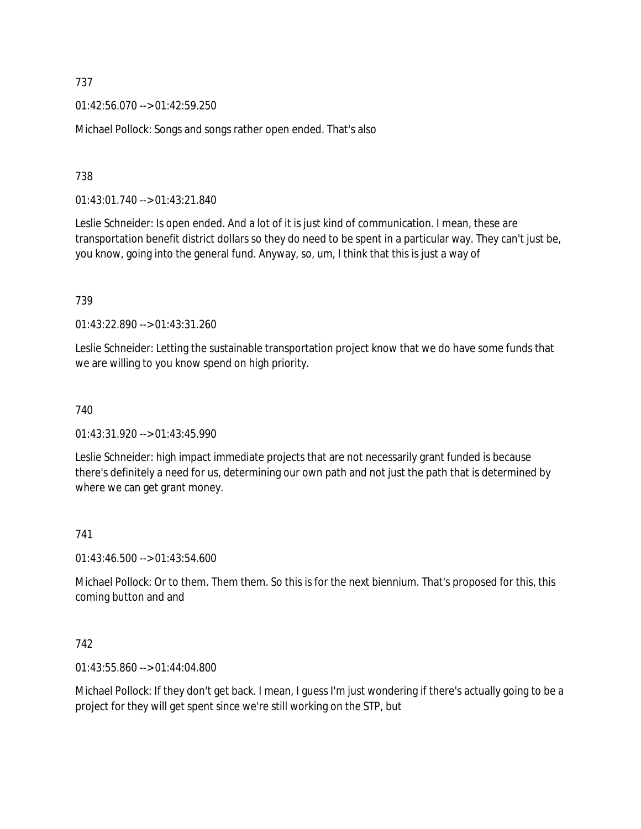01:42:56.070 --> 01:42:59.250

Michael Pollock: Songs and songs rather open ended. That's also

### 738

01:43:01.740 --> 01:43:21.840

Leslie Schneider: Is open ended. And a lot of it is just kind of communication. I mean, these are transportation benefit district dollars so they do need to be spent in a particular way. They can't just be, you know, going into the general fund. Anyway, so, um, I think that this is just a way of

### 739

01:43:22.890 --> 01:43:31.260

Leslie Schneider: Letting the sustainable transportation project know that we do have some funds that we are willing to you know spend on high priority.

### 740

01:43:31.920 --> 01:43:45.990

Leslie Schneider: high impact immediate projects that are not necessarily grant funded is because there's definitely a need for us, determining our own path and not just the path that is determined by where we can get grant money.

# 741

01:43:46.500 --> 01:43:54.600

Michael Pollock: Or to them. Them them. So this is for the next biennium. That's proposed for this, this coming button and and

### 742

01:43:55.860 --> 01:44:04.800

Michael Pollock: If they don't get back. I mean, I guess I'm just wondering if there's actually going to be a project for they will get spent since we're still working on the STP, but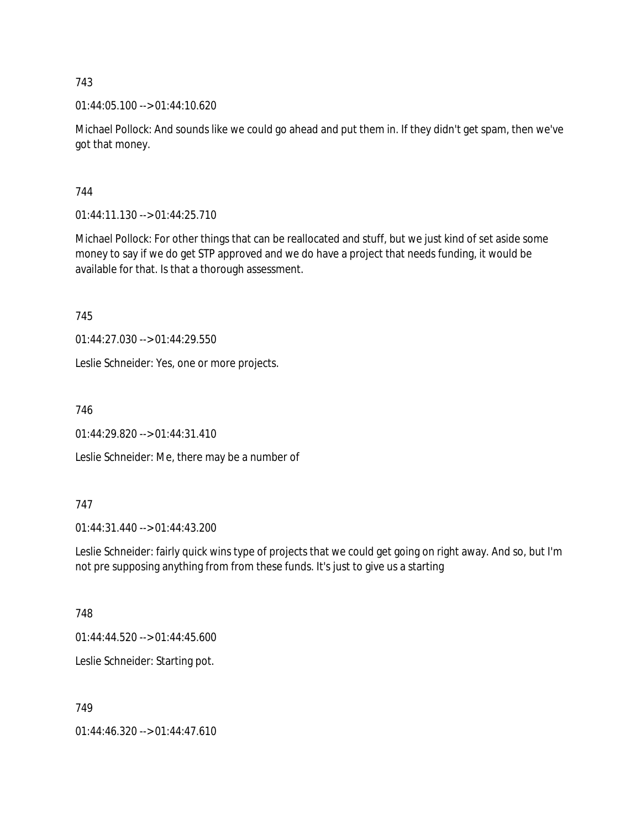01:44:05.100 --> 01:44:10.620

Michael Pollock: And sounds like we could go ahead and put them in. If they didn't get spam, then we've got that money.

# 744

01:44:11.130 --> 01:44:25.710

Michael Pollock: For other things that can be reallocated and stuff, but we just kind of set aside some money to say if we do get STP approved and we do have a project that needs funding, it would be available for that. Is that a thorough assessment.

745

01:44:27.030 --> 01:44:29.550

Leslie Schneider: Yes, one or more projects.

746

01:44:29.820 --> 01:44:31.410

Leslie Schneider: Me, there may be a number of

# 747

01:44:31.440 --> 01:44:43.200

Leslie Schneider: fairly quick wins type of projects that we could get going on right away. And so, but I'm not pre supposing anything from from these funds. It's just to give us a starting

### 748

01:44:44.520 --> 01:44:45.600

Leslie Schneider: Starting pot.

749

01:44:46.320 --> 01:44:47.610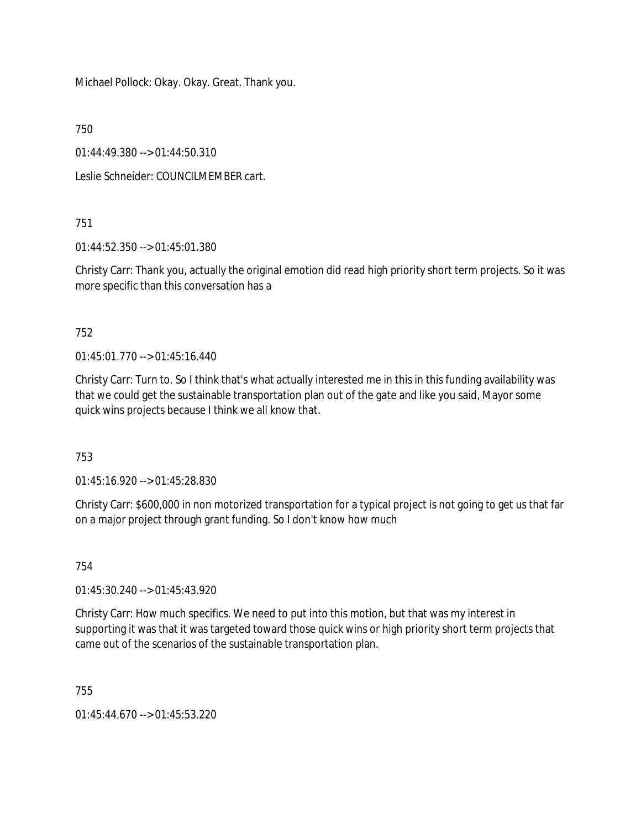Michael Pollock: Okay. Okay. Great. Thank you.

750

01:44:49.380 --> 01:44:50.310

Leslie Schneider: COUNCILMEMBER cart.

751

01:44:52.350 --> 01:45:01.380

Christy Carr: Thank you, actually the original emotion did read high priority short term projects. So it was more specific than this conversation has a

752

01:45:01.770 --> 01:45:16.440

Christy Carr: Turn to. So I think that's what actually interested me in this in this funding availability was that we could get the sustainable transportation plan out of the gate and like you said, Mayor some quick wins projects because I think we all know that.

753

01:45:16.920 --> 01:45:28.830

Christy Carr: \$600,000 in non motorized transportation for a typical project is not going to get us that far on a major project through grant funding. So I don't know how much

754

01:45:30.240 --> 01:45:43.920

Christy Carr: How much specifics. We need to put into this motion, but that was my interest in supporting it was that it was targeted toward those quick wins or high priority short term projects that came out of the scenarios of the sustainable transportation plan.

755

01:45:44.670 --> 01:45:53.220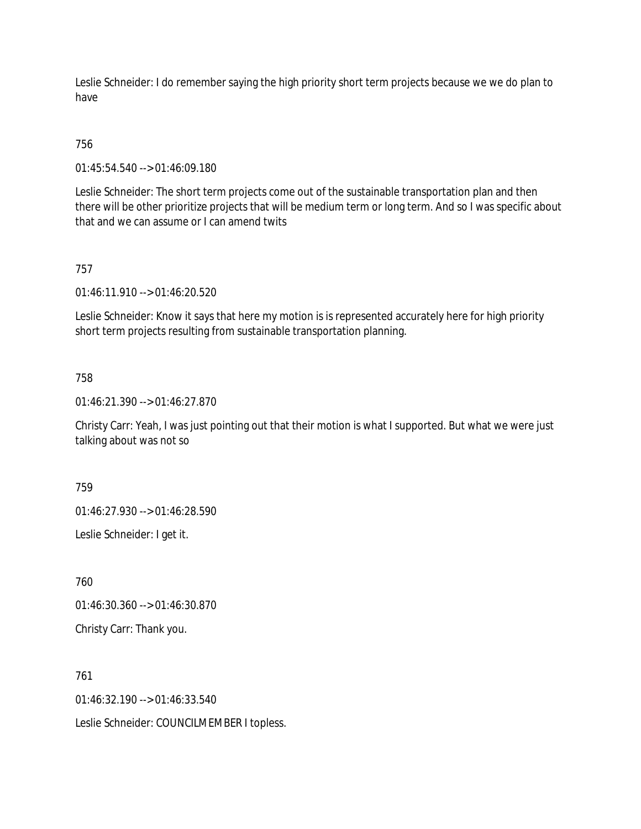Leslie Schneider: I do remember saying the high priority short term projects because we we do plan to have

# 756

01:45:54.540 --> 01:46:09.180

Leslie Schneider: The short term projects come out of the sustainable transportation plan and then there will be other prioritize projects that will be medium term or long term. And so I was specific about that and we can assume or I can amend twits

# 757

01:46:11.910 --> 01:46:20.520

Leslie Schneider: Know it says that here my motion is is represented accurately here for high priority short term projects resulting from sustainable transportation planning.

### 758

01:46:21.390 --> 01:46:27.870

Christy Carr: Yeah, I was just pointing out that their motion is what I supported. But what we were just talking about was not so

759

01:46:27.930 --> 01:46:28.590

Leslie Schneider: I get it.

760

01:46:30.360 --> 01:46:30.870

Christy Carr: Thank you.

761

01:46:32.190 --> 01:46:33.540

Leslie Schneider: COUNCILMEMBER I topless.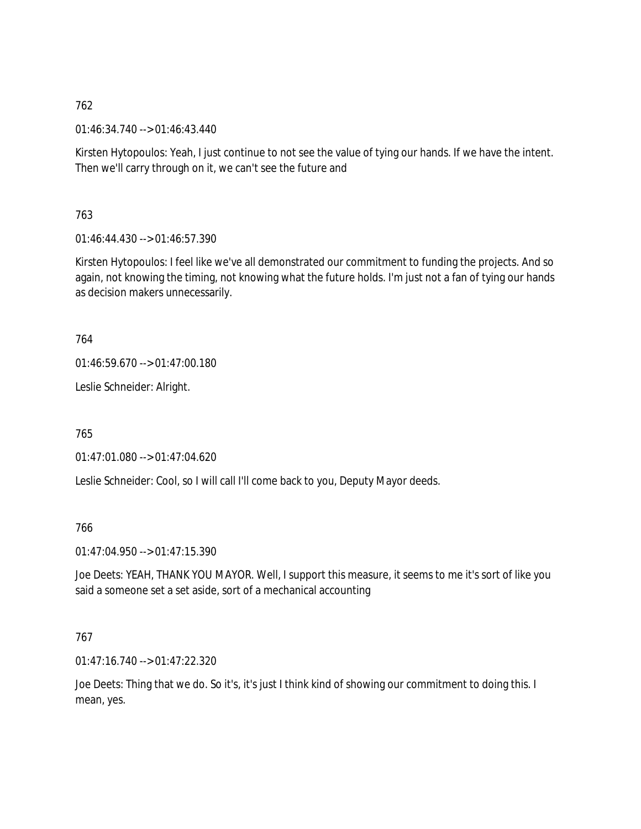01:46:34.740 --> 01:46:43.440

Kirsten Hytopoulos: Yeah, I just continue to not see the value of tying our hands. If we have the intent. Then we'll carry through on it, we can't see the future and

763

01:46:44.430 --> 01:46:57.390

Kirsten Hytopoulos: I feel like we've all demonstrated our commitment to funding the projects. And so again, not knowing the timing, not knowing what the future holds. I'm just not a fan of tying our hands as decision makers unnecessarily.

764

01:46:59.670 --> 01:47:00.180

Leslie Schneider: Alright.

765

01:47:01.080 --> 01:47:04.620

Leslie Schneider: Cool, so I will call I'll come back to you, Deputy Mayor deeds.

766

01:47:04.950 --> 01:47:15.390

Joe Deets: YEAH, THANK YOU MAYOR. Well, I support this measure, it seems to me it's sort of like you said a someone set a set aside, sort of a mechanical accounting

767

01:47:16.740 --> 01:47:22.320

Joe Deets: Thing that we do. So it's, it's just I think kind of showing our commitment to doing this. I mean, yes.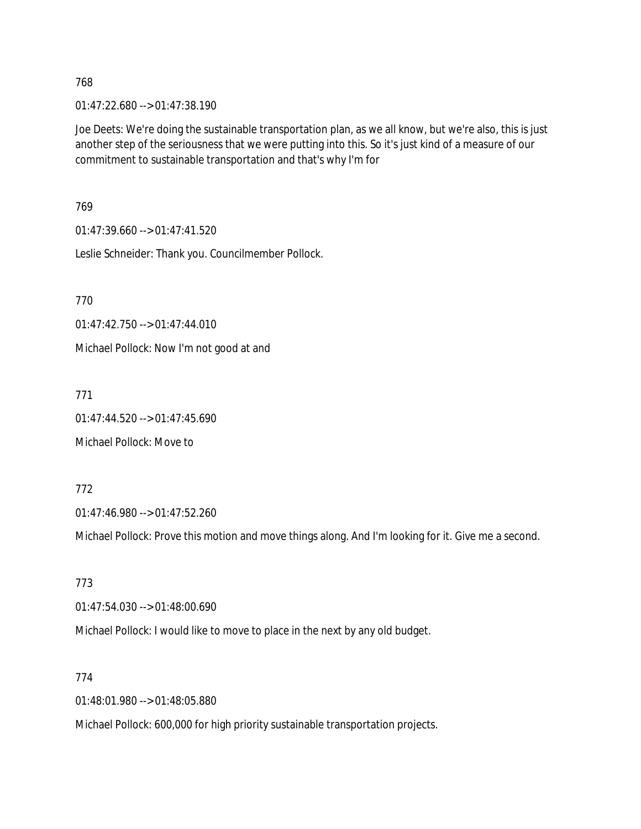01:47:22.680 --> 01:47:38.190

Joe Deets: We're doing the sustainable transportation plan, as we all know, but we're also, this is just another step of the seriousness that we were putting into this. So it's just kind of a measure of our commitment to sustainable transportation and that's why I'm for

769

01:47:39.660 --> 01:47:41.520

Leslie Schneider: Thank you. Councilmember Pollock.

770

01:47:42.750 --> 01:47:44.010

Michael Pollock: Now I'm not good at and

771

01:47:44.520 --> 01:47:45.690

Michael Pollock: Move to

772

01:47:46.980 --> 01:47:52.260

Michael Pollock: Prove this motion and move things along. And I'm looking for it. Give me a second.

773

01:47:54.030 --> 01:48:00.690

Michael Pollock: I would like to move to place in the next by any old budget.

774

01:48:01.980 --> 01:48:05.880

Michael Pollock: 600,000 for high priority sustainable transportation projects.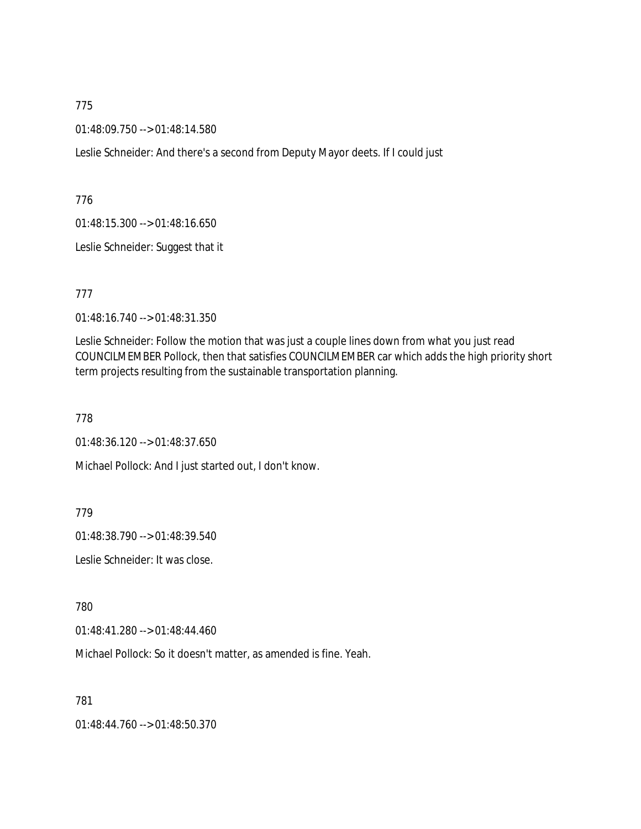01:48:09.750 --> 01:48:14.580

Leslie Schneider: And there's a second from Deputy Mayor deets. If I could just

776

01:48:15.300 --> 01:48:16.650

Leslie Schneider: Suggest that it

777

01:48:16.740 --> 01:48:31.350

Leslie Schneider: Follow the motion that was just a couple lines down from what you just read COUNCILMEMBER Pollock, then that satisfies COUNCILMEMBER car which adds the high priority short term projects resulting from the sustainable transportation planning.

778

01:48:36.120 --> 01:48:37.650

Michael Pollock: And I just started out, I don't know.

779

01:48:38.790 --> 01:48:39.540

Leslie Schneider: It was close.

780

01:48:41.280 --> 01:48:44.460

Michael Pollock: So it doesn't matter, as amended is fine. Yeah.

781

01:48:44.760 --> 01:48:50.370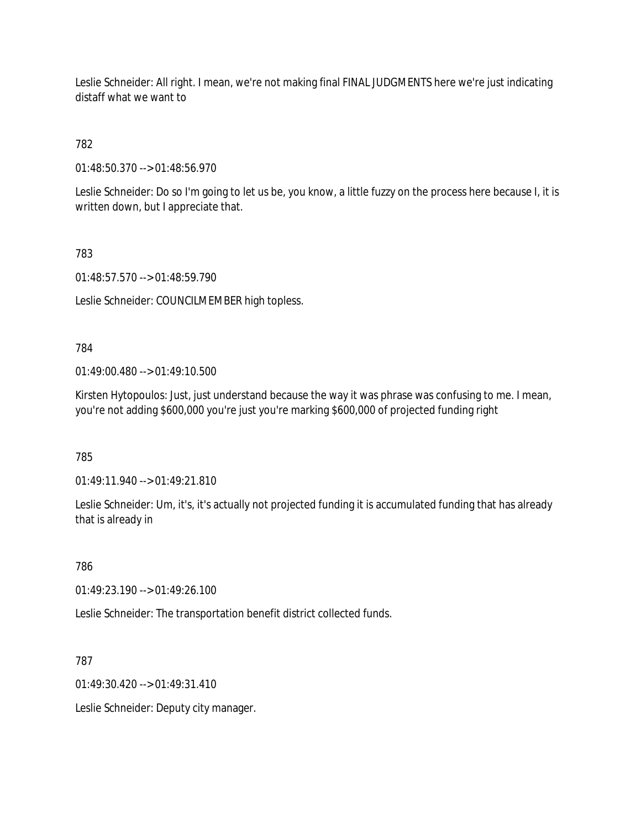Leslie Schneider: All right. I mean, we're not making final FINAL JUDGMENTS here we're just indicating distaff what we want to

# 782

01:48:50.370 --> 01:48:56.970

Leslie Schneider: Do so I'm going to let us be, you know, a little fuzzy on the process here because I, it is written down, but I appreciate that.

### 783

01:48:57.570 --> 01:48:59.790

Leslie Schneider: COUNCILMEMBER high topless.

### 784

01:49:00.480 --> 01:49:10.500

Kirsten Hytopoulos: Just, just understand because the way it was phrase was confusing to me. I mean, you're not adding \$600,000 you're just you're marking \$600,000 of projected funding right

# 785

01:49:11.940 --> 01:49:21.810

Leslie Schneider: Um, it's, it's actually not projected funding it is accumulated funding that has already that is already in

# 786

01:49:23.190 --> 01:49:26.100

Leslie Schneider: The transportation benefit district collected funds.

### 787

01:49:30.420 --> 01:49:31.410

Leslie Schneider: Deputy city manager.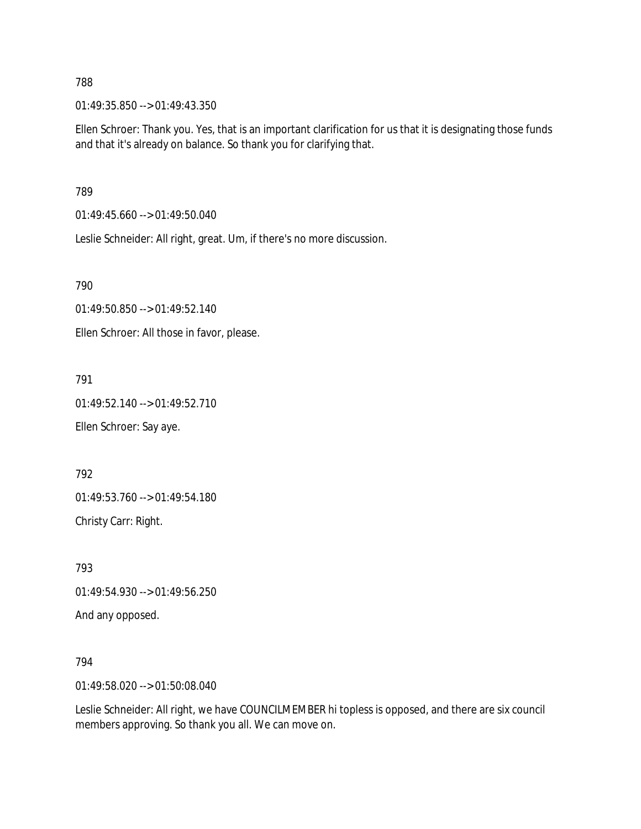01:49:35.850 --> 01:49:43.350

Ellen Schroer: Thank you. Yes, that is an important clarification for us that it is designating those funds and that it's already on balance. So thank you for clarifying that.

789

01:49:45.660 --> 01:49:50.040

Leslie Schneider: All right, great. Um, if there's no more discussion.

790

01:49:50.850 --> 01:49:52.140

Ellen Schroer: All those in favor, please.

791

01:49:52.140 --> 01:49:52.710

Ellen Schroer: Say aye.

792

01:49:53.760 --> 01:49:54.180

Christy Carr: Right.

793

01:49:54.930 --> 01:49:56.250

And any opposed.

794

01:49:58.020 --> 01:50:08.040

Leslie Schneider: All right, we have COUNCILMEMBER hi topless is opposed, and there are six council members approving. So thank you all. We can move on.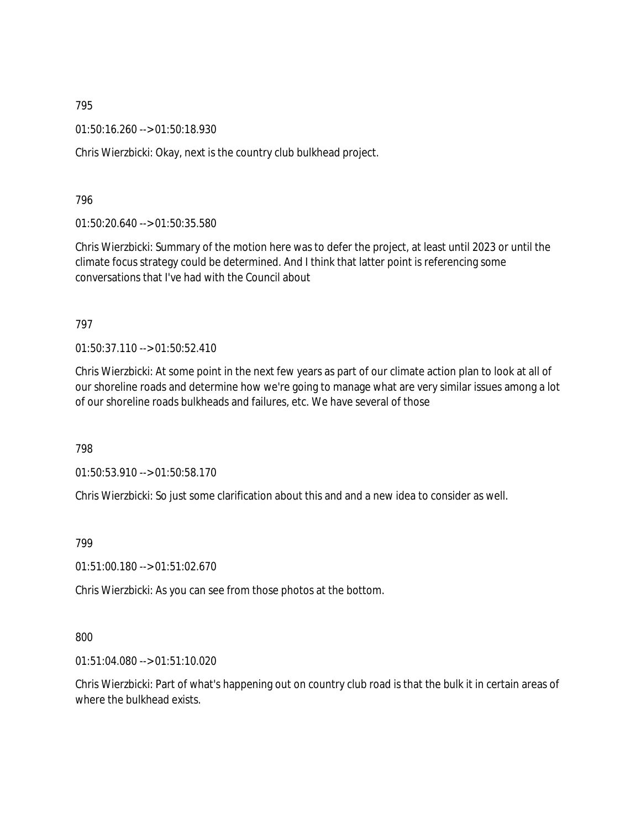01:50:16.260 --> 01:50:18.930

Chris Wierzbicki: Okay, next is the country club bulkhead project.

796

01:50:20.640 --> 01:50:35.580

Chris Wierzbicki: Summary of the motion here was to defer the project, at least until 2023 or until the climate focus strategy could be determined. And I think that latter point is referencing some conversations that I've had with the Council about

797

01:50:37.110 --> 01:50:52.410

Chris Wierzbicki: At some point in the next few years as part of our climate action plan to look at all of our shoreline roads and determine how we're going to manage what are very similar issues among a lot of our shoreline roads bulkheads and failures, etc. We have several of those

798

01:50:53.910 --> 01:50:58.170

Chris Wierzbicki: So just some clarification about this and and a new idea to consider as well.

799

01:51:00.180 --> 01:51:02.670

Chris Wierzbicki: As you can see from those photos at the bottom.

800

01:51:04.080 --> 01:51:10.020

Chris Wierzbicki: Part of what's happening out on country club road is that the bulk it in certain areas of where the bulkhead exists.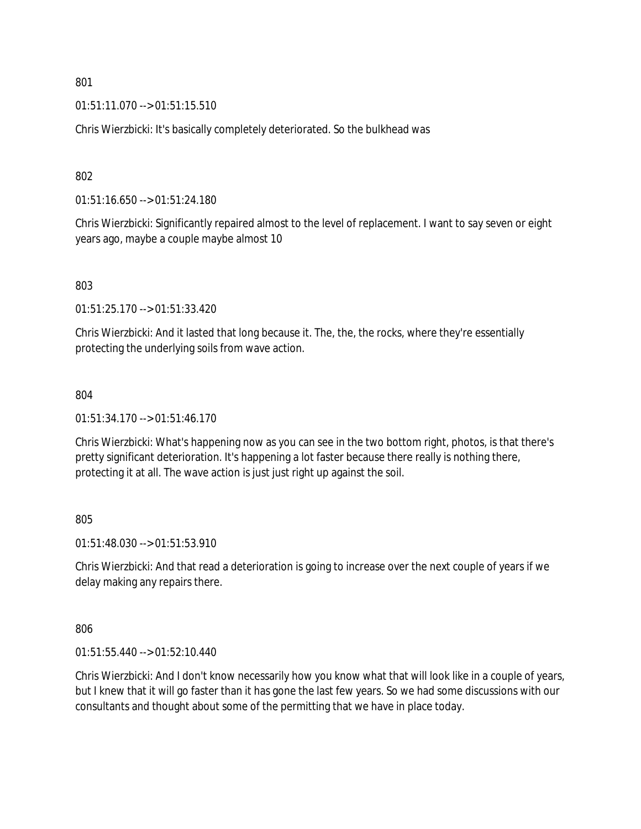01:51:11.070 --> 01:51:15.510

Chris Wierzbicki: It's basically completely deteriorated. So the bulkhead was

802

01:51:16.650 --> 01:51:24.180

Chris Wierzbicki: Significantly repaired almost to the level of replacement. I want to say seven or eight years ago, maybe a couple maybe almost 10

803

01:51:25.170 --> 01:51:33.420

Chris Wierzbicki: And it lasted that long because it. The, the, the rocks, where they're essentially protecting the underlying soils from wave action.

804

01:51:34.170 --> 01:51:46.170

Chris Wierzbicki: What's happening now as you can see in the two bottom right, photos, is that there's pretty significant deterioration. It's happening a lot faster because there really is nothing there, protecting it at all. The wave action is just just right up against the soil.

805

01:51:48.030 --> 01:51:53.910

Chris Wierzbicki: And that read a deterioration is going to increase over the next couple of years if we delay making any repairs there.

806

01:51:55.440 --> 01:52:10.440

Chris Wierzbicki: And I don't know necessarily how you know what that will look like in a couple of years, but I knew that it will go faster than it has gone the last few years. So we had some discussions with our consultants and thought about some of the permitting that we have in place today.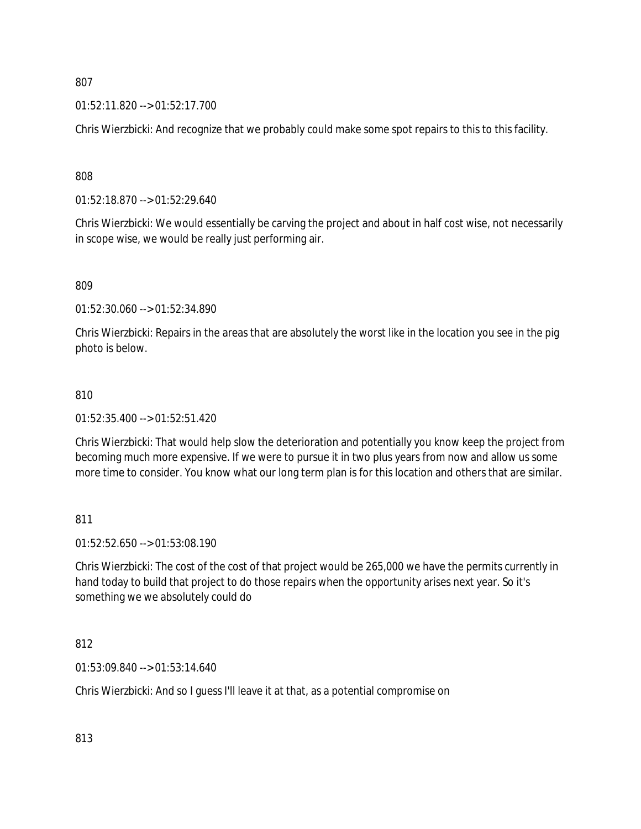01:52:11.820 --> 01:52:17.700

Chris Wierzbicki: And recognize that we probably could make some spot repairs to this to this facility.

808

01:52:18.870 --> 01:52:29.640

Chris Wierzbicki: We would essentially be carving the project and about in half cost wise, not necessarily in scope wise, we would be really just performing air.

809

01:52:30.060 --> 01:52:34.890

Chris Wierzbicki: Repairs in the areas that are absolutely the worst like in the location you see in the pig photo is below.

### 810

01:52:35.400 --> 01:52:51.420

Chris Wierzbicki: That would help slow the deterioration and potentially you know keep the project from becoming much more expensive. If we were to pursue it in two plus years from now and allow us some more time to consider. You know what our long term plan is for this location and others that are similar.

811

01:52:52.650 --> 01:53:08.190

Chris Wierzbicki: The cost of the cost of that project would be 265,000 we have the permits currently in hand today to build that project to do those repairs when the opportunity arises next year. So it's something we we absolutely could do

812

01:53:09.840 --> 01:53:14.640

Chris Wierzbicki: And so I guess I'll leave it at that, as a potential compromise on

813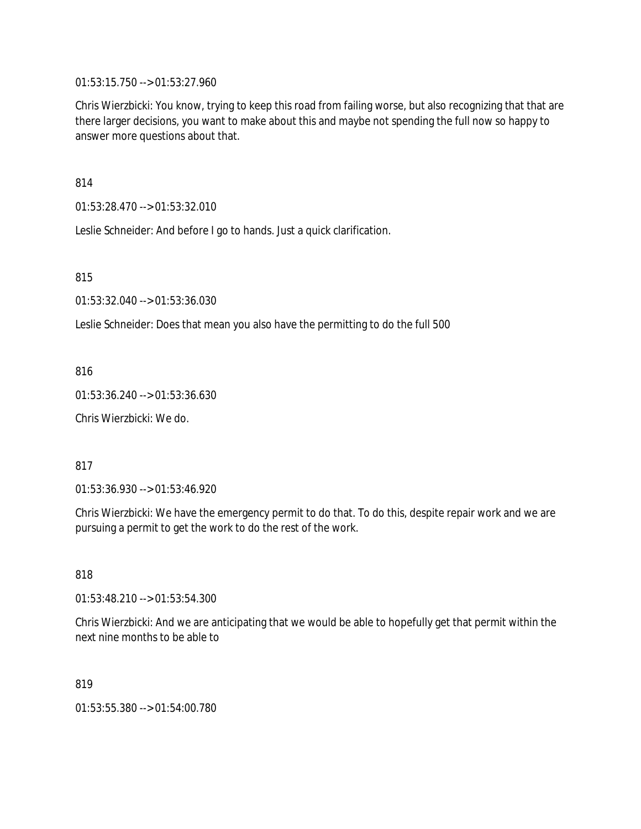01:53:15.750 --> 01:53:27.960

Chris Wierzbicki: You know, trying to keep this road from failing worse, but also recognizing that that are there larger decisions, you want to make about this and maybe not spending the full now so happy to answer more questions about that.

814

01:53:28.470 --> 01:53:32.010

Leslie Schneider: And before I go to hands. Just a quick clarification.

815

01:53:32.040 --> 01:53:36.030

Leslie Schneider: Does that mean you also have the permitting to do the full 500

816

01:53:36.240 --> 01:53:36.630

Chris Wierzbicki: We do.

817

01:53:36.930 --> 01:53:46.920

Chris Wierzbicki: We have the emergency permit to do that. To do this, despite repair work and we are pursuing a permit to get the work to do the rest of the work.

818

01:53:48.210 --> 01:53:54.300

Chris Wierzbicki: And we are anticipating that we would be able to hopefully get that permit within the next nine months to be able to

819

01:53:55.380 --> 01:54:00.780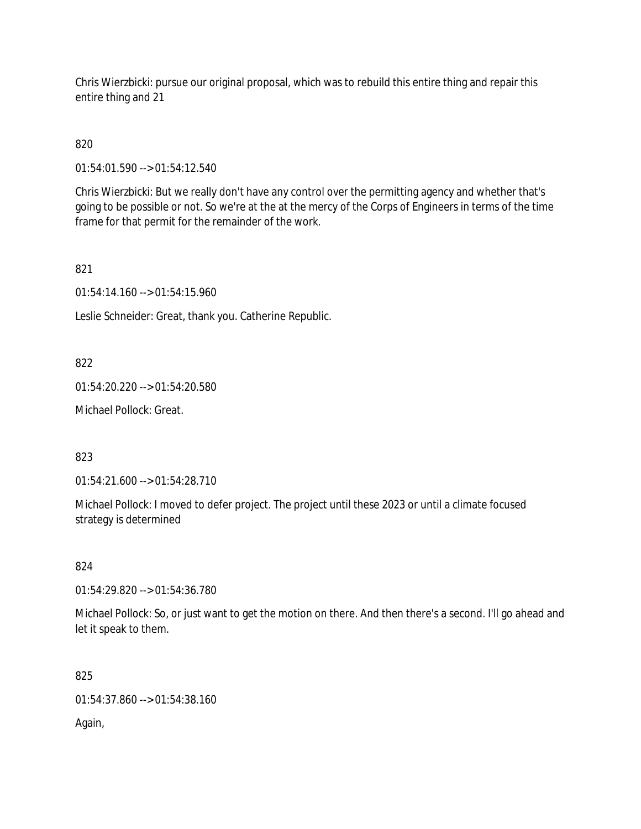Chris Wierzbicki: pursue our original proposal, which was to rebuild this entire thing and repair this entire thing and 21

820

01:54:01.590 --> 01:54:12.540

Chris Wierzbicki: But we really don't have any control over the permitting agency and whether that's going to be possible or not. So we're at the at the mercy of the Corps of Engineers in terms of the time frame for that permit for the remainder of the work.

821

01:54:14.160 --> 01:54:15.960

Leslie Schneider: Great, thank you. Catherine Republic.

822

01:54:20.220 --> 01:54:20.580

Michael Pollock: Great.

823

01:54:21.600 --> 01:54:28.710

Michael Pollock: I moved to defer project. The project until these 2023 or until a climate focused strategy is determined

824

01:54:29.820 --> 01:54:36.780

Michael Pollock: So, or just want to get the motion on there. And then there's a second. I'll go ahead and let it speak to them.

825

01:54:37.860 --> 01:54:38.160

Again,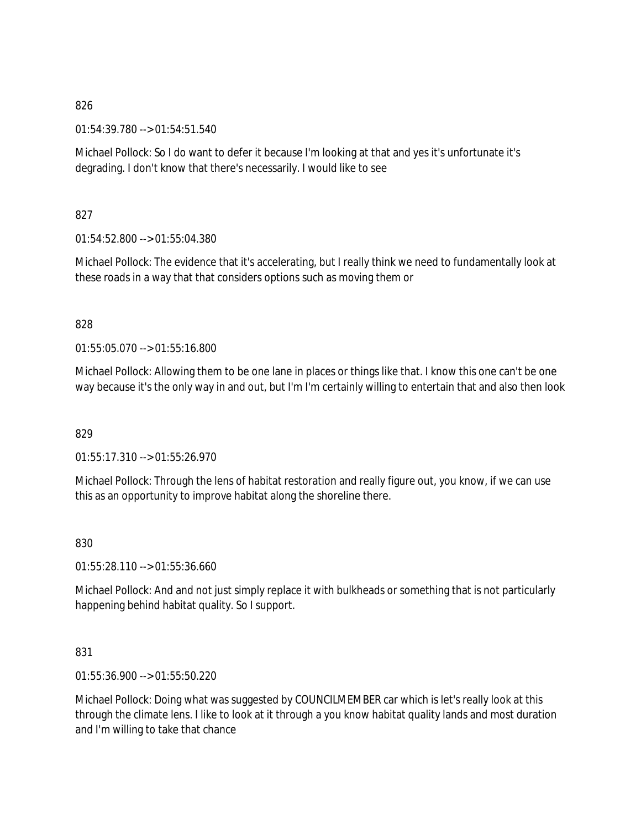01:54:39.780 --> 01:54:51.540

Michael Pollock: So I do want to defer it because I'm looking at that and yes it's unfortunate it's degrading. I don't know that there's necessarily. I would like to see

827

01:54:52.800 --> 01:55:04.380

Michael Pollock: The evidence that it's accelerating, but I really think we need to fundamentally look at these roads in a way that that considers options such as moving them or

### 828

01:55:05.070 --> 01:55:16.800

Michael Pollock: Allowing them to be one lane in places or things like that. I know this one can't be one way because it's the only way in and out, but I'm I'm certainly willing to entertain that and also then look

### 829

01:55:17.310 --> 01:55:26.970

Michael Pollock: Through the lens of habitat restoration and really figure out, you know, if we can use this as an opportunity to improve habitat along the shoreline there.

### 830

01:55:28.110 --> 01:55:36.660

Michael Pollock: And and not just simply replace it with bulkheads or something that is not particularly happening behind habitat quality. So I support.

### 831

01:55:36.900 --> 01:55:50.220

Michael Pollock: Doing what was suggested by COUNCILMEMBER car which is let's really look at this through the climate lens. I like to look at it through a you know habitat quality lands and most duration and I'm willing to take that chance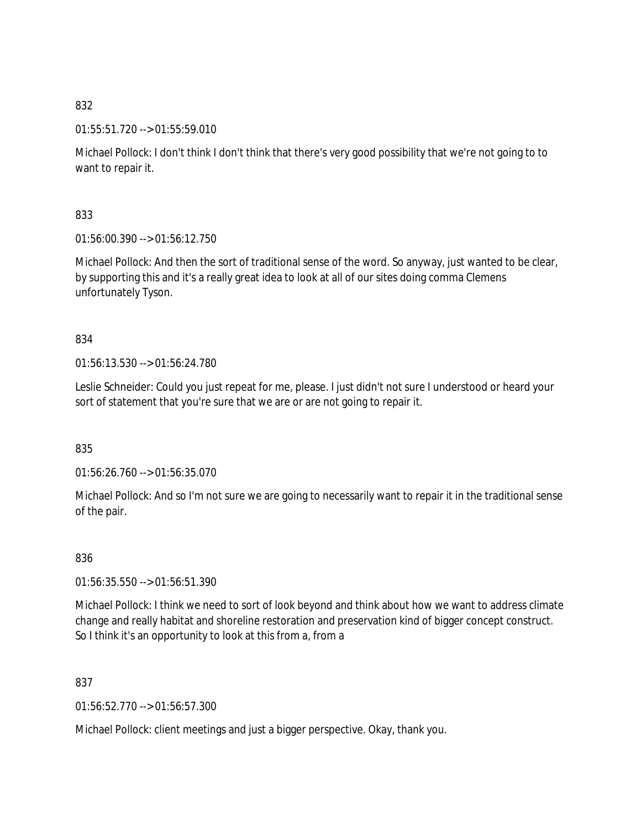01:55:51.720 --> 01:55:59.010

Michael Pollock: I don't think I don't think that there's very good possibility that we're not going to to want to repair it.

833

01:56:00.390 --> 01:56:12.750

Michael Pollock: And then the sort of traditional sense of the word. So anyway, just wanted to be clear, by supporting this and it's a really great idea to look at all of our sites doing comma Clemens unfortunately Tyson.

# 834

01:56:13.530 --> 01:56:24.780

Leslie Schneider: Could you just repeat for me, please. I just didn't not sure I understood or heard your sort of statement that you're sure that we are or are not going to repair it.

835

01:56:26.760 --> 01:56:35.070

Michael Pollock: And so I'm not sure we are going to necessarily want to repair it in the traditional sense of the pair.

836

01:56:35.550 --> 01:56:51.390

Michael Pollock: I think we need to sort of look beyond and think about how we want to address climate change and really habitat and shoreline restoration and preservation kind of bigger concept construct. So I think it's an opportunity to look at this from a, from a

837

01:56:52.770 --> 01:56:57.300

Michael Pollock: client meetings and just a bigger perspective. Okay, thank you.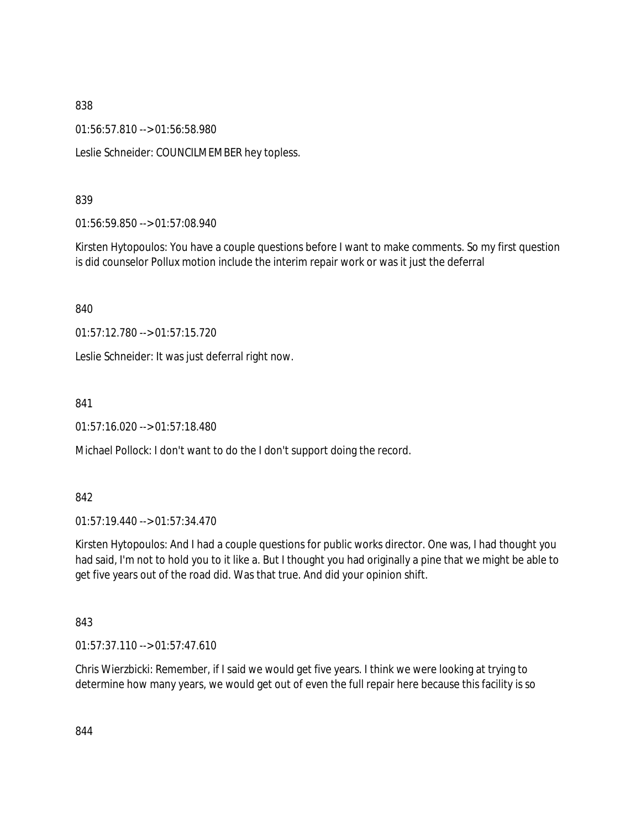01:56:57.810 --> 01:56:58.980

Leslie Schneider: COUNCILMEMBER hey topless.

839

01:56:59.850 --> 01:57:08.940

Kirsten Hytopoulos: You have a couple questions before I want to make comments. So my first question is did counselor Pollux motion include the interim repair work or was it just the deferral

840

01:57:12.780 --> 01:57:15.720

Leslie Schneider: It was just deferral right now.

841

01:57:16.020 --> 01:57:18.480

Michael Pollock: I don't want to do the I don't support doing the record.

842

01:57:19.440 --> 01:57:34.470

Kirsten Hytopoulos: And I had a couple questions for public works director. One was, I had thought you had said, I'm not to hold you to it like a. But I thought you had originally a pine that we might be able to get five years out of the road did. Was that true. And did your opinion shift.

843

01:57:37.110 --> 01:57:47.610

Chris Wierzbicki: Remember, if I said we would get five years. I think we were looking at trying to determine how many years, we would get out of even the full repair here because this facility is so

844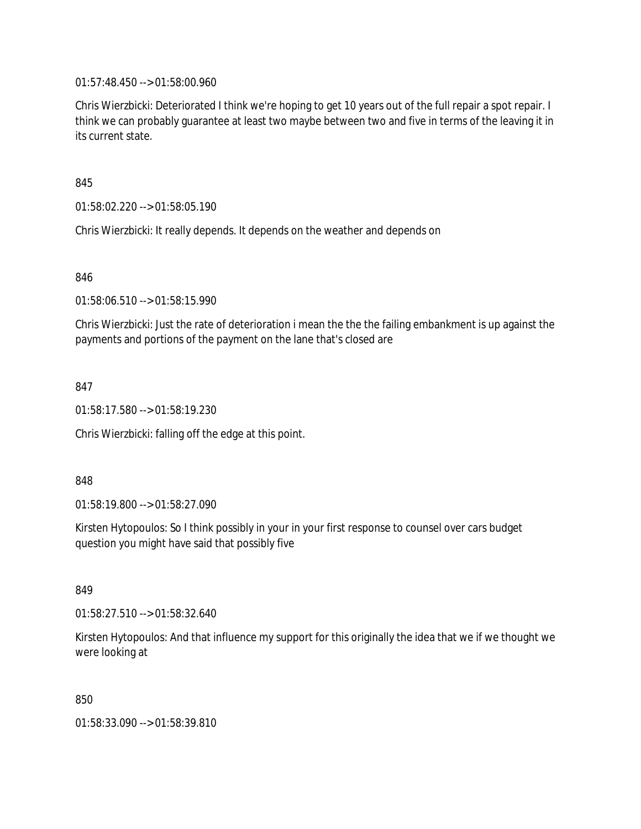01:57:48.450 --> 01:58:00.960

Chris Wierzbicki: Deteriorated I think we're hoping to get 10 years out of the full repair a spot repair. I think we can probably guarantee at least two maybe between two and five in terms of the leaving it in its current state.

845

01:58:02.220 --> 01:58:05.190

Chris Wierzbicki: It really depends. It depends on the weather and depends on

846

01:58:06.510 --> 01:58:15.990

Chris Wierzbicki: Just the rate of deterioration i mean the the the failing embankment is up against the payments and portions of the payment on the lane that's closed are

847

01:58:17.580 --> 01:58:19.230

Chris Wierzbicki: falling off the edge at this point.

848

01:58:19.800 --> 01:58:27.090

Kirsten Hytopoulos: So I think possibly in your in your first response to counsel over cars budget question you might have said that possibly five

849

01:58:27.510 --> 01:58:32.640

Kirsten Hytopoulos: And that influence my support for this originally the idea that we if we thought we were looking at

850

01:58:33.090 --> 01:58:39.810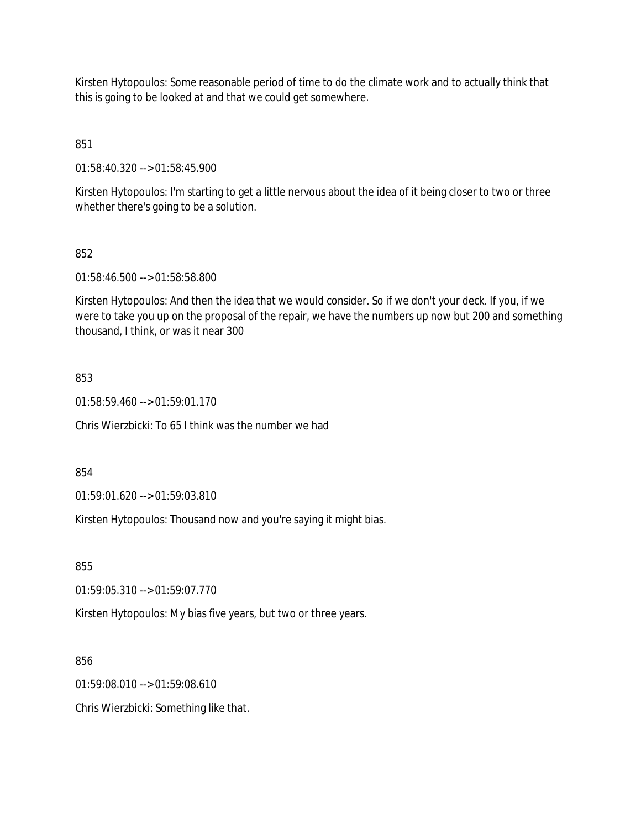Kirsten Hytopoulos: Some reasonable period of time to do the climate work and to actually think that this is going to be looked at and that we could get somewhere.

851

01:58:40.320 --> 01:58:45.900

Kirsten Hytopoulos: I'm starting to get a little nervous about the idea of it being closer to two or three whether there's going to be a solution.

### 852

01:58:46.500 --> 01:58:58.800

Kirsten Hytopoulos: And then the idea that we would consider. So if we don't your deck. If you, if we were to take you up on the proposal of the repair, we have the numbers up now but 200 and something thousand, I think, or was it near 300

### 853

01:58:59.460 --> 01:59:01.170

Chris Wierzbicki: To 65 I think was the number we had

854

01:59:01.620 --> 01:59:03.810

Kirsten Hytopoulos: Thousand now and you're saying it might bias.

855

01:59:05.310 --> 01:59:07.770

Kirsten Hytopoulos: My bias five years, but two or three years.

856

01:59:08.010 --> 01:59:08.610

Chris Wierzbicki: Something like that.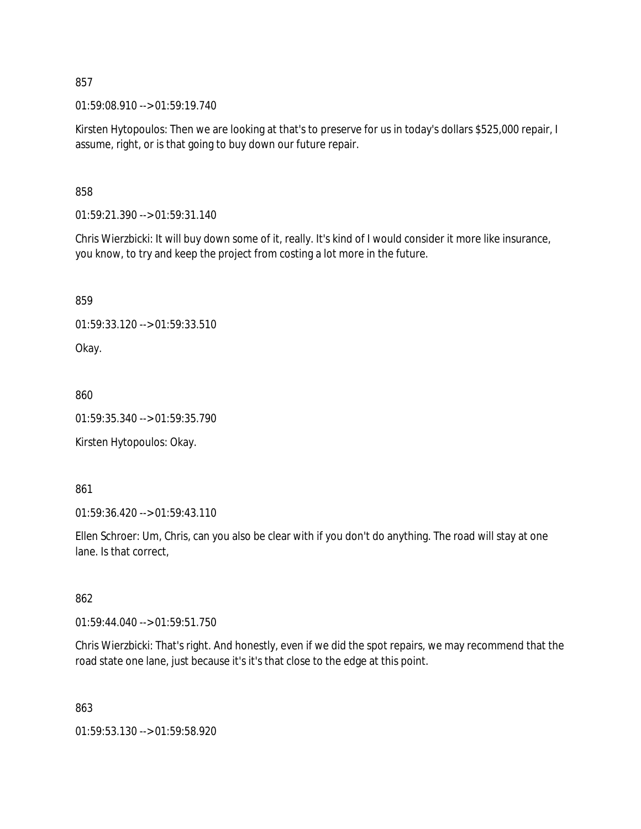01:59:08.910 --> 01:59:19.740

Kirsten Hytopoulos: Then we are looking at that's to preserve for us in today's dollars \$525,000 repair, I assume, right, or is that going to buy down our future repair.

858

01:59:21.390 --> 01:59:31.140

Chris Wierzbicki: It will buy down some of it, really. It's kind of I would consider it more like insurance, you know, to try and keep the project from costing a lot more in the future.

859

01:59:33.120 --> 01:59:33.510

Okay.

860

01:59:35.340 --> 01:59:35.790

Kirsten Hytopoulos: Okay.

861

01:59:36.420 --> 01:59:43.110

Ellen Schroer: Um, Chris, can you also be clear with if you don't do anything. The road will stay at one lane. Is that correct,

862

01:59:44.040 --> 01:59:51.750

Chris Wierzbicki: That's right. And honestly, even if we did the spot repairs, we may recommend that the road state one lane, just because it's it's that close to the edge at this point.

863

01:59:53.130 --> 01:59:58.920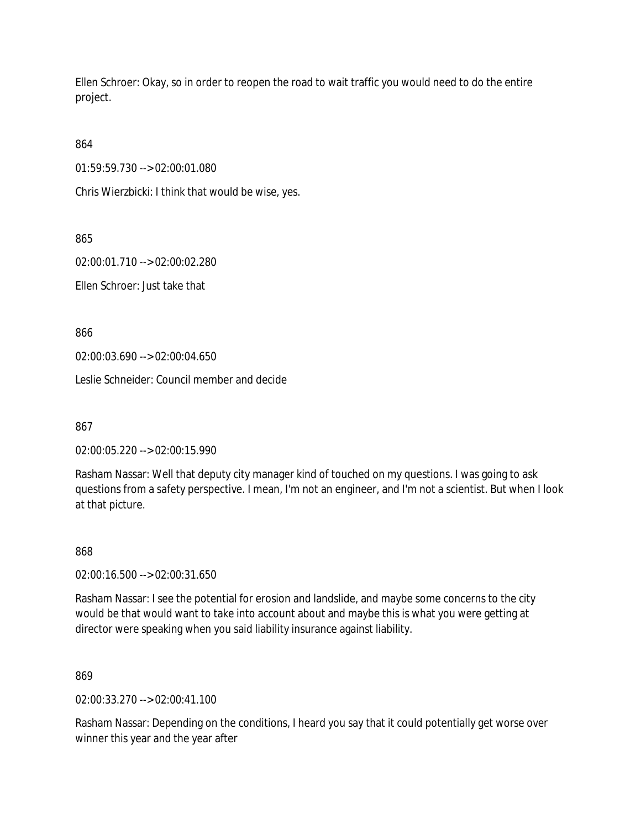Ellen Schroer: Okay, so in order to reopen the road to wait traffic you would need to do the entire project.

864

01:59:59.730 --> 02:00:01.080

Chris Wierzbicki: I think that would be wise, yes.

865

02:00:01.710 --> 02:00:02.280

Ellen Schroer: Just take that

866

02:00:03.690 --> 02:00:04.650

Leslie Schneider: Council member and decide

867

02:00:05.220 --> 02:00:15.990

Rasham Nassar: Well that deputy city manager kind of touched on my questions. I was going to ask questions from a safety perspective. I mean, I'm not an engineer, and I'm not a scientist. But when I look at that picture.

868

02:00:16.500 --> 02:00:31.650

Rasham Nassar: I see the potential for erosion and landslide, and maybe some concerns to the city would be that would want to take into account about and maybe this is what you were getting at director were speaking when you said liability insurance against liability.

869

02:00:33.270 --> 02:00:41.100

Rasham Nassar: Depending on the conditions, I heard you say that it could potentially get worse over winner this year and the year after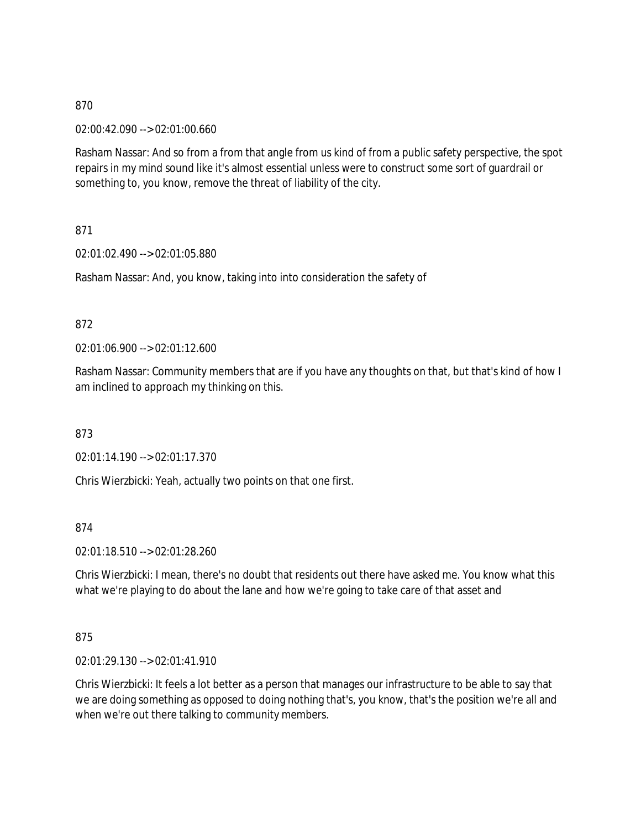02:00:42.090 --> 02:01:00.660

Rasham Nassar: And so from a from that angle from us kind of from a public safety perspective, the spot repairs in my mind sound like it's almost essential unless were to construct some sort of guardrail or something to, you know, remove the threat of liability of the city.

871

02:01:02.490 --> 02:01:05.880

Rasham Nassar: And, you know, taking into into consideration the safety of

### 872

02:01:06.900 --> 02:01:12.600

Rasham Nassar: Community members that are if you have any thoughts on that, but that's kind of how I am inclined to approach my thinking on this.

873

02:01:14.190 --> 02:01:17.370

Chris Wierzbicki: Yeah, actually two points on that one first.

874

02:01:18.510 --> 02:01:28.260

Chris Wierzbicki: I mean, there's no doubt that residents out there have asked me. You know what this what we're playing to do about the lane and how we're going to take care of that asset and

875

02:01:29.130 --> 02:01:41.910

Chris Wierzbicki: It feels a lot better as a person that manages our infrastructure to be able to say that we are doing something as opposed to doing nothing that's, you know, that's the position we're all and when we're out there talking to community members.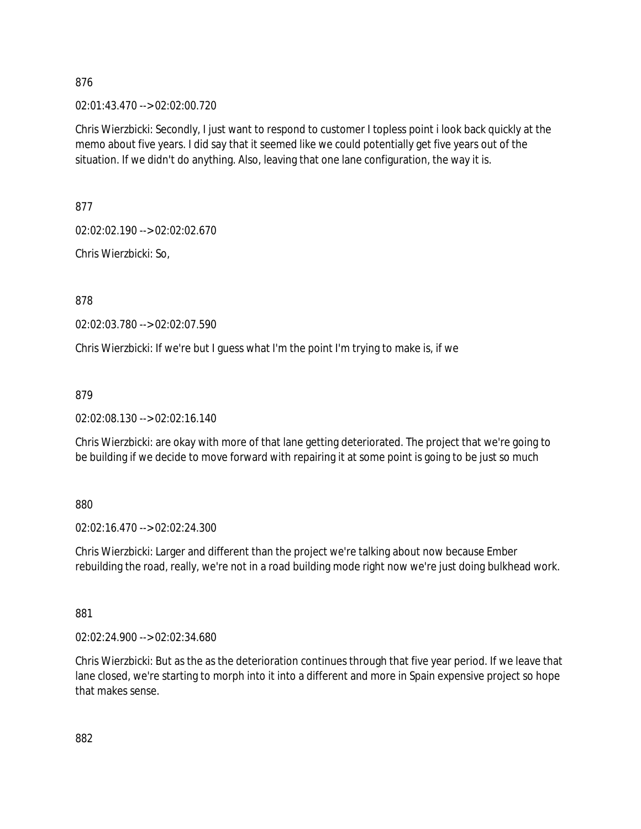02:01:43.470 --> 02:02:00.720

Chris Wierzbicki: Secondly, I just want to respond to customer I topless point i look back quickly at the memo about five years. I did say that it seemed like we could potentially get five years out of the situation. If we didn't do anything. Also, leaving that one lane configuration, the way it is.

877

02:02:02.190 --> 02:02:02.670

Chris Wierzbicki: So,

878

02:02:03.780 --> 02:02:07.590

Chris Wierzbicki: If we're but I guess what I'm the point I'm trying to make is, if we

879

02:02:08.130 --> 02:02:16.140

Chris Wierzbicki: are okay with more of that lane getting deteriorated. The project that we're going to be building if we decide to move forward with repairing it at some point is going to be just so much

880

02:02:16.470 --> 02:02:24.300

Chris Wierzbicki: Larger and different than the project we're talking about now because Ember rebuilding the road, really, we're not in a road building mode right now we're just doing bulkhead work.

881

02:02:24.900 --> 02:02:34.680

Chris Wierzbicki: But as the as the deterioration continues through that five year period. If we leave that lane closed, we're starting to morph into it into a different and more in Spain expensive project so hope that makes sense.

882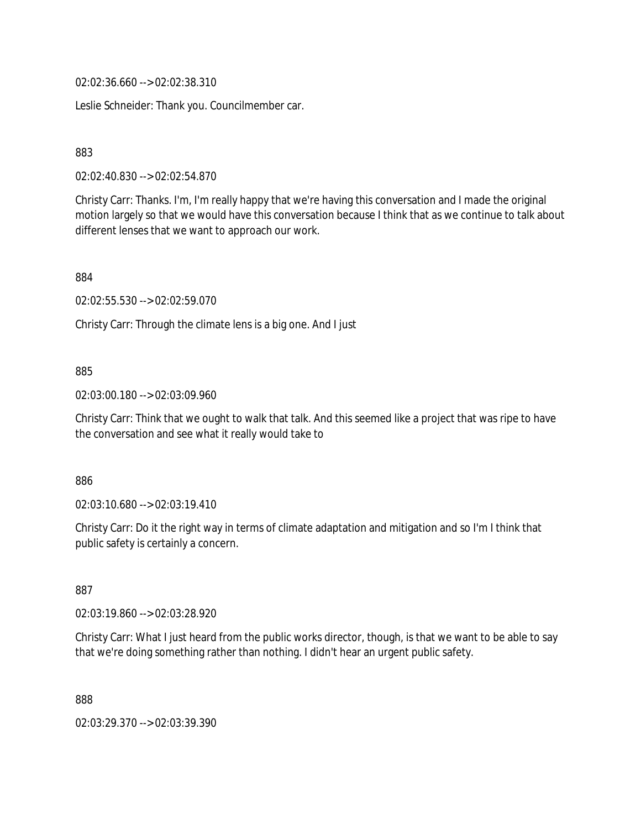02:02:36.660 --> 02:02:38.310

Leslie Schneider: Thank you. Councilmember car.

### 883

02:02:40.830 --> 02:02:54.870

Christy Carr: Thanks. I'm, I'm really happy that we're having this conversation and I made the original motion largely so that we would have this conversation because I think that as we continue to talk about different lenses that we want to approach our work.

884

02:02:55.530 --> 02:02:59.070

Christy Carr: Through the climate lens is a big one. And I just

### 885

02:03:00.180 --> 02:03:09.960

Christy Carr: Think that we ought to walk that talk. And this seemed like a project that was ripe to have the conversation and see what it really would take to

886

02:03:10.680 --> 02:03:19.410

Christy Carr: Do it the right way in terms of climate adaptation and mitigation and so I'm I think that public safety is certainly a concern.

887

02:03:19.860 --> 02:03:28.920

Christy Carr: What I just heard from the public works director, though, is that we want to be able to say that we're doing something rather than nothing. I didn't hear an urgent public safety.

888

02:03:29.370 --> 02:03:39.390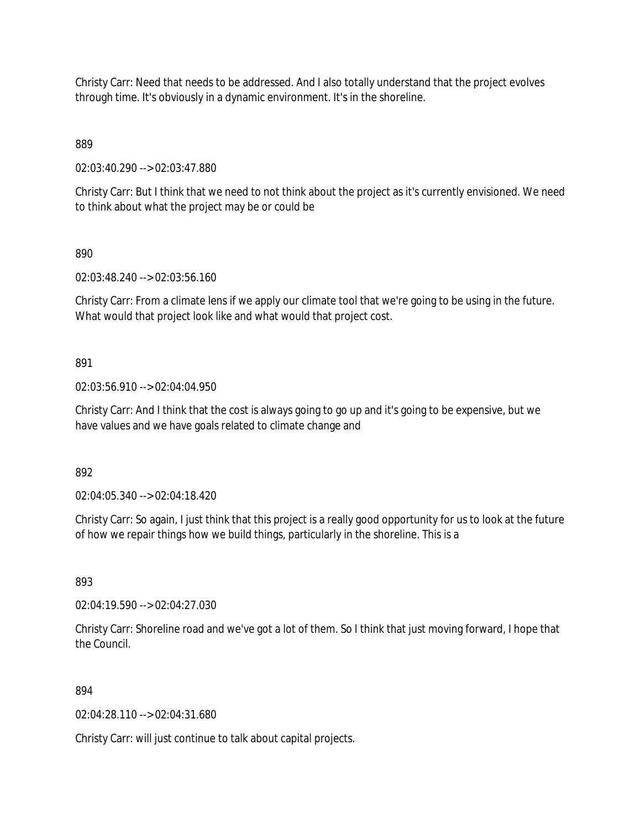Christy Carr: Need that needs to be addressed. And I also totally understand that the project evolves through time. It's obviously in a dynamic environment. It's in the shoreline.

889

02:03:40.290 --> 02:03:47.880

Christy Carr: But I think that we need to not think about the project as it's currently envisioned. We need to think about what the project may be or could be

890

02:03:48.240 --> 02:03:56.160

Christy Carr: From a climate lens if we apply our climate tool that we're going to be using in the future. What would that project look like and what would that project cost.

891

02:03:56.910 --> 02:04:04.950

Christy Carr: And I think that the cost is always going to go up and it's going to be expensive, but we have values and we have goals related to climate change and

892

02:04:05.340 --> 02:04:18.420

Christy Carr: So again, I just think that this project is a really good opportunity for us to look at the future of how we repair things how we build things, particularly in the shoreline. This is a

893

02:04:19.590 --> 02:04:27.030

Christy Carr: Shoreline road and we've got a lot of them. So I think that just moving forward, I hope that the Council.

894

02:04:28.110 --> 02:04:31.680

Christy Carr: will just continue to talk about capital projects.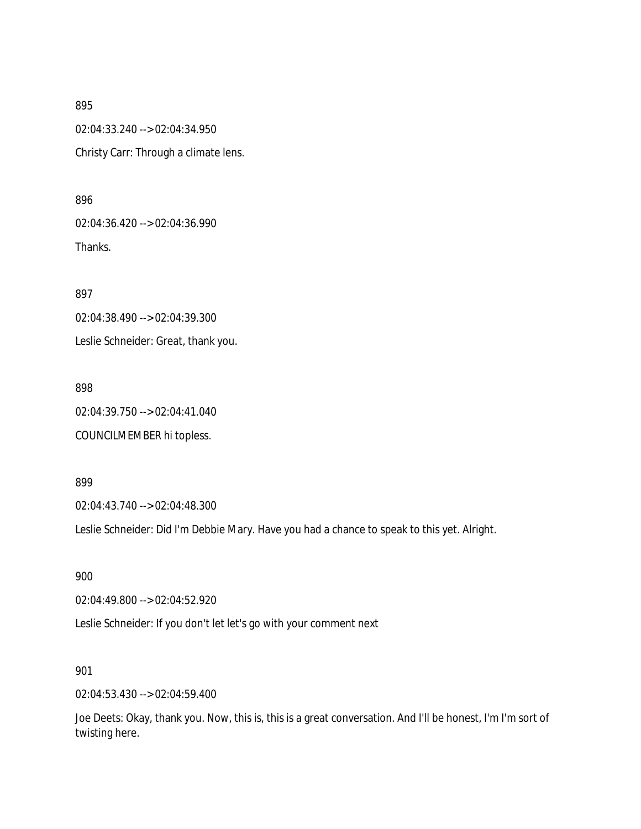02:04:33.240 --> 02:04:34.950 Christy Carr: Through a climate lens.

896

02:04:36.420 --> 02:04:36.990 Thanks.

897 02:04:38.490 --> 02:04:39.300

Leslie Schneider: Great, thank you.

898 02:04:39.750 --> 02:04:41.040 COUNCILMEMBER hi topless.

899

02:04:43.740 --> 02:04:48.300

Leslie Schneider: Did I'm Debbie Mary. Have you had a chance to speak to this yet. Alright.

900

02:04:49.800 --> 02:04:52.920

Leslie Schneider: If you don't let let's go with your comment next

901

02:04:53.430 --> 02:04:59.400

Joe Deets: Okay, thank you. Now, this is, this is a great conversation. And I'll be honest, I'm I'm sort of twisting here.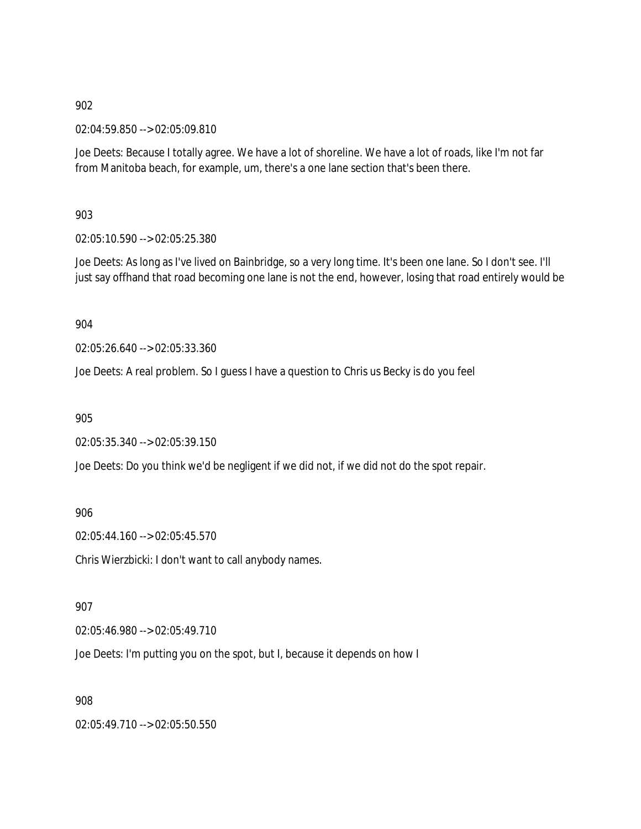02:04:59.850 --> 02:05:09.810

Joe Deets: Because I totally agree. We have a lot of shoreline. We have a lot of roads, like I'm not far from Manitoba beach, for example, um, there's a one lane section that's been there.

903

02:05:10.590 --> 02:05:25.380

Joe Deets: As long as I've lived on Bainbridge, so a very long time. It's been one lane. So I don't see. I'll just say offhand that road becoming one lane is not the end, however, losing that road entirely would be

904

02:05:26.640 --> 02:05:33.360

Joe Deets: A real problem. So I guess I have a question to Chris us Becky is do you feel

905

02:05:35.340 --> 02:05:39.150

Joe Deets: Do you think we'd be negligent if we did not, if we did not do the spot repair.

906

02:05:44.160 --> 02:05:45.570

Chris Wierzbicki: I don't want to call anybody names.

907

02:05:46.980 --> 02:05:49.710

Joe Deets: I'm putting you on the spot, but I, because it depends on how I

908

02:05:49.710 --> 02:05:50.550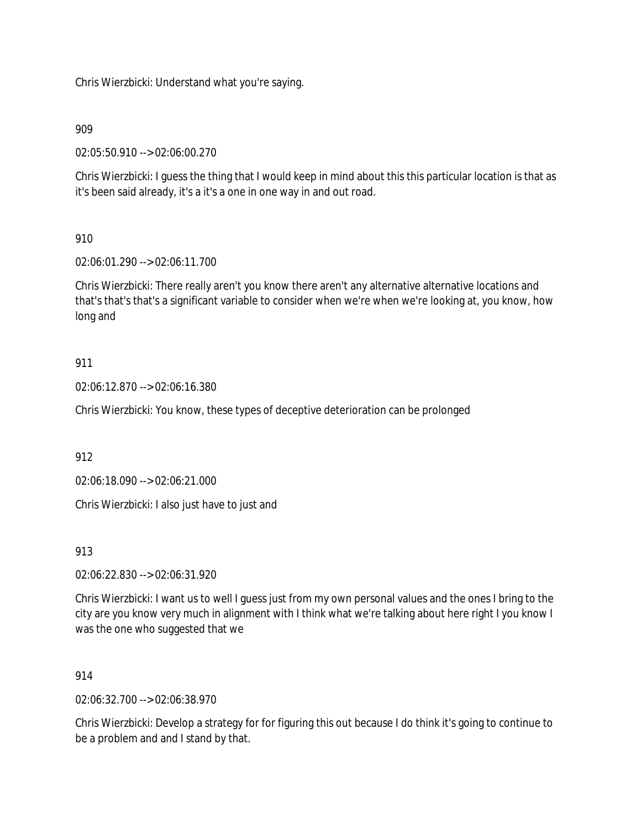Chris Wierzbicki: Understand what you're saying.

# 909

02:05:50.910 --> 02:06:00.270

Chris Wierzbicki: I guess the thing that I would keep in mind about this this particular location is that as it's been said already, it's a it's a one in one way in and out road.

# 910

02:06:01.290 --> 02:06:11.700

Chris Wierzbicki: There really aren't you know there aren't any alternative alternative locations and that's that's that's a significant variable to consider when we're when we're looking at, you know, how long and

# 911

02:06:12.870 --> 02:06:16.380

Chris Wierzbicki: You know, these types of deceptive deterioration can be prolonged

912

02:06:18.090 --> 02:06:21.000

Chris Wierzbicki: I also just have to just and

913

02:06:22.830 --> 02:06:31.920

Chris Wierzbicki: I want us to well I guess just from my own personal values and the ones I bring to the city are you know very much in alignment with I think what we're talking about here right I you know I was the one who suggested that we

### 914

02:06:32.700 --> 02:06:38.970

Chris Wierzbicki: Develop a strategy for for figuring this out because I do think it's going to continue to be a problem and and I stand by that.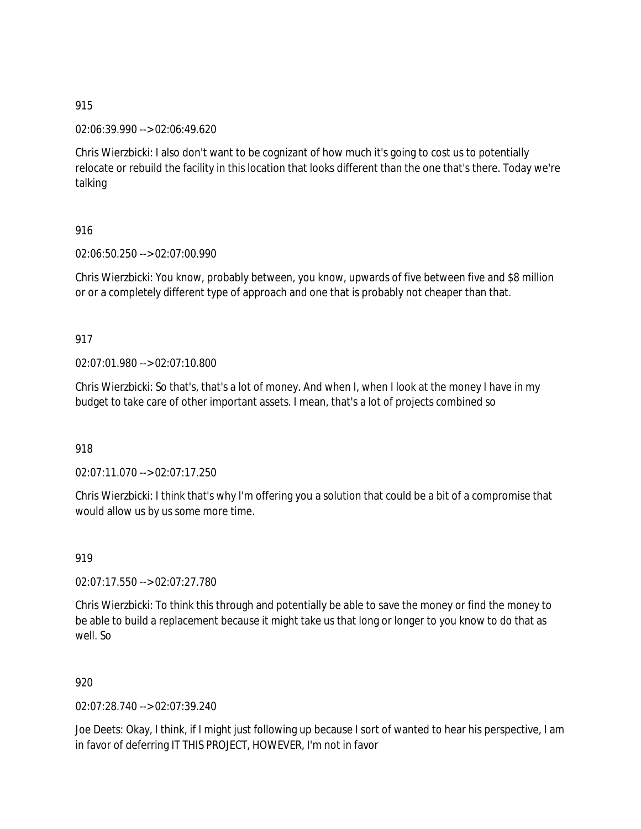02:06:39.990 --> 02:06:49.620

Chris Wierzbicki: I also don't want to be cognizant of how much it's going to cost us to potentially relocate or rebuild the facility in this location that looks different than the one that's there. Today we're talking

# 916

02:06:50.250 --> 02:07:00.990

Chris Wierzbicki: You know, probably between, you know, upwards of five between five and \$8 million or or a completely different type of approach and one that is probably not cheaper than that.

# 917

02:07:01.980 --> 02:07:10.800

Chris Wierzbicki: So that's, that's a lot of money. And when I, when I look at the money I have in my budget to take care of other important assets. I mean, that's a lot of projects combined so

918

02:07:11.070 --> 02:07:17.250

Chris Wierzbicki: I think that's why I'm offering you a solution that could be a bit of a compromise that would allow us by us some more time.

919

02:07:17.550 --> 02:07:27.780

Chris Wierzbicki: To think this through and potentially be able to save the money or find the money to be able to build a replacement because it might take us that long or longer to you know to do that as well. So

920

02:07:28.740 --> 02:07:39.240

Joe Deets: Okay, I think, if I might just following up because I sort of wanted to hear his perspective, I am in favor of deferring IT THIS PROJECT, HOWEVER, I'm not in favor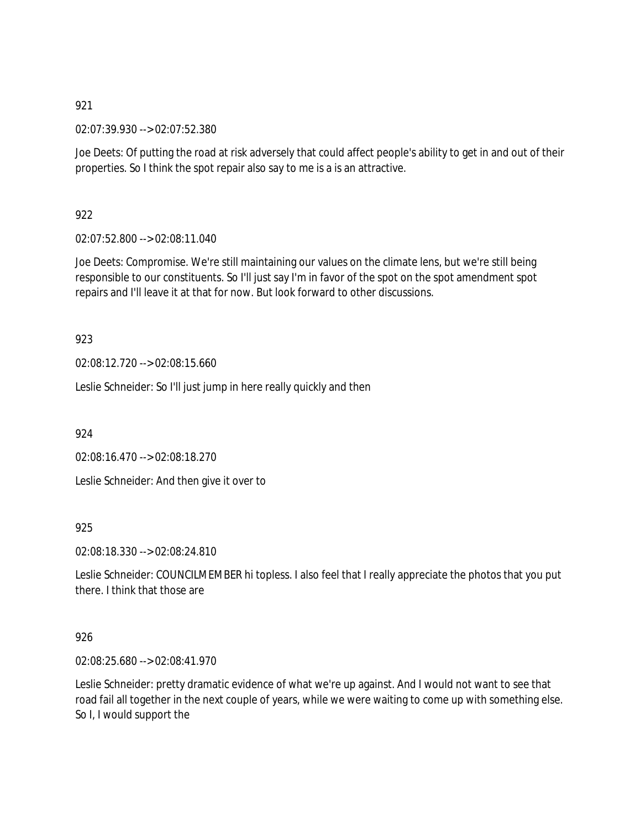02:07:39.930 --> 02:07:52.380

Joe Deets: Of putting the road at risk adversely that could affect people's ability to get in and out of their properties. So I think the spot repair also say to me is a is an attractive.

922

02:07:52.800 --> 02:08:11.040

Joe Deets: Compromise. We're still maintaining our values on the climate lens, but we're still being responsible to our constituents. So I'll just say I'm in favor of the spot on the spot amendment spot repairs and I'll leave it at that for now. But look forward to other discussions.

923

02:08:12.720 --> 02:08:15.660

Leslie Schneider: So I'll just jump in here really quickly and then

924

02:08:16.470 --> 02:08:18.270

Leslie Schneider: And then give it over to

925

02:08:18.330 --> 02:08:24.810

Leslie Schneider: COUNCILMEMBER hi topless. I also feel that I really appreciate the photos that you put there. I think that those are

### 926

02:08:25.680 --> 02:08:41.970

Leslie Schneider: pretty dramatic evidence of what we're up against. And I would not want to see that road fail all together in the next couple of years, while we were waiting to come up with something else. So I, I would support the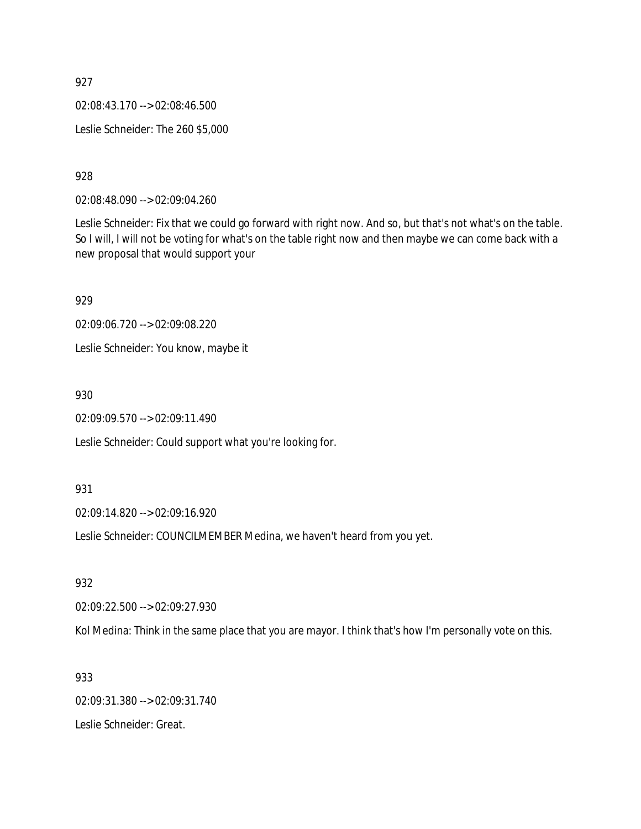02:08:43.170 --> 02:08:46.500 Leslie Schneider: The 260 \$5,000

928

02:08:48.090 --> 02:09:04.260

Leslie Schneider: Fix that we could go forward with right now. And so, but that's not what's on the table. So I will, I will not be voting for what's on the table right now and then maybe we can come back with a new proposal that would support your

929 02:09:06.720 --> 02:09:08.220 Leslie Schneider: You know, maybe it

930

02:09:09.570 --> 02:09:11.490

Leslie Schneider: Could support what you're looking for.

931

02:09:14.820 --> 02:09:16.920

Leslie Schneider: COUNCILMEMBER Medina, we haven't heard from you yet.

932

02:09:22.500 --> 02:09:27.930

Kol Medina: Think in the same place that you are mayor. I think that's how I'm personally vote on this.

933

02:09:31.380 --> 02:09:31.740 Leslie Schneider: Great.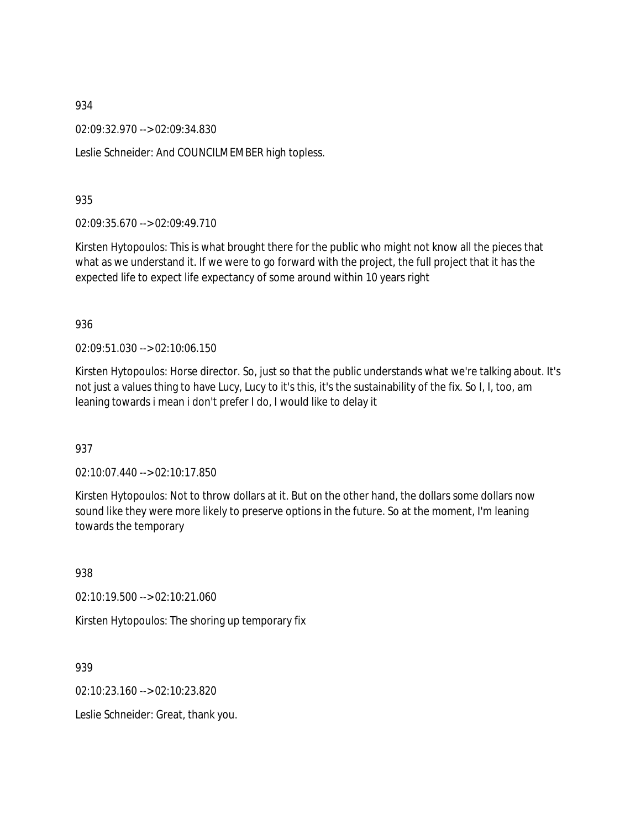02:09:32.970 --> 02:09:34.830

Leslie Schneider: And COUNCILMEMBER high topless.

935

02:09:35.670 --> 02:09:49.710

Kirsten Hytopoulos: This is what brought there for the public who might not know all the pieces that what as we understand it. If we were to go forward with the project, the full project that it has the expected life to expect life expectancy of some around within 10 years right

936

02:09:51.030 --> 02:10:06.150

Kirsten Hytopoulos: Horse director. So, just so that the public understands what we're talking about. It's not just a values thing to have Lucy, Lucy to it's this, it's the sustainability of the fix. So I, I, too, am leaning towards i mean i don't prefer I do, I would like to delay it

937

02:10:07.440 --> 02:10:17.850

Kirsten Hytopoulos: Not to throw dollars at it. But on the other hand, the dollars some dollars now sound like they were more likely to preserve options in the future. So at the moment, I'm leaning towards the temporary

938

02:10:19.500 --> 02:10:21.060

Kirsten Hytopoulos: The shoring up temporary fix

939

02:10:23.160 --> 02:10:23.820

Leslie Schneider: Great, thank you.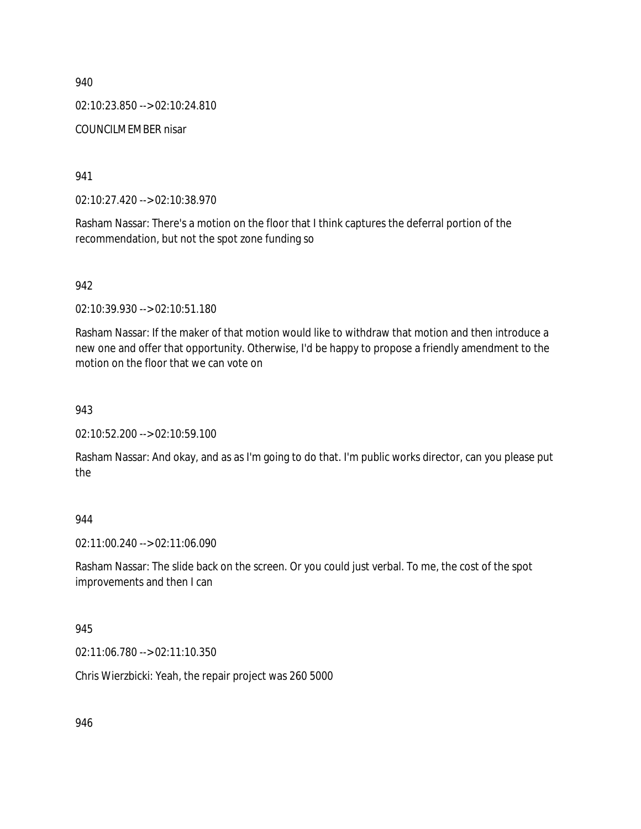02:10:23.850 --> 02:10:24.810

COUNCILMEMBER nisar

941

02:10:27.420 --> 02:10:38.970

Rasham Nassar: There's a motion on the floor that I think captures the deferral portion of the recommendation, but not the spot zone funding so

942

02:10:39.930 --> 02:10:51.180

Rasham Nassar: If the maker of that motion would like to withdraw that motion and then introduce a new one and offer that opportunity. Otherwise, I'd be happy to propose a friendly amendment to the motion on the floor that we can vote on

943

02:10:52.200 --> 02:10:59.100

Rasham Nassar: And okay, and as as I'm going to do that. I'm public works director, can you please put the

944

02:11:00.240 --> 02:11:06.090

Rasham Nassar: The slide back on the screen. Or you could just verbal. To me, the cost of the spot improvements and then I can

945

02:11:06.780 --> 02:11:10.350

Chris Wierzbicki: Yeah, the repair project was 260 5000

946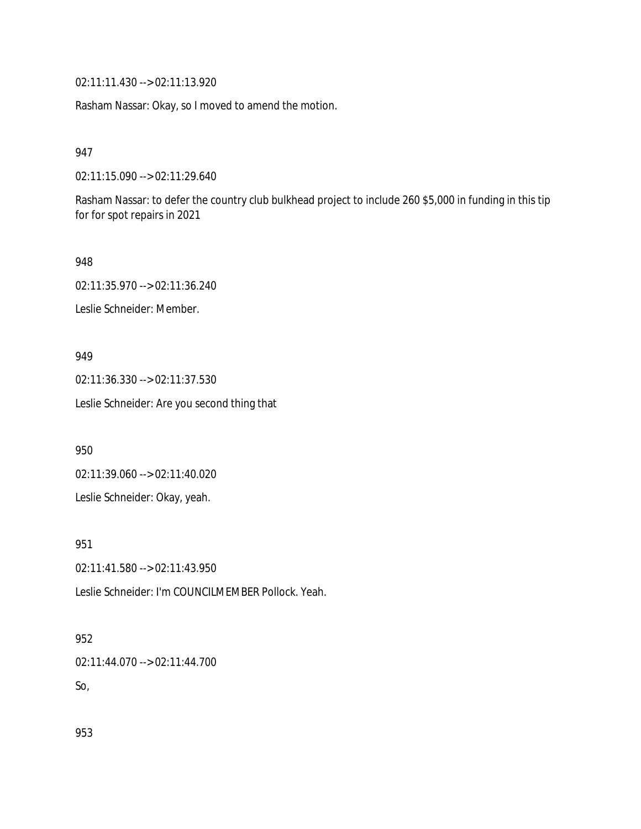02:11:11.430 --> 02:11:13.920

Rasham Nassar: Okay, so I moved to amend the motion.

947

02:11:15.090 --> 02:11:29.640

Rasham Nassar: to defer the country club bulkhead project to include 260 \$5,000 in funding in this tip for for spot repairs in 2021

948

02:11:35.970 --> 02:11:36.240

Leslie Schneider: Member.

#### 949

02:11:36.330 --> 02:11:37.530 Leslie Schneider: Are you second thing that

950

02:11:39.060 --> 02:11:40.020

Leslie Schneider: Okay, yeah.

951

02:11:41.580 --> 02:11:43.950

Leslie Schneider: I'm COUNCILMEMBER Pollock. Yeah.

#### 952

02:11:44.070 --> 02:11:44.700 So,

953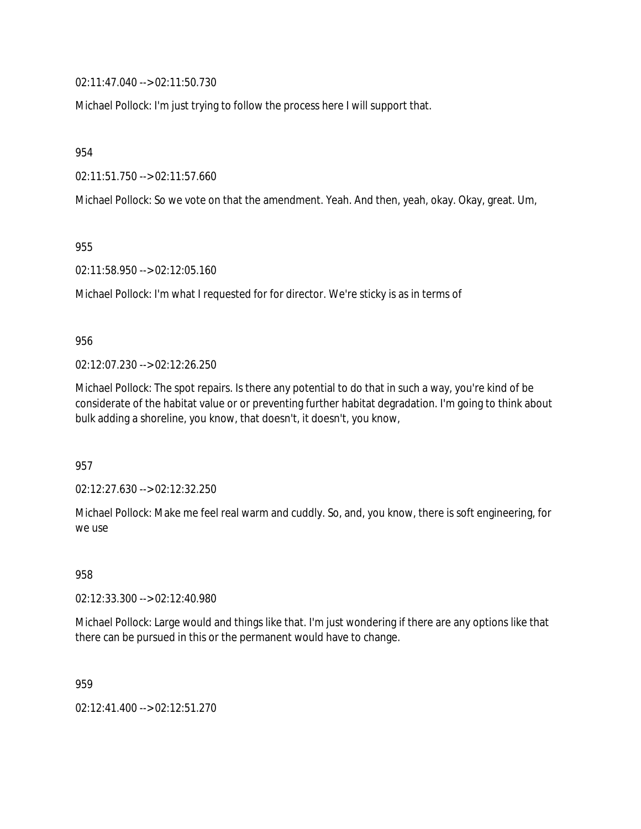02:11:47.040 --> 02:11:50.730

Michael Pollock: I'm just trying to follow the process here I will support that.

954

02:11:51.750 --> 02:11:57.660

Michael Pollock: So we vote on that the amendment. Yeah. And then, yeah, okay. Okay, great. Um,

955

02:11:58.950 --> 02:12:05.160

Michael Pollock: I'm what I requested for for director. We're sticky is as in terms of

956

02:12:07.230 --> 02:12:26.250

Michael Pollock: The spot repairs. Is there any potential to do that in such a way, you're kind of be considerate of the habitat value or or preventing further habitat degradation. I'm going to think about bulk adding a shoreline, you know, that doesn't, it doesn't, you know,

957

02:12:27.630 --> 02:12:32.250

Michael Pollock: Make me feel real warm and cuddly. So, and, you know, there is soft engineering, for we use

958

02:12:33.300 --> 02:12:40.980

Michael Pollock: Large would and things like that. I'm just wondering if there are any options like that there can be pursued in this or the permanent would have to change.

959

02:12:41.400 --> 02:12:51.270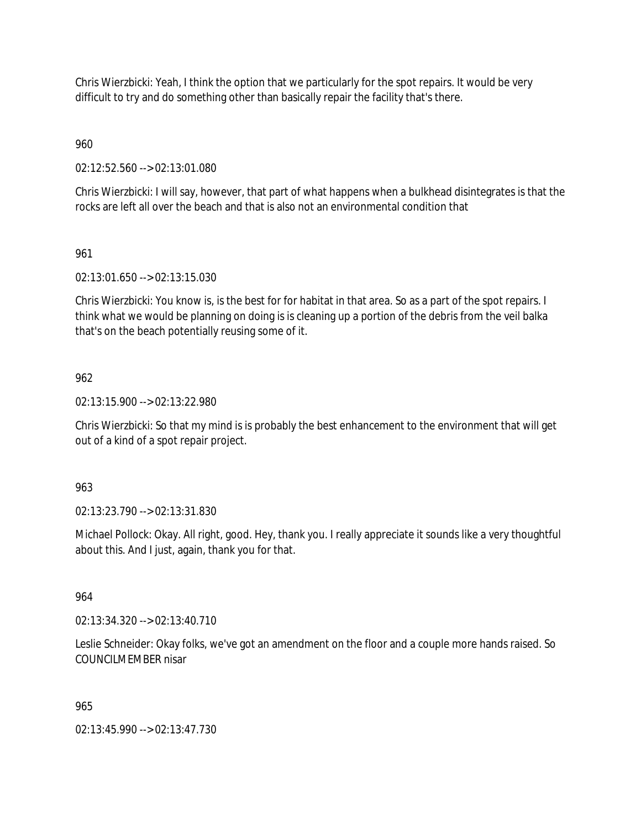Chris Wierzbicki: Yeah, I think the option that we particularly for the spot repairs. It would be very difficult to try and do something other than basically repair the facility that's there.

960

02:12:52.560 --> 02:13:01.080

Chris Wierzbicki: I will say, however, that part of what happens when a bulkhead disintegrates is that the rocks are left all over the beach and that is also not an environmental condition that

# 961

02:13:01.650 --> 02:13:15.030

Chris Wierzbicki: You know is, is the best for for habitat in that area. So as a part of the spot repairs. I think what we would be planning on doing is is cleaning up a portion of the debris from the veil balka that's on the beach potentially reusing some of it.

# 962

02:13:15.900 --> 02:13:22.980

Chris Wierzbicki: So that my mind is is probably the best enhancement to the environment that will get out of a kind of a spot repair project.

963

02:13:23.790 --> 02:13:31.830

Michael Pollock: Okay. All right, good. Hey, thank you. I really appreciate it sounds like a very thoughtful about this. And I just, again, thank you for that.

964

02:13:34.320 --> 02:13:40.710

Leslie Schneider: Okay folks, we've got an amendment on the floor and a couple more hands raised. So COUNCILMEMBER nisar

### 965

02:13:45.990 --> 02:13:47.730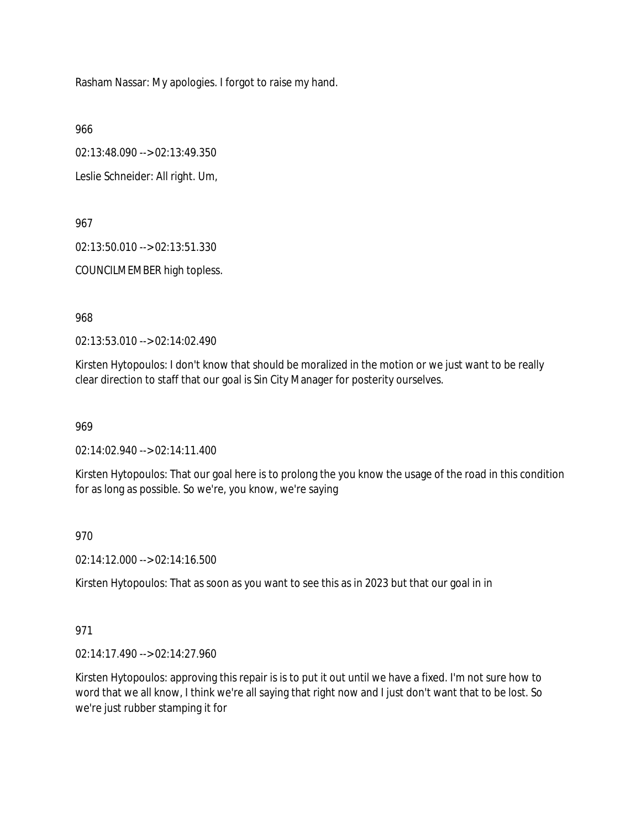Rasham Nassar: My apologies. I forgot to raise my hand.

966

02:13:48.090 --> 02:13:49.350

Leslie Schneider: All right. Um,

967

02:13:50.010 --> 02:13:51.330

COUNCILMEMBER high topless.

968

02:13:53.010 --> 02:14:02.490

Kirsten Hytopoulos: I don't know that should be moralized in the motion or we just want to be really clear direction to staff that our goal is Sin City Manager for posterity ourselves.

969

02:14:02.940 --> 02:14:11.400

Kirsten Hytopoulos: That our goal here is to prolong the you know the usage of the road in this condition for as long as possible. So we're, you know, we're saying

970

02:14:12.000 --> 02:14:16.500

Kirsten Hytopoulos: That as soon as you want to see this as in 2023 but that our goal in in

### 971

02:14:17.490 --> 02:14:27.960

Kirsten Hytopoulos: approving this repair is is to put it out until we have a fixed. I'm not sure how to word that we all know, I think we're all saying that right now and I just don't want that to be lost. So we're just rubber stamping it for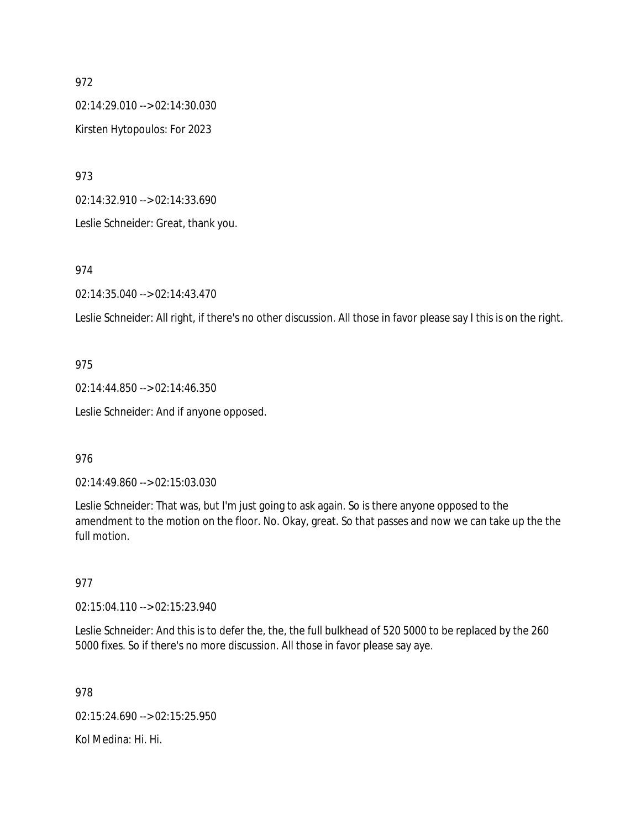02:14:29.010 --> 02:14:30.030 Kirsten Hytopoulos: For 2023

973

02:14:32.910 --> 02:14:33.690

Leslie Schneider: Great, thank you.

### 974

02:14:35.040 --> 02:14:43.470

Leslie Schneider: All right, if there's no other discussion. All those in favor please say I this is on the right.

# 975

02:14:44.850 --> 02:14:46.350 Leslie Schneider: And if anyone opposed.

### 976

02:14:49.860 --> 02:15:03.030

Leslie Schneider: That was, but I'm just going to ask again. So is there anyone opposed to the amendment to the motion on the floor. No. Okay, great. So that passes and now we can take up the the full motion.

### 977

02:15:04.110 --> 02:15:23.940

Leslie Schneider: And this is to defer the, the, the full bulkhead of 520 5000 to be replaced by the 260 5000 fixes. So if there's no more discussion. All those in favor please say aye.

978

02:15:24.690 --> 02:15:25.950

Kol Medina: Hi. Hi.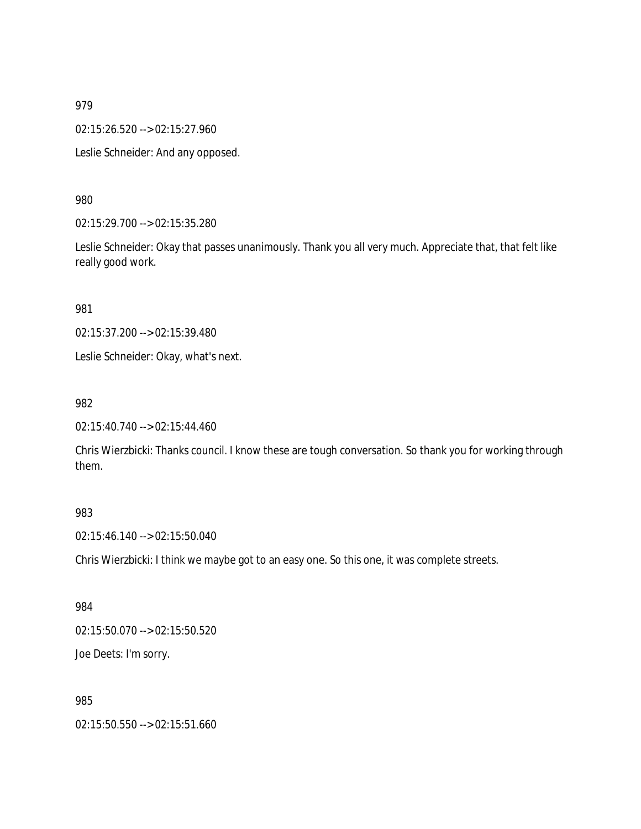02:15:26.520 --> 02:15:27.960

Leslie Schneider: And any opposed.

980

02:15:29.700 --> 02:15:35.280

Leslie Schneider: Okay that passes unanimously. Thank you all very much. Appreciate that, that felt like really good work.

981

02:15:37.200 --> 02:15:39.480

Leslie Schneider: Okay, what's next.

982

02:15:40.740 --> 02:15:44.460

Chris Wierzbicki: Thanks council. I know these are tough conversation. So thank you for working through them.

#### 983

02:15:46.140 --> 02:15:50.040

Chris Wierzbicki: I think we maybe got to an easy one. So this one, it was complete streets.

984

02:15:50.070 --> 02:15:50.520

Joe Deets: I'm sorry.

985

02:15:50.550 --> 02:15:51.660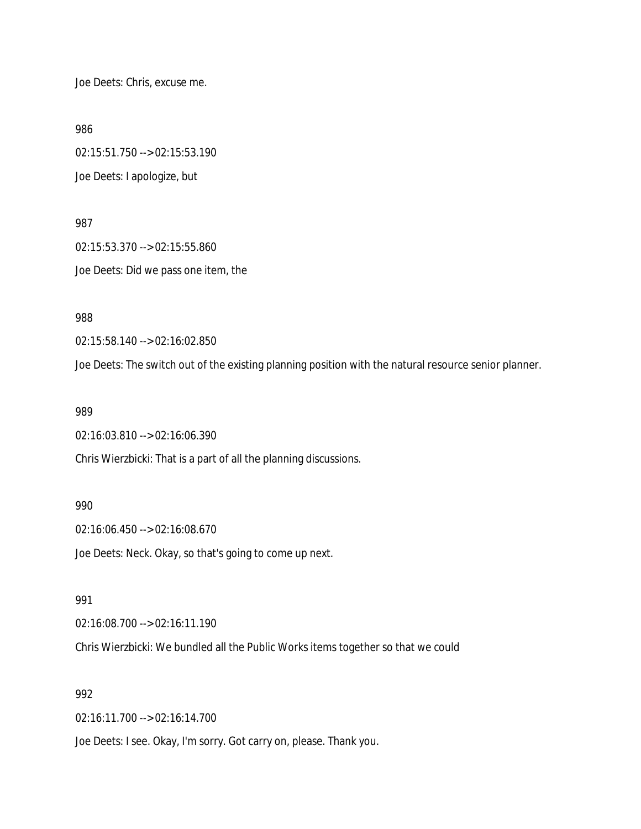Joe Deets: Chris, excuse me.

986

02:15:51.750 --> 02:15:53.190 Joe Deets: I apologize, but

987 02:15:53.370 --> 02:15:55.860 Joe Deets: Did we pass one item, the

988

02:15:58.140 --> 02:16:02.850

Joe Deets: The switch out of the existing planning position with the natural resource senior planner.

989

02:16:03.810 --> 02:16:06.390

Chris Wierzbicki: That is a part of all the planning discussions.

990

02:16:06.450 --> 02:16:08.670

Joe Deets: Neck. Okay, so that's going to come up next.

991

02:16:08.700 --> 02:16:11.190

Chris Wierzbicki: We bundled all the Public Works items together so that we could

992

02:16:11.700 --> 02:16:14.700

Joe Deets: I see. Okay, I'm sorry. Got carry on, please. Thank you.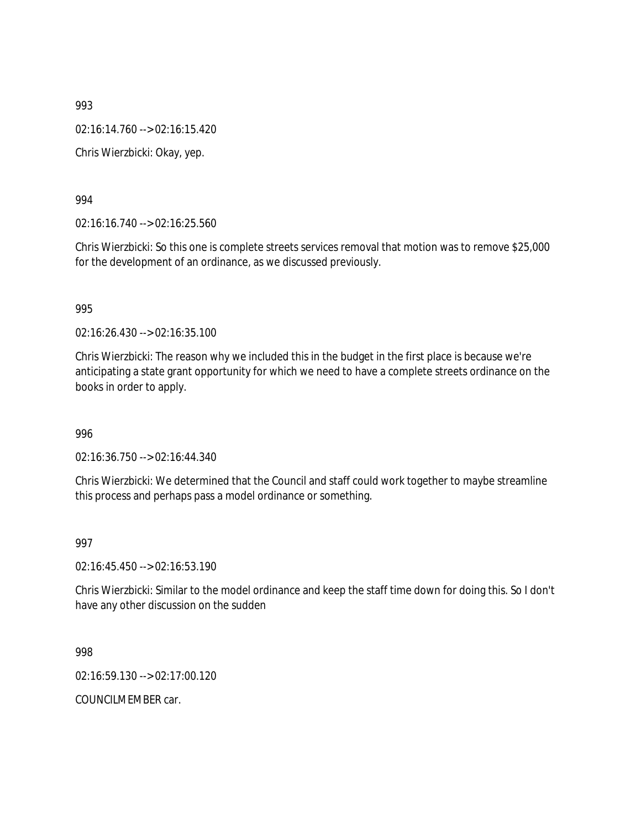02:16:14.760 --> 02:16:15.420

Chris Wierzbicki: Okay, yep.

994

02:16:16.740 --> 02:16:25.560

Chris Wierzbicki: So this one is complete streets services removal that motion was to remove \$25,000 for the development of an ordinance, as we discussed previously.

995

02:16:26.430 --> 02:16:35.100

Chris Wierzbicki: The reason why we included this in the budget in the first place is because we're anticipating a state grant opportunity for which we need to have a complete streets ordinance on the books in order to apply.

996

02:16:36.750 --> 02:16:44.340

Chris Wierzbicki: We determined that the Council and staff could work together to maybe streamline this process and perhaps pass a model ordinance or something.

997

02:16:45.450 --> 02:16:53.190

Chris Wierzbicki: Similar to the model ordinance and keep the staff time down for doing this. So I don't have any other discussion on the sudden

998

02:16:59.130 --> 02:17:00.120

COUNCILMEMBER car.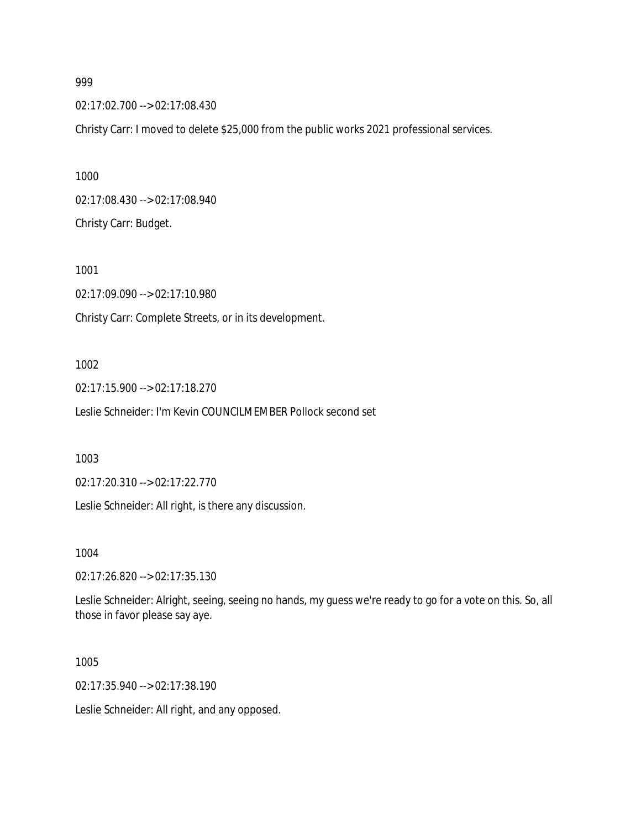02:17:02.700 --> 02:17:08.430

Christy Carr: I moved to delete \$25,000 from the public works 2021 professional services.

1000 02:17:08.430 --> 02:17:08.940 Christy Carr: Budget.

1001 02:17:09.090 --> 02:17:10.980 Christy Carr: Complete Streets, or in its development.

#### 1002

02:17:15.900 --> 02:17:18.270 Leslie Schneider: I'm Kevin COUNCILMEMBER Pollock second set

1003

02:17:20.310 --> 02:17:22.770

Leslie Schneider: All right, is there any discussion.

1004

02:17:26.820 --> 02:17:35.130

Leslie Schneider: Alright, seeing, seeing no hands, my guess we're ready to go for a vote on this. So, all those in favor please say aye.

1005

02:17:35.940 --> 02:17:38.190

Leslie Schneider: All right, and any opposed.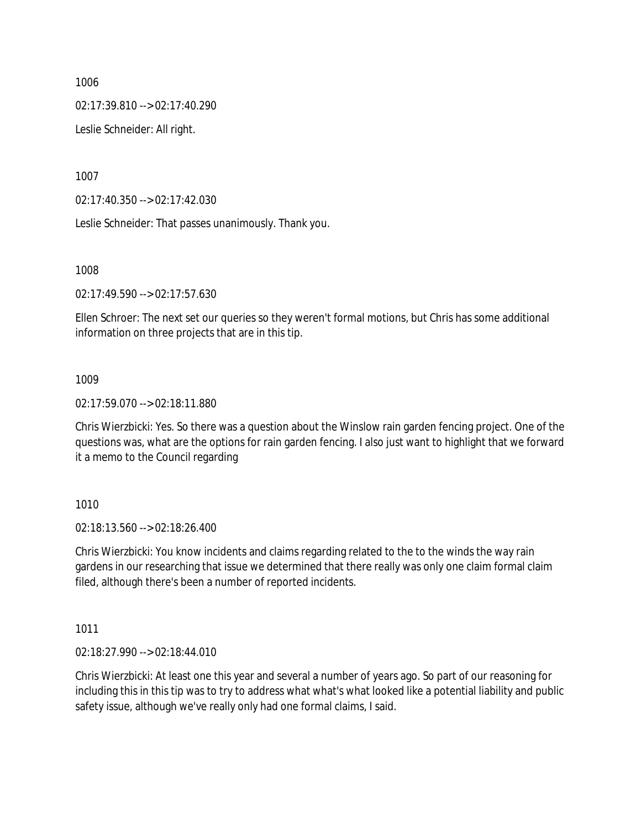02:17:39.810 --> 02:17:40.290

Leslie Schneider: All right.

1007

02:17:40.350 --> 02:17:42.030

Leslie Schneider: That passes unanimously. Thank you.

1008

02:17:49.590 --> 02:17:57.630

Ellen Schroer: The next set our queries so they weren't formal motions, but Chris has some additional information on three projects that are in this tip.

### 1009

02:17:59.070 --> 02:18:11.880

Chris Wierzbicki: Yes. So there was a question about the Winslow rain garden fencing project. One of the questions was, what are the options for rain garden fencing. I also just want to highlight that we forward it a memo to the Council regarding

1010

02:18:13.560 --> 02:18:26.400

Chris Wierzbicki: You know incidents and claims regarding related to the to the winds the way rain gardens in our researching that issue we determined that there really was only one claim formal claim filed, although there's been a number of reported incidents.

1011

02:18:27.990 --> 02:18:44.010

Chris Wierzbicki: At least one this year and several a number of years ago. So part of our reasoning for including this in this tip was to try to address what what's what looked like a potential liability and public safety issue, although we've really only had one formal claims, I said.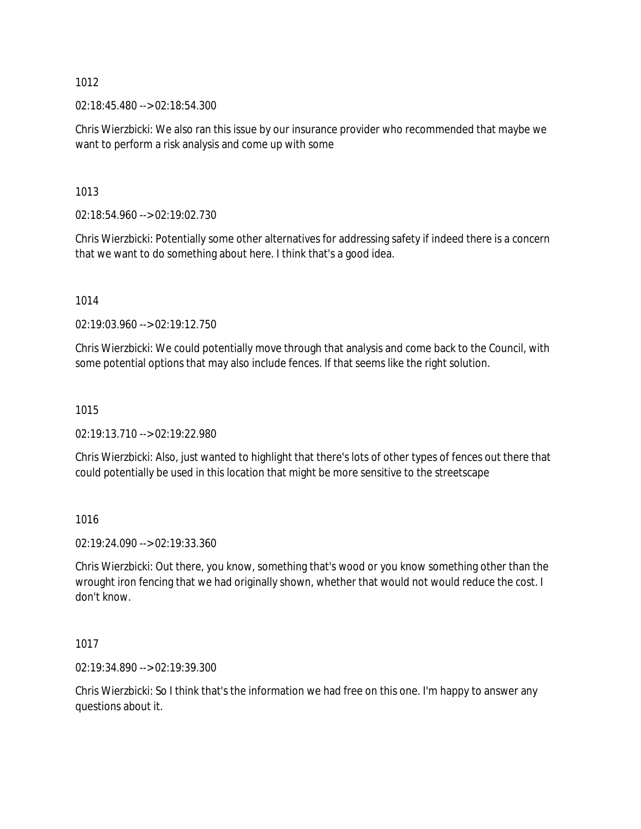02:18:45.480 --> 02:18:54.300

Chris Wierzbicki: We also ran this issue by our insurance provider who recommended that maybe we want to perform a risk analysis and come up with some

1013

02:18:54.960 --> 02:19:02.730

Chris Wierzbicki: Potentially some other alternatives for addressing safety if indeed there is a concern that we want to do something about here. I think that's a good idea.

1014

02:19:03.960 --> 02:19:12.750

Chris Wierzbicki: We could potentially move through that analysis and come back to the Council, with some potential options that may also include fences. If that seems like the right solution.

### 1015

02:19:13.710 --> 02:19:22.980

Chris Wierzbicki: Also, just wanted to highlight that there's lots of other types of fences out there that could potentially be used in this location that might be more sensitive to the streetscape

1016

02:19:24.090 --> 02:19:33.360

Chris Wierzbicki: Out there, you know, something that's wood or you know something other than the wrought iron fencing that we had originally shown, whether that would not would reduce the cost. I don't know.

1017

02:19:34.890 --> 02:19:39.300

Chris Wierzbicki: So I think that's the information we had free on this one. I'm happy to answer any questions about it.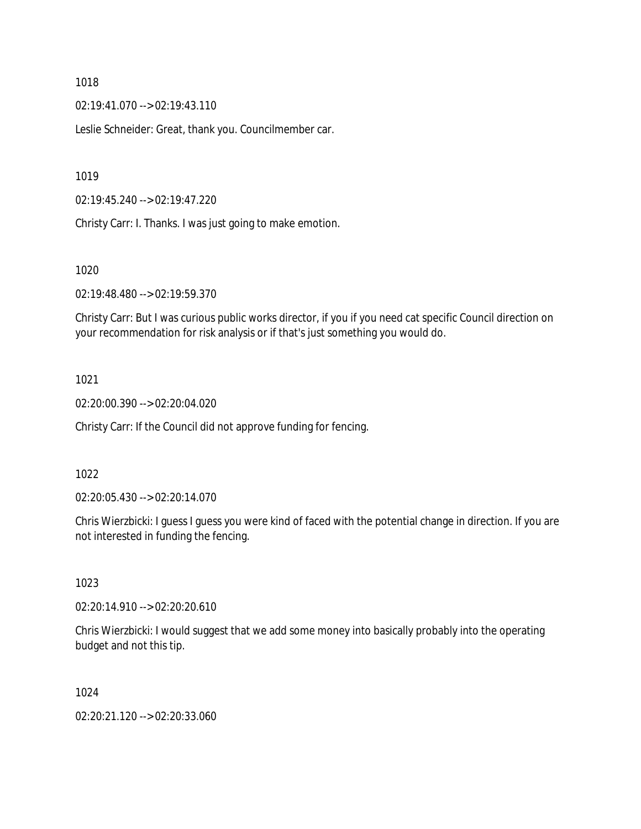02:19:41.070 --> 02:19:43.110

Leslie Schneider: Great, thank you. Councilmember car.

1019

02:19:45.240 --> 02:19:47.220

Christy Carr: I. Thanks. I was just going to make emotion.

1020

02:19:48.480 --> 02:19:59.370

Christy Carr: But I was curious public works director, if you if you need cat specific Council direction on your recommendation for risk analysis or if that's just something you would do.

### 1021

02:20:00.390 --> 02:20:04.020

Christy Carr: If the Council did not approve funding for fencing.

#### 1022

02:20:05.430 --> 02:20:14.070

Chris Wierzbicki: I guess I guess you were kind of faced with the potential change in direction. If you are not interested in funding the fencing.

### 1023

02:20:14.910 --> 02:20:20.610

Chris Wierzbicki: I would suggest that we add some money into basically probably into the operating budget and not this tip.

# 1024

02:20:21.120 --> 02:20:33.060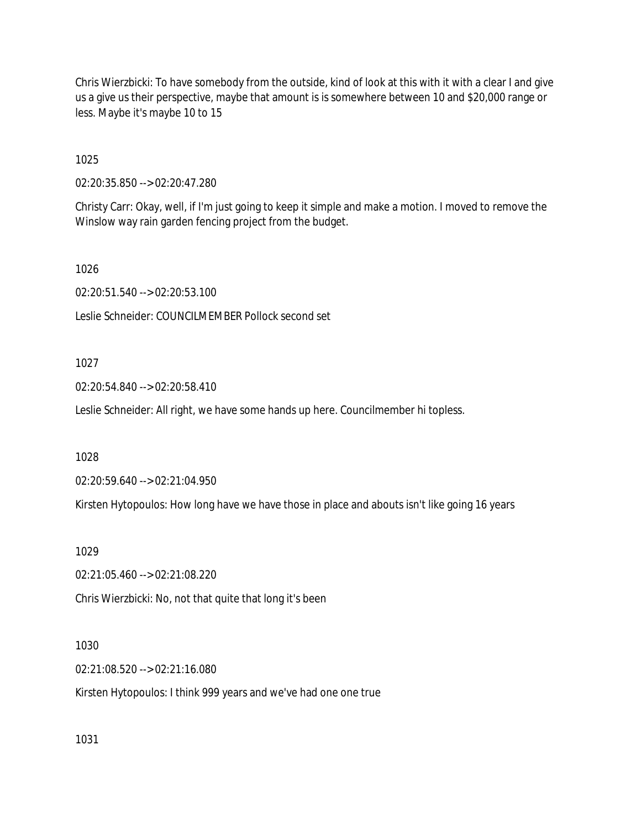Chris Wierzbicki: To have somebody from the outside, kind of look at this with it with a clear I and give us a give us their perspective, maybe that amount is is somewhere between 10 and \$20,000 range or less. Maybe it's maybe 10 to 15

1025

02:20:35.850 --> 02:20:47.280

Christy Carr: Okay, well, if I'm just going to keep it simple and make a motion. I moved to remove the Winslow way rain garden fencing project from the budget.

1026

02:20:51.540 --> 02:20:53.100

Leslie Schneider: COUNCILMEMBER Pollock second set

1027

02:20:54.840 --> 02:20:58.410

Leslie Schneider: All right, we have some hands up here. Councilmember hi topless.

1028

02:20:59.640 --> 02:21:04.950

Kirsten Hytopoulos: How long have we have those in place and abouts isn't like going 16 years

1029

02:21:05.460 --> 02:21:08.220

Chris Wierzbicki: No, not that quite that long it's been

1030

02:21:08.520 --> 02:21:16.080

Kirsten Hytopoulos: I think 999 years and we've had one one true

1031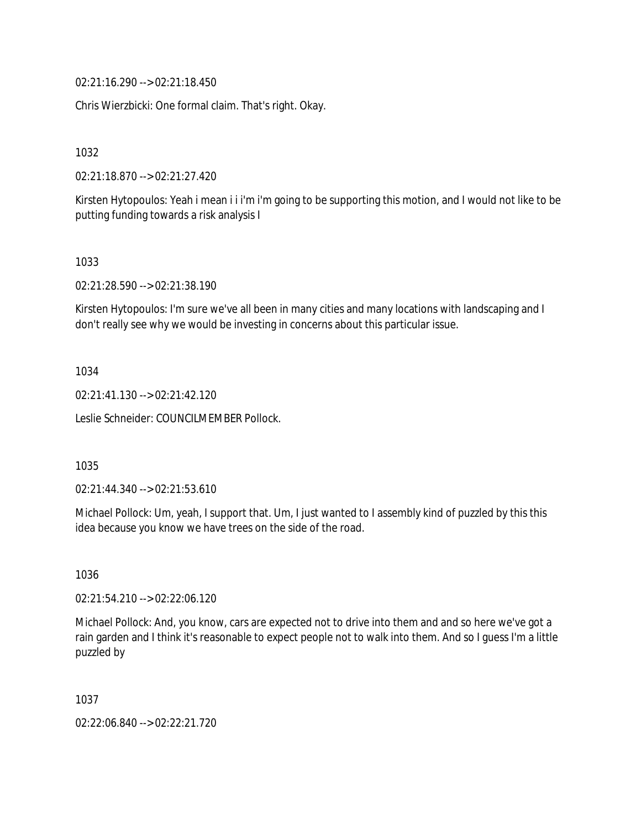02:21:16.290 --> 02:21:18.450

Chris Wierzbicki: One formal claim. That's right. Okay.

1032

02:21:18.870 --> 02:21:27.420

Kirsten Hytopoulos: Yeah i mean i i i'm i'm going to be supporting this motion, and I would not like to be putting funding towards a risk analysis I

1033

02:21:28.590 --> 02:21:38.190

Kirsten Hytopoulos: I'm sure we've all been in many cities and many locations with landscaping and I don't really see why we would be investing in concerns about this particular issue.

1034

02:21:41.130 --> 02:21:42.120

Leslie Schneider: COUNCILMEMBER Pollock.

1035

02:21:44.340 --> 02:21:53.610

Michael Pollock: Um, yeah, I support that. Um, I just wanted to I assembly kind of puzzled by this this idea because you know we have trees on the side of the road.

1036

02:21:54.210 --> 02:22:06.120

Michael Pollock: And, you know, cars are expected not to drive into them and and so here we've got a rain garden and I think it's reasonable to expect people not to walk into them. And so I guess I'm a little puzzled by

1037

02:22:06.840 --> 02:22:21.720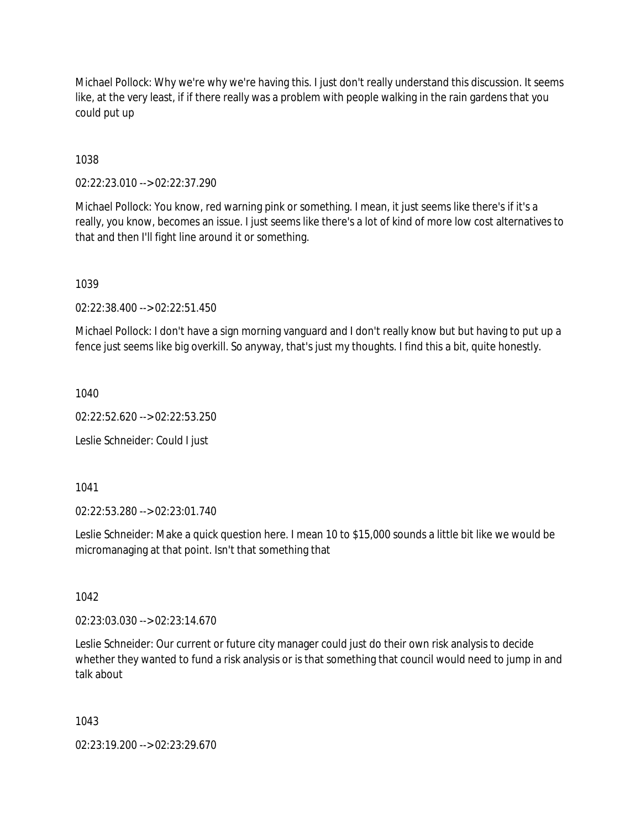Michael Pollock: Why we're why we're having this. I just don't really understand this discussion. It seems like, at the very least, if if there really was a problem with people walking in the rain gardens that you could put up

1038

02:22:23.010 --> 02:22:37.290

Michael Pollock: You know, red warning pink or something. I mean, it just seems like there's if it's a really, you know, becomes an issue. I just seems like there's a lot of kind of more low cost alternatives to that and then I'll fight line around it or something.

1039

02:22:38.400 --> 02:22:51.450

Michael Pollock: I don't have a sign morning vanguard and I don't really know but but having to put up a fence just seems like big overkill. So anyway, that's just my thoughts. I find this a bit, quite honestly.

1040

02:22:52.620 --> 02:22:53.250

Leslie Schneider: Could I just

1041

02:22:53.280 --> 02:23:01.740

Leslie Schneider: Make a quick question here. I mean 10 to \$15,000 sounds a little bit like we would be micromanaging at that point. Isn't that something that

1042

02:23:03.030 --> 02:23:14.670

Leslie Schneider: Our current or future city manager could just do their own risk analysis to decide whether they wanted to fund a risk analysis or is that something that council would need to jump in and talk about

1043

02:23:19.200 --> 02:23:29.670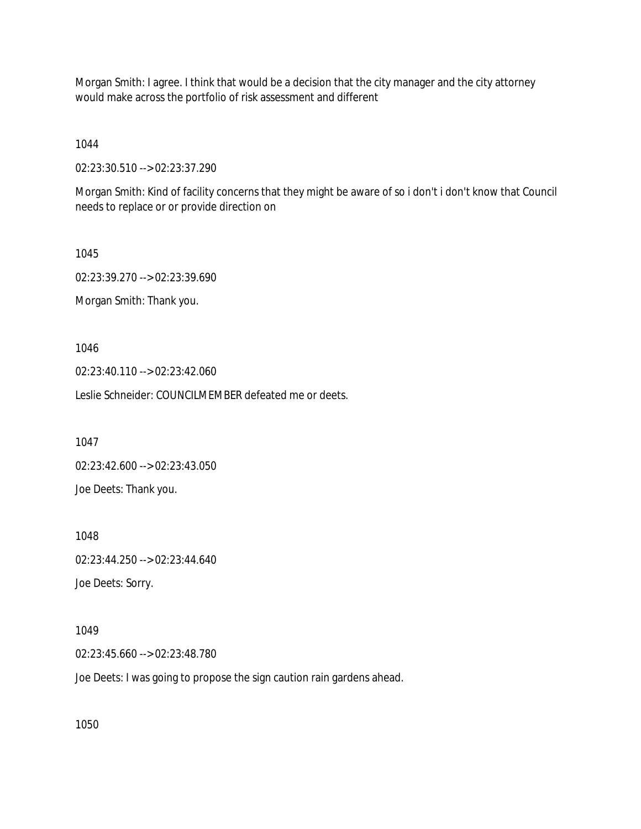Morgan Smith: I agree. I think that would be a decision that the city manager and the city attorney would make across the portfolio of risk assessment and different

1044

02:23:30.510 --> 02:23:37.290

Morgan Smith: Kind of facility concerns that they might be aware of so i don't i don't know that Council needs to replace or or provide direction on

1045 02:23:39.270 --> 02:23:39.690 Morgan Smith: Thank you.

1046

02:23:40.110 --> 02:23:42.060

Leslie Schneider: COUNCILMEMBER defeated me or deets.

1047

02:23:42.600 --> 02:23:43.050

Joe Deets: Thank you.

1048

02:23:44.250 --> 02:23:44.640

Joe Deets: Sorry.

1049

02:23:45.660 --> 02:23:48.780

Joe Deets: I was going to propose the sign caution rain gardens ahead.

1050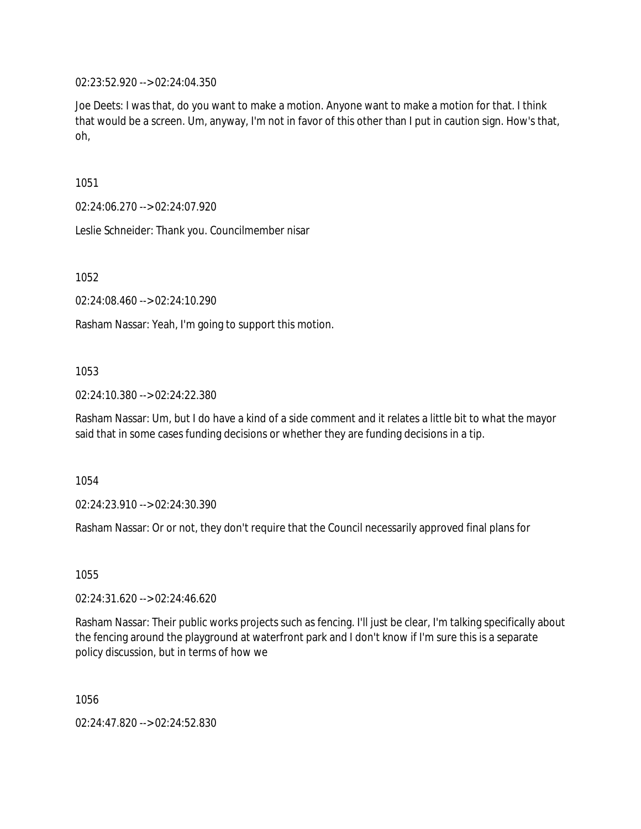02:23:52.920 --> 02:24:04.350

Joe Deets: I was that, do you want to make a motion. Anyone want to make a motion for that. I think that would be a screen. Um, anyway, I'm not in favor of this other than I put in caution sign. How's that, oh,

1051

02:24:06.270 --> 02:24:07.920

Leslie Schneider: Thank you. Councilmember nisar

1052

02:24:08.460 --> 02:24:10.290

Rasham Nassar: Yeah, I'm going to support this motion.

#### 1053

02:24:10.380 --> 02:24:22.380

Rasham Nassar: Um, but I do have a kind of a side comment and it relates a little bit to what the mayor said that in some cases funding decisions or whether they are funding decisions in a tip.

1054

02:24:23.910 --> 02:24:30.390

Rasham Nassar: Or or not, they don't require that the Council necessarily approved final plans for

1055

02:24:31.620 --> 02:24:46.620

Rasham Nassar: Their public works projects such as fencing. I'll just be clear, I'm talking specifically about the fencing around the playground at waterfront park and I don't know if I'm sure this is a separate policy discussion, but in terms of how we

1056

02:24:47.820 --> 02:24:52.830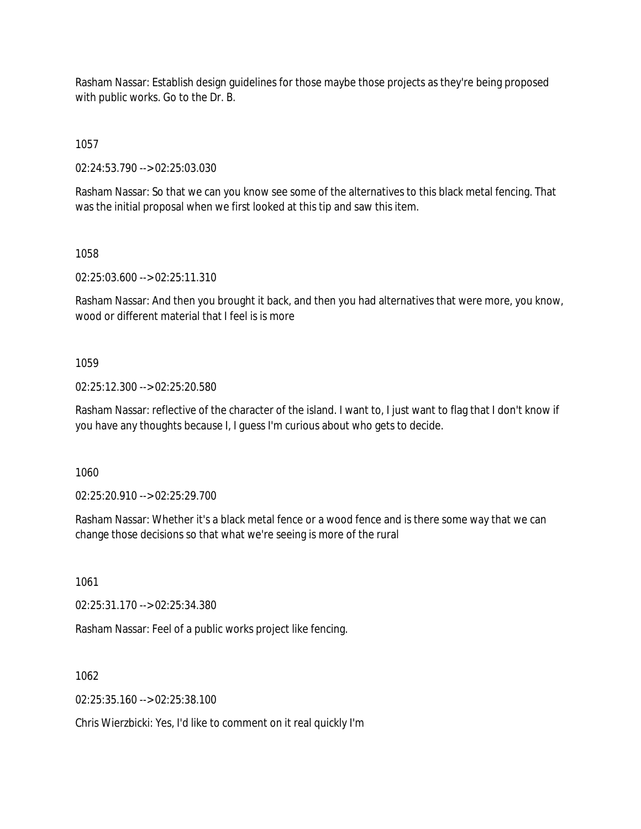Rasham Nassar: Establish design guidelines for those maybe those projects as they're being proposed with public works. Go to the Dr. B.

1057

02:24:53.790 --> 02:25:03.030

Rasham Nassar: So that we can you know see some of the alternatives to this black metal fencing. That was the initial proposal when we first looked at this tip and saw this item.

1058

02:25:03.600 --> 02:25:11.310

Rasham Nassar: And then you brought it back, and then you had alternatives that were more, you know, wood or different material that I feel is is more

1059

02:25:12.300 --> 02:25:20.580

Rasham Nassar: reflective of the character of the island. I want to, I just want to flag that I don't know if you have any thoughts because I, I guess I'm curious about who gets to decide.

1060

02:25:20.910 --> 02:25:29.700

Rasham Nassar: Whether it's a black metal fence or a wood fence and is there some way that we can change those decisions so that what we're seeing is more of the rural

1061

02:25:31.170 --> 02:25:34.380

Rasham Nassar: Feel of a public works project like fencing.

1062

 $02:25:35.160 \rightarrow 02:25:38.100$ 

Chris Wierzbicki: Yes, I'd like to comment on it real quickly I'm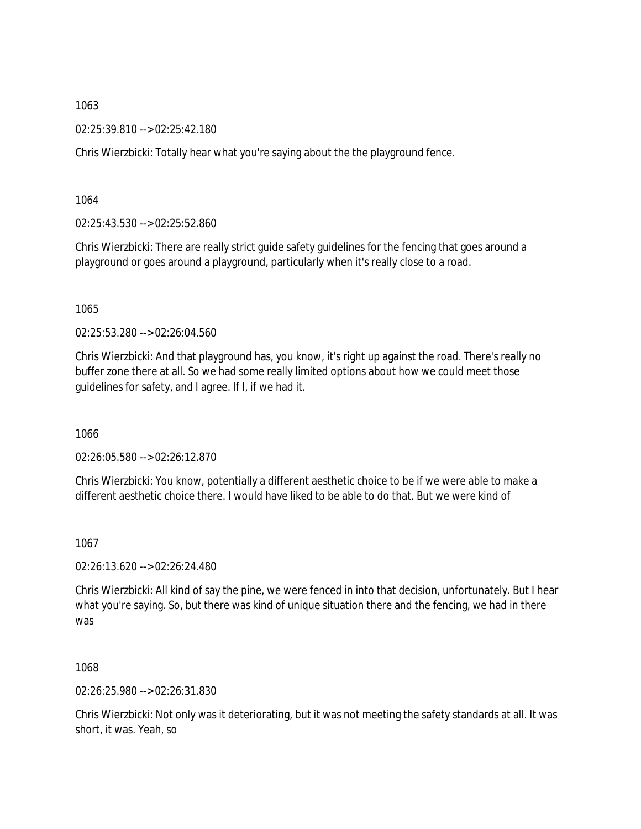02:25:39.810 --> 02:25:42.180

Chris Wierzbicki: Totally hear what you're saying about the the playground fence.

1064

02:25:43.530 --> 02:25:52.860

Chris Wierzbicki: There are really strict guide safety guidelines for the fencing that goes around a playground or goes around a playground, particularly when it's really close to a road.

1065

02:25:53.280 --> 02:26:04.560

Chris Wierzbicki: And that playground has, you know, it's right up against the road. There's really no buffer zone there at all. So we had some really limited options about how we could meet those guidelines for safety, and I agree. If I, if we had it.

1066

02:26:05.580 --> 02:26:12.870

Chris Wierzbicki: You know, potentially a different aesthetic choice to be if we were able to make a different aesthetic choice there. I would have liked to be able to do that. But we were kind of

1067

02:26:13.620 --> 02:26:24.480

Chris Wierzbicki: All kind of say the pine, we were fenced in into that decision, unfortunately. But I hear what you're saying. So, but there was kind of unique situation there and the fencing, we had in there was

1068

02:26:25.980 --> 02:26:31.830

Chris Wierzbicki: Not only was it deteriorating, but it was not meeting the safety standards at all. It was short, it was. Yeah, so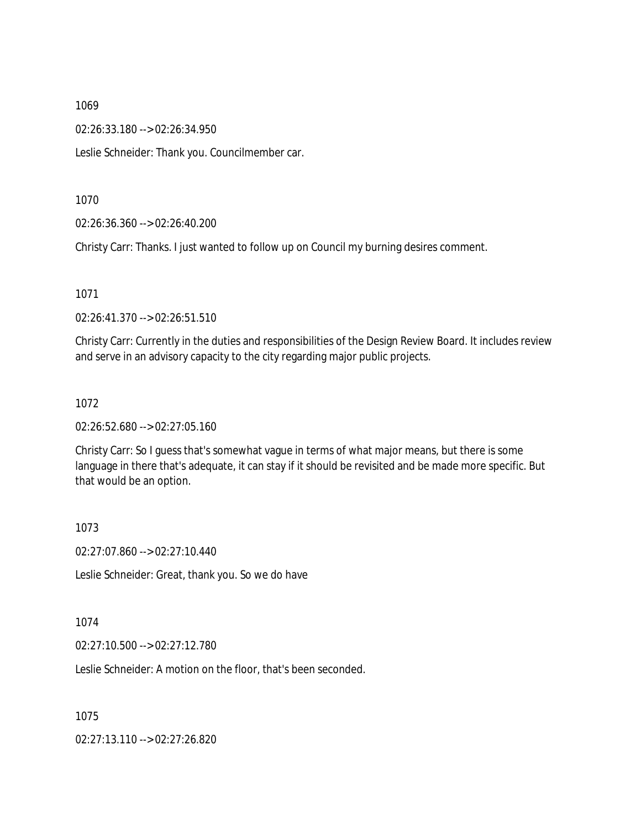02:26:33.180 --> 02:26:34.950

Leslie Schneider: Thank you. Councilmember car.

1070

02:26:36.360 --> 02:26:40.200

Christy Carr: Thanks. I just wanted to follow up on Council my burning desires comment.

1071

02:26:41.370 --> 02:26:51.510

Christy Carr: Currently in the duties and responsibilities of the Design Review Board. It includes review and serve in an advisory capacity to the city regarding major public projects.

1072

02:26:52.680 --> 02:27:05.160

Christy Carr: So I guess that's somewhat vague in terms of what major means, but there is some language in there that's adequate, it can stay if it should be revisited and be made more specific. But that would be an option.

1073

02:27:07.860 --> 02:27:10.440

Leslie Schneider: Great, thank you. So we do have

1074

02:27:10.500 --> 02:27:12.780

Leslie Schneider: A motion on the floor, that's been seconded.

1075

02:27:13.110 --> 02:27:26.820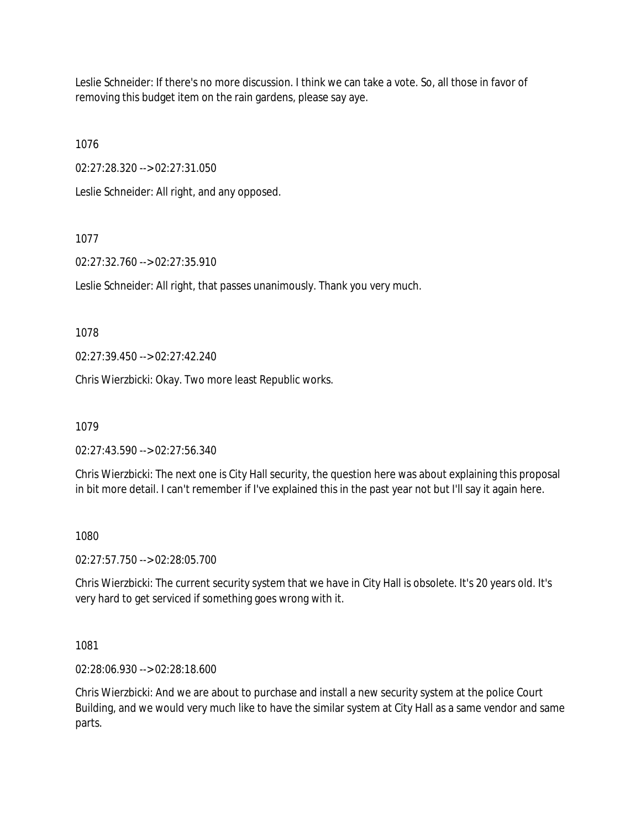Leslie Schneider: If there's no more discussion. I think we can take a vote. So, all those in favor of removing this budget item on the rain gardens, please say aye.

1076

02:27:28.320 --> 02:27:31.050

Leslie Schneider: All right, and any opposed.

# 1077

02:27:32.760 --> 02:27:35.910

Leslie Schneider: All right, that passes unanimously. Thank you very much.

1078

02:27:39.450 --> 02:27:42.240

Chris Wierzbicki: Okay. Two more least Republic works.

1079

02:27:43.590 --> 02:27:56.340

Chris Wierzbicki: The next one is City Hall security, the question here was about explaining this proposal in bit more detail. I can't remember if I've explained this in the past year not but I'll say it again here.

# 1080

02:27:57.750 --> 02:28:05.700

Chris Wierzbicki: The current security system that we have in City Hall is obsolete. It's 20 years old. It's very hard to get serviced if something goes wrong with it.

1081

02:28:06.930 --> 02:28:18.600

Chris Wierzbicki: And we are about to purchase and install a new security system at the police Court Building, and we would very much like to have the similar system at City Hall as a same vendor and same parts.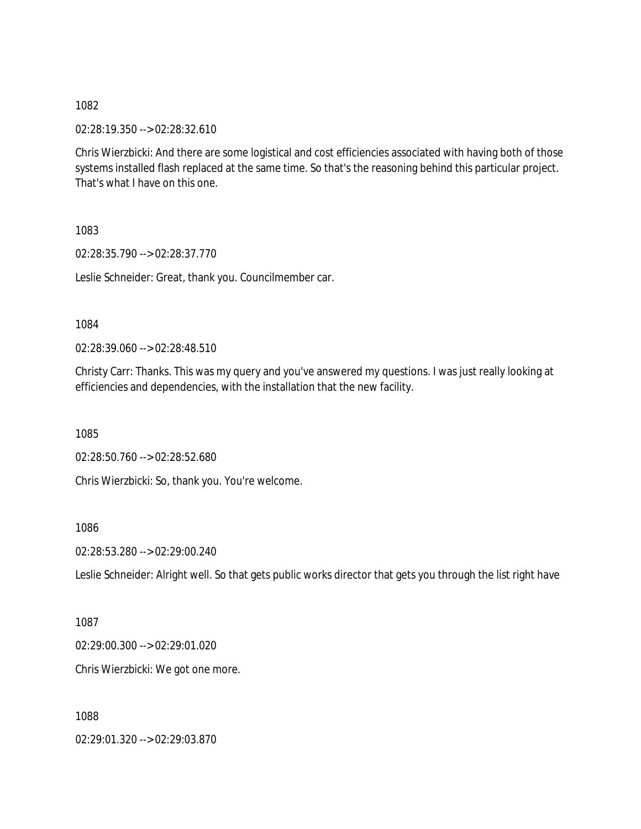02:28:19.350 --> 02:28:32.610

Chris Wierzbicki: And there are some logistical and cost efficiencies associated with having both of those systems installed flash replaced at the same time. So that's the reasoning behind this particular project. That's what I have on this one.

1083

02:28:35.790 --> 02:28:37.770

Leslie Schneider: Great, thank you. Councilmember car.

1084

02:28:39.060 --> 02:28:48.510

Christy Carr: Thanks. This was my query and you've answered my questions. I was just really looking at efficiencies and dependencies, with the installation that the new facility.

1085

02:28:50.760 --> 02:28:52.680

Chris Wierzbicki: So, thank you. You're welcome.

1086

02:28:53.280 --> 02:29:00.240

Leslie Schneider: Alright well. So that gets public works director that gets you through the list right have

1087

02:29:00.300 --> 02:29:01.020

Chris Wierzbicki: We got one more.

1088

02:29:01.320 --> 02:29:03.870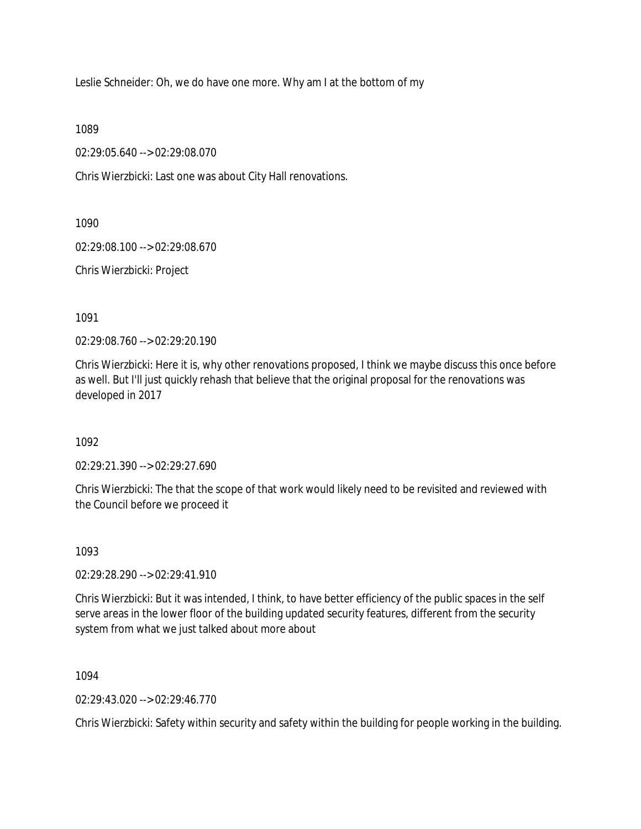Leslie Schneider: Oh, we do have one more. Why am I at the bottom of my

1089

02:29:05.640 --> 02:29:08.070

Chris Wierzbicki: Last one was about City Hall renovations.

1090

02:29:08.100 --> 02:29:08.670

Chris Wierzbicki: Project

1091

02:29:08.760 --> 02:29:20.190

Chris Wierzbicki: Here it is, why other renovations proposed, I think we maybe discuss this once before as well. But I'll just quickly rehash that believe that the original proposal for the renovations was developed in 2017

1092

02:29:21.390 --> 02:29:27.690

Chris Wierzbicki: The that the scope of that work would likely need to be revisited and reviewed with the Council before we proceed it

1093

02:29:28.290 --> 02:29:41.910

Chris Wierzbicki: But it was intended, I think, to have better efficiency of the public spaces in the self serve areas in the lower floor of the building updated security features, different from the security system from what we just talked about more about

1094

 $02.29.43.020 - 5.02.29.46.770$ 

Chris Wierzbicki: Safety within security and safety within the building for people working in the building.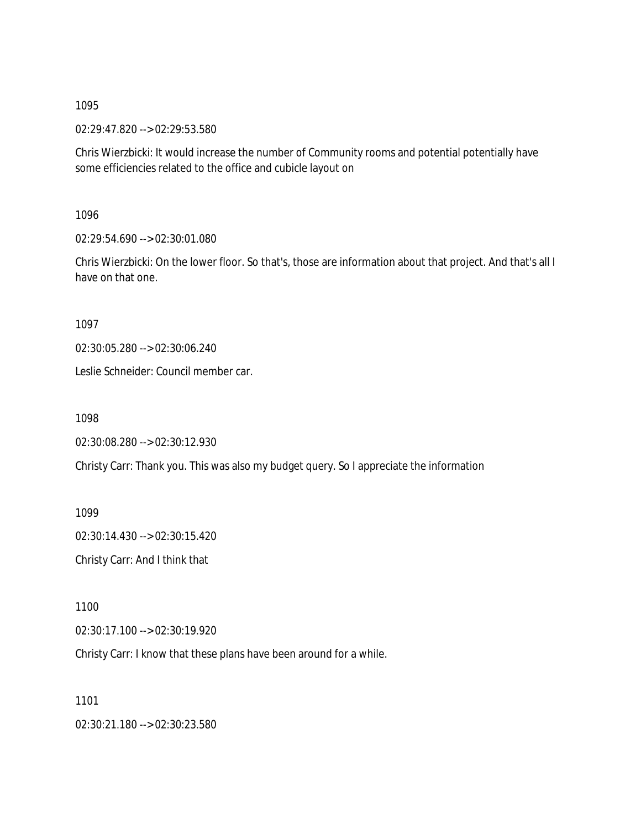02:29:47.820 --> 02:29:53.580

Chris Wierzbicki: It would increase the number of Community rooms and potential potentially have some efficiencies related to the office and cubicle layout on

1096

02:29:54.690 --> 02:30:01.080

Chris Wierzbicki: On the lower floor. So that's, those are information about that project. And that's all I have on that one.

1097

02:30:05.280 --> 02:30:06.240

Leslie Schneider: Council member car.

1098

```
02:30:08.280 --> 02:30:12.930
```
Christy Carr: Thank you. This was also my budget query. So I appreciate the information

1099

02:30:14.430 --> 02:30:15.420

Christy Carr: And I think that

1100

02:30:17.100 --> 02:30:19.920

Christy Carr: I know that these plans have been around for a while.

1101

02:30:21.180 --> 02:30:23.580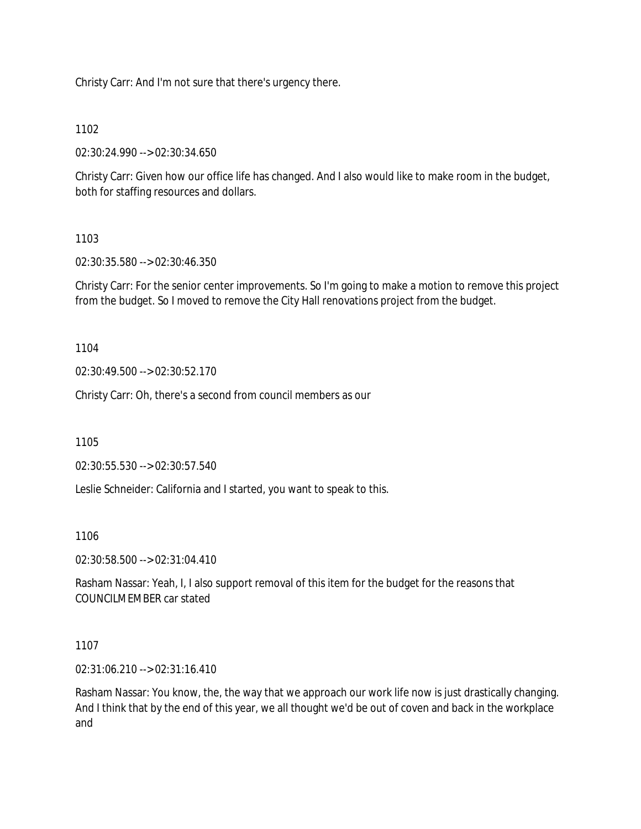Christy Carr: And I'm not sure that there's urgency there.

### 1102

02:30:24.990 --> 02:30:34.650

Christy Carr: Given how our office life has changed. And I also would like to make room in the budget, both for staffing resources and dollars.

# 1103

02:30:35.580 --> 02:30:46.350

Christy Carr: For the senior center improvements. So I'm going to make a motion to remove this project from the budget. So I moved to remove the City Hall renovations project from the budget.

1104

02:30:49.500 --> 02:30:52.170

Christy Carr: Oh, there's a second from council members as our

1105

02:30:55.530 --> 02:30:57.540

Leslie Schneider: California and I started, you want to speak to this.

### 1106

02:30:58.500 --> 02:31:04.410

Rasham Nassar: Yeah, I, I also support removal of this item for the budget for the reasons that COUNCILMEMBER car stated

### 1107

02:31:06.210 --> 02:31:16.410

Rasham Nassar: You know, the, the way that we approach our work life now is just drastically changing. And I think that by the end of this year, we all thought we'd be out of coven and back in the workplace and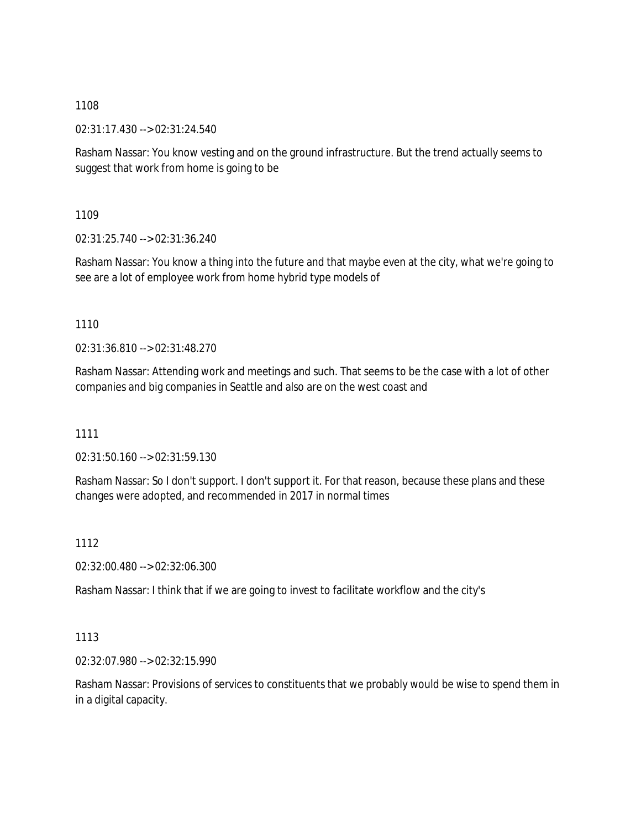02:31:17.430 --> 02:31:24.540

Rasham Nassar: You know vesting and on the ground infrastructure. But the trend actually seems to suggest that work from home is going to be

1109

02:31:25.740 --> 02:31:36.240

Rasham Nassar: You know a thing into the future and that maybe even at the city, what we're going to see are a lot of employee work from home hybrid type models of

1110

02:31:36.810 --> 02:31:48.270

Rasham Nassar: Attending work and meetings and such. That seems to be the case with a lot of other companies and big companies in Seattle and also are on the west coast and

1111

02:31:50.160 --> 02:31:59.130

Rasham Nassar: So I don't support. I don't support it. For that reason, because these plans and these changes were adopted, and recommended in 2017 in normal times

1112

02:32:00.480 --> 02:32:06.300

Rasham Nassar: I think that if we are going to invest to facilitate workflow and the city's

1113

02:32:07.980 --> 02:32:15.990

Rasham Nassar: Provisions of services to constituents that we probably would be wise to spend them in in a digital capacity.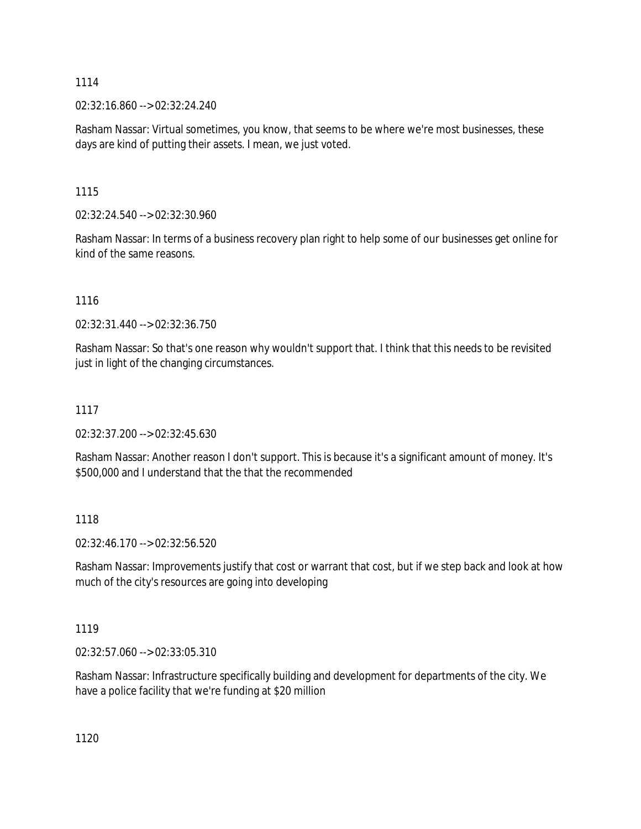02:32:16.860 --> 02:32:24.240

Rasham Nassar: Virtual sometimes, you know, that seems to be where we're most businesses, these days are kind of putting their assets. I mean, we just voted.

1115

02:32:24.540 --> 02:32:30.960

Rasham Nassar: In terms of a business recovery plan right to help some of our businesses get online for kind of the same reasons.

1116

02:32:31.440 --> 02:32:36.750

Rasham Nassar: So that's one reason why wouldn't support that. I think that this needs to be revisited just in light of the changing circumstances.

### 1117

02:32:37.200 --> 02:32:45.630

Rasham Nassar: Another reason I don't support. This is because it's a significant amount of money. It's \$500,000 and I understand that the that the recommended

1118

02:32:46.170 --> 02:32:56.520

Rasham Nassar: Improvements justify that cost or warrant that cost, but if we step back and look at how much of the city's resources are going into developing

1119

02:32:57.060 --> 02:33:05.310

Rasham Nassar: Infrastructure specifically building and development for departments of the city. We have a police facility that we're funding at \$20 million

1120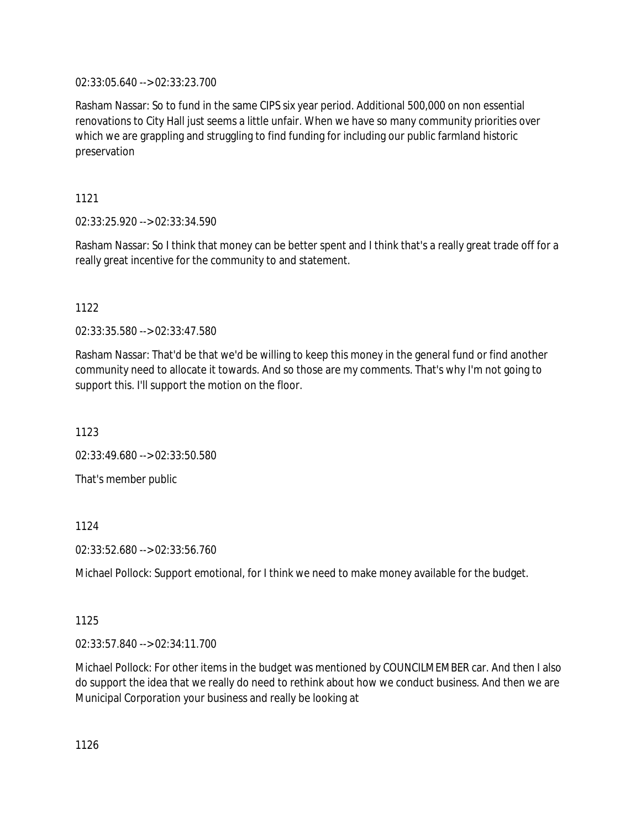02:33:05.640 --> 02:33:23.700

Rasham Nassar: So to fund in the same CIPS six year period. Additional 500,000 on non essential renovations to City Hall just seems a little unfair. When we have so many community priorities over which we are grappling and struggling to find funding for including our public farmland historic preservation

1121

02:33:25.920 --> 02:33:34.590

Rasham Nassar: So I think that money can be better spent and I think that's a really great trade off for a really great incentive for the community to and statement.

# 1122

02:33:35.580 --> 02:33:47.580

Rasham Nassar: That'd be that we'd be willing to keep this money in the general fund or find another community need to allocate it towards. And so those are my comments. That's why I'm not going to support this. I'll support the motion on the floor.

1123

02:33:49.680 --> 02:33:50.580

That's member public

1124

02:33:52.680 --> 02:33:56.760

Michael Pollock: Support emotional, for I think we need to make money available for the budget.

# 1125

02:33:57.840 --> 02:34:11.700

Michael Pollock: For other items in the budget was mentioned by COUNCILMEMBER car. And then I also do support the idea that we really do need to rethink about how we conduct business. And then we are Municipal Corporation your business and really be looking at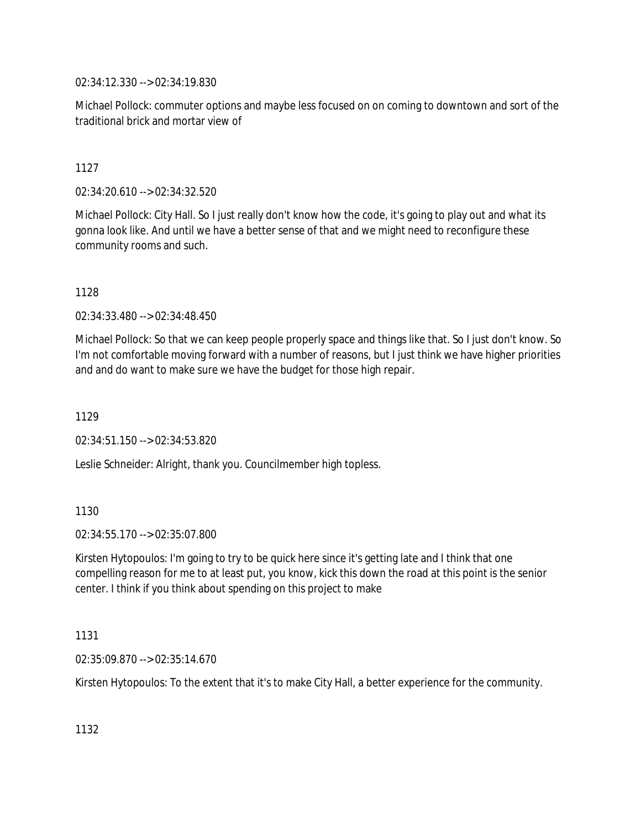02:34:12.330 --> 02:34:19.830

Michael Pollock: commuter options and maybe less focused on on coming to downtown and sort of the traditional brick and mortar view of

# 1127

02:34:20.610 --> 02:34:32.520

Michael Pollock: City Hall. So I just really don't know how the code, it's going to play out and what its gonna look like. And until we have a better sense of that and we might need to reconfigure these community rooms and such.

# 1128

02:34:33.480 --> 02:34:48.450

Michael Pollock: So that we can keep people properly space and things like that. So I just don't know. So I'm not comfortable moving forward with a number of reasons, but I just think we have higher priorities and and do want to make sure we have the budget for those high repair.

1129

02:34:51.150 --> 02:34:53.820

Leslie Schneider: Alright, thank you. Councilmember high topless.

# 1130

02:34:55.170 --> 02:35:07.800

Kirsten Hytopoulos: I'm going to try to be quick here since it's getting late and I think that one compelling reason for me to at least put, you know, kick this down the road at this point is the senior center. I think if you think about spending on this project to make

### 1131

02:35:09.870 --> 02:35:14.670

Kirsten Hytopoulos: To the extent that it's to make City Hall, a better experience for the community.

1132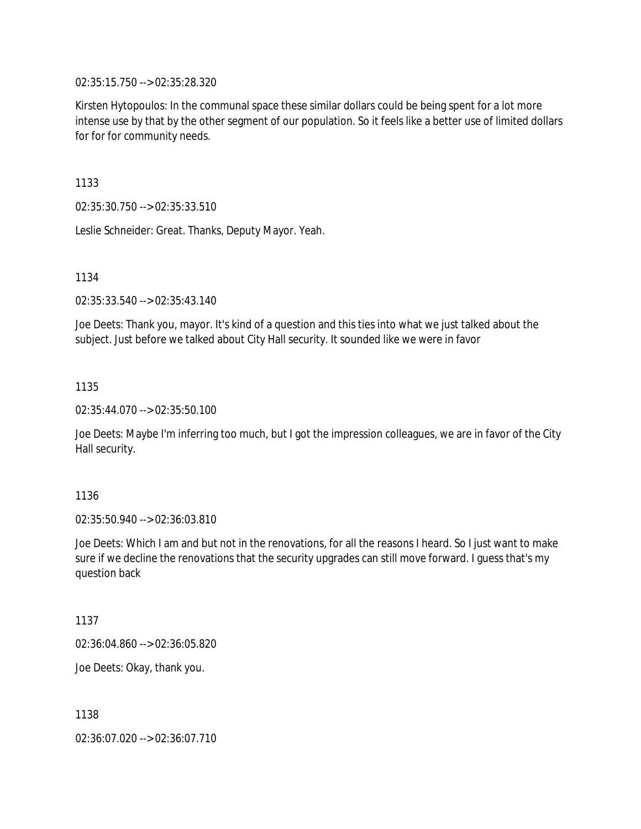02:35:15.750 --> 02:35:28.320

Kirsten Hytopoulos: In the communal space these similar dollars could be being spent for a lot more intense use by that by the other segment of our population. So it feels like a better use of limited dollars for for for community needs.

1133

02:35:30.750 --> 02:35:33.510

Leslie Schneider: Great. Thanks, Deputy Mayor. Yeah.

1134

02:35:33.540 --> 02:35:43.140

Joe Deets: Thank you, mayor. It's kind of a question and this ties into what we just talked about the subject. Just before we talked about City Hall security. It sounded like we were in favor

1135

02:35:44.070 --> 02:35:50.100

Joe Deets: Maybe I'm inferring too much, but I got the impression colleagues, we are in favor of the City Hall security.

1136

02:35:50.940 --> 02:36:03.810

Joe Deets: Which I am and but not in the renovations, for all the reasons I heard. So I just want to make sure if we decline the renovations that the security upgrades can still move forward. I guess that's my question back

1137

02:36:04.860 --> 02:36:05.820

Joe Deets: Okay, thank you.

1138

02:36:07.020 --> 02:36:07.710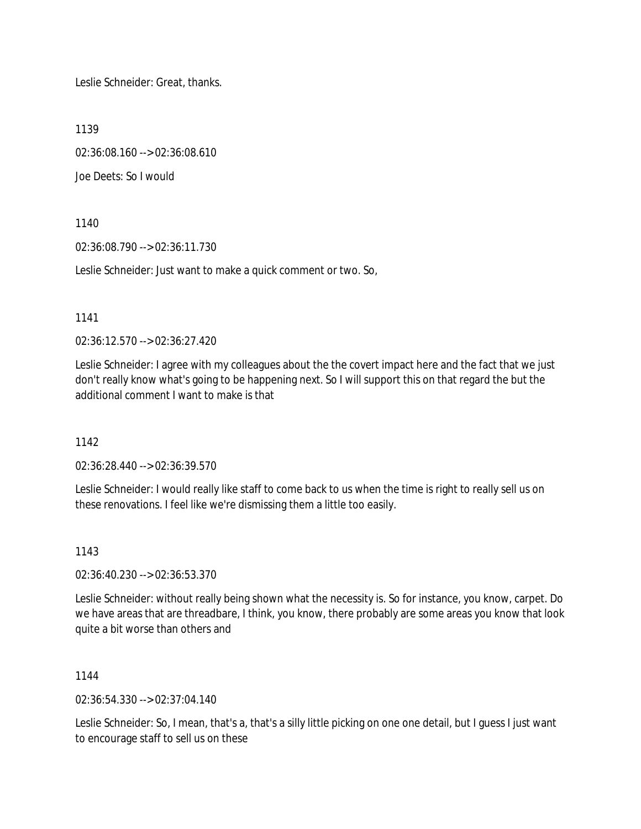Leslie Schneider: Great, thanks.

1139

02:36:08.160 --> 02:36:08.610

Joe Deets: So I would

1140

02:36:08.790 --> 02:36:11.730

Leslie Schneider: Just want to make a quick comment or two. So,

1141

02:36:12.570 --> 02:36:27.420

Leslie Schneider: I agree with my colleagues about the the covert impact here and the fact that we just don't really know what's going to be happening next. So I will support this on that regard the but the additional comment I want to make is that

1142

02:36:28.440 --> 02:36:39.570

Leslie Schneider: I would really like staff to come back to us when the time is right to really sell us on these renovations. I feel like we're dismissing them a little too easily.

1143

02:36:40.230 --> 02:36:53.370

Leslie Schneider: without really being shown what the necessity is. So for instance, you know, carpet. Do we have areas that are threadbare, I think, you know, there probably are some areas you know that look quite a bit worse than others and

1144

02:36:54.330 --> 02:37:04.140

Leslie Schneider: So, I mean, that's a, that's a silly little picking on one one detail, but I guess I just want to encourage staff to sell us on these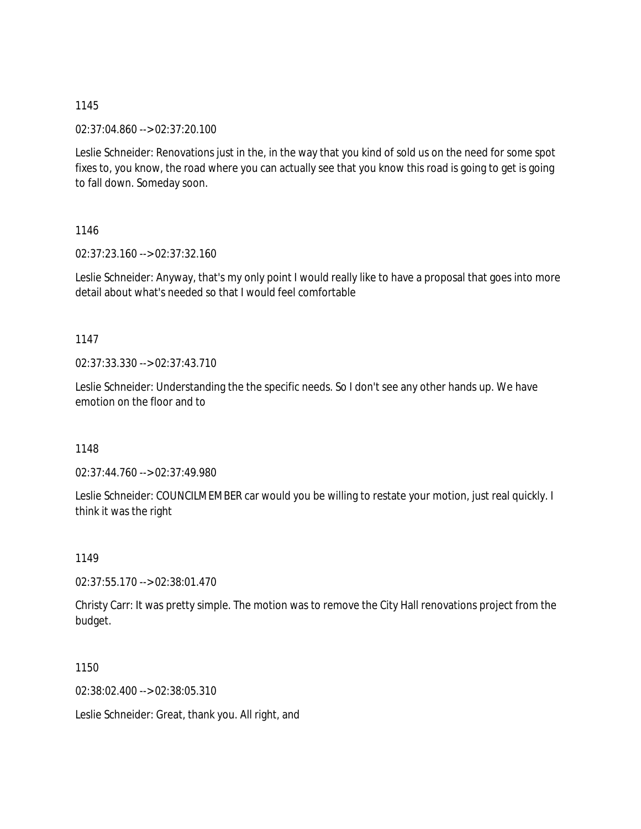02:37:04.860 --> 02:37:20.100

Leslie Schneider: Renovations just in the, in the way that you kind of sold us on the need for some spot fixes to, you know, the road where you can actually see that you know this road is going to get is going to fall down. Someday soon.

1146

02:37:23.160 --> 02:37:32.160

Leslie Schneider: Anyway, that's my only point I would really like to have a proposal that goes into more detail about what's needed so that I would feel comfortable

1147

02:37:33.330 --> 02:37:43.710

Leslie Schneider: Understanding the the specific needs. So I don't see any other hands up. We have emotion on the floor and to

1148

02:37:44.760 --> 02:37:49.980

Leslie Schneider: COUNCILMEMBER car would you be willing to restate your motion, just real quickly. I think it was the right

1149

02:37:55.170 --> 02:38:01.470

Christy Carr: It was pretty simple. The motion was to remove the City Hall renovations project from the budget.

1150

02:38:02.400 --> 02:38:05.310

Leslie Schneider: Great, thank you. All right, and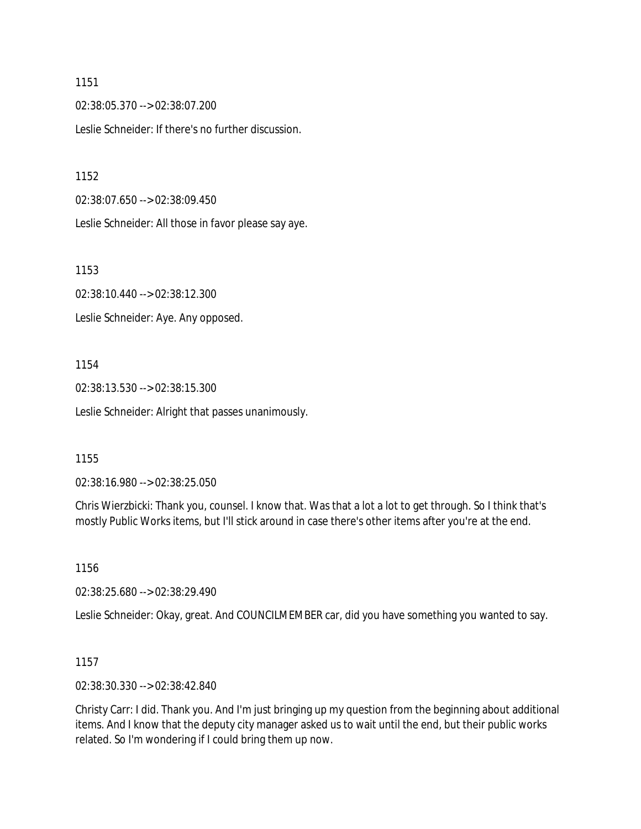02:38:05.370 --> 02:38:07.200 Leslie Schneider: If there's no further discussion.

1152

02:38:07.650 --> 02:38:09.450

Leslie Schneider: All those in favor please say aye.

1153

02:38:10.440 --> 02:38:12.300 Leslie Schneider: Aye. Any opposed.

1154

02:38:13.530 --> 02:38:15.300 Leslie Schneider: Alright that passes unanimously.

1155

02:38:16.980 --> 02:38:25.050

Chris Wierzbicki: Thank you, counsel. I know that. Was that a lot a lot to get through. So I think that's mostly Public Works items, but I'll stick around in case there's other items after you're at the end.

1156

02:38:25.680 --> 02:38:29.490

Leslie Schneider: Okay, great. And COUNCILMEMBER car, did you have something you wanted to say.

1157

02:38:30.330 --> 02:38:42.840

Christy Carr: I did. Thank you. And I'm just bringing up my question from the beginning about additional items. And I know that the deputy city manager asked us to wait until the end, but their public works related. So I'm wondering if I could bring them up now.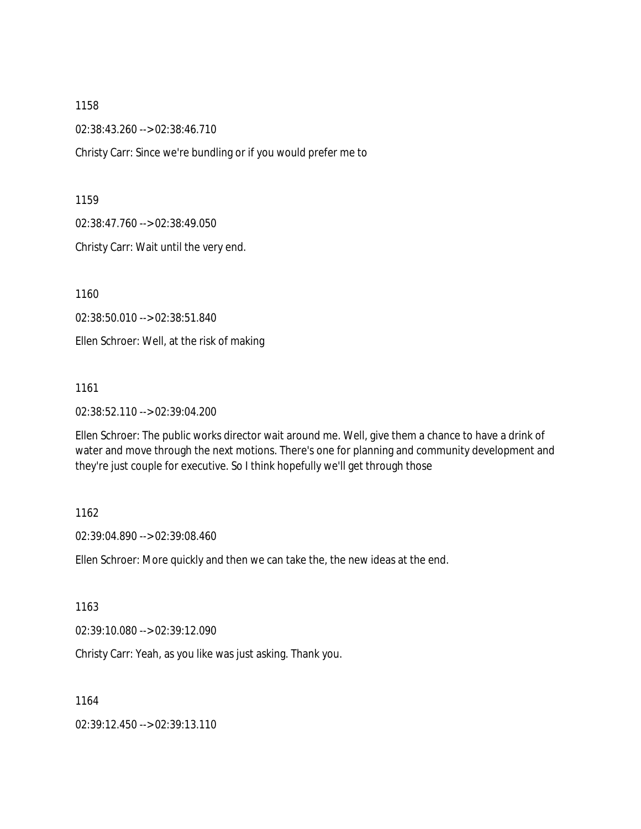02:38:43.260 --> 02:38:46.710

Christy Carr: Since we're bundling or if you would prefer me to

1159

02:38:47.760 --> 02:38:49.050

Christy Carr: Wait until the very end.

1160

02:38:50.010 --> 02:38:51.840

Ellen Schroer: Well, at the risk of making

1161

02:38:52.110 --> 02:39:04.200

Ellen Schroer: The public works director wait around me. Well, give them a chance to have a drink of water and move through the next motions. There's one for planning and community development and they're just couple for executive. So I think hopefully we'll get through those

#### 1162

02:39:04.890 --> 02:39:08.460

Ellen Schroer: More quickly and then we can take the, the new ideas at the end.

1163

02:39:10.080 --> 02:39:12.090

Christy Carr: Yeah, as you like was just asking. Thank you.

1164

02:39:12.450 --> 02:39:13.110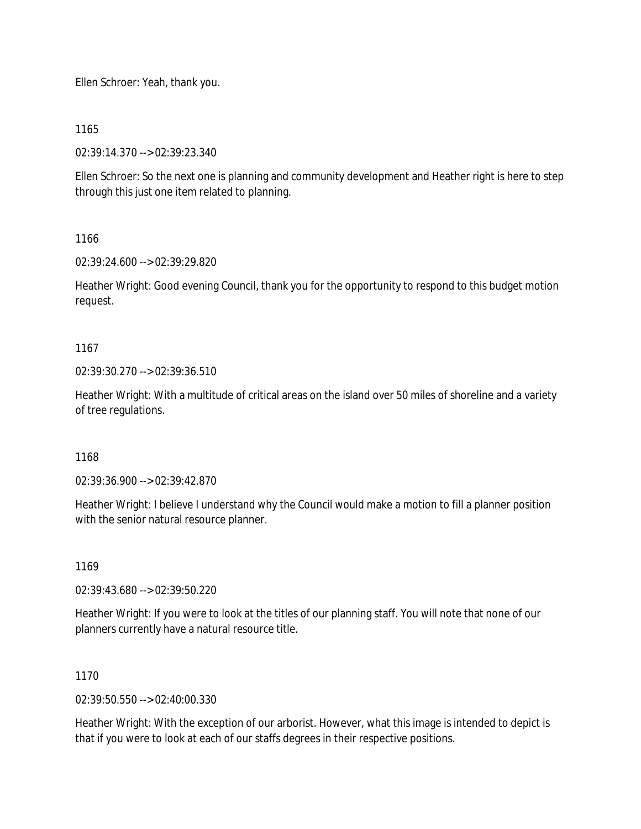Ellen Schroer: Yeah, thank you.

1165

02:39:14.370 --> 02:39:23.340

Ellen Schroer: So the next one is planning and community development and Heather right is here to step through this just one item related to planning.

1166

02:39:24.600 --> 02:39:29.820

Heather Wright: Good evening Council, thank you for the opportunity to respond to this budget motion request.

1167

02:39:30.270 --> 02:39:36.510

Heather Wright: With a multitude of critical areas on the island over 50 miles of shoreline and a variety of tree regulations.

1168

02:39:36.900 --> 02:39:42.870

Heather Wright: I believe I understand why the Council would make a motion to fill a planner position with the senior natural resource planner.

1169

02:39:43.680 --> 02:39:50.220

Heather Wright: If you were to look at the titles of our planning staff. You will note that none of our planners currently have a natural resource title.

1170

02:39:50.550 --> 02:40:00.330

Heather Wright: With the exception of our arborist. However, what this image is intended to depict is that if you were to look at each of our staffs degrees in their respective positions.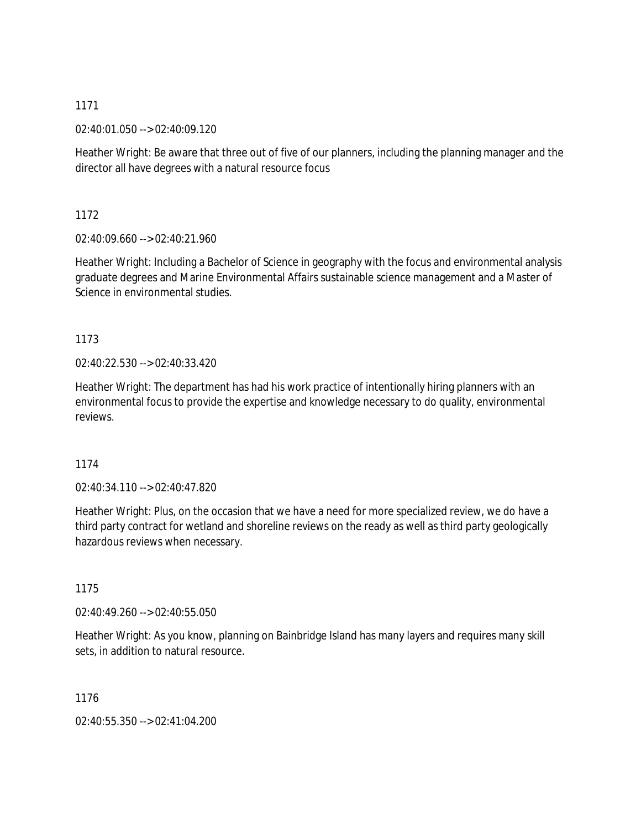02:40:01.050 --> 02:40:09.120

Heather Wright: Be aware that three out of five of our planners, including the planning manager and the director all have degrees with a natural resource focus

1172

02:40:09.660 --> 02:40:21.960

Heather Wright: Including a Bachelor of Science in geography with the focus and environmental analysis graduate degrees and Marine Environmental Affairs sustainable science management and a Master of Science in environmental studies.

1173

02:40:22.530 --> 02:40:33.420

Heather Wright: The department has had his work practice of intentionally hiring planners with an environmental focus to provide the expertise and knowledge necessary to do quality, environmental reviews.

1174

 $02.40.34.110 -5.02.40.47.820$ 

Heather Wright: Plus, on the occasion that we have a need for more specialized review, we do have a third party contract for wetland and shoreline reviews on the ready as well as third party geologically hazardous reviews when necessary.

1175

02:40:49.260 --> 02:40:55.050

Heather Wright: As you know, planning on Bainbridge Island has many layers and requires many skill sets, in addition to natural resource.

1176

02:40:55.350 --> 02:41:04.200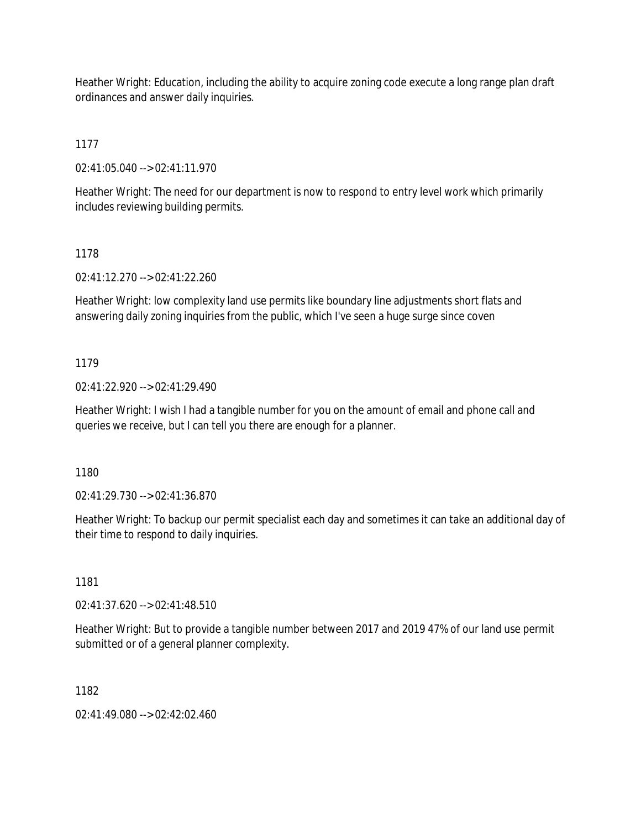Heather Wright: Education, including the ability to acquire zoning code execute a long range plan draft ordinances and answer daily inquiries.

1177

02:41:05.040 --> 02:41:11.970

Heather Wright: The need for our department is now to respond to entry level work which primarily includes reviewing building permits.

# 1178

02:41:12.270 --> 02:41:22.260

Heather Wright: low complexity land use permits like boundary line adjustments short flats and answering daily zoning inquiries from the public, which I've seen a huge surge since coven

# 1179

02:41:22.920 --> 02:41:29.490

Heather Wright: I wish I had a tangible number for you on the amount of email and phone call and queries we receive, but I can tell you there are enough for a planner.

1180

02:41:29.730 --> 02:41:36.870

Heather Wright: To backup our permit specialist each day and sometimes it can take an additional day of their time to respond to daily inquiries.

1181

02:41:37.620 --> 02:41:48.510

Heather Wright: But to provide a tangible number between 2017 and 2019 47% of our land use permit submitted or of a general planner complexity.

1182

02:41:49.080 --> 02:42:02.460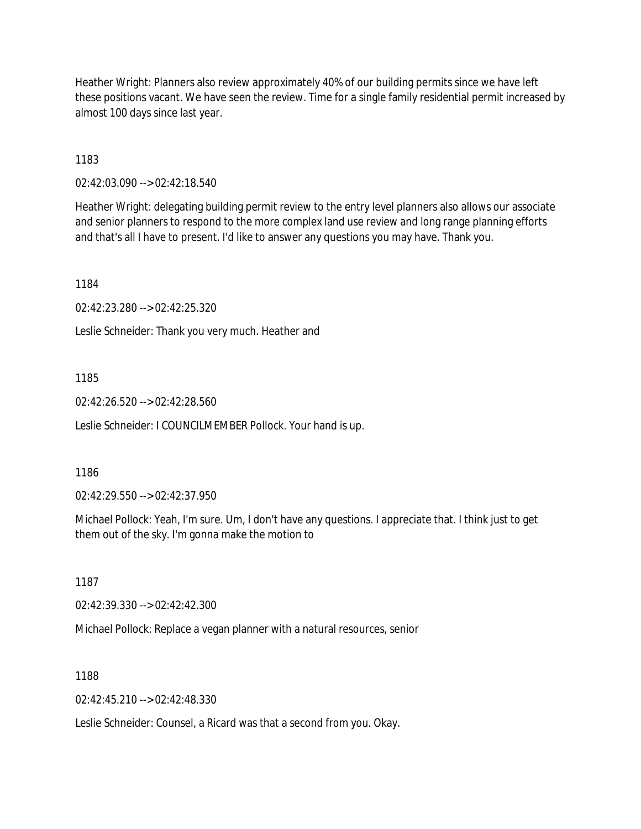Heather Wright: Planners also review approximately 40% of our building permits since we have left these positions vacant. We have seen the review. Time for a single family residential permit increased by almost 100 days since last year.

1183

02:42:03.090 --> 02:42:18.540

Heather Wright: delegating building permit review to the entry level planners also allows our associate and senior planners to respond to the more complex land use review and long range planning efforts and that's all I have to present. I'd like to answer any questions you may have. Thank you.

1184

02:42:23.280 --> 02:42:25.320

Leslie Schneider: Thank you very much. Heather and

1185

02:42:26.520 --> 02:42:28.560

Leslie Schneider: I COUNCILMEMBER Pollock. Your hand is up.

1186

02:42:29.550 --> 02:42:37.950

Michael Pollock: Yeah, I'm sure. Um, I don't have any questions. I appreciate that. I think just to get them out of the sky. I'm gonna make the motion to

1187

02:42:39.330 --> 02:42:42.300

Michael Pollock: Replace a vegan planner with a natural resources, senior

1188

 $02.42.45.210 -5.02.42.48.330$ 

Leslie Schneider: Counsel, a Ricard was that a second from you. Okay.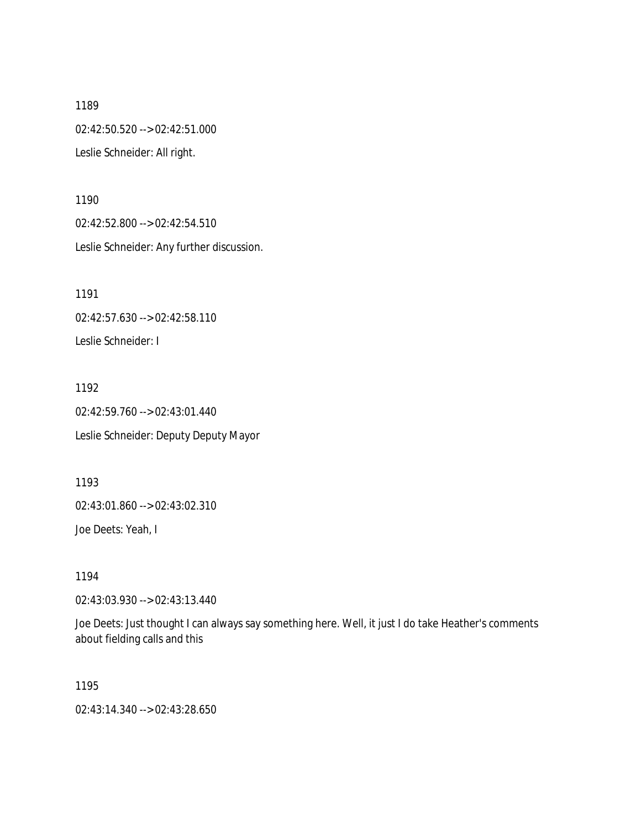1189 02:42:50.520 --> 02:42:51.000 Leslie Schneider: All right.

1190 02:42:52.800 --> 02:42:54.510 Leslie Schneider: Any further discussion.

1191 02:42:57.630 --> 02:42:58.110 Leslie Schneider: I

1192 02:42:59.760 --> 02:43:01.440 Leslie Schneider: Deputy Deputy Mayor

1193 02:43:01.860 --> 02:43:02.310

Joe Deets: Yeah, I

1194

02:43:03.930 --> 02:43:13.440

Joe Deets: Just thought I can always say something here. Well, it just I do take Heather's comments about fielding calls and this

1195

02:43:14.340 --> 02:43:28.650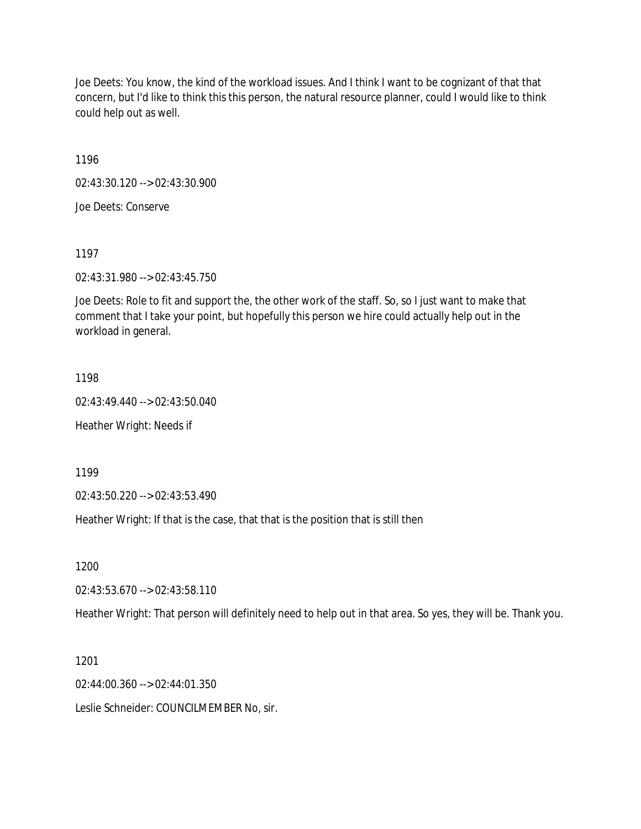Joe Deets: You know, the kind of the workload issues. And I think I want to be cognizant of that that concern, but I'd like to think this this person, the natural resource planner, could I would like to think could help out as well.

1196

02:43:30.120 --> 02:43:30.900

Joe Deets: Conserve

1197

02:43:31.980 --> 02:43:45.750

Joe Deets: Role to fit and support the, the other work of the staff. So, so I just want to make that comment that I take your point, but hopefully this person we hire could actually help out in the workload in general.

1198

02:43:49.440 --> 02:43:50.040

Heather Wright: Needs if

1199

02:43:50.220 --> 02:43:53.490

Heather Wright: If that is the case, that that is the position that is still then

1200

02:43:53.670 --> 02:43:58.110

Heather Wright: That person will definitely need to help out in that area. So yes, they will be. Thank you.

1201

02:44:00.360 --> 02:44:01.350

Leslie Schneider: COUNCILMEMBER No, sir.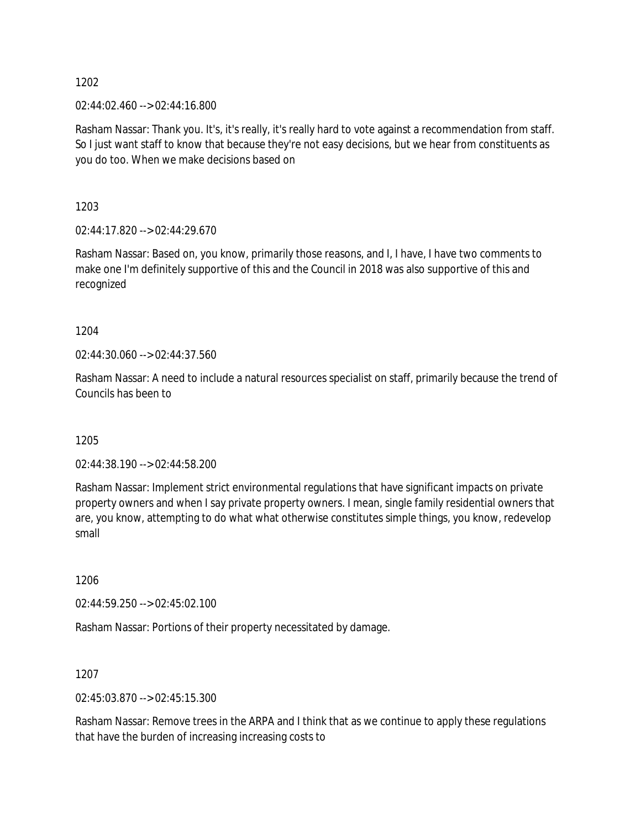02:44:02.460 --> 02:44:16.800

Rasham Nassar: Thank you. It's, it's really, it's really hard to vote against a recommendation from staff. So I just want staff to know that because they're not easy decisions, but we hear from constituents as you do too. When we make decisions based on

1203

02:44:17.820 --> 02:44:29.670

Rasham Nassar: Based on, you know, primarily those reasons, and I, I have, I have two comments to make one I'm definitely supportive of this and the Council in 2018 was also supportive of this and recognized

1204

02:44:30.060 --> 02:44:37.560

Rasham Nassar: A need to include a natural resources specialist on staff, primarily because the trend of Councils has been to

1205

02:44:38.190 --> 02:44:58.200

Rasham Nassar: Implement strict environmental regulations that have significant impacts on private property owners and when I say private property owners. I mean, single family residential owners that are, you know, attempting to do what what otherwise constitutes simple things, you know, redevelop small

1206

02:44:59.250 --> 02:45:02.100

Rasham Nassar: Portions of their property necessitated by damage.

1207

02:45:03.870 --> 02:45:15.300

Rasham Nassar: Remove trees in the ARPA and I think that as we continue to apply these regulations that have the burden of increasing increasing costs to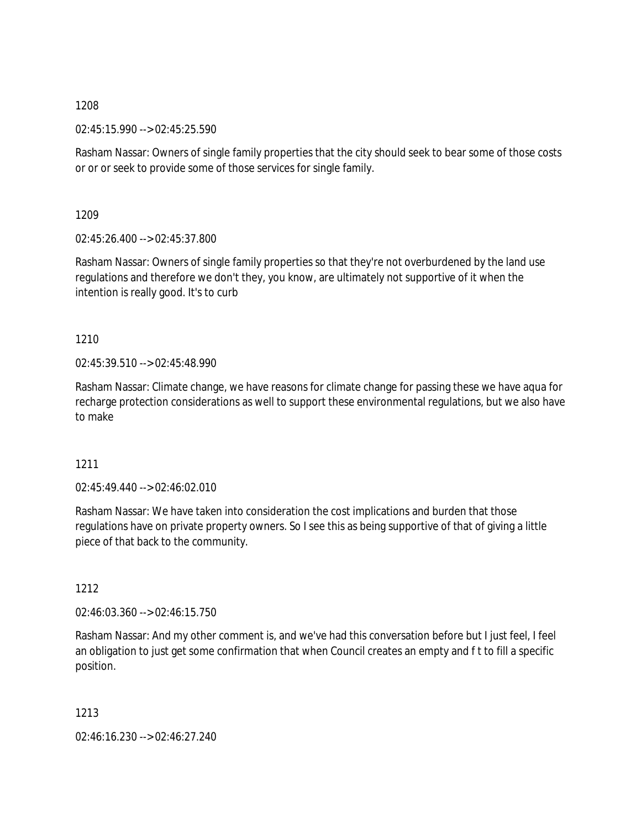02:45:15.990 --> 02:45:25.590

Rasham Nassar: Owners of single family properties that the city should seek to bear some of those costs or or or seek to provide some of those services for single family.

1209

02:45:26.400 --> 02:45:37.800

Rasham Nassar: Owners of single family properties so that they're not overburdened by the land use regulations and therefore we don't they, you know, are ultimately not supportive of it when the intention is really good. It's to curb

1210

02:45:39.510 --> 02:45:48.990

Rasham Nassar: Climate change, we have reasons for climate change for passing these we have aqua for recharge protection considerations as well to support these environmental regulations, but we also have to make

1211

 $02.45.49.440 -5.02.46.02.010$ 

Rasham Nassar: We have taken into consideration the cost implications and burden that those regulations have on private property owners. So I see this as being supportive of that of giving a little piece of that back to the community.

1212

02:46:03.360 --> 02:46:15.750

Rasham Nassar: And my other comment is, and we've had this conversation before but I just feel, I feel an obligation to just get some confirmation that when Council creates an empty and f t to fill a specific position.

1213

02:46:16.230 --> 02:46:27.240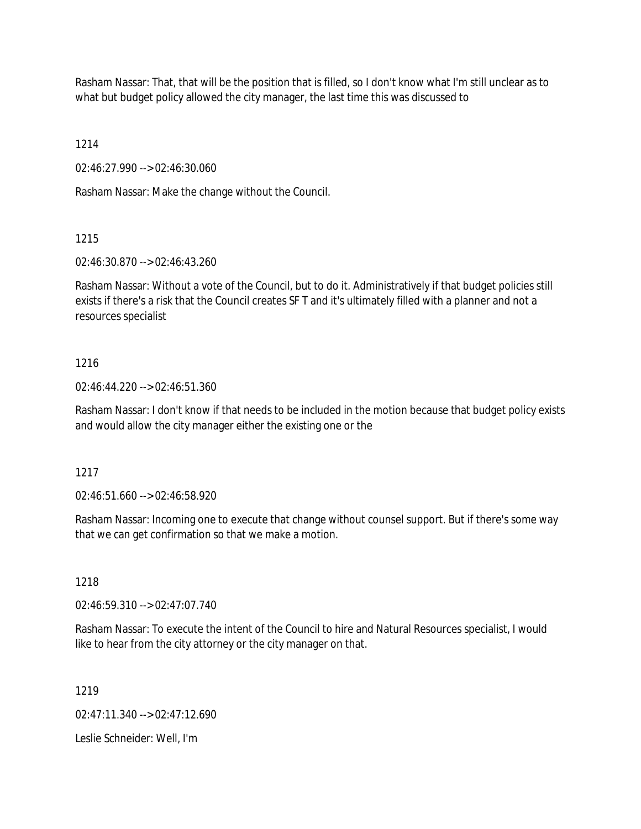Rasham Nassar: That, that will be the position that is filled, so I don't know what I'm still unclear as to what but budget policy allowed the city manager, the last time this was discussed to

1214

02:46:27.990 --> 02:46:30.060

Rasham Nassar: Make the change without the Council.

# 1215

02:46:30.870 --> 02:46:43.260

Rasham Nassar: Without a vote of the Council, but to do it. Administratively if that budget policies still exists if there's a risk that the Council creates SF T and it's ultimately filled with a planner and not a resources specialist

# 1216

02:46:44.220 --> 02:46:51.360

Rasham Nassar: I don't know if that needs to be included in the motion because that budget policy exists and would allow the city manager either the existing one or the

# 1217

02:46:51.660 --> 02:46:58.920

Rasham Nassar: Incoming one to execute that change without counsel support. But if there's some way that we can get confirmation so that we make a motion.

# 1218

02:46:59.310 --> 02:47:07.740

Rasham Nassar: To execute the intent of the Council to hire and Natural Resources specialist, I would like to hear from the city attorney or the city manager on that.

1219

02:47:11.340 --> 02:47:12.690

Leslie Schneider: Well, I'm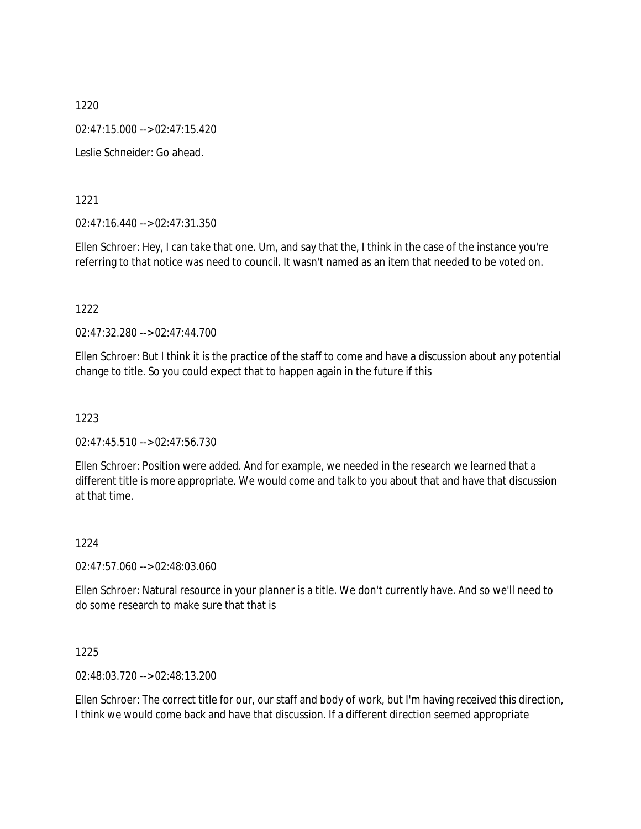1220 02:47:15.000 --> 02:47:15.420 Leslie Schneider: Go ahead.

1221

02:47:16.440 --> 02:47:31.350

Ellen Schroer: Hey, I can take that one. Um, and say that the, I think in the case of the instance you're referring to that notice was need to council. It wasn't named as an item that needed to be voted on.

1222

02:47:32.280 --> 02:47:44.700

Ellen Schroer: But I think it is the practice of the staff to come and have a discussion about any potential change to title. So you could expect that to happen again in the future if this

1223

02:47:45.510 --> 02:47:56.730

Ellen Schroer: Position were added. And for example, we needed in the research we learned that a different title is more appropriate. We would come and talk to you about that and have that discussion at that time.

1224

02:47:57.060 --> 02:48:03.060

Ellen Schroer: Natural resource in your planner is a title. We don't currently have. And so we'll need to do some research to make sure that that is

1225

02:48:03.720 --> 02:48:13.200

Ellen Schroer: The correct title for our, our staff and body of work, but I'm having received this direction, I think we would come back and have that discussion. If a different direction seemed appropriate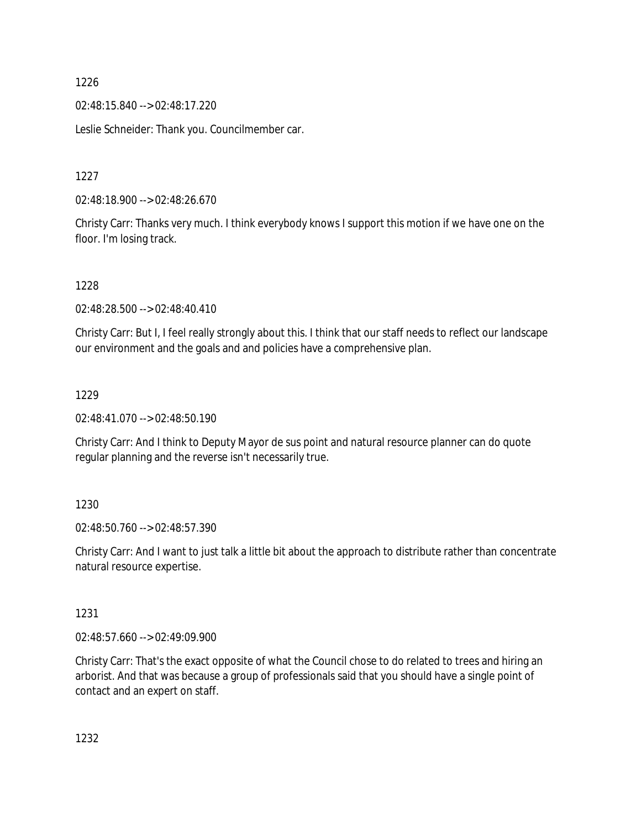02:48:15.840 --> 02:48:17.220

Leslie Schneider: Thank you. Councilmember car.

1227

02:48:18.900 --> 02:48:26.670

Christy Carr: Thanks very much. I think everybody knows I support this motion if we have one on the floor. I'm losing track.

1228

02:48:28.500 --> 02:48:40.410

Christy Carr: But I, I feel really strongly about this. I think that our staff needs to reflect our landscape our environment and the goals and and policies have a comprehensive plan.

### 1229

02:48:41.070 --> 02:48:50.190

Christy Carr: And I think to Deputy Mayor de sus point and natural resource planner can do quote regular planning and the reverse isn't necessarily true.

### 1230

02:48:50.760 --> 02:48:57.390

Christy Carr: And I want to just talk a little bit about the approach to distribute rather than concentrate natural resource expertise.

### 1231

02:48:57.660 --> 02:49:09.900

Christy Carr: That's the exact opposite of what the Council chose to do related to trees and hiring an arborist. And that was because a group of professionals said that you should have a single point of contact and an expert on staff.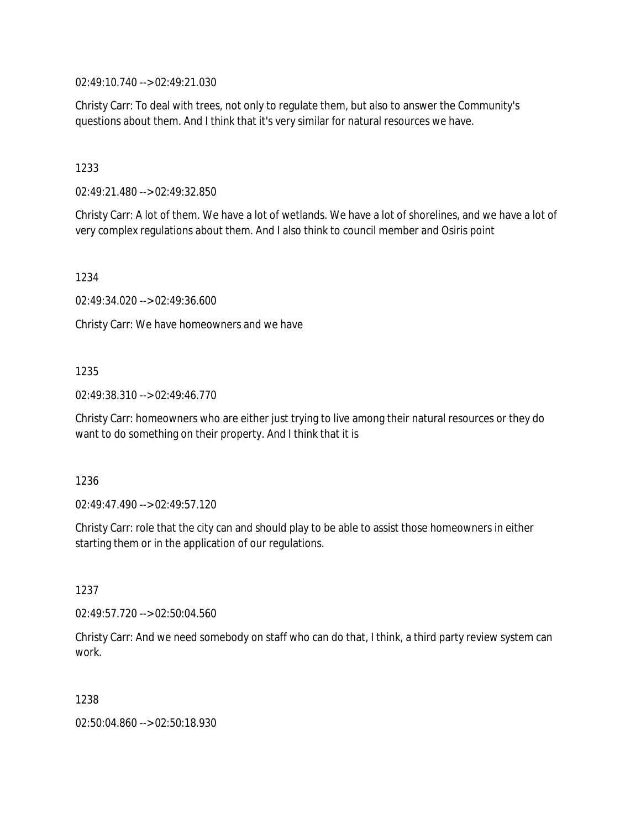02:49:10.740 --> 02:49:21.030

Christy Carr: To deal with trees, not only to regulate them, but also to answer the Community's questions about them. And I think that it's very similar for natural resources we have.

1233

02:49:21.480 --> 02:49:32.850

Christy Carr: A lot of them. We have a lot of wetlands. We have a lot of shorelines, and we have a lot of very complex regulations about them. And I also think to council member and Osiris point

1234

02:49:34.020 --> 02:49:36.600

Christy Carr: We have homeowners and we have

### 1235

02:49:38.310 --> 02:49:46.770

Christy Carr: homeowners who are either just trying to live among their natural resources or they do want to do something on their property. And I think that it is

1236

02:49:47.490 --> 02:49:57.120

Christy Carr: role that the city can and should play to be able to assist those homeowners in either starting them or in the application of our regulations.

1237

02:49:57.720 --> 02:50:04.560

Christy Carr: And we need somebody on staff who can do that, I think, a third party review system can work.

1238

02:50:04.860 --> 02:50:18.930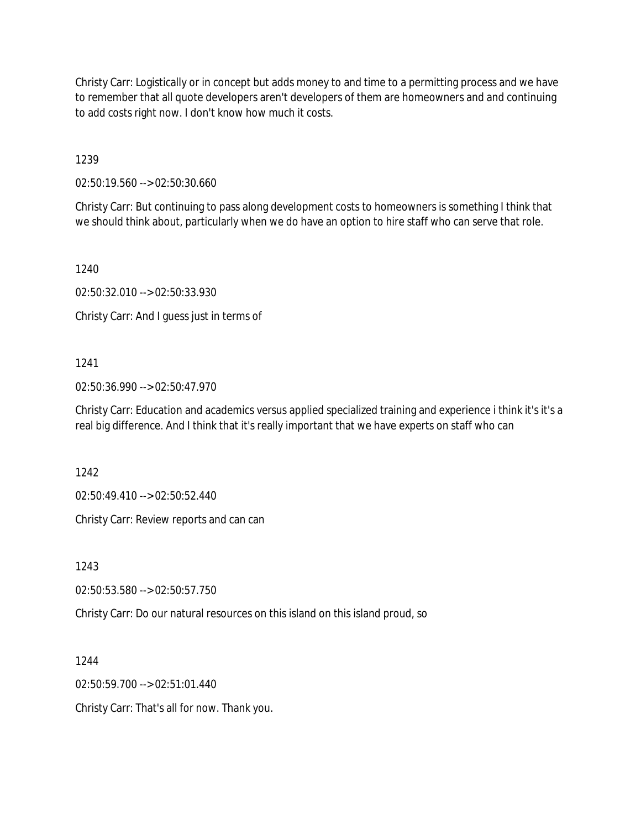Christy Carr: Logistically or in concept but adds money to and time to a permitting process and we have to remember that all quote developers aren't developers of them are homeowners and and continuing to add costs right now. I don't know how much it costs.

1239

02:50:19.560 --> 02:50:30.660

Christy Carr: But continuing to pass along development costs to homeowners is something I think that we should think about, particularly when we do have an option to hire staff who can serve that role.

1240

02:50:32.010 --> 02:50:33.930

Christy Carr: And I guess just in terms of

# 1241

02:50:36.990 --> 02:50:47.970

Christy Carr: Education and academics versus applied specialized training and experience i think it's it's a real big difference. And I think that it's really important that we have experts on staff who can

1242

02:50:49.410 --> 02:50:52.440

Christy Carr: Review reports and can can

1243

02:50:53.580 --> 02:50:57.750

Christy Carr: Do our natural resources on this island on this island proud, so

1244

02:50:59.700 --> 02:51:01.440

Christy Carr: That's all for now. Thank you.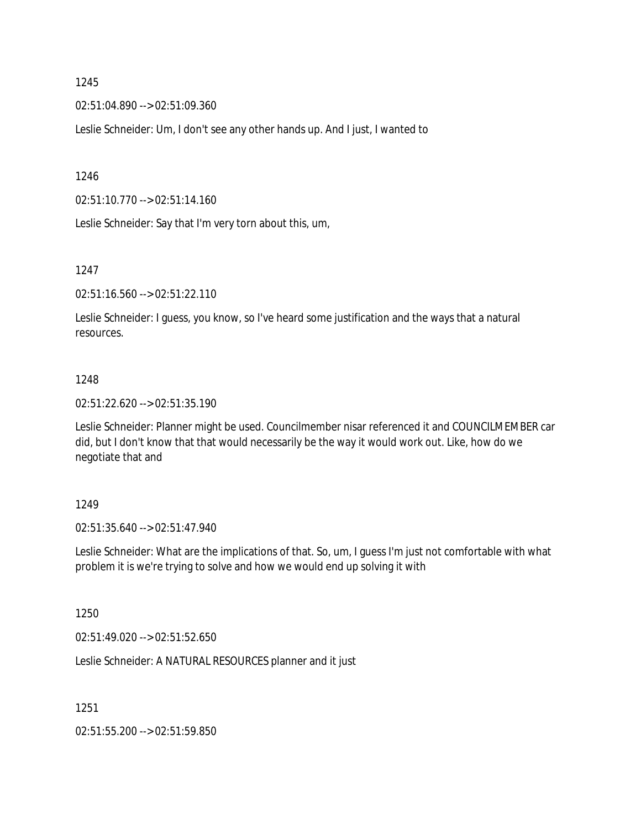02:51:04.890 --> 02:51:09.360

Leslie Schneider: Um, I don't see any other hands up. And I just, I wanted to

1246

02:51:10.770 --> 02:51:14.160

Leslie Schneider: Say that I'm very torn about this, um,

1247

02:51:16.560 --> 02:51:22.110

Leslie Schneider: I guess, you know, so I've heard some justification and the ways that a natural resources.

### 1248

02:51:22.620 --> 02:51:35.190

Leslie Schneider: Planner might be used. Councilmember nisar referenced it and COUNCILMEMBER car did, but I don't know that that would necessarily be the way it would work out. Like, how do we negotiate that and

#### 1249

02:51:35.640 --> 02:51:47.940

Leslie Schneider: What are the implications of that. So, um, I guess I'm just not comfortable with what problem it is we're trying to solve and how we would end up solving it with

1250

02:51:49.020 --> 02:51:52.650

Leslie Schneider: A NATURAL RESOURCES planner and it just

1251

02:51:55.200 --> 02:51:59.850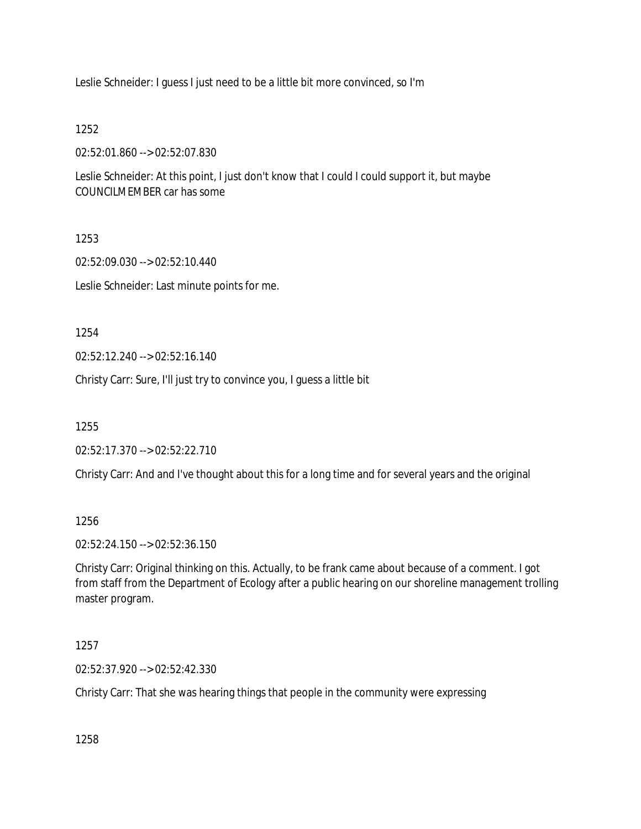Leslie Schneider: I guess I just need to be a little bit more convinced, so I'm

1252

02:52:01.860 --> 02:52:07.830

Leslie Schneider: At this point, I just don't know that I could I could support it, but maybe COUNCILMEMBER car has some

1253

02:52:09.030 --> 02:52:10.440

Leslie Schneider: Last minute points for me.

1254

02:52:12.240 --> 02:52:16.140

Christy Carr: Sure, I'll just try to convince you, I guess a little bit

1255

02:52:17.370 --> 02:52:22.710

Christy Carr: And and I've thought about this for a long time and for several years and the original

1256

02:52:24.150 --> 02:52:36.150

Christy Carr: Original thinking on this. Actually, to be frank came about because of a comment. I got from staff from the Department of Ecology after a public hearing on our shoreline management trolling master program.

1257

02:52:37.920 --> 02:52:42.330

Christy Carr: That she was hearing things that people in the community were expressing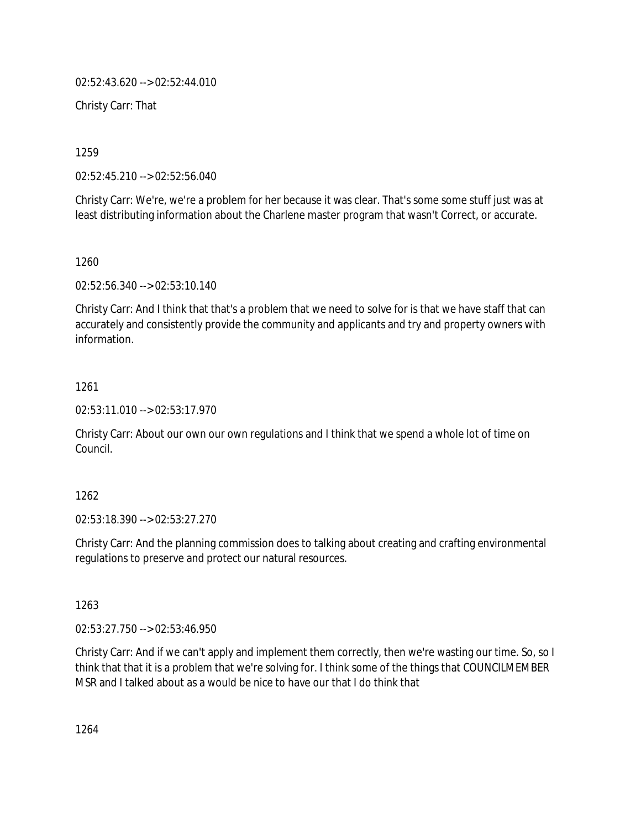02:52:43.620 --> 02:52:44.010

Christy Carr: That

1259

02:52:45.210 --> 02:52:56.040

Christy Carr: We're, we're a problem for her because it was clear. That's some some stuff just was at least distributing information about the Charlene master program that wasn't Correct, or accurate.

1260

02:52:56.340 --> 02:53:10.140

Christy Carr: And I think that that's a problem that we need to solve for is that we have staff that can accurately and consistently provide the community and applicants and try and property owners with information.

1261

02:53:11.010 --> 02:53:17.970

Christy Carr: About our own our own regulations and I think that we spend a whole lot of time on Council.

1262

02:53:18.390 --> 02:53:27.270

Christy Carr: And the planning commission does to talking about creating and crafting environmental regulations to preserve and protect our natural resources.

1263

02:53:27.750 --> 02:53:46.950

Christy Carr: And if we can't apply and implement them correctly, then we're wasting our time. So, so I think that that it is a problem that we're solving for. I think some of the things that COUNCILMEMBER MSR and I talked about as a would be nice to have our that I do think that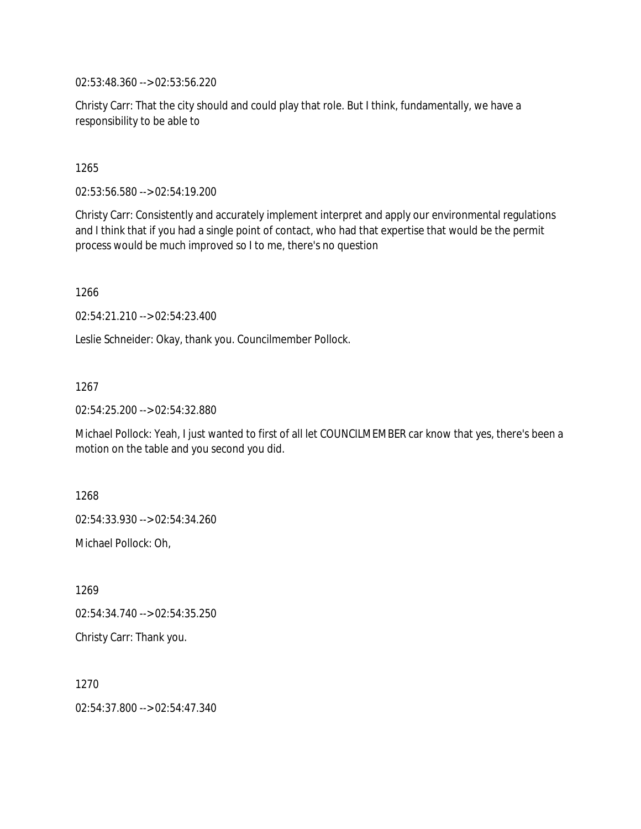02:53:48.360 --> 02:53:56.220

Christy Carr: That the city should and could play that role. But I think, fundamentally, we have a responsibility to be able to

1265

02:53:56.580 --> 02:54:19.200

Christy Carr: Consistently and accurately implement interpret and apply our environmental regulations and I think that if you had a single point of contact, who had that expertise that would be the permit process would be much improved so I to me, there's no question

1266

02:54:21.210 --> 02:54:23.400

Leslie Schneider: Okay, thank you. Councilmember Pollock.

1267

02:54:25.200 --> 02:54:32.880

Michael Pollock: Yeah, I just wanted to first of all let COUNCILMEMBER car know that yes, there's been a motion on the table and you second you did.

1268 02:54:33.930 --> 02:54:34.260

Michael Pollock: Oh,

1269

02:54:34.740 --> 02:54:35.250

Christy Carr: Thank you.

1270

02:54:37.800 --> 02:54:47.340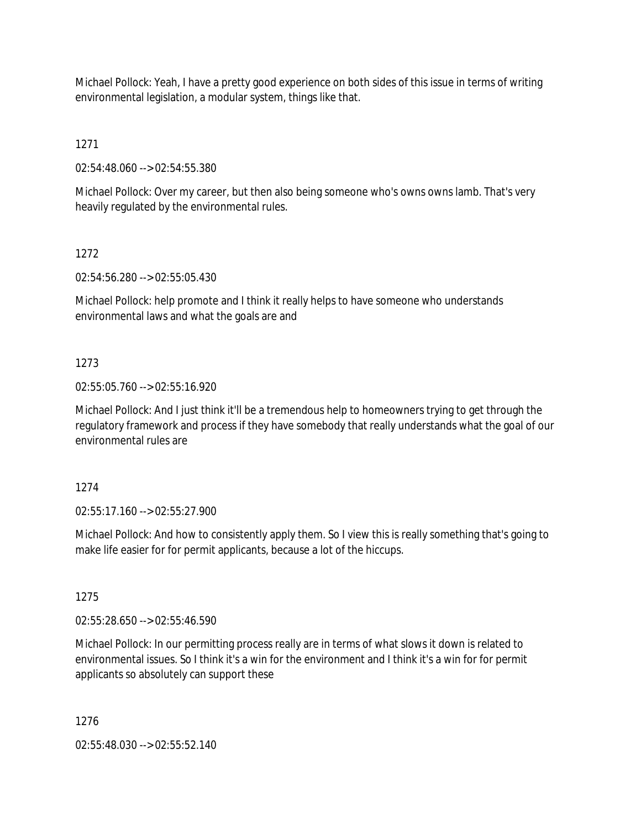Michael Pollock: Yeah, I have a pretty good experience on both sides of this issue in terms of writing environmental legislation, a modular system, things like that.

1271

02:54:48.060 --> 02:54:55.380

Michael Pollock: Over my career, but then also being someone who's owns owns lamb. That's very heavily regulated by the environmental rules.

1272

02:54:56.280 --> 02:55:05.430

Michael Pollock: help promote and I think it really helps to have someone who understands environmental laws and what the goals are and

### 1273

02:55:05.760 --> 02:55:16.920

Michael Pollock: And I just think it'll be a tremendous help to homeowners trying to get through the regulatory framework and process if they have somebody that really understands what the goal of our environmental rules are

1274

02:55:17.160 --> 02:55:27.900

Michael Pollock: And how to consistently apply them. So I view this is really something that's going to make life easier for for permit applicants, because a lot of the hiccups.

1275

02:55:28.650 --> 02:55:46.590

Michael Pollock: In our permitting process really are in terms of what slows it down is related to environmental issues. So I think it's a win for the environment and I think it's a win for for permit applicants so absolutely can support these

1276

02:55:48.030 --> 02:55:52.140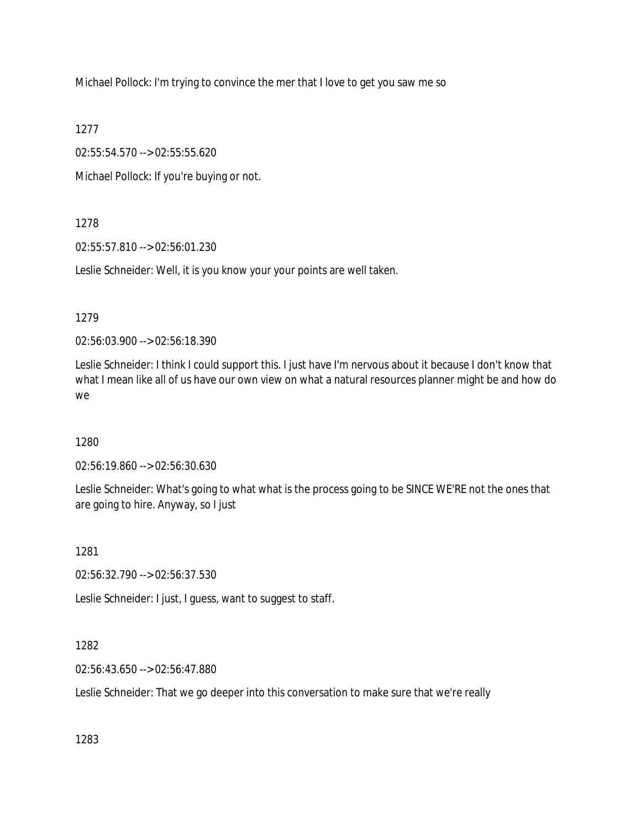Michael Pollock: I'm trying to convince the mer that I love to get you saw me so

1277

02:55:54.570 --> 02:55:55.620

Michael Pollock: If you're buying or not.

### 1278

02:55:57.810 --> 02:56:01.230

Leslie Schneider: Well, it is you know your your points are well taken.

### 1279

02:56:03.900 --> 02:56:18.390

Leslie Schneider: I think I could support this. I just have I'm nervous about it because I don't know that what I mean like all of us have our own view on what a natural resources planner might be and how do we

# 1280

02:56:19.860 --> 02:56:30.630

Leslie Schneider: What's going to what what is the process going to be SINCE WE'RE not the ones that are going to hire. Anyway, so I just

# 1281

02:56:32.790 --> 02:56:37.530

Leslie Schneider: I just, I guess, want to suggest to staff.

# 1282

02:56:43.650 --> 02:56:47.880

Leslie Schneider: That we go deeper into this conversation to make sure that we're really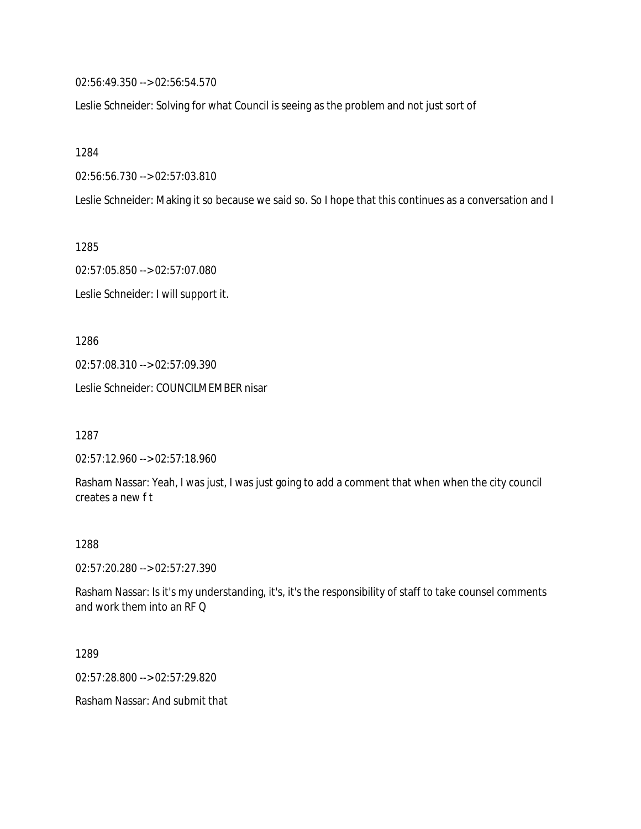02:56:49.350 --> 02:56:54.570

Leslie Schneider: Solving for what Council is seeing as the problem and not just sort of

1284

02:56:56.730 --> 02:57:03.810

Leslie Schneider: Making it so because we said so. So I hope that this continues as a conversation and I

1285

02:57:05.850 --> 02:57:07.080 Leslie Schneider: I will support it.

1286

02:57:08.310 --> 02:57:09.390

Leslie Schneider: COUNCILMEMBER nisar

1287

02:57:12.960 --> 02:57:18.960

Rasham Nassar: Yeah, I was just, I was just going to add a comment that when when the city council creates a new f t

#### 1288

02:57:20.280 --> 02:57:27.390

Rasham Nassar: Is it's my understanding, it's, it's the responsibility of staff to take counsel comments and work them into an RF Q

1289

02:57:28.800 --> 02:57:29.820

Rasham Nassar: And submit that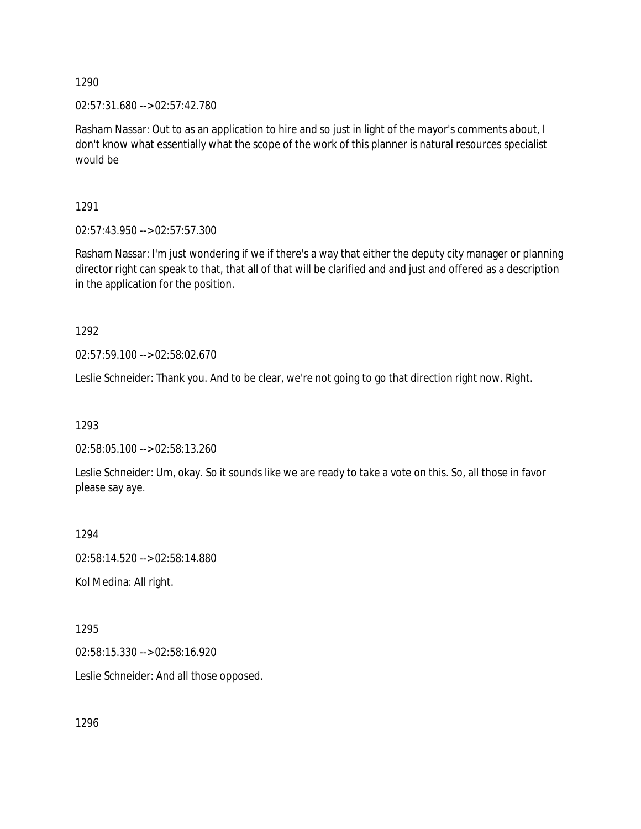02:57:31.680 --> 02:57:42.780

Rasham Nassar: Out to as an application to hire and so just in light of the mayor's comments about, I don't know what essentially what the scope of the work of this planner is natural resources specialist would be

1291

02:57:43.950 --> 02:57:57.300

Rasham Nassar: I'm just wondering if we if there's a way that either the deputy city manager or planning director right can speak to that, that all of that will be clarified and and just and offered as a description in the application for the position.

1292

02:57:59.100 --> 02:58:02.670

Leslie Schneider: Thank you. And to be clear, we're not going to go that direction right now. Right.

1293

02:58:05.100 --> 02:58:13.260

Leslie Schneider: Um, okay. So it sounds like we are ready to take a vote on this. So, all those in favor please say aye.

1294

02:58:14.520 --> 02:58:14.880

Kol Medina: All right.

1295

02:58:15.330 --> 02:58:16.920

Leslie Schneider: And all those opposed.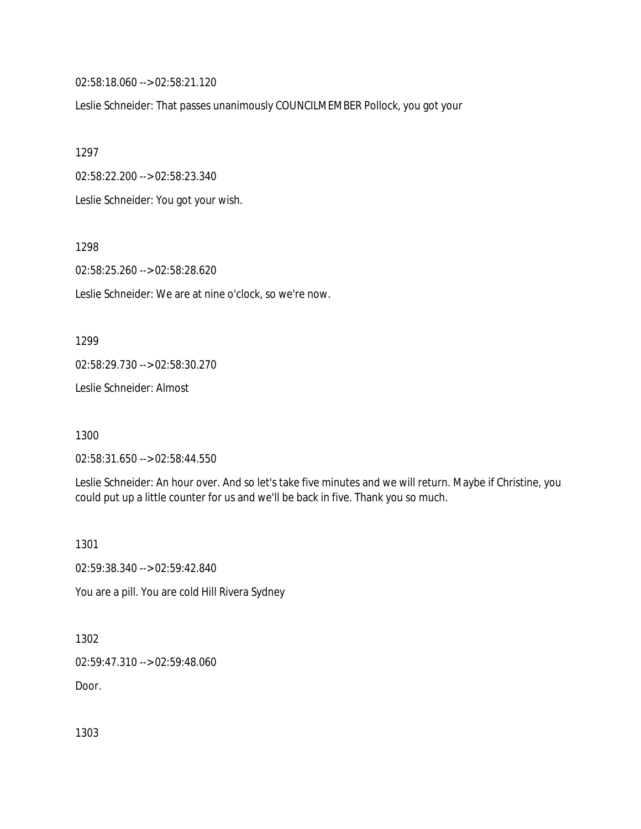02:58:18.060 --> 02:58:21.120

Leslie Schneider: That passes unanimously COUNCILMEMBER Pollock, you got your

1297

02:58:22.200 --> 02:58:23.340

Leslie Schneider: You got your wish.

1298

02:58:25.260 --> 02:58:28.620

Leslie Schneider: We are at nine o'clock, so we're now.

1299

02:58:29.730 --> 02:58:30.270

Leslie Schneider: Almost

1300

02:58:31.650 --> 02:58:44.550

Leslie Schneider: An hour over. And so let's take five minutes and we will return. Maybe if Christine, you could put up a little counter for us and we'll be back in five. Thank you so much.

1301

02:59:38.340 --> 02:59:42.840

You are a pill. You are cold Hill Rivera Sydney

1302

02:59:47.310 --> 02:59:48.060

Door.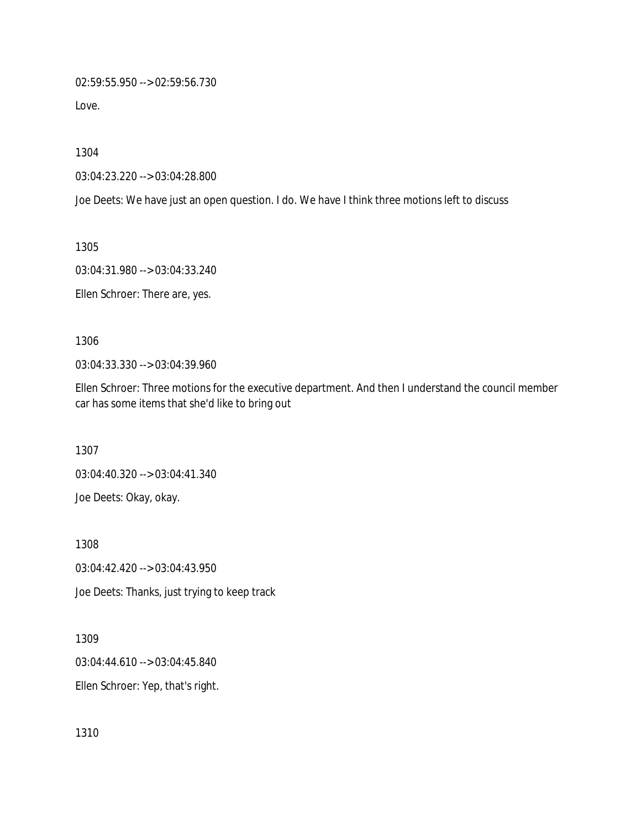02:59:55.950 --> 02:59:56.730

Love.

1304

03:04:23.220 --> 03:04:28.800

Joe Deets: We have just an open question. I do. We have I think three motions left to discuss

1305

03:04:31.980 --> 03:04:33.240

Ellen Schroer: There are, yes.

1306

03:04:33.330 --> 03:04:39.960

Ellen Schroer: Three motions for the executive department. And then I understand the council member car has some items that she'd like to bring out

1307

03:04:40.320 --> 03:04:41.340 Joe Deets: Okay, okay.

1308 03:04:42.420 --> 03:04:43.950 Joe Deets: Thanks, just trying to keep track

1309

03:04:44.610 --> 03:04:45.840

Ellen Schroer: Yep, that's right.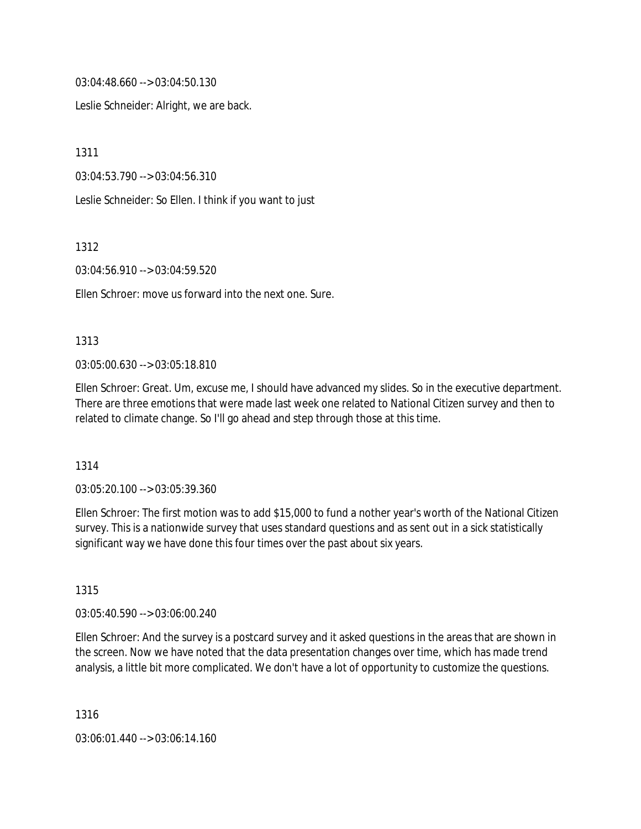03:04:48.660 --> 03:04:50.130

Leslie Schneider: Alright, we are back.

1311

03:04:53.790 --> 03:04:56.310

Leslie Schneider: So Ellen. I think if you want to just

1312

03:04:56.910 --> 03:04:59.520

Ellen Schroer: move us forward into the next one. Sure.

### 1313

03:05:00.630 --> 03:05:18.810

Ellen Schroer: Great. Um, excuse me, I should have advanced my slides. So in the executive department. There are three emotions that were made last week one related to National Citizen survey and then to related to climate change. So I'll go ahead and step through those at this time.

#### 1314

03:05:20.100 --> 03:05:39.360

Ellen Schroer: The first motion was to add \$15,000 to fund a nother year's worth of the National Citizen survey. This is a nationwide survey that uses standard questions and as sent out in a sick statistically significant way we have done this four times over the past about six years.

### 1315

03:05:40.590 --> 03:06:00.240

Ellen Schroer: And the survey is a postcard survey and it asked questions in the areas that are shown in the screen. Now we have noted that the data presentation changes over time, which has made trend analysis, a little bit more complicated. We don't have a lot of opportunity to customize the questions.

1316

03:06:01.440 --> 03:06:14.160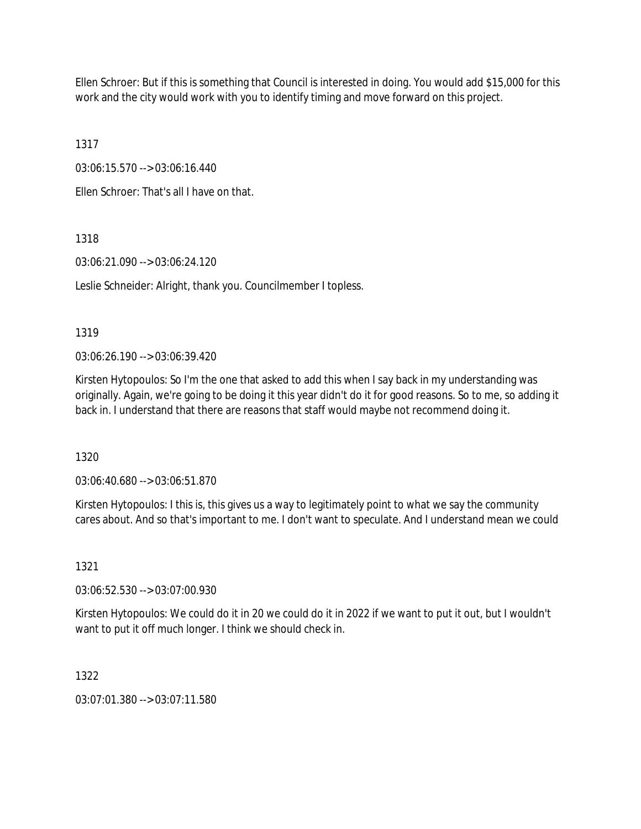Ellen Schroer: But if this is something that Council is interested in doing. You would add \$15,000 for this work and the city would work with you to identify timing and move forward on this project.

1317

03:06:15.570 --> 03:06:16.440

Ellen Schroer: That's all I have on that.

### 1318

03:06:21.090 --> 03:06:24.120

Leslie Schneider: Alright, thank you. Councilmember I topless.

### 1319

03:06:26.190 --> 03:06:39.420

Kirsten Hytopoulos: So I'm the one that asked to add this when I say back in my understanding was originally. Again, we're going to be doing it this year didn't do it for good reasons. So to me, so adding it back in. I understand that there are reasons that staff would maybe not recommend doing it.

1320

03:06:40.680 --> 03:06:51.870

Kirsten Hytopoulos: I this is, this gives us a way to legitimately point to what we say the community cares about. And so that's important to me. I don't want to speculate. And I understand mean we could

# 1321

03:06:52.530 --> 03:07:00.930

Kirsten Hytopoulos: We could do it in 20 we could do it in 2022 if we want to put it out, but I wouldn't want to put it off much longer. I think we should check in.

# 1322

03:07:01.380 --> 03:07:11.580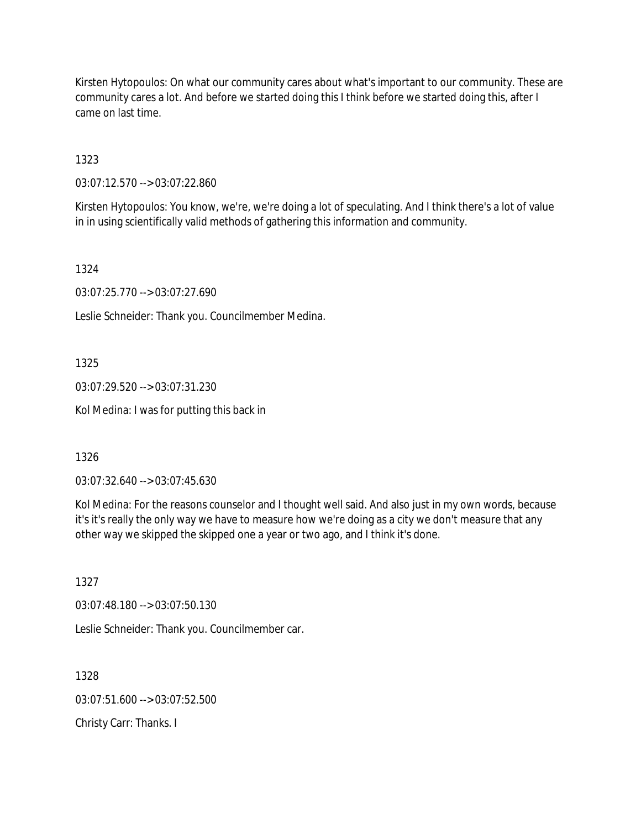Kirsten Hytopoulos: On what our community cares about what's important to our community. These are community cares a lot. And before we started doing this I think before we started doing this, after I came on last time.

1323

03:07:12.570 --> 03:07:22.860

Kirsten Hytopoulos: You know, we're, we're doing a lot of speculating. And I think there's a lot of value in in using scientifically valid methods of gathering this information and community.

1324

03:07:25.770 --> 03:07:27.690

Leslie Schneider: Thank you. Councilmember Medina.

1325

03:07:29.520 --> 03:07:31.230

Kol Medina: I was for putting this back in

1326

03:07:32.640 --> 03:07:45.630

Kol Medina: For the reasons counselor and I thought well said. And also just in my own words, because it's it's really the only way we have to measure how we're doing as a city we don't measure that any other way we skipped the skipped one a year or two ago, and I think it's done.

1327

03:07:48.180 --> 03:07:50.130

Leslie Schneider: Thank you. Councilmember car.

1328 03:07:51.600 --> 03:07:52.500

Christy Carr: Thanks. I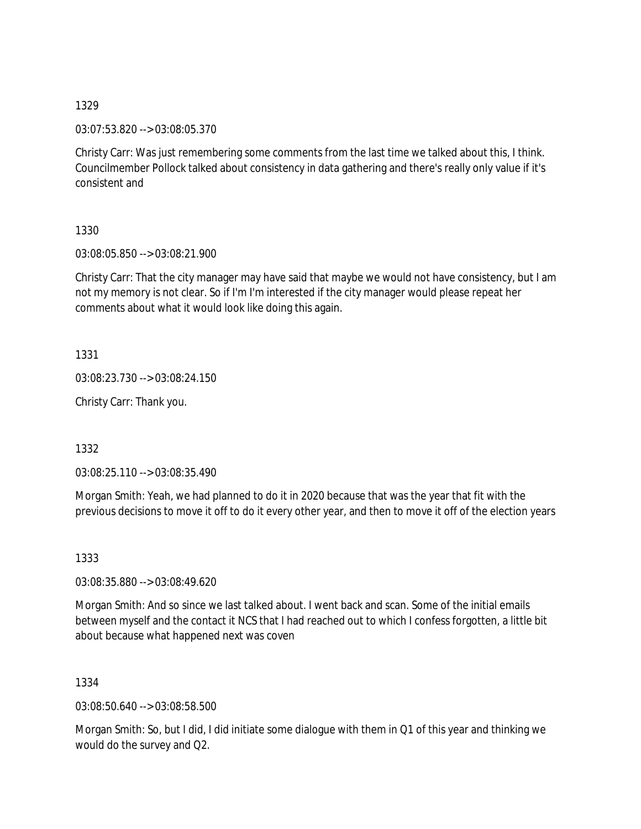03:07:53.820 --> 03:08:05.370

Christy Carr: Was just remembering some comments from the last time we talked about this, I think. Councilmember Pollock talked about consistency in data gathering and there's really only value if it's consistent and

1330

03:08:05.850 --> 03:08:21.900

Christy Carr: That the city manager may have said that maybe we would not have consistency, but I am not my memory is not clear. So if I'm I'm interested if the city manager would please repeat her comments about what it would look like doing this again.

1331

03:08:23.730 --> 03:08:24.150

Christy Carr: Thank you.

1332

03:08:25.110 --> 03:08:35.490

Morgan Smith: Yeah, we had planned to do it in 2020 because that was the year that fit with the previous decisions to move it off to do it every other year, and then to move it off of the election years

1333

03:08:35.880 --> 03:08:49.620

Morgan Smith: And so since we last talked about. I went back and scan. Some of the initial emails between myself and the contact it NCS that I had reached out to which I confess forgotten, a little bit about because what happened next was coven

1334

03:08:50.640 --> 03:08:58.500

Morgan Smith: So, but I did, I did initiate some dialogue with them in Q1 of this year and thinking we would do the survey and Q2.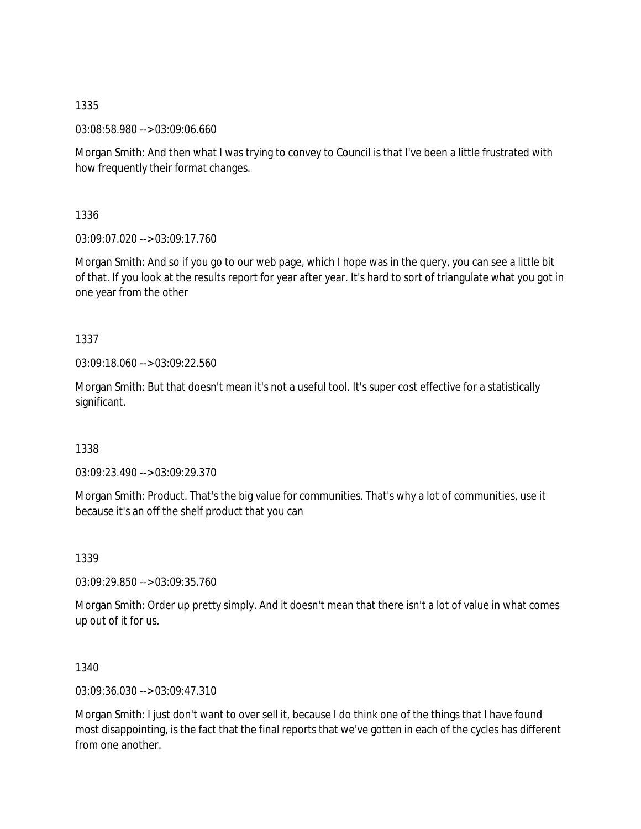03:08:58.980 --> 03:09:06.660

Morgan Smith: And then what I was trying to convey to Council is that I've been a little frustrated with how frequently their format changes.

1336

03:09:07.020 --> 03:09:17.760

Morgan Smith: And so if you go to our web page, which I hope was in the query, you can see a little bit of that. If you look at the results report for year after year. It's hard to sort of triangulate what you got in one year from the other

1337

03:09:18.060 --> 03:09:22.560

Morgan Smith: But that doesn't mean it's not a useful tool. It's super cost effective for a statistically significant.

1338

03:09:23.490 --> 03:09:29.370

Morgan Smith: Product. That's the big value for communities. That's why a lot of communities, use it because it's an off the shelf product that you can

1339

03:09:29.850 --> 03:09:35.760

Morgan Smith: Order up pretty simply. And it doesn't mean that there isn't a lot of value in what comes up out of it for us.

1340

03:09:36.030 --> 03:09:47.310

Morgan Smith: I just don't want to over sell it, because I do think one of the things that I have found most disappointing, is the fact that the final reports that we've gotten in each of the cycles has different from one another.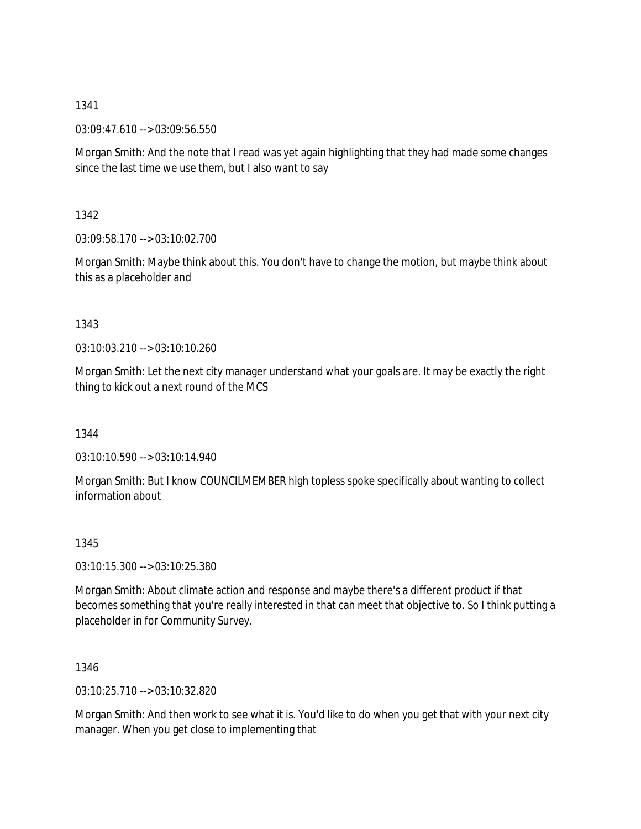03:09:47.610 --> 03:09:56.550

Morgan Smith: And the note that I read was yet again highlighting that they had made some changes since the last time we use them, but I also want to say

1342

03:09:58.170 --> 03:10:02.700

Morgan Smith: Maybe think about this. You don't have to change the motion, but maybe think about this as a placeholder and

1343

03:10:03.210 --> 03:10:10.260

Morgan Smith: Let the next city manager understand what your goals are. It may be exactly the right thing to kick out a next round of the MCS

1344

03:10:10.590 --> 03:10:14.940

Morgan Smith: But I know COUNCILMEMBER high topless spoke specifically about wanting to collect information about

1345

03:10:15.300 --> 03:10:25.380

Morgan Smith: About climate action and response and maybe there's a different product if that becomes something that you're really interested in that can meet that objective to. So I think putting a placeholder in for Community Survey.

1346

03:10:25.710 --> 03:10:32.820

Morgan Smith: And then work to see what it is. You'd like to do when you get that with your next city manager. When you get close to implementing that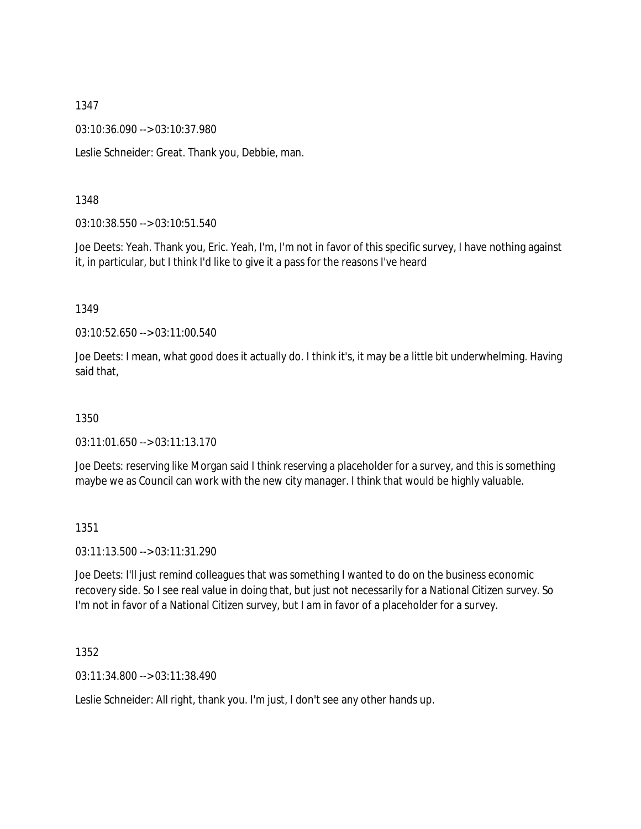03:10:36.090 --> 03:10:37.980

Leslie Schneider: Great. Thank you, Debbie, man.

### 1348

03:10:38.550 --> 03:10:51.540

Joe Deets: Yeah. Thank you, Eric. Yeah, I'm, I'm not in favor of this specific survey, I have nothing against it, in particular, but I think I'd like to give it a pass for the reasons I've heard

#### 1349

03:10:52.650 --> 03:11:00.540

Joe Deets: I mean, what good does it actually do. I think it's, it may be a little bit underwhelming. Having said that,

#### 1350

03:11:01.650 --> 03:11:13.170

Joe Deets: reserving like Morgan said I think reserving a placeholder for a survey, and this is something maybe we as Council can work with the new city manager. I think that would be highly valuable.

#### 1351

03:11:13.500 --> 03:11:31.290

Joe Deets: I'll just remind colleagues that was something I wanted to do on the business economic recovery side. So I see real value in doing that, but just not necessarily for a National Citizen survey. So I'm not in favor of a National Citizen survey, but I am in favor of a placeholder for a survey.

1352

03:11:34.800 --> 03:11:38.490

Leslie Schneider: All right, thank you. I'm just, I don't see any other hands up.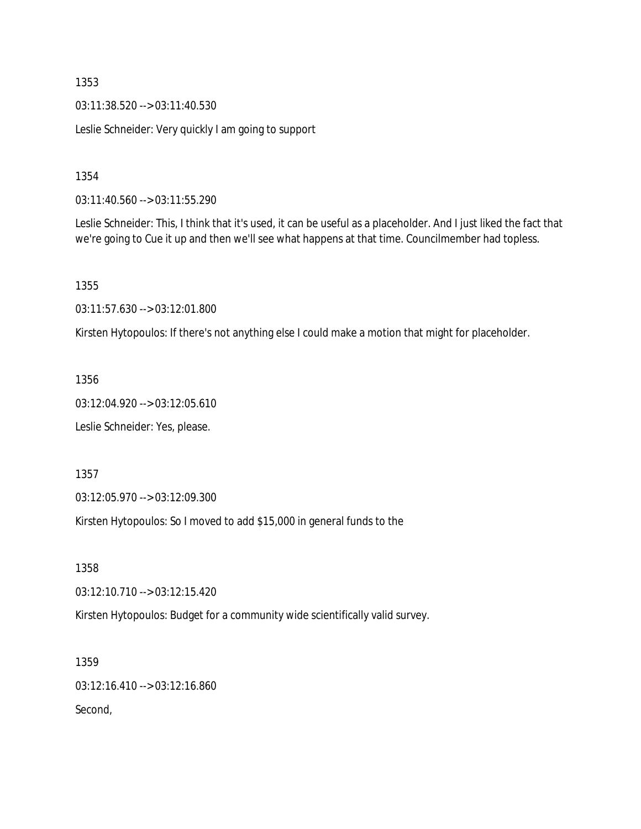03:11:38.520 --> 03:11:40.530

Leslie Schneider: Very quickly I am going to support

1354

03:11:40.560 --> 03:11:55.290

Leslie Schneider: This, I think that it's used, it can be useful as a placeholder. And I just liked the fact that we're going to Cue it up and then we'll see what happens at that time. Councilmember had topless.

1355

03:11:57.630 --> 03:12:01.800

Kirsten Hytopoulos: If there's not anything else I could make a motion that might for placeholder.

1356

03:12:04.920 --> 03:12:05.610

Leslie Schneider: Yes, please.

1357

03:12:05.970 --> 03:12:09.300

Kirsten Hytopoulos: So I moved to add \$15,000 in general funds to the

1358

03:12:10.710 --> 03:12:15.420

Kirsten Hytopoulos: Budget for a community wide scientifically valid survey.

1359

03:12:16.410 --> 03:12:16.860

Second,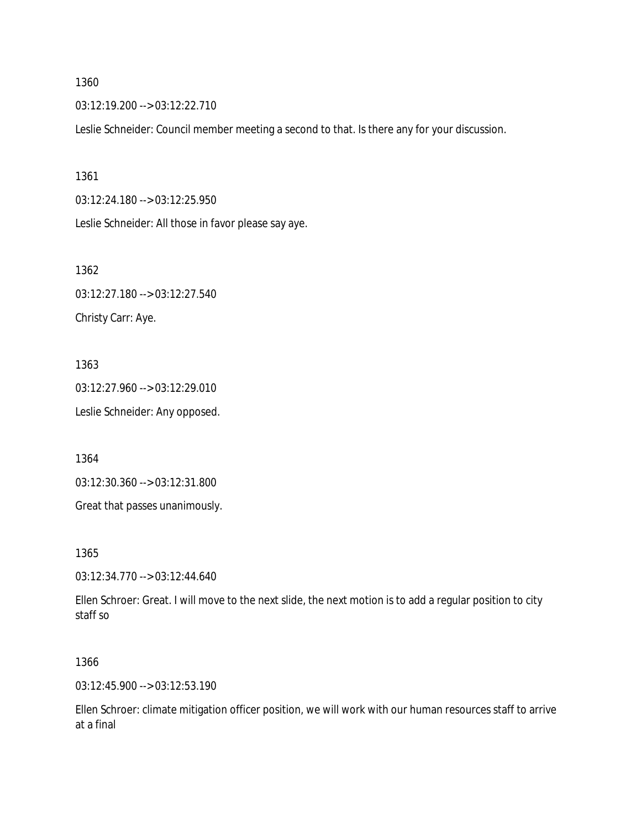03:12:19.200 --> 03:12:22.710

Leslie Schneider: Council member meeting a second to that. Is there any for your discussion.

1361

03:12:24.180 --> 03:12:25.950

Leslie Schneider: All those in favor please say aye.

1362 03:12:27.180 --> 03:12:27.540 Christy Carr: Aye.

1363 03:12:27.960 --> 03:12:29.010 Leslie Schneider: Any opposed.

1364

03:12:30.360 --> 03:12:31.800

Great that passes unanimously.

1365

03:12:34.770 --> 03:12:44.640

Ellen Schroer: Great. I will move to the next slide, the next motion is to add a regular position to city staff so

1366

03:12:45.900 --> 03:12:53.190

Ellen Schroer: climate mitigation officer position, we will work with our human resources staff to arrive at a final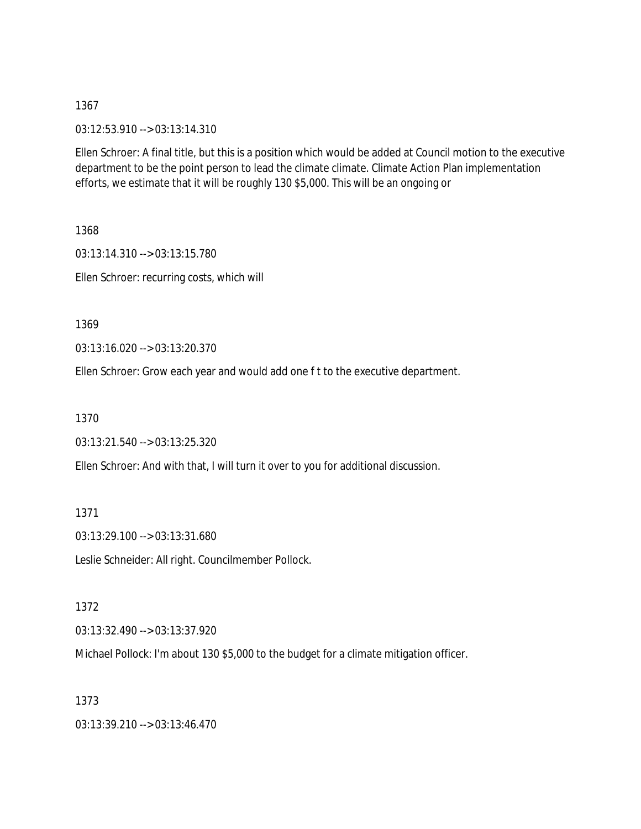03:12:53.910 --> 03:13:14.310

Ellen Schroer: A final title, but this is a position which would be added at Council motion to the executive department to be the point person to lead the climate climate. Climate Action Plan implementation efforts, we estimate that it will be roughly 130 \$5,000. This will be an ongoing or

1368 03:13:14.310 --> 03:13:15.780 Ellen Schroer: recurring costs, which will

1369

03:13:16.020 --> 03:13:20.370

Ellen Schroer: Grow each year and would add one f t to the executive department.

1370

03:13:21.540 --> 03:13:25.320

Ellen Schroer: And with that, I will turn it over to you for additional discussion.

1371

03:13:29.100 --> 03:13:31.680

Leslie Schneider: All right. Councilmember Pollock.

1372

03:13:32.490 --> 03:13:37.920

Michael Pollock: I'm about 130 \$5,000 to the budget for a climate mitigation officer.

1373

03:13:39.210 --> 03:13:46.470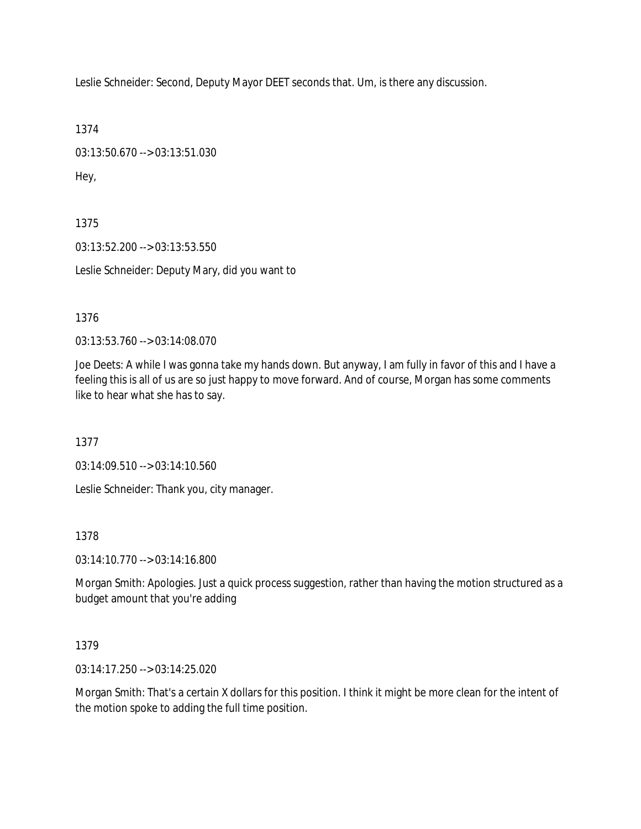Leslie Schneider: Second, Deputy Mayor DEET seconds that. Um, is there any discussion.

1374

03:13:50.670 --> 03:13:51.030 Hey,

1375 03:13:52.200 --> 03:13:53.550 Leslie Schneider: Deputy Mary, did you want to

1376

03:13:53.760 --> 03:14:08.070

Joe Deets: A while I was gonna take my hands down. But anyway, I am fully in favor of this and I have a feeling this is all of us are so just happy to move forward. And of course, Morgan has some comments like to hear what she has to say.

1377

03:14:09.510 --> 03:14:10.560

Leslie Schneider: Thank you, city manager.

#### 1378

03:14:10.770 --> 03:14:16.800

Morgan Smith: Apologies. Just a quick process suggestion, rather than having the motion structured as a budget amount that you're adding

#### 1379

03:14:17.250 --> 03:14:25.020

Morgan Smith: That's a certain X dollars for this position. I think it might be more clean for the intent of the motion spoke to adding the full time position.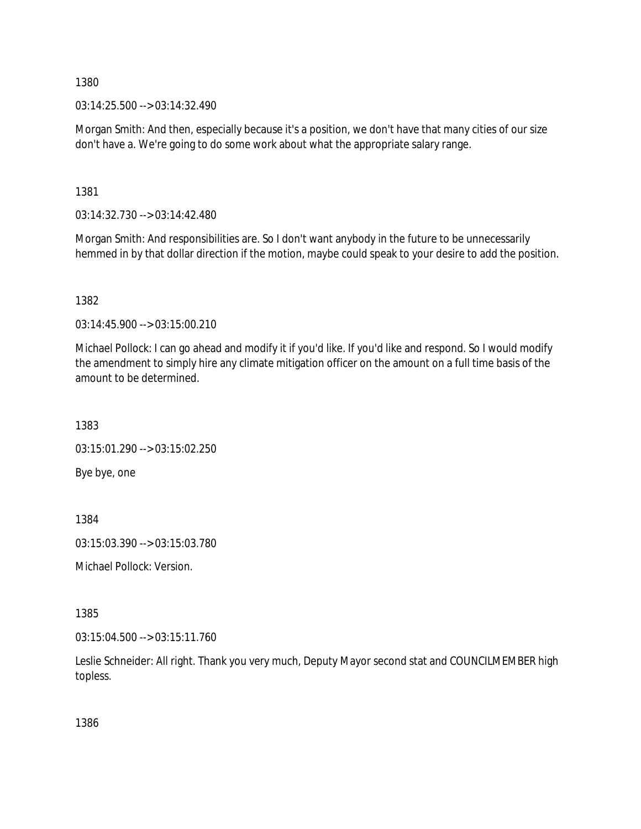03:14:25.500 --> 03:14:32.490

Morgan Smith: And then, especially because it's a position, we don't have that many cities of our size don't have a. We're going to do some work about what the appropriate salary range.

1381

03:14:32.730 --> 03:14:42.480

Morgan Smith: And responsibilities are. So I don't want anybody in the future to be unnecessarily hemmed in by that dollar direction if the motion, maybe could speak to your desire to add the position.

1382

03:14:45.900 --> 03:15:00.210

Michael Pollock: I can go ahead and modify it if you'd like. If you'd like and respond. So I would modify the amendment to simply hire any climate mitigation officer on the amount on a full time basis of the amount to be determined.

1383 03:15:01.290 --> 03:15:02.250 Bye bye, one

1384

03:15:03.390 --> 03:15:03.780

Michael Pollock: Version.

1385

03:15:04.500 --> 03:15:11.760

Leslie Schneider: All right. Thank you very much, Deputy Mayor second stat and COUNCILMEMBER high topless.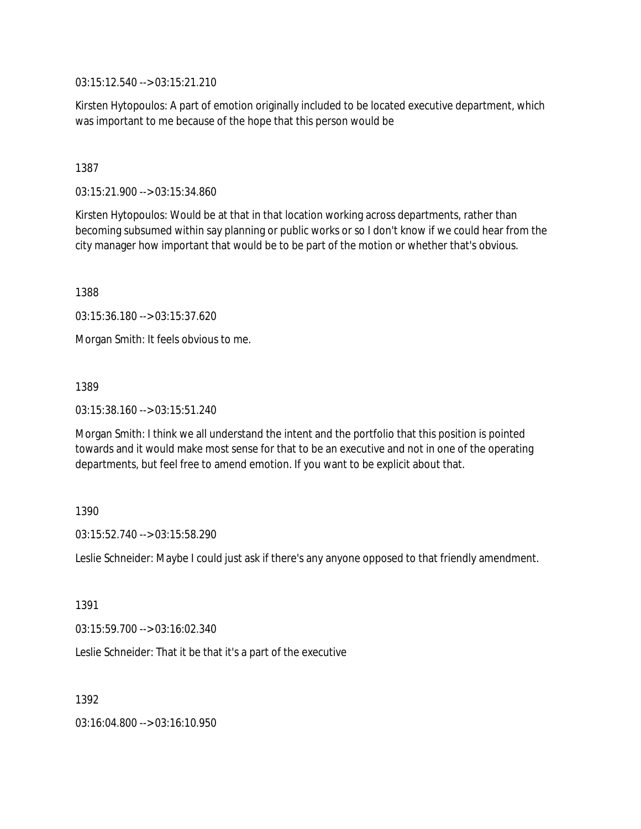03:15:12.540 --> 03:15:21.210

Kirsten Hytopoulos: A part of emotion originally included to be located executive department, which was important to me because of the hope that this person would be

1387

03:15:21.900 --> 03:15:34.860

Kirsten Hytopoulos: Would be at that in that location working across departments, rather than becoming subsumed within say planning or public works or so I don't know if we could hear from the city manager how important that would be to be part of the motion or whether that's obvious.

1388

03:15:36.180 --> 03:15:37.620

Morgan Smith: It feels obvious to me.

1389

03:15:38.160 --> 03:15:51.240

Morgan Smith: I think we all understand the intent and the portfolio that this position is pointed towards and it would make most sense for that to be an executive and not in one of the operating departments, but feel free to amend emotion. If you want to be explicit about that.

1390

03:15:52.740 --> 03:15:58.290

Leslie Schneider: Maybe I could just ask if there's any anyone opposed to that friendly amendment.

1391

03:15:59.700 --> 03:16:02.340

Leslie Schneider: That it be that it's a part of the executive

1392

03:16:04.800 --> 03:16:10.950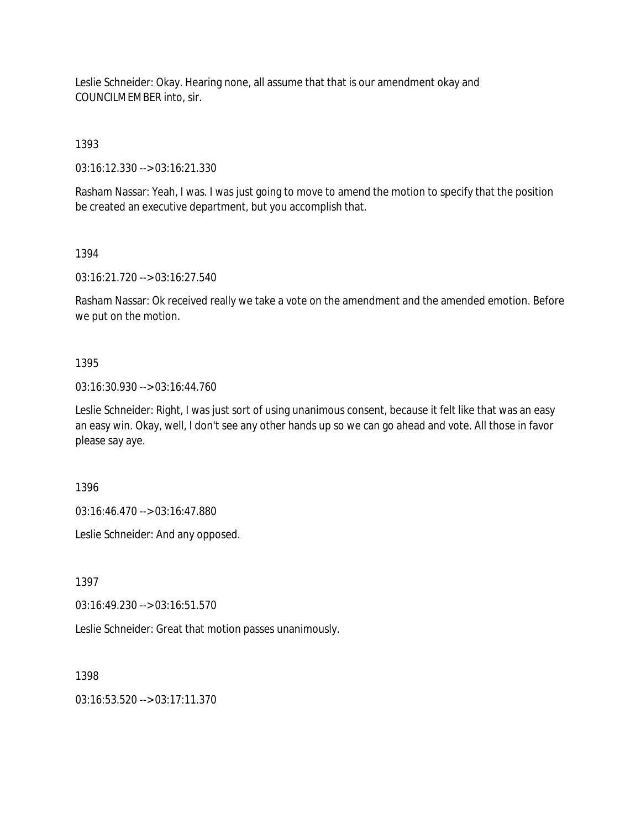Leslie Schneider: Okay. Hearing none, all assume that that is our amendment okay and COUNCILMEMBER into, sir.

1393

03:16:12.330 --> 03:16:21.330

Rasham Nassar: Yeah, I was. I was just going to move to amend the motion to specify that the position be created an executive department, but you accomplish that.

1394

03:16:21.720 --> 03:16:27.540

Rasham Nassar: Ok received really we take a vote on the amendment and the amended emotion. Before we put on the motion.

#### 1395

03:16:30.930 --> 03:16:44.760

Leslie Schneider: Right, I was just sort of using unanimous consent, because it felt like that was an easy an easy win. Okay, well, I don't see any other hands up so we can go ahead and vote. All those in favor please say aye.

1396

03:16:46.470 --> 03:16:47.880

Leslie Schneider: And any opposed.

1397

03:16:49.230 --> 03:16:51.570

Leslie Schneider: Great that motion passes unanimously.

1398

03:16:53.520 --> 03:17:11.370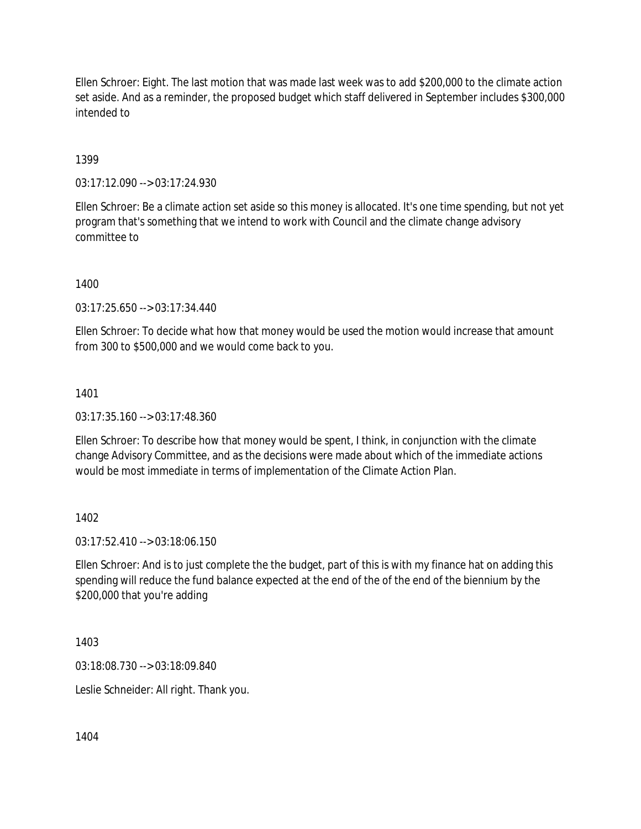Ellen Schroer: Eight. The last motion that was made last week was to add \$200,000 to the climate action set aside. And as a reminder, the proposed budget which staff delivered in September includes \$300,000 intended to

## 1399

03:17:12.090 --> 03:17:24.930

Ellen Schroer: Be a climate action set aside so this money is allocated. It's one time spending, but not yet program that's something that we intend to work with Council and the climate change advisory committee to

1400

03:17:25.650 --> 03:17:34.440

Ellen Schroer: To decide what how that money would be used the motion would increase that amount from 300 to \$500,000 and we would come back to you.

#### 1401

03:17:35.160 --> 03:17:48.360

Ellen Schroer: To describe how that money would be spent, I think, in conjunction with the climate change Advisory Committee, and as the decisions were made about which of the immediate actions would be most immediate in terms of implementation of the Climate Action Plan.

#### 1402

03:17:52.410 --> 03:18:06.150

Ellen Schroer: And is to just complete the the budget, part of this is with my finance hat on adding this spending will reduce the fund balance expected at the end of the of the end of the biennium by the \$200,000 that you're adding

1403

03:18:08.730 --> 03:18:09.840

Leslie Schneider: All right. Thank you.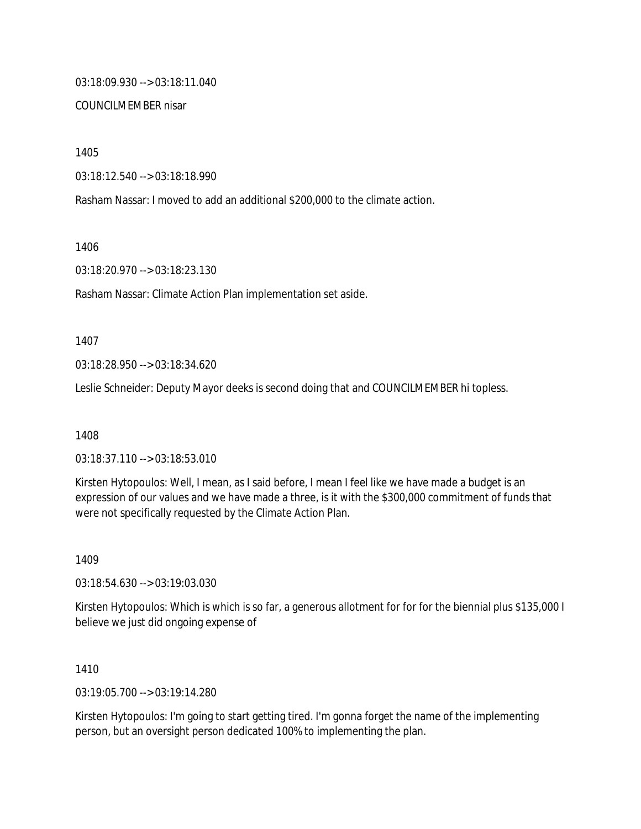03:18:09.930 --> 03:18:11.040

#### COUNCILMEMBER nisar

1405

03:18:12.540 --> 03:18:18.990

Rasham Nassar: I moved to add an additional \$200,000 to the climate action.

1406

03:18:20.970 --> 03:18:23.130

Rasham Nassar: Climate Action Plan implementation set aside.

1407

03:18:28.950 --> 03:18:34.620

Leslie Schneider: Deputy Mayor deeks is second doing that and COUNCILMEMBER hi topless.

1408

03:18:37.110 --> 03:18:53.010

Kirsten Hytopoulos: Well, I mean, as I said before, I mean I feel like we have made a budget is an expression of our values and we have made a three, is it with the \$300,000 commitment of funds that were not specifically requested by the Climate Action Plan.

1409

03:18:54.630 --> 03:19:03.030

Kirsten Hytopoulos: Which is which is so far, a generous allotment for for for the biennial plus \$135,000 I believe we just did ongoing expense of

1410

03:19:05.700 --> 03:19:14.280

Kirsten Hytopoulos: I'm going to start getting tired. I'm gonna forget the name of the implementing person, but an oversight person dedicated 100% to implementing the plan.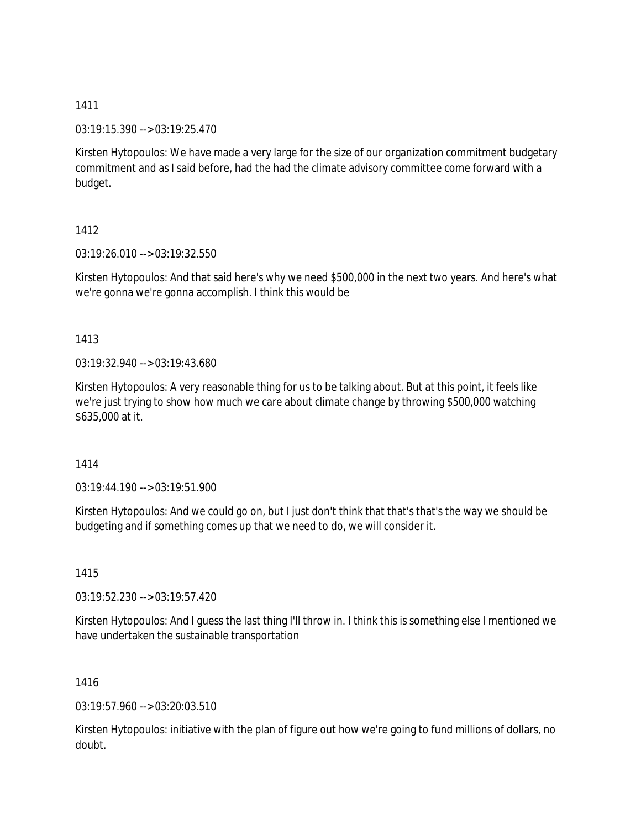03:19:15.390 --> 03:19:25.470

Kirsten Hytopoulos: We have made a very large for the size of our organization commitment budgetary commitment and as I said before, had the had the climate advisory committee come forward with a budget.

## 1412

03:19:26.010 --> 03:19:32.550

Kirsten Hytopoulos: And that said here's why we need \$500,000 in the next two years. And here's what we're gonna we're gonna accomplish. I think this would be

#### 1413

03:19:32.940 --> 03:19:43.680

Kirsten Hytopoulos: A very reasonable thing for us to be talking about. But at this point, it feels like we're just trying to show how much we care about climate change by throwing \$500,000 watching \$635,000 at it.

#### 1414

03:19:44.190 --> 03:19:51.900

Kirsten Hytopoulos: And we could go on, but I just don't think that that's that's the way we should be budgeting and if something comes up that we need to do, we will consider it.

1415

03:19:52.230 --> 03:19:57.420

Kirsten Hytopoulos: And I guess the last thing I'll throw in. I think this is something else I mentioned we have undertaken the sustainable transportation

1416

03:19:57.960 --> 03:20:03.510

Kirsten Hytopoulos: initiative with the plan of figure out how we're going to fund millions of dollars, no doubt.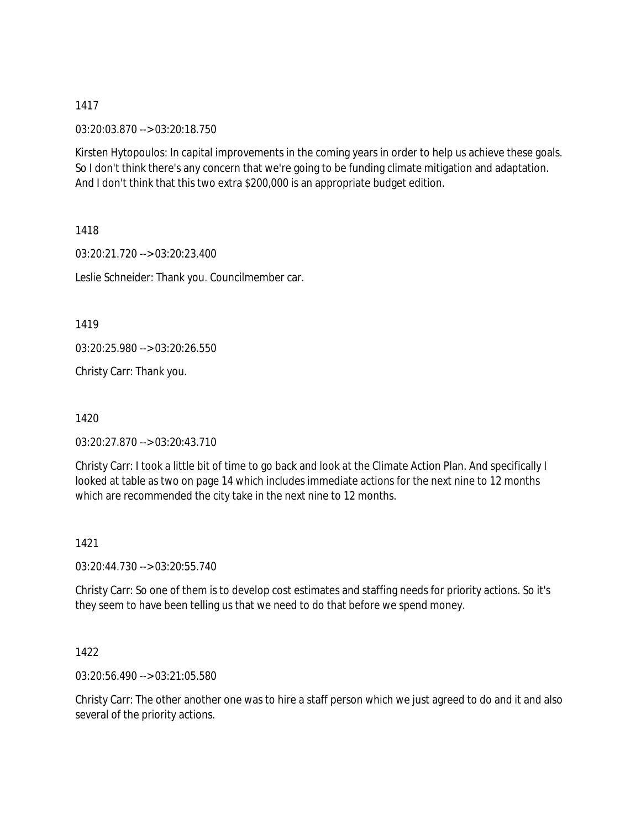03:20:03.870 --> 03:20:18.750

Kirsten Hytopoulos: In capital improvements in the coming years in order to help us achieve these goals. So I don't think there's any concern that we're going to be funding climate mitigation and adaptation. And I don't think that this two extra \$200,000 is an appropriate budget edition.

1418

03:20:21.720 --> 03:20:23.400 Leslie Schneider: Thank you. Councilmember car.

1419

03:20:25.980 --> 03:20:26.550

Christy Carr: Thank you.

1420

03:20:27.870 --> 03:20:43.710

Christy Carr: I took a little bit of time to go back and look at the Climate Action Plan. And specifically I looked at table as two on page 14 which includes immediate actions for the next nine to 12 months which are recommended the city take in the next nine to 12 months.

1421

03:20:44.730 --> 03:20:55.740

Christy Carr: So one of them is to develop cost estimates and staffing needs for priority actions. So it's they seem to have been telling us that we need to do that before we spend money.

1422

03:20:56.490 --> 03:21:05.580

Christy Carr: The other another one was to hire a staff person which we just agreed to do and it and also several of the priority actions.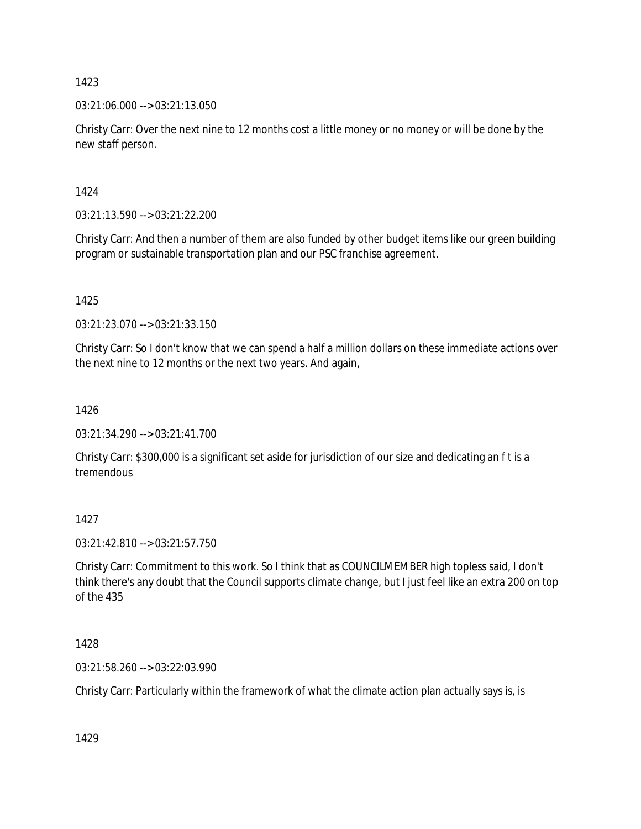03:21:06.000 --> 03:21:13.050

Christy Carr: Over the next nine to 12 months cost a little money or no money or will be done by the new staff person.

1424

03:21:13.590 --> 03:21:22.200

Christy Carr: And then a number of them are also funded by other budget items like our green building program or sustainable transportation plan and our PSC franchise agreement.

1425

03:21:23.070 --> 03:21:33.150

Christy Carr: So I don't know that we can spend a half a million dollars on these immediate actions over the next nine to 12 months or the next two years. And again,

1426

03:21:34.290 --> 03:21:41.700

Christy Carr: \$300,000 is a significant set aside for jurisdiction of our size and dedicating an f t is a tremendous

1427

03:21:42.810 --> 03:21:57.750

Christy Carr: Commitment to this work. So I think that as COUNCILMEMBER high topless said, I don't think there's any doubt that the Council supports climate change, but I just feel like an extra 200 on top of the 435

1428

03:21:58.260 --> 03:22:03.990

Christy Carr: Particularly within the framework of what the climate action plan actually says is, is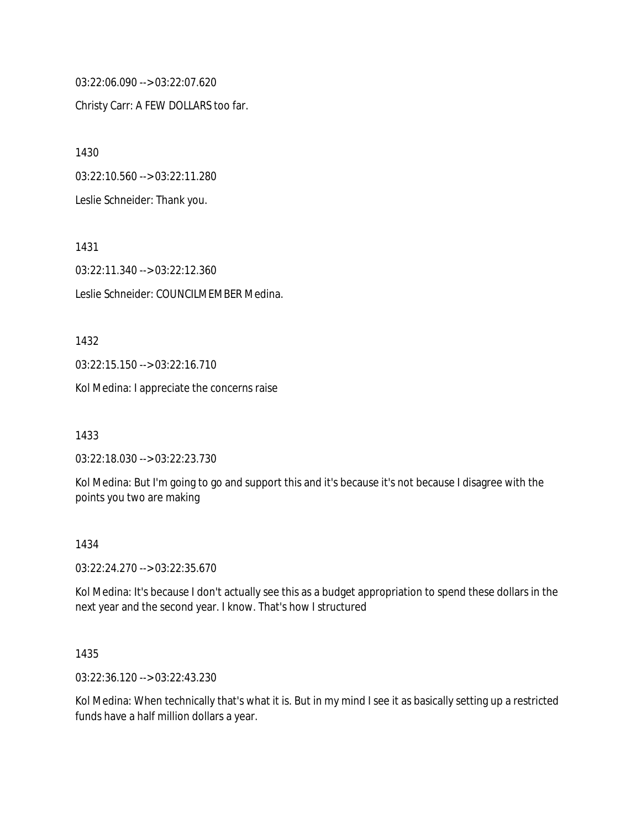03:22:06.090 --> 03:22:07.620 Christy Carr: A FEW DOLLARS too far.

1430 03:22:10.560 --> 03:22:11.280 Leslie Schneider: Thank you.

03:22:11.340 --> 03:22:12.360 Leslie Schneider: COUNCILMEMBER Medina.

03:22:15.150 --> 03:22:16.710

Kol Medina: I appreciate the concerns raise

1433

1432

1431

03:22:18.030 --> 03:22:23.730

Kol Medina: But I'm going to go and support this and it's because it's not because I disagree with the points you two are making

#### 1434

03:22:24.270 --> 03:22:35.670

Kol Medina: It's because I don't actually see this as a budget appropriation to spend these dollars in the next year and the second year. I know. That's how I structured

1435

03:22:36.120 --> 03:22:43.230

Kol Medina: When technically that's what it is. But in my mind I see it as basically setting up a restricted funds have a half million dollars a year.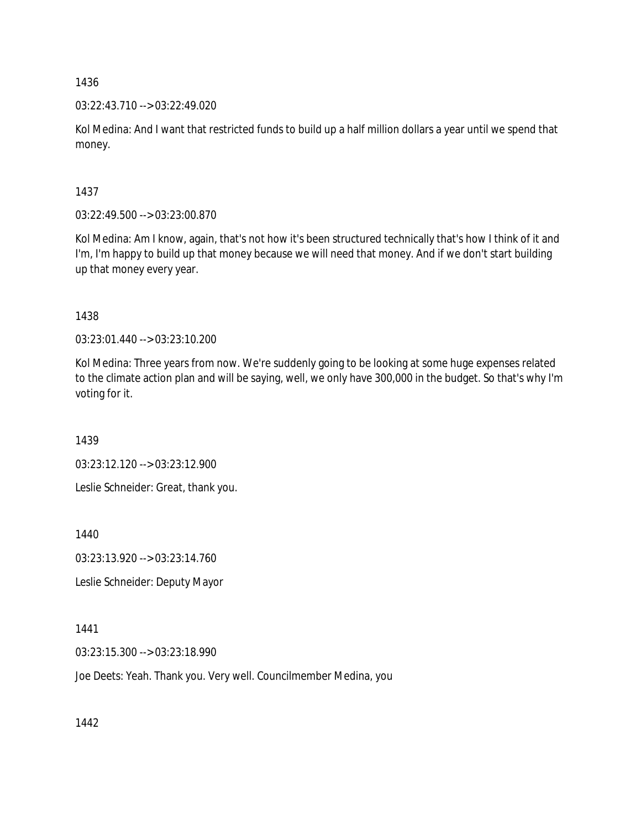03:22:43.710 --> 03:22:49.020

Kol Medina: And I want that restricted funds to build up a half million dollars a year until we spend that money.

1437

03:22:49.500 --> 03:23:00.870

Kol Medina: Am I know, again, that's not how it's been structured technically that's how I think of it and I'm, I'm happy to build up that money because we will need that money. And if we don't start building up that money every year.

1438

03:23:01.440 --> 03:23:10.200

Kol Medina: Three years from now. We're suddenly going to be looking at some huge expenses related to the climate action plan and will be saying, well, we only have 300,000 in the budget. So that's why I'm voting for it.

1439

03:23:12.120 --> 03:23:12.900

Leslie Schneider: Great, thank you.

1440

03:23:13.920 --> 03:23:14.760

Leslie Schneider: Deputy Mayor

1441

03:23:15.300 --> 03:23:18.990

Joe Deets: Yeah. Thank you. Very well. Councilmember Medina, you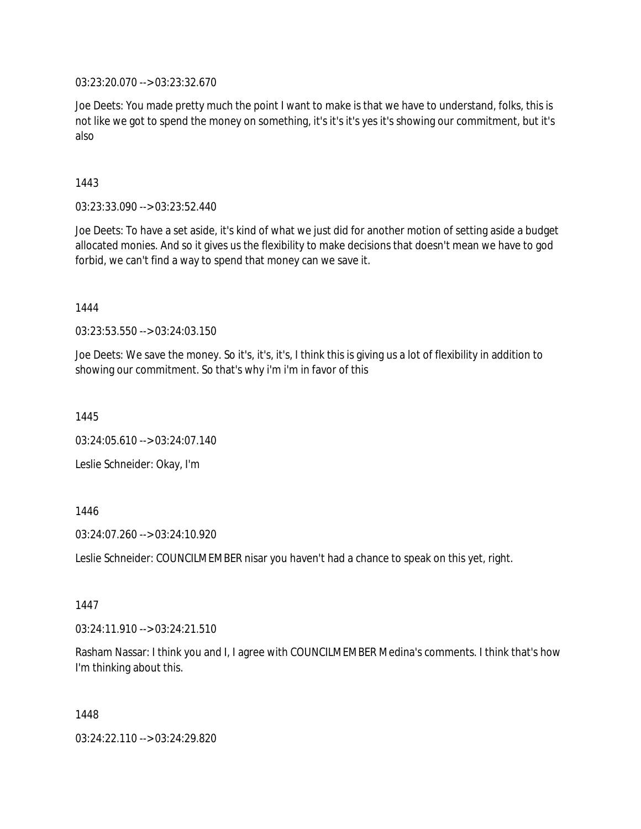03:23:20.070 --> 03:23:32.670

Joe Deets: You made pretty much the point I want to make is that we have to understand, folks, this is not like we got to spend the money on something, it's it's it's yes it's showing our commitment, but it's also

1443

03:23:33.090 --> 03:23:52.440

Joe Deets: To have a set aside, it's kind of what we just did for another motion of setting aside a budget allocated monies. And so it gives us the flexibility to make decisions that doesn't mean we have to god forbid, we can't find a way to spend that money can we save it.

1444

03:23:53.550 --> 03:24:03.150

Joe Deets: We save the money. So it's, it's, it's, I think this is giving us a lot of flexibility in addition to showing our commitment. So that's why i'm i'm in favor of this

1445

03:24:05.610 --> 03:24:07.140

Leslie Schneider: Okay, I'm

1446

03:24:07.260 --> 03:24:10.920

Leslie Schneider: COUNCILMEMBER nisar you haven't had a chance to speak on this yet, right.

1447

03:24:11.910 --> 03:24:21.510

Rasham Nassar: I think you and I, I agree with COUNCILMEMBER Medina's comments. I think that's how I'm thinking about this.

1448

03:24:22.110 --> 03:24:29.820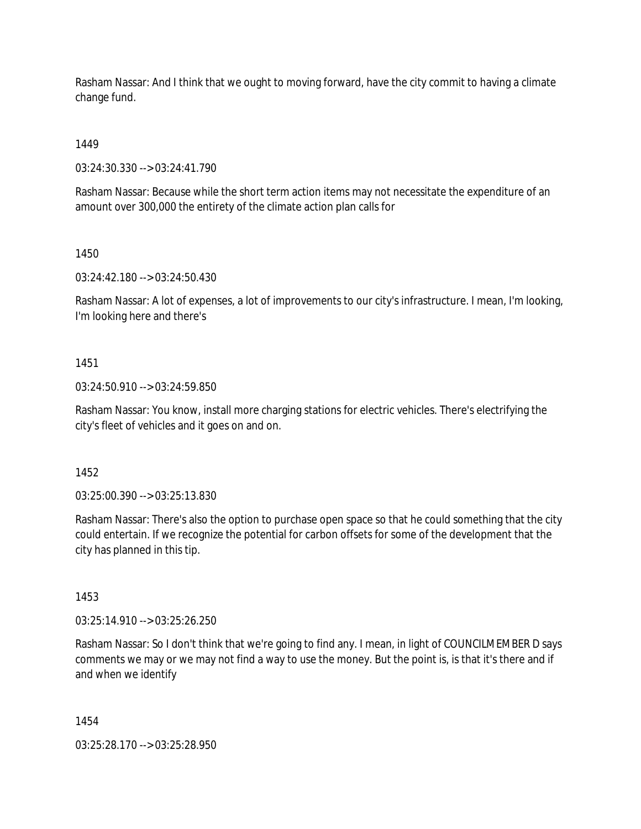Rasham Nassar: And I think that we ought to moving forward, have the city commit to having a climate change fund.

1449

03:24:30.330 --> 03:24:41.790

Rasham Nassar: Because while the short term action items may not necessitate the expenditure of an amount over 300,000 the entirety of the climate action plan calls for

1450

03:24:42.180 --> 03:24:50.430

Rasham Nassar: A lot of expenses, a lot of improvements to our city's infrastructure. I mean, I'm looking, I'm looking here and there's

#### 1451

03:24:50.910 --> 03:24:59.850

Rasham Nassar: You know, install more charging stations for electric vehicles. There's electrifying the city's fleet of vehicles and it goes on and on.

1452

03:25:00.390 --> 03:25:13.830

Rasham Nassar: There's also the option to purchase open space so that he could something that the city could entertain. If we recognize the potential for carbon offsets for some of the development that the city has planned in this tip.

1453

03:25:14.910 --> 03:25:26.250

Rasham Nassar: So I don't think that we're going to find any. I mean, in light of COUNCILMEMBER D says comments we may or we may not find a way to use the money. But the point is, is that it's there and if and when we identify

1454

03:25:28.170 --> 03:25:28.950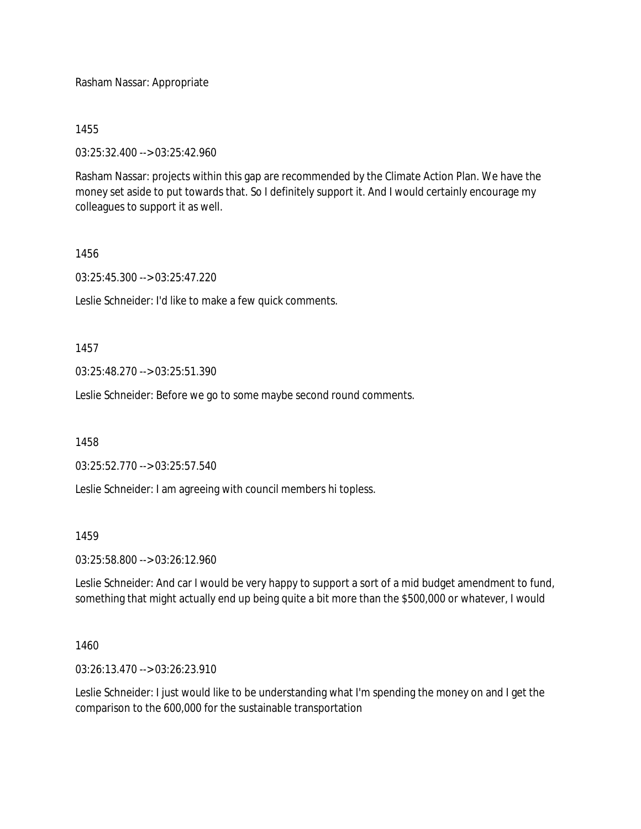Rasham Nassar: Appropriate

1455

03:25:32.400 --> 03:25:42.960

Rasham Nassar: projects within this gap are recommended by the Climate Action Plan. We have the money set aside to put towards that. So I definitely support it. And I would certainly encourage my colleagues to support it as well.

#### 1456

03:25:45.300 --> 03:25:47.220

Leslie Schneider: I'd like to make a few quick comments.

1457

03:25:48.270 --> 03:25:51.390

Leslie Schneider: Before we go to some maybe second round comments.

1458

03:25:52.770 --> 03:25:57.540

Leslie Schneider: I am agreeing with council members hi topless.

#### 1459

03:25:58.800 --> 03:26:12.960

Leslie Schneider: And car I would be very happy to support a sort of a mid budget amendment to fund, something that might actually end up being quite a bit more than the \$500,000 or whatever, I would

## 1460

03:26:13.470 --> 03:26:23.910

Leslie Schneider: I just would like to be understanding what I'm spending the money on and I get the comparison to the 600,000 for the sustainable transportation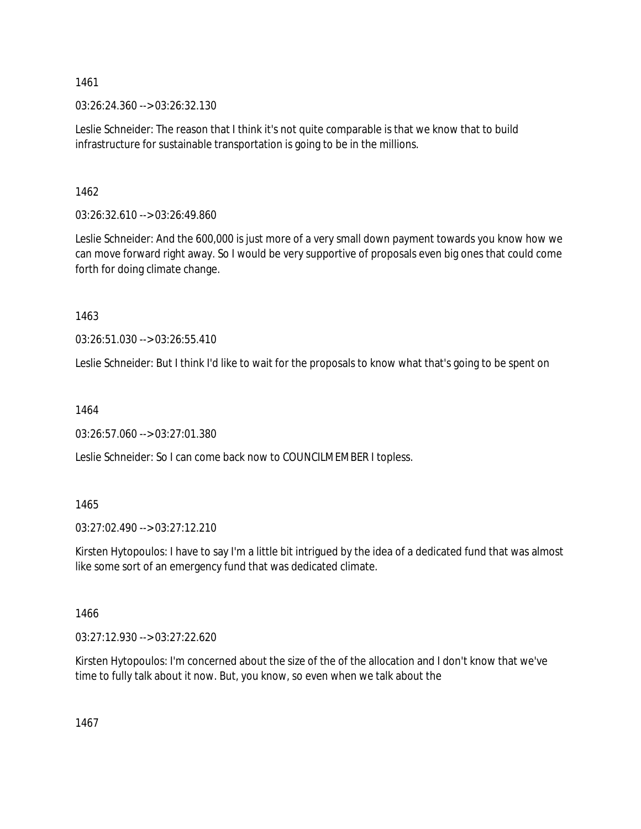03:26:24.360 --> 03:26:32.130

Leslie Schneider: The reason that I think it's not quite comparable is that we know that to build infrastructure for sustainable transportation is going to be in the millions.

1462

03:26:32.610 --> 03:26:49.860

Leslie Schneider: And the 600,000 is just more of a very small down payment towards you know how we can move forward right away. So I would be very supportive of proposals even big ones that could come forth for doing climate change.

1463

03:26:51.030 --> 03:26:55.410

Leslie Schneider: But I think I'd like to wait for the proposals to know what that's going to be spent on

1464

03:26:57.060 --> 03:27:01.380

Leslie Schneider: So I can come back now to COUNCILMEMBER I topless.

1465

03:27:02.490 --> 03:27:12.210

Kirsten Hytopoulos: I have to say I'm a little bit intrigued by the idea of a dedicated fund that was almost like some sort of an emergency fund that was dedicated climate.

1466

03:27:12.930 --> 03:27:22.620

Kirsten Hytopoulos: I'm concerned about the size of the of the allocation and I don't know that we've time to fully talk about it now. But, you know, so even when we talk about the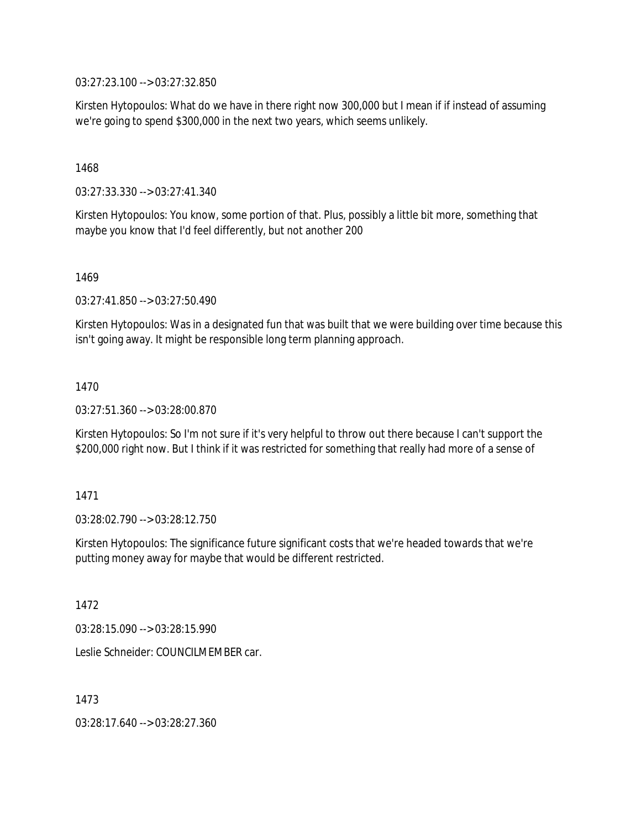03:27:23.100 --> 03:27:32.850

Kirsten Hytopoulos: What do we have in there right now 300,000 but I mean if if instead of assuming we're going to spend \$300,000 in the next two years, which seems unlikely.

1468

03:27:33.330 --> 03:27:41.340

Kirsten Hytopoulos: You know, some portion of that. Plus, possibly a little bit more, something that maybe you know that I'd feel differently, but not another 200

1469

03:27:41.850 --> 03:27:50.490

Kirsten Hytopoulos: Was in a designated fun that was built that we were building over time because this isn't going away. It might be responsible long term planning approach.

1470

03:27:51.360 --> 03:28:00.870

Kirsten Hytopoulos: So I'm not sure if it's very helpful to throw out there because I can't support the \$200,000 right now. But I think if it was restricted for something that really had more of a sense of

1471

03:28:02.790 --> 03:28:12.750

Kirsten Hytopoulos: The significance future significant costs that we're headed towards that we're putting money away for maybe that would be different restricted.

1472

03:28:15.090 --> 03:28:15.990

Leslie Schneider: COUNCILMEMBER car.

1473

03:28:17.640 --> 03:28:27.360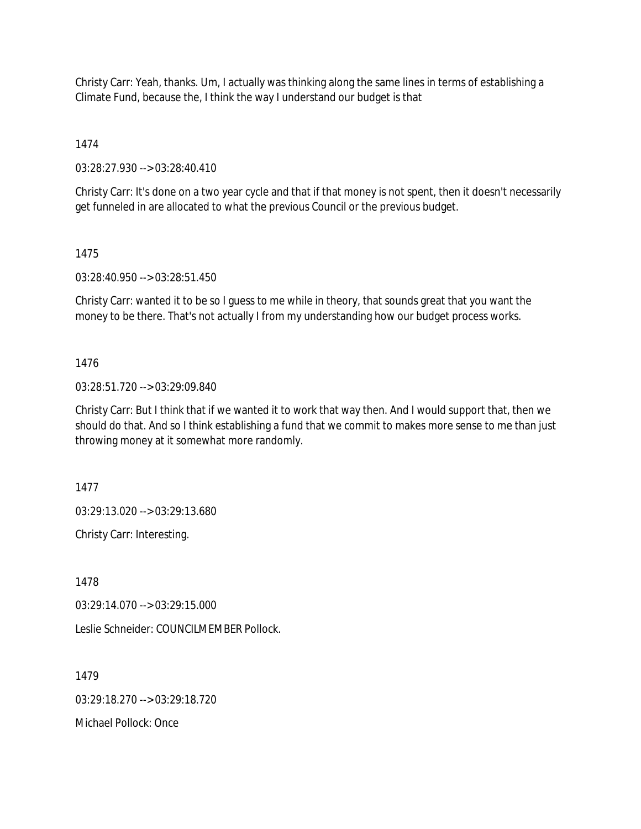Christy Carr: Yeah, thanks. Um, I actually was thinking along the same lines in terms of establishing a Climate Fund, because the, I think the way I understand our budget is that

1474

03:28:27.930 --> 03:28:40.410

Christy Carr: It's done on a two year cycle and that if that money is not spent, then it doesn't necessarily get funneled in are allocated to what the previous Council or the previous budget.

## 1475

03:28:40.950 --> 03:28:51.450

Christy Carr: wanted it to be so I guess to me while in theory, that sounds great that you want the money to be there. That's not actually I from my understanding how our budget process works.

## 1476

03:28:51.720 --> 03:29:09.840

Christy Carr: But I think that if we wanted it to work that way then. And I would support that, then we should do that. And so I think establishing a fund that we commit to makes more sense to me than just throwing money at it somewhat more randomly.

1477

03:29:13.020 --> 03:29:13.680

Christy Carr: Interesting.

1478

03:29:14.070 --> 03:29:15.000

Leslie Schneider: COUNCILMEMBER Pollock.

1479

03:29:18.270 --> 03:29:18.720

Michael Pollock: Once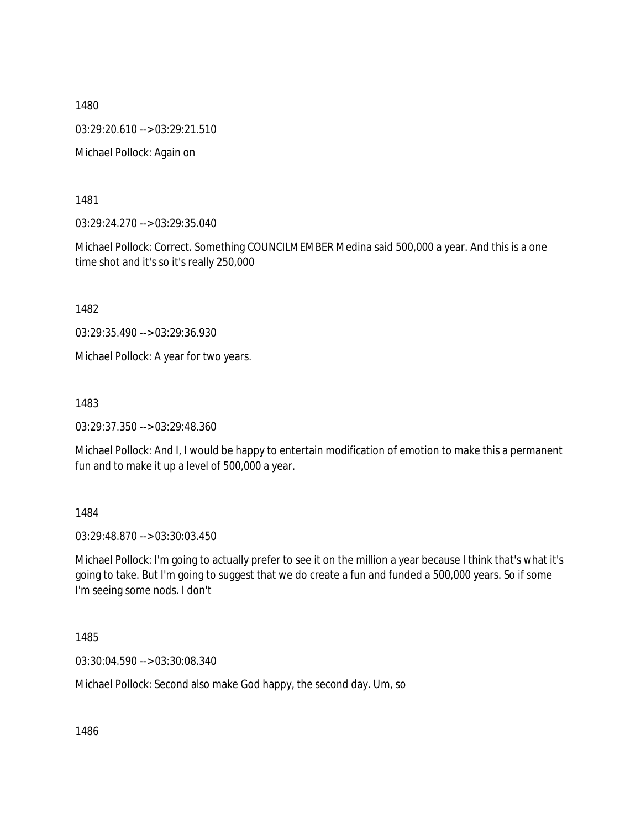03:29:20.610 --> 03:29:21.510

Michael Pollock: Again on

1481

03:29:24.270 --> 03:29:35.040

Michael Pollock: Correct. Something COUNCILMEMBER Medina said 500,000 a year. And this is a one time shot and it's so it's really 250,000

1482

03:29:35.490 --> 03:29:36.930

Michael Pollock: A year for two years.

1483

03:29:37.350 --> 03:29:48.360

Michael Pollock: And I, I would be happy to entertain modification of emotion to make this a permanent fun and to make it up a level of 500,000 a year.

1484

03:29:48.870 --> 03:30:03.450

Michael Pollock: I'm going to actually prefer to see it on the million a year because I think that's what it's going to take. But I'm going to suggest that we do create a fun and funded a 500,000 years. So if some I'm seeing some nods. I don't

1485

03:30:04.590 --> 03:30:08.340

Michael Pollock: Second also make God happy, the second day. Um, so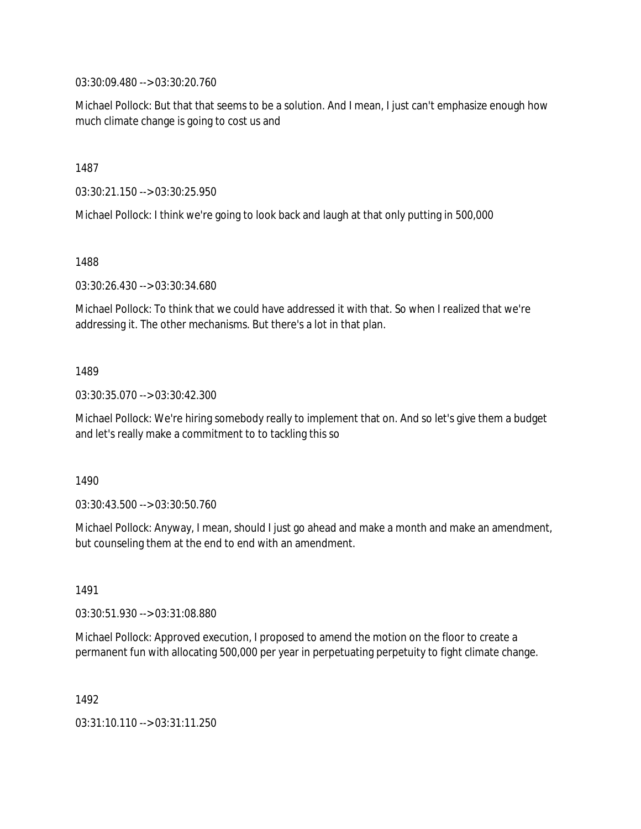03:30:09.480 --> 03:30:20.760

Michael Pollock: But that that seems to be a solution. And I mean, I just can't emphasize enough how much climate change is going to cost us and

1487

03:30:21.150 --> 03:30:25.950

Michael Pollock: I think we're going to look back and laugh at that only putting in 500,000

1488

03:30:26.430 --> 03:30:34.680

Michael Pollock: To think that we could have addressed it with that. So when I realized that we're addressing it. The other mechanisms. But there's a lot in that plan.

1489

03:30:35.070 --> 03:30:42.300

Michael Pollock: We're hiring somebody really to implement that on. And so let's give them a budget and let's really make a commitment to to tackling this so

1490

03:30:43.500 --> 03:30:50.760

Michael Pollock: Anyway, I mean, should I just go ahead and make a month and make an amendment, but counseling them at the end to end with an amendment.

1491

03:30:51.930 --> 03:31:08.880

Michael Pollock: Approved execution, I proposed to amend the motion on the floor to create a permanent fun with allocating 500,000 per year in perpetuating perpetuity to fight climate change.

1492

03:31:10.110 --> 03:31:11.250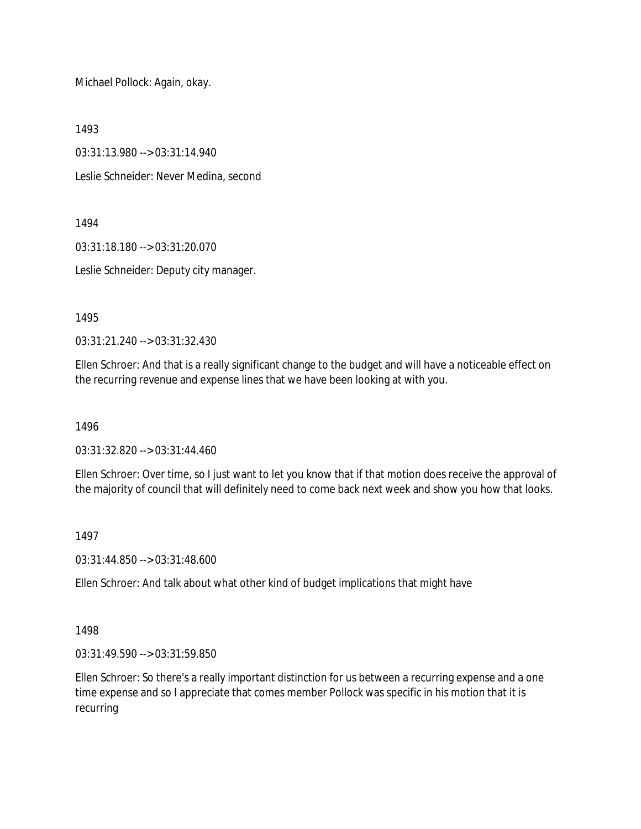Michael Pollock: Again, okay.

1493

03:31:13.980 --> 03:31:14.940

Leslie Schneider: Never Medina, second

1494

03:31:18.180 --> 03:31:20.070

Leslie Schneider: Deputy city manager.

1495

03:31:21.240 --> 03:31:32.430

Ellen Schroer: And that is a really significant change to the budget and will have a noticeable effect on the recurring revenue and expense lines that we have been looking at with you.

1496

03:31:32.820 --> 03:31:44.460

Ellen Schroer: Over time, so I just want to let you know that if that motion does receive the approval of the majority of council that will definitely need to come back next week and show you how that looks.

1497

03:31:44.850 --> 03:31:48.600

Ellen Schroer: And talk about what other kind of budget implications that might have

1498

03:31:49.590 --> 03:31:59.850

Ellen Schroer: So there's a really important distinction for us between a recurring expense and a one time expense and so I appreciate that comes member Pollock was specific in his motion that it is recurring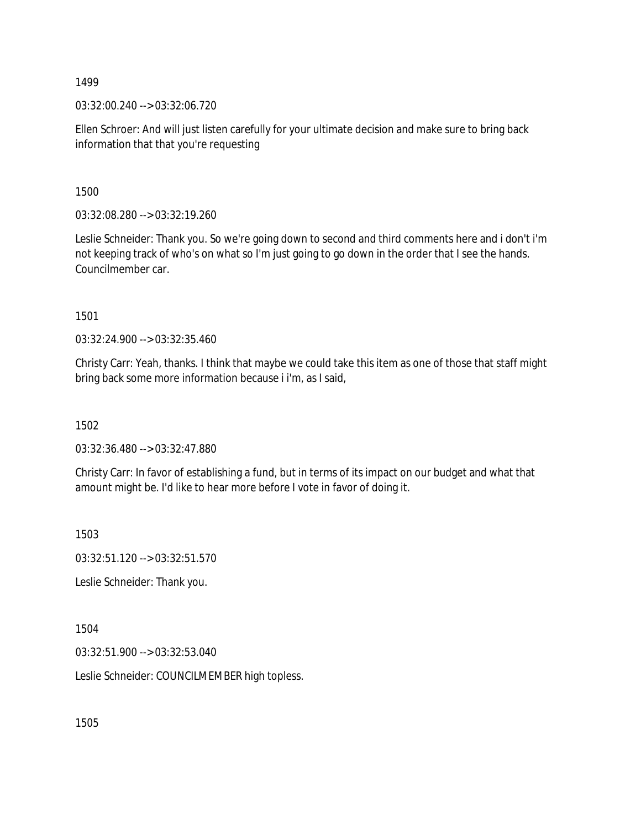03:32:00.240 --> 03:32:06.720

Ellen Schroer: And will just listen carefully for your ultimate decision and make sure to bring back information that that you're requesting

1500

03:32:08.280 --> 03:32:19.260

Leslie Schneider: Thank you. So we're going down to second and third comments here and i don't i'm not keeping track of who's on what so I'm just going to go down in the order that I see the hands. Councilmember car.

1501

03:32:24.900 --> 03:32:35.460

Christy Carr: Yeah, thanks. I think that maybe we could take this item as one of those that staff might bring back some more information because i i'm, as I said,

1502

03:32:36.480 --> 03:32:47.880

Christy Carr: In favor of establishing a fund, but in terms of its impact on our budget and what that amount might be. I'd like to hear more before I vote in favor of doing it.

1503

03:32:51.120 --> 03:32:51.570

Leslie Schneider: Thank you.

1504

03:32:51.900 --> 03:32:53.040

Leslie Schneider: COUNCILMEMBER high topless.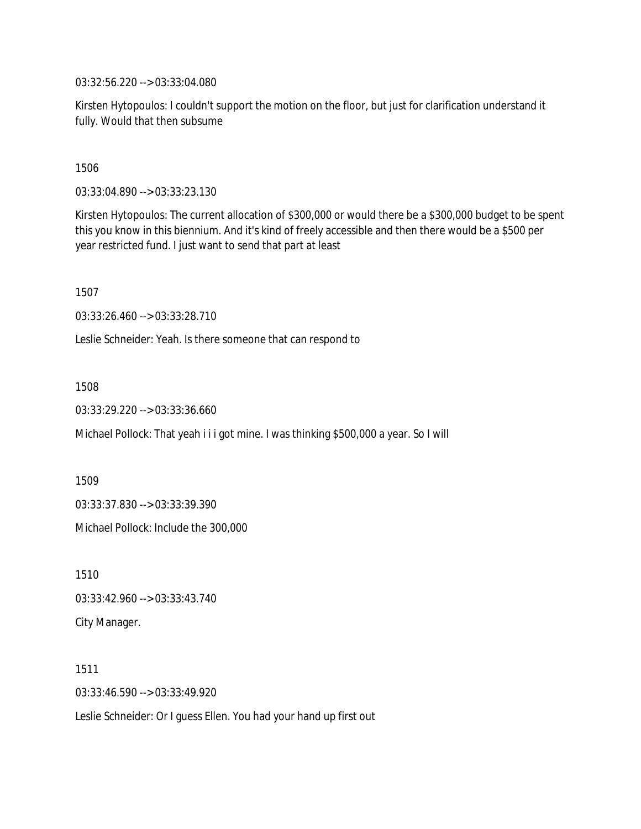03:32:56.220 --> 03:33:04.080

Kirsten Hytopoulos: I couldn't support the motion on the floor, but just for clarification understand it fully. Would that then subsume

1506

03:33:04.890 --> 03:33:23.130

Kirsten Hytopoulos: The current allocation of \$300,000 or would there be a \$300,000 budget to be spent this you know in this biennium. And it's kind of freely accessible and then there would be a \$500 per year restricted fund. I just want to send that part at least

1507

03:33:26.460 --> 03:33:28.710

Leslie Schneider: Yeah. Is there someone that can respond to

1508

03:33:29.220 --> 03:33:36.660

Michael Pollock: That yeah i i i got mine. I was thinking \$500,000 a year. So I will

1509

03:33:37.830 --> 03:33:39.390

Michael Pollock: Include the 300,000

1510 03:33:42.960 --> 03:33:43.740 City Manager.

1511 03:33:46.590 --> 03:33:49.920

Leslie Schneider: Or I guess Ellen. You had your hand up first out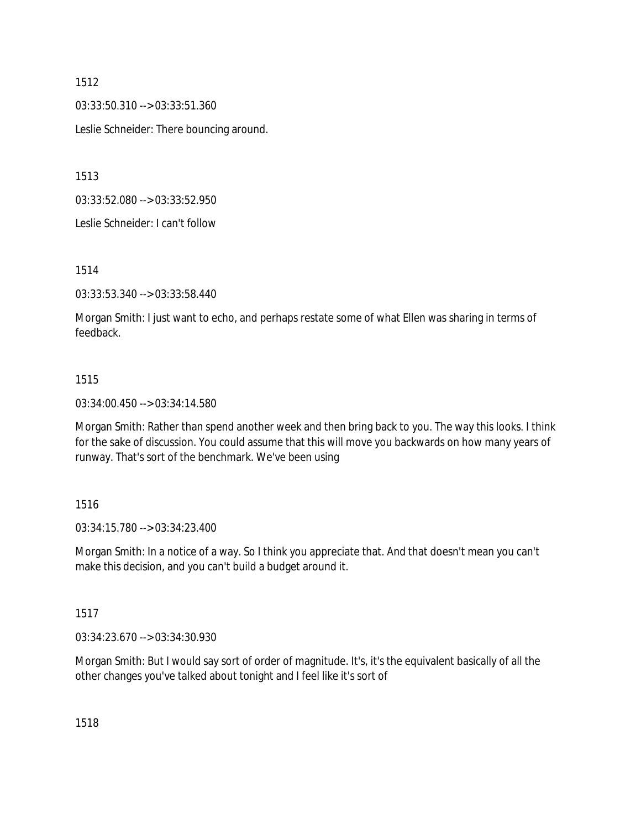03:33:50.310 --> 03:33:51.360

Leslie Schneider: There bouncing around.

1513

03:33:52.080 --> 03:33:52.950

Leslie Schneider: I can't follow

1514

03:33:53.340 --> 03:33:58.440

Morgan Smith: I just want to echo, and perhaps restate some of what Ellen was sharing in terms of feedback.

#### 1515

03:34:00.450 --> 03:34:14.580

Morgan Smith: Rather than spend another week and then bring back to you. The way this looks. I think for the sake of discussion. You could assume that this will move you backwards on how many years of runway. That's sort of the benchmark. We've been using

#### 1516

03:34:15.780 --> 03:34:23.400

Morgan Smith: In a notice of a way. So I think you appreciate that. And that doesn't mean you can't make this decision, and you can't build a budget around it.

#### 1517

03:34:23.670 --> 03:34:30.930

Morgan Smith: But I would say sort of order of magnitude. It's, it's the equivalent basically of all the other changes you've talked about tonight and I feel like it's sort of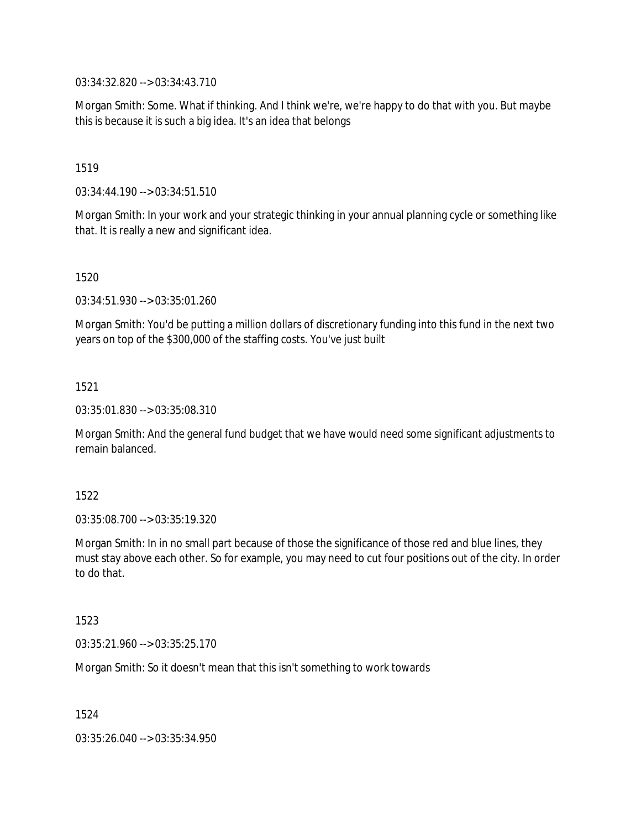03:34:32.820 --> 03:34:43.710

Morgan Smith: Some. What if thinking. And I think we're, we're happy to do that with you. But maybe this is because it is such a big idea. It's an idea that belongs

1519

03:34:44.190 --> 03:34:51.510

Morgan Smith: In your work and your strategic thinking in your annual planning cycle or something like that. It is really a new and significant idea.

1520

03:34:51.930 --> 03:35:01.260

Morgan Smith: You'd be putting a million dollars of discretionary funding into this fund in the next two years on top of the \$300,000 of the staffing costs. You've just built

1521

03:35:01.830 --> 03:35:08.310

Morgan Smith: And the general fund budget that we have would need some significant adjustments to remain balanced.

1522

03:35:08.700 --> 03:35:19.320

Morgan Smith: In in no small part because of those the significance of those red and blue lines, they must stay above each other. So for example, you may need to cut four positions out of the city. In order to do that.

1523

03:35:21.960 --> 03:35:25.170

Morgan Smith: So it doesn't mean that this isn't something to work towards

1524

03:35:26.040 --> 03:35:34.950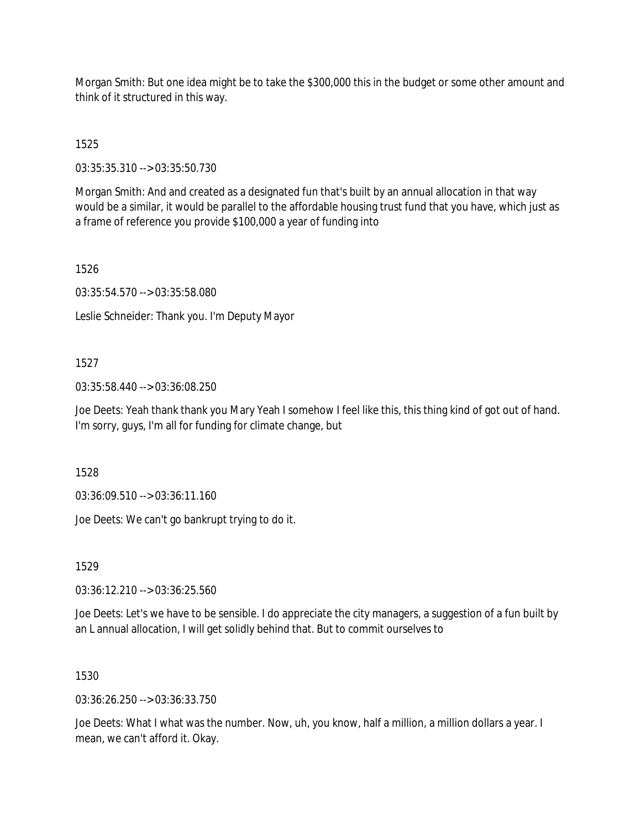Morgan Smith: But one idea might be to take the \$300,000 this in the budget or some other amount and think of it structured in this way.

1525

03:35:35.310 --> 03:35:50.730

Morgan Smith: And and created as a designated fun that's built by an annual allocation in that way would be a similar, it would be parallel to the affordable housing trust fund that you have, which just as a frame of reference you provide \$100,000 a year of funding into

1526

03:35:54.570 --> 03:35:58.080

Leslie Schneider: Thank you. I'm Deputy Mayor

## 1527

03:35:58.440 --> 03:36:08.250

Joe Deets: Yeah thank thank you Mary Yeah I somehow I feel like this, this thing kind of got out of hand. I'm sorry, guys, I'm all for funding for climate change, but

1528

03:36:09.510 --> 03:36:11.160

Joe Deets: We can't go bankrupt trying to do it.

1529

03:36:12.210 --> 03:36:25.560

Joe Deets: Let's we have to be sensible. I do appreciate the city managers, a suggestion of a fun built by an L annual allocation, I will get solidly behind that. But to commit ourselves to

## 1530

03:36:26.250 --> 03:36:33.750

Joe Deets: What I what was the number. Now, uh, you know, half a million, a million dollars a year. I mean, we can't afford it. Okay.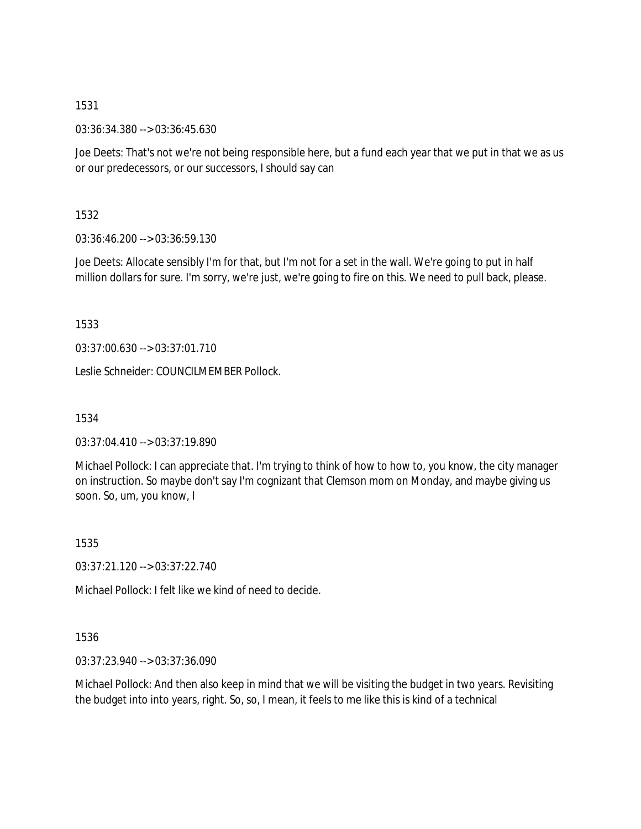03:36:34.380 --> 03:36:45.630

Joe Deets: That's not we're not being responsible here, but a fund each year that we put in that we as us or our predecessors, or our successors, I should say can

1532

03:36:46.200 --> 03:36:59.130

Joe Deets: Allocate sensibly I'm for that, but I'm not for a set in the wall. We're going to put in half million dollars for sure. I'm sorry, we're just, we're going to fire on this. We need to pull back, please.

1533

03:37:00.630 --> 03:37:01.710

Leslie Schneider: COUNCILMEMBER Pollock.

1534

03:37:04.410 --> 03:37:19.890

Michael Pollock: I can appreciate that. I'm trying to think of how to how to, you know, the city manager on instruction. So maybe don't say I'm cognizant that Clemson mom on Monday, and maybe giving us soon. So, um, you know, I

1535

03:37:21.120 --> 03:37:22.740

Michael Pollock: I felt like we kind of need to decide.

1536

03:37:23.940 --> 03:37:36.090

Michael Pollock: And then also keep in mind that we will be visiting the budget in two years. Revisiting the budget into into years, right. So, so, I mean, it feels to me like this is kind of a technical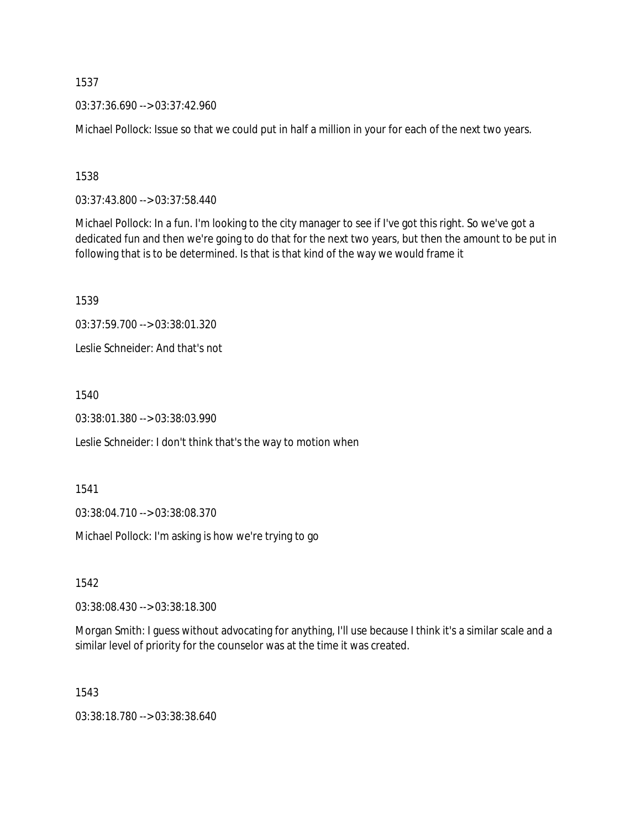03:37:36.690 --> 03:37:42.960

Michael Pollock: Issue so that we could put in half a million in your for each of the next two years.

1538

03:37:43.800 --> 03:37:58.440

Michael Pollock: In a fun. I'm looking to the city manager to see if I've got this right. So we've got a dedicated fun and then we're going to do that for the next two years, but then the amount to be put in following that is to be determined. Is that is that kind of the way we would frame it

1539

03:37:59.700 --> 03:38:01.320

Leslie Schneider: And that's not

1540

03:38:01.380 --> 03:38:03.990

Leslie Schneider: I don't think that's the way to motion when

1541

03:38:04.710 --> 03:38:08.370

Michael Pollock: I'm asking is how we're trying to go

1542

03:38:08.430 --> 03:38:18.300

Morgan Smith: I guess without advocating for anything, I'll use because I think it's a similar scale and a similar level of priority for the counselor was at the time it was created.

1543

03:38:18.780 --> 03:38:38.640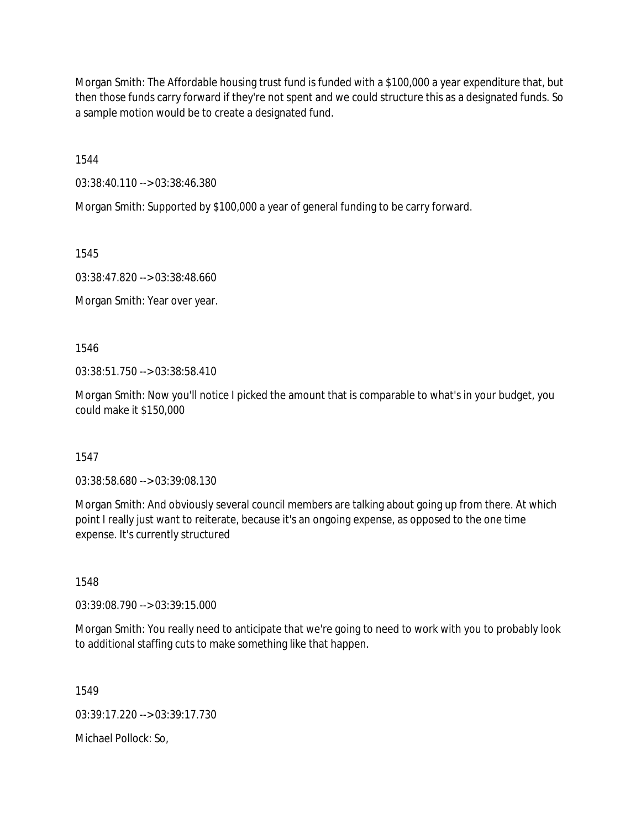Morgan Smith: The Affordable housing trust fund is funded with a \$100,000 a year expenditure that, but then those funds carry forward if they're not spent and we could structure this as a designated funds. So a sample motion would be to create a designated fund.

1544

03:38:40.110 --> 03:38:46.380

Morgan Smith: Supported by \$100,000 a year of general funding to be carry forward.

1545

03:38:47.820 --> 03:38:48.660

Morgan Smith: Year over year.

1546

03:38:51.750 --> 03:38:58.410

Morgan Smith: Now you'll notice I picked the amount that is comparable to what's in your budget, you could make it \$150,000

1547

03:38:58.680 --> 03:39:08.130

Morgan Smith: And obviously several council members are talking about going up from there. At which point I really just want to reiterate, because it's an ongoing expense, as opposed to the one time expense. It's currently structured

1548

03:39:08.790 --> 03:39:15.000

Morgan Smith: You really need to anticipate that we're going to need to work with you to probably look to additional staffing cuts to make something like that happen.

1549

03:39:17.220 --> 03:39:17.730

Michael Pollock: So,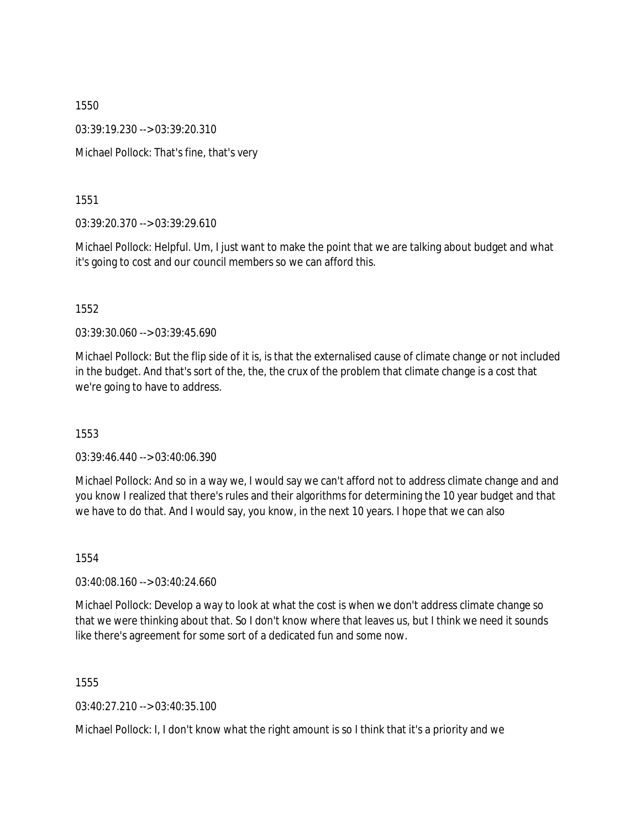03:39:19.230 --> 03:39:20.310

Michael Pollock: That's fine, that's very

1551

03:39:20.370 --> 03:39:29.610

Michael Pollock: Helpful. Um, I just want to make the point that we are talking about budget and what it's going to cost and our council members so we can afford this.

1552

03:39:30.060 --> 03:39:45.690

Michael Pollock: But the flip side of it is, is that the externalised cause of climate change or not included in the budget. And that's sort of the, the, the crux of the problem that climate change is a cost that we're going to have to address.

1553

03:39:46.440 --> 03:40:06.390

Michael Pollock: And so in a way we, I would say we can't afford not to address climate change and and you know I realized that there's rules and their algorithms for determining the 10 year budget and that we have to do that. And I would say, you know, in the next 10 years. I hope that we can also

1554

03:40:08.160 --> 03:40:24.660

Michael Pollock: Develop a way to look at what the cost is when we don't address climate change so that we were thinking about that. So I don't know where that leaves us, but I think we need it sounds like there's agreement for some sort of a dedicated fun and some now.

1555

03:40:27.210 --> 03:40:35.100

Michael Pollock: I, I don't know what the right amount is so I think that it's a priority and we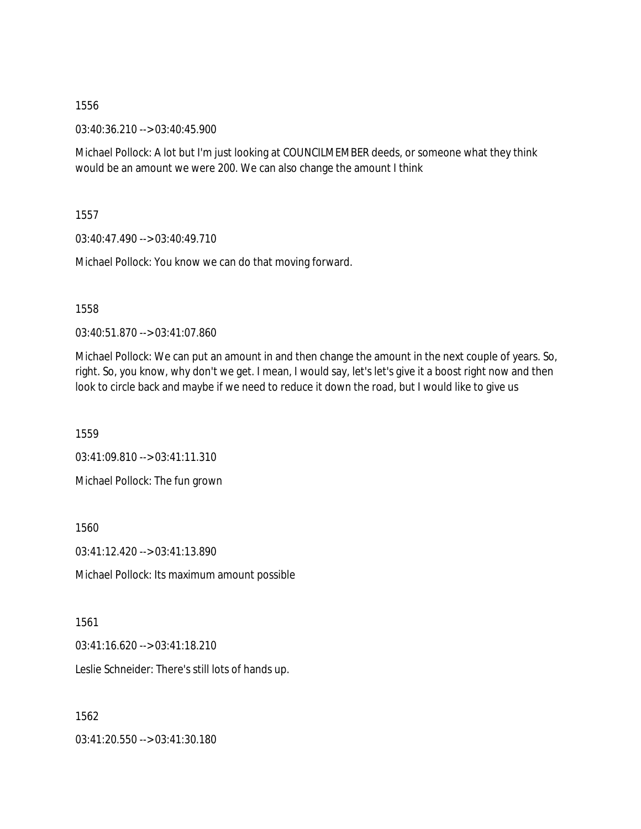03:40:36.210 --> 03:40:45.900

Michael Pollock: A lot but I'm just looking at COUNCILMEMBER deeds, or someone what they think would be an amount we were 200. We can also change the amount I think

1557

03:40:47.490 --> 03:40:49.710

Michael Pollock: You know we can do that moving forward.

1558

03:40:51.870 --> 03:41:07.860

Michael Pollock: We can put an amount in and then change the amount in the next couple of years. So, right. So, you know, why don't we get. I mean, I would say, let's let's give it a boost right now and then look to circle back and maybe if we need to reduce it down the road, but I would like to give us

1559

03:41:09.810 --> 03:41:11.310 Michael Pollock: The fun grown

1560

03:41:12.420 --> 03:41:13.890

Michael Pollock: Its maximum amount possible

1561

03:41:16.620 --> 03:41:18.210

Leslie Schneider: There's still lots of hands up.

1562

03:41:20.550 --> 03:41:30.180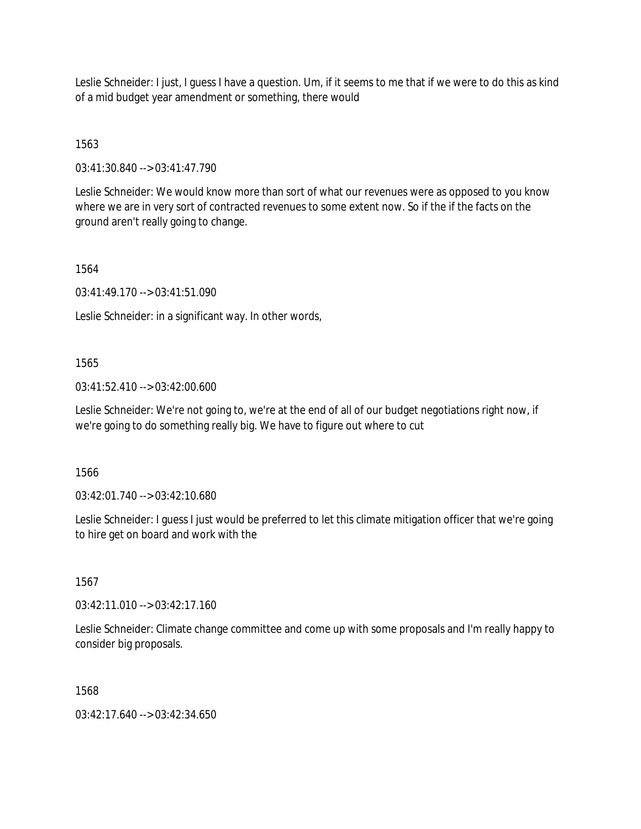Leslie Schneider: I just, I guess I have a question. Um, if it seems to me that if we were to do this as kind of a mid budget year amendment or something, there would

1563

03:41:30.840 --> 03:41:47.790

Leslie Schneider: We would know more than sort of what our revenues were as opposed to you know where we are in very sort of contracted revenues to some extent now. So if the if the facts on the ground aren't really going to change.

1564

03:41:49.170 --> 03:41:51.090

Leslie Schneider: in a significant way. In other words,

## 1565

03:41:52.410 --> 03:42:00.600

Leslie Schneider: We're not going to, we're at the end of all of our budget negotiations right now, if we're going to do something really big. We have to figure out where to cut

1566

03:42:01.740 --> 03:42:10.680

Leslie Schneider: I guess I just would be preferred to let this climate mitigation officer that we're going to hire get on board and work with the

1567

03:42:11.010 --> 03:42:17.160

Leslie Schneider: Climate change committee and come up with some proposals and I'm really happy to consider big proposals.

1568

03:42:17.640 --> 03:42:34.650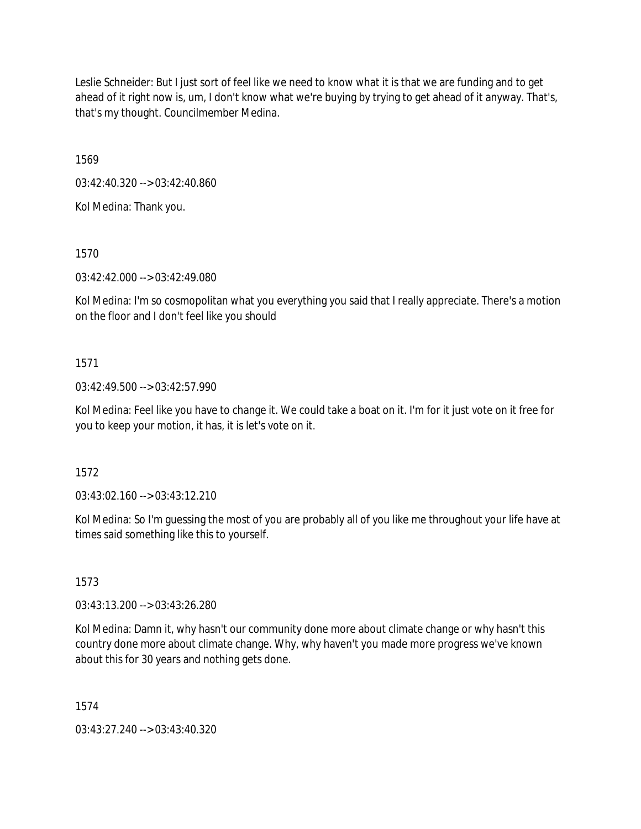Leslie Schneider: But I just sort of feel like we need to know what it is that we are funding and to get ahead of it right now is, um, I don't know what we're buying by trying to get ahead of it anyway. That's, that's my thought. Councilmember Medina.

1569

03:42:40.320 --> 03:42:40.860

Kol Medina: Thank you.

1570

03:42:42.000 --> 03:42:49.080

Kol Medina: I'm so cosmopolitan what you everything you said that I really appreciate. There's a motion on the floor and I don't feel like you should

## 1571

03:42:49.500 --> 03:42:57.990

Kol Medina: Feel like you have to change it. We could take a boat on it. I'm for it just vote on it free for you to keep your motion, it has, it is let's vote on it.

1572

03:43:02.160 --> 03:43:12.210

Kol Medina: So I'm guessing the most of you are probably all of you like me throughout your life have at times said something like this to yourself.

1573

03:43:13.200 --> 03:43:26.280

Kol Medina: Damn it, why hasn't our community done more about climate change or why hasn't this country done more about climate change. Why, why haven't you made more progress we've known about this for 30 years and nothing gets done.

1574

03:43:27.240 --> 03:43:40.320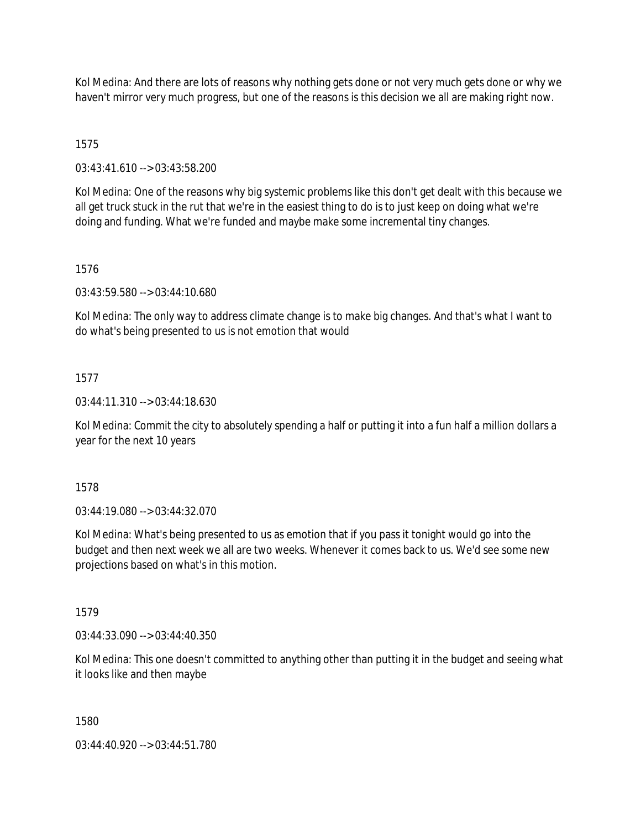Kol Medina: And there are lots of reasons why nothing gets done or not very much gets done or why we haven't mirror very much progress, but one of the reasons is this decision we all are making right now.

# 1575

03:43:41.610 --> 03:43:58.200

Kol Medina: One of the reasons why big systemic problems like this don't get dealt with this because we all get truck stuck in the rut that we're in the easiest thing to do is to just keep on doing what we're doing and funding. What we're funded and maybe make some incremental tiny changes.

# 1576

03:43:59.580 --> 03:44:10.680

Kol Medina: The only way to address climate change is to make big changes. And that's what I want to do what's being presented to us is not emotion that would

# 1577

03:44:11.310 --> 03:44:18.630

Kol Medina: Commit the city to absolutely spending a half or putting it into a fun half a million dollars a year for the next 10 years

## 1578

03:44:19.080 --> 03:44:32.070

Kol Medina: What's being presented to us as emotion that if you pass it tonight would go into the budget and then next week we all are two weeks. Whenever it comes back to us. We'd see some new projections based on what's in this motion.

## 1579

03:44:33.090 --> 03:44:40.350

Kol Medina: This one doesn't committed to anything other than putting it in the budget and seeing what it looks like and then maybe

## 1580

03:44:40.920 --> 03:44:51.780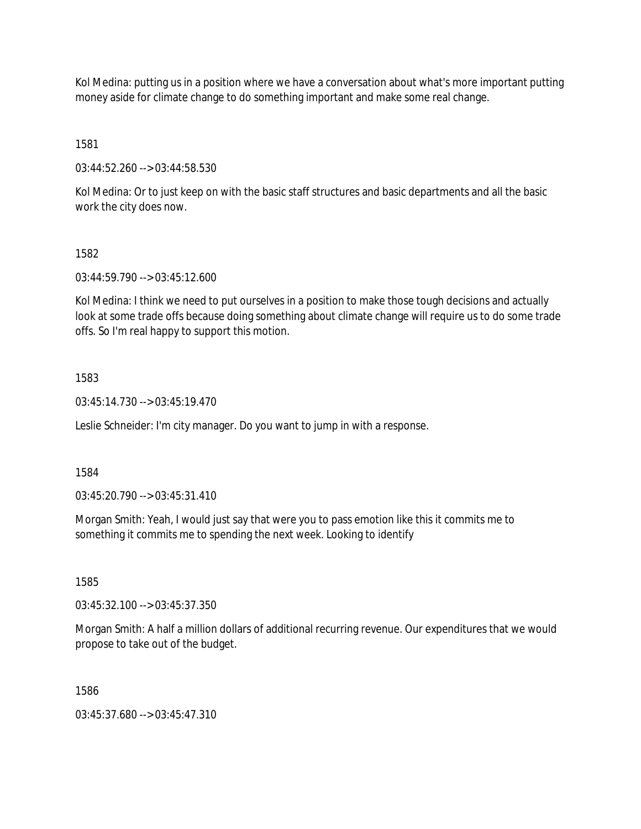Kol Medina: putting us in a position where we have a conversation about what's more important putting money aside for climate change to do something important and make some real change.

1581

03:44:52.260 --> 03:44:58.530

Kol Medina: Or to just keep on with the basic staff structures and basic departments and all the basic work the city does now.

## 1582

03:44:59.790 --> 03:45:12.600

Kol Medina: I think we need to put ourselves in a position to make those tough decisions and actually look at some trade offs because doing something about climate change will require us to do some trade offs. So I'm real happy to support this motion.

# 1583

03:45:14.730 --> 03:45:19.470

Leslie Schneider: I'm city manager. Do you want to jump in with a response.

1584

03:45:20.790 --> 03:45:31.410

Morgan Smith: Yeah, I would just say that were you to pass emotion like this it commits me to something it commits me to spending the next week. Looking to identify

1585

03:45:32.100 --> 03:45:37.350

Morgan Smith: A half a million dollars of additional recurring revenue. Our expenditures that we would propose to take out of the budget.

1586

03:45:37.680 --> 03:45:47.310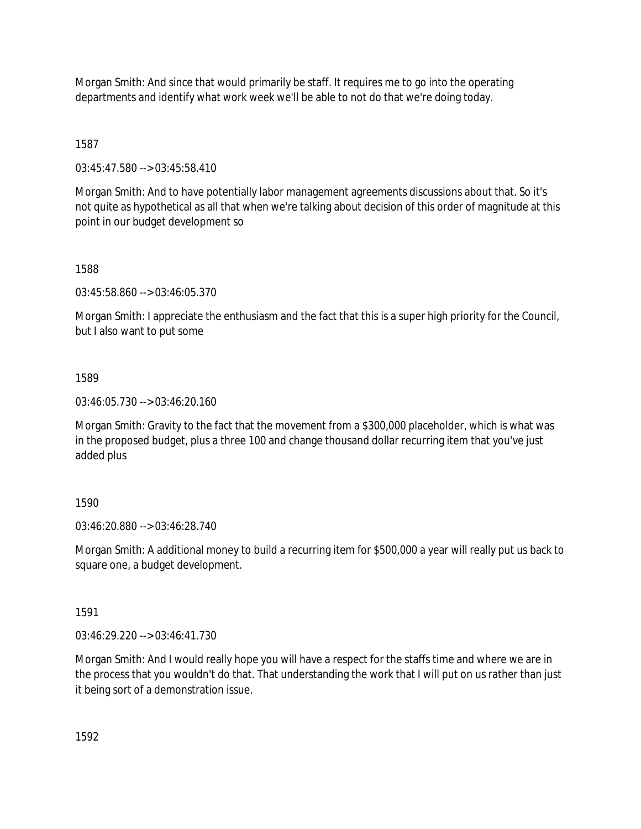Morgan Smith: And since that would primarily be staff. It requires me to go into the operating departments and identify what work week we'll be able to not do that we're doing today.

1587

03:45:47.580 --> 03:45:58.410

Morgan Smith: And to have potentially labor management agreements discussions about that. So it's not quite as hypothetical as all that when we're talking about decision of this order of magnitude at this point in our budget development so

1588

03:45:58.860 --> 03:46:05.370

Morgan Smith: I appreciate the enthusiasm and the fact that this is a super high priority for the Council, but I also want to put some

1589

03:46:05.730 --> 03:46:20.160

Morgan Smith: Gravity to the fact that the movement from a \$300,000 placeholder, which is what was in the proposed budget, plus a three 100 and change thousand dollar recurring item that you've just added plus

#### 1590

03:46:20.880 --> 03:46:28.740

Morgan Smith: A additional money to build a recurring item for \$500,000 a year will really put us back to square one, a budget development.

1591

03:46:29.220 --> 03:46:41.730

Morgan Smith: And I would really hope you will have a respect for the staffs time and where we are in the process that you wouldn't do that. That understanding the work that I will put on us rather than just it being sort of a demonstration issue.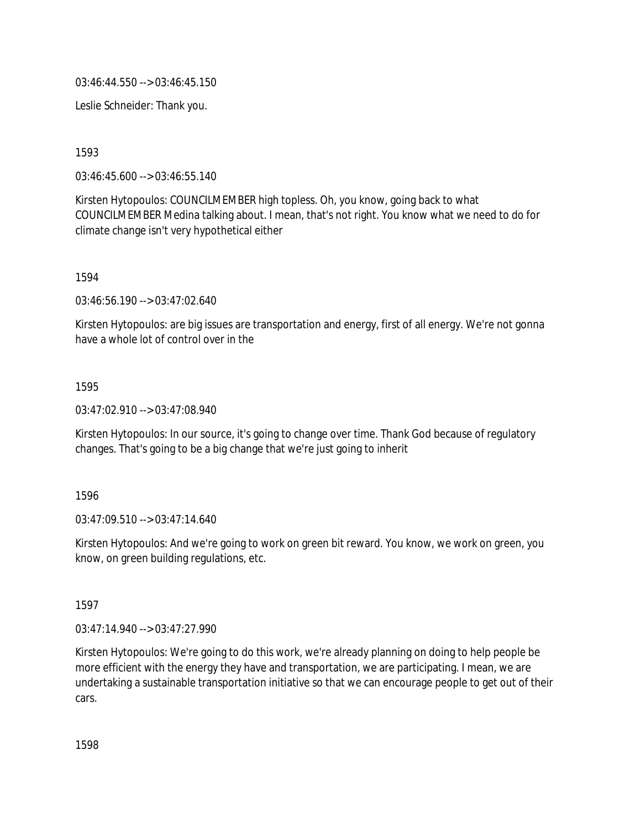03:46:44.550 --> 03:46:45.150

Leslie Schneider: Thank you.

1593

03:46:45.600 --> 03:46:55.140

Kirsten Hytopoulos: COUNCILMEMBER high topless. Oh, you know, going back to what COUNCILMEMBER Medina talking about. I mean, that's not right. You know what we need to do for climate change isn't very hypothetical either

1594

03:46:56.190 --> 03:47:02.640

Kirsten Hytopoulos: are big issues are transportation and energy, first of all energy. We're not gonna have a whole lot of control over in the

1595

03:47:02.910 --> 03:47:08.940

Kirsten Hytopoulos: In our source, it's going to change over time. Thank God because of regulatory changes. That's going to be a big change that we're just going to inherit

1596

03:47:09.510 --> 03:47:14.640

Kirsten Hytopoulos: And we're going to work on green bit reward. You know, we work on green, you know, on green building regulations, etc.

1597

03:47:14.940 --> 03:47:27.990

Kirsten Hytopoulos: We're going to do this work, we're already planning on doing to help people be more efficient with the energy they have and transportation, we are participating. I mean, we are undertaking a sustainable transportation initiative so that we can encourage people to get out of their cars.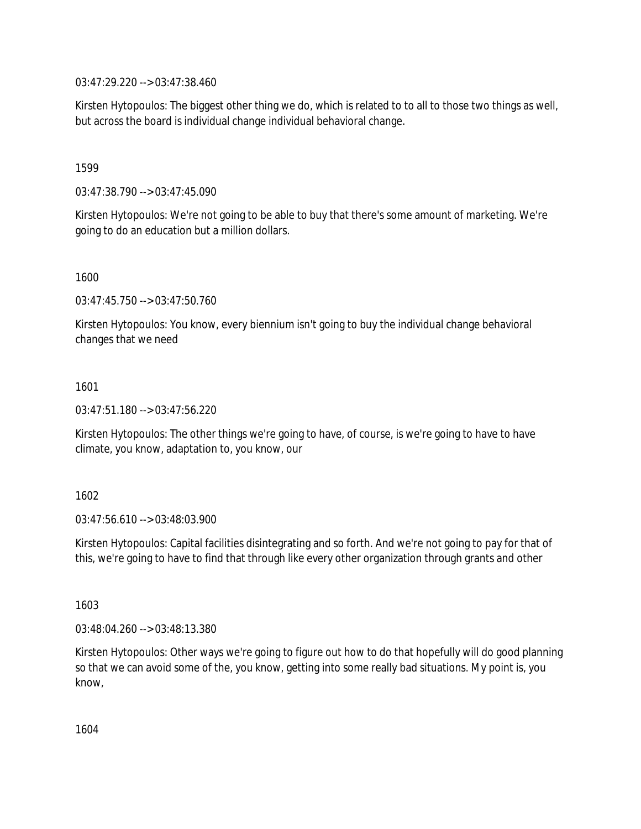03:47:29.220 --> 03:47:38.460

Kirsten Hytopoulos: The biggest other thing we do, which is related to to all to those two things as well, but across the board is individual change individual behavioral change.

1599

03:47:38.790 --> 03:47:45.090

Kirsten Hytopoulos: We're not going to be able to buy that there's some amount of marketing. We're going to do an education but a million dollars.

1600

03:47:45.750 --> 03:47:50.760

Kirsten Hytopoulos: You know, every biennium isn't going to buy the individual change behavioral changes that we need

1601

03:47:51.180 --> 03:47:56.220

Kirsten Hytopoulos: The other things we're going to have, of course, is we're going to have to have climate, you know, adaptation to, you know, our

1602

03:47:56.610 --> 03:48:03.900

Kirsten Hytopoulos: Capital facilities disintegrating and so forth. And we're not going to pay for that of this, we're going to have to find that through like every other organization through grants and other

1603

03:48:04.260 --> 03:48:13.380

Kirsten Hytopoulos: Other ways we're going to figure out how to do that hopefully will do good planning so that we can avoid some of the, you know, getting into some really bad situations. My point is, you know,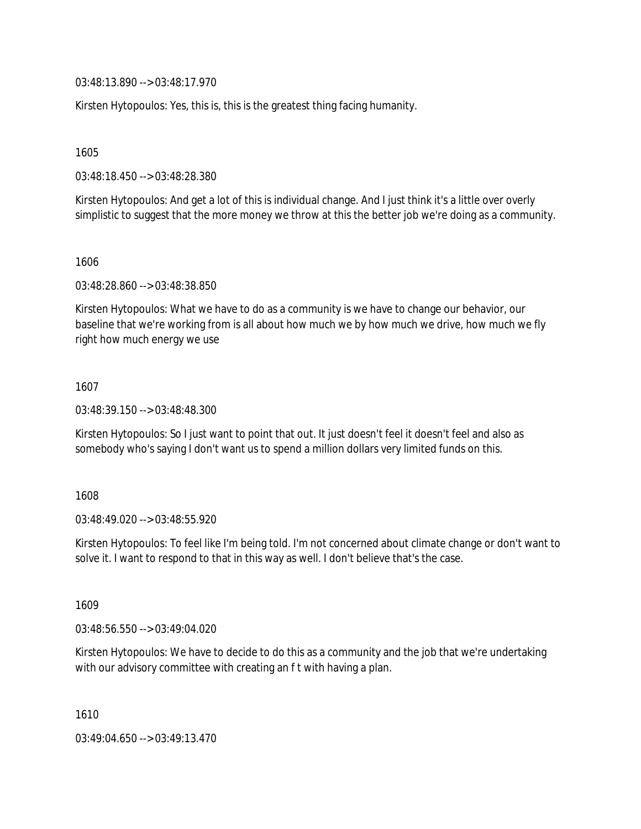03:48:13.890 --> 03:48:17.970

Kirsten Hytopoulos: Yes, this is, this is the greatest thing facing humanity.

1605

03:48:18.450 --> 03:48:28.380

Kirsten Hytopoulos: And get a lot of this is individual change. And I just think it's a little over overly simplistic to suggest that the more money we throw at this the better job we're doing as a community.

1606

03:48:28.860 --> 03:48:38.850

Kirsten Hytopoulos: What we have to do as a community is we have to change our behavior, our baseline that we're working from is all about how much we by how much we drive, how much we fly right how much energy we use

1607

03:48:39.150 --> 03:48:48.300

Kirsten Hytopoulos: So I just want to point that out. It just doesn't feel it doesn't feel and also as somebody who's saying I don't want us to spend a million dollars very limited funds on this.

1608

03:48:49.020 --> 03:48:55.920

Kirsten Hytopoulos: To feel like I'm being told. I'm not concerned about climate change or don't want to solve it. I want to respond to that in this way as well. I don't believe that's the case.

1609

03:48:56.550 --> 03:49:04.020

Kirsten Hytopoulos: We have to decide to do this as a community and the job that we're undertaking with our advisory committee with creating an f t with having a plan.

1610

03:49:04.650 --> 03:49:13.470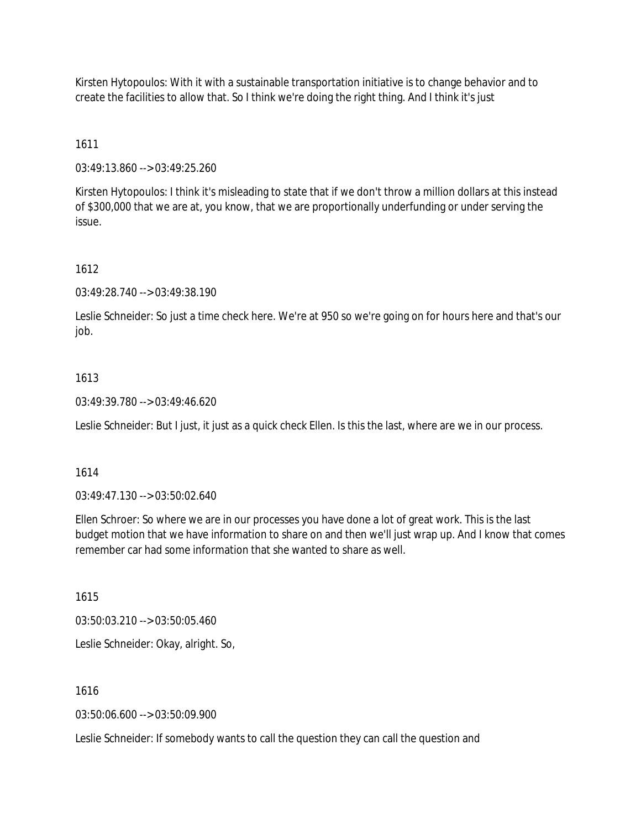Kirsten Hytopoulos: With it with a sustainable transportation initiative is to change behavior and to create the facilities to allow that. So I think we're doing the right thing. And I think it's just

## 1611

03:49:13.860 --> 03:49:25.260

Kirsten Hytopoulos: I think it's misleading to state that if we don't throw a million dollars at this instead of \$300,000 that we are at, you know, that we are proportionally underfunding or under serving the issue.

## 1612

03:49:28.740 --> 03:49:38.190

Leslie Schneider: So just a time check here. We're at 950 so we're going on for hours here and that's our job.

## 1613

03:49:39.780 --> 03:49:46.620

Leslie Schneider: But I just, it just as a quick check Ellen. Is this the last, where are we in our process.

#### 1614

03:49:47.130 --> 03:50:02.640

Ellen Schroer: So where we are in our processes you have done a lot of great work. This is the last budget motion that we have information to share on and then we'll just wrap up. And I know that comes remember car had some information that she wanted to share as well.

1615

03:50:03.210 --> 03:50:05.460

Leslie Schneider: Okay, alright. So,

1616

03:50:06.600 --> 03:50:09.900

Leslie Schneider: If somebody wants to call the question they can call the question and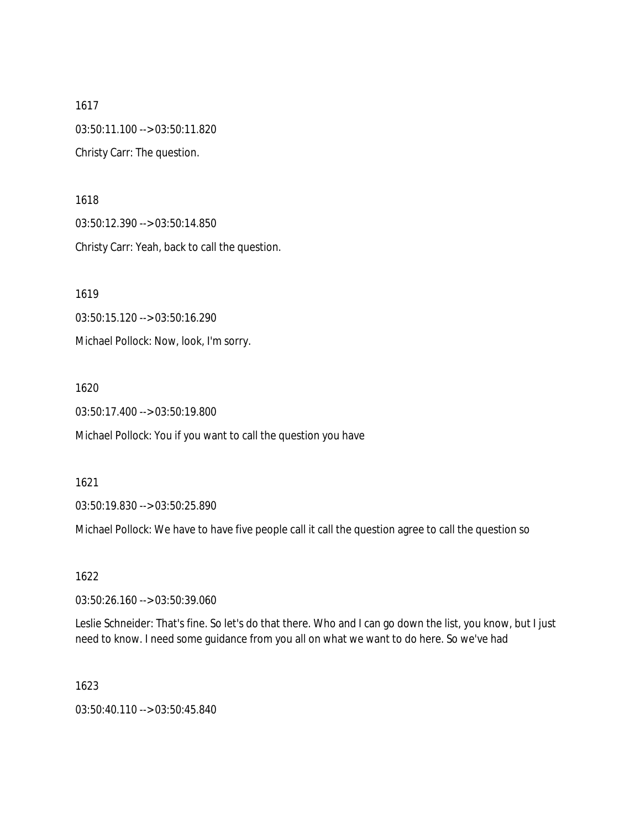1617 03:50:11.100 --> 03:50:11.820 Christy Carr: The question.

1618 03:50:12.390 --> 03:50:14.850 Christy Carr: Yeah, back to call the question.

1619 03:50:15.120 --> 03:50:16.290 Michael Pollock: Now, look, I'm sorry.

1620

03:50:17.400 --> 03:50:19.800

Michael Pollock: You if you want to call the question you have

1621

03:50:19.830 --> 03:50:25.890

Michael Pollock: We have to have five people call it call the question agree to call the question so

1622

03:50:26.160 --> 03:50:39.060

Leslie Schneider: That's fine. So let's do that there. Who and I can go down the list, you know, but I just need to know. I need some guidance from you all on what we want to do here. So we've had

1623

03:50:40.110 --> 03:50:45.840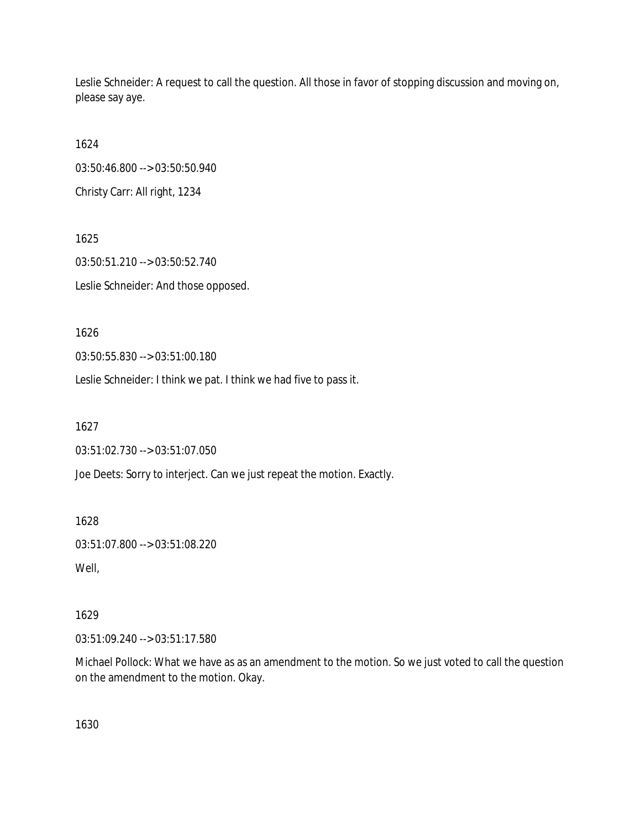Leslie Schneider: A request to call the question. All those in favor of stopping discussion and moving on, please say aye.

1624 03:50:46.800 --> 03:50:50.940 Christy Carr: All right, 1234

1625 03:50:51.210 --> 03:50:52.740 Leslie Schneider: And those opposed.

1626

03:50:55.830 --> 03:51:00.180

Leslie Schneider: I think we pat. I think we had five to pass it.

1627

03:51:02.730 --> 03:51:07.050

Joe Deets: Sorry to interject. Can we just repeat the motion. Exactly.

1628

03:51:07.800 --> 03:51:08.220

Well,

1629

03:51:09.240 --> 03:51:17.580

Michael Pollock: What we have as as an amendment to the motion. So we just voted to call the question on the amendment to the motion. Okay.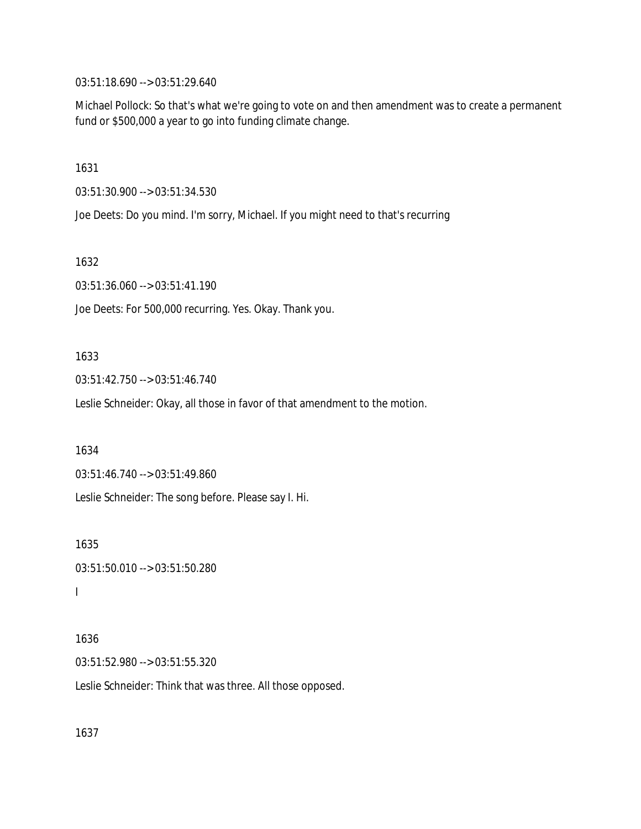03:51:18.690 --> 03:51:29.640

Michael Pollock: So that's what we're going to vote on and then amendment was to create a permanent fund or \$500,000 a year to go into funding climate change.

1631

03:51:30.900 --> 03:51:34.530

Joe Deets: Do you mind. I'm sorry, Michael. If you might need to that's recurring

1632

03:51:36.060 --> 03:51:41.190

Joe Deets: For 500,000 recurring. Yes. Okay. Thank you.

#### 1633

03:51:42.750 --> 03:51:46.740

Leslie Schneider: Okay, all those in favor of that amendment to the motion.

1634

03:51:46.740 --> 03:51:49.860

Leslie Schneider: The song before. Please say I. Hi.

1635 03:51:50.010 --> 03:51:50.280 I

## 1636 03:51:52.980 --> 03:51:55.320

Leslie Schneider: Think that was three. All those opposed.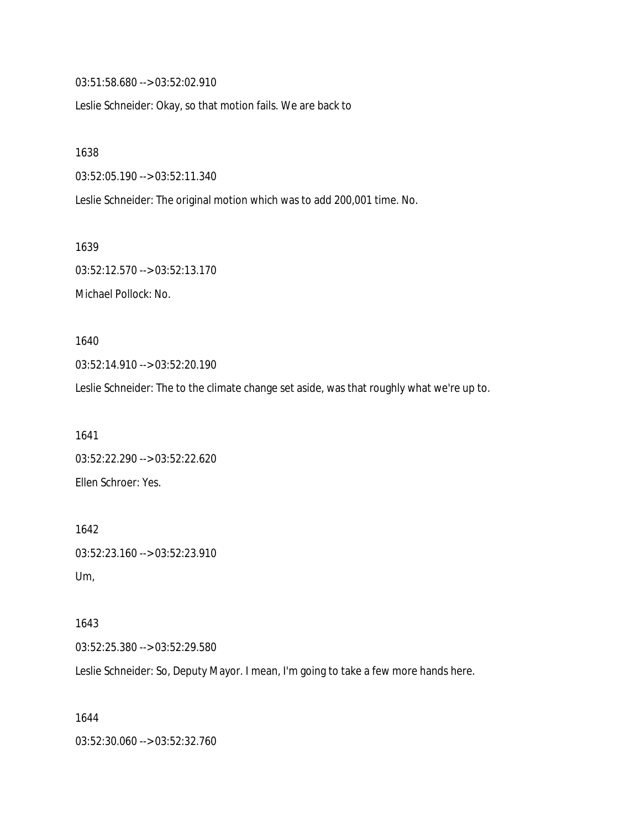03:51:58.680 --> 03:52:02.910

Leslie Schneider: Okay, so that motion fails. We are back to

1638

03:52:05.190 --> 03:52:11.340

Leslie Schneider: The original motion which was to add 200,001 time. No.

1639 03:52:12.570 --> 03:52:13.170 Michael Pollock: No.

1640 03:52:14.910 --> 03:52:20.190

Leslie Schneider: The to the climate change set aside, was that roughly what we're up to.

1641 03:52:22.290 --> 03:52:22.620 Ellen Schroer: Yes.

1642 03:52:23.160 --> 03:52:23.910 Um,

1643 03:52:25.380 --> 03:52:29.580

Leslie Schneider: So, Deputy Mayor. I mean, I'm going to take a few more hands here.

1644 03:52:30.060 --> 03:52:32.760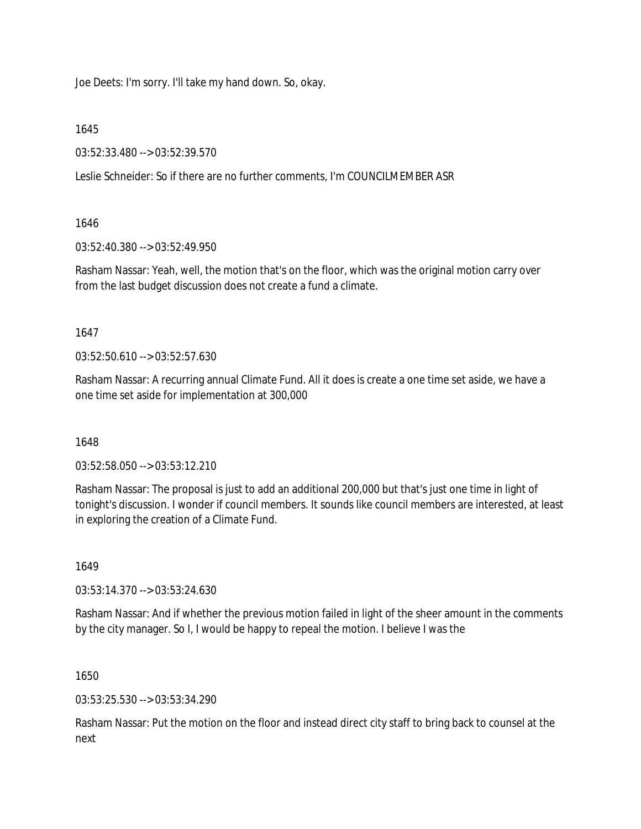Joe Deets: I'm sorry. I'll take my hand down. So, okay.

1645

03:52:33.480 --> 03:52:39.570

Leslie Schneider: So if there are no further comments, I'm COUNCILMEMBER ASR

1646

03:52:40.380 --> 03:52:49.950

Rasham Nassar: Yeah, well, the motion that's on the floor, which was the original motion carry over from the last budget discussion does not create a fund a climate.

1647

03:52:50.610 --> 03:52:57.630

Rasham Nassar: A recurring annual Climate Fund. All it does is create a one time set aside, we have a one time set aside for implementation at 300,000

1648

03:52:58.050 --> 03:53:12.210

Rasham Nassar: The proposal is just to add an additional 200,000 but that's just one time in light of tonight's discussion. I wonder if council members. It sounds like council members are interested, at least in exploring the creation of a Climate Fund.

1649

03:53:14.370 --> 03:53:24.630

Rasham Nassar: And if whether the previous motion failed in light of the sheer amount in the comments by the city manager. So I, I would be happy to repeal the motion. I believe I was the

1650

03:53:25.530 --> 03:53:34.290

Rasham Nassar: Put the motion on the floor and instead direct city staff to bring back to counsel at the next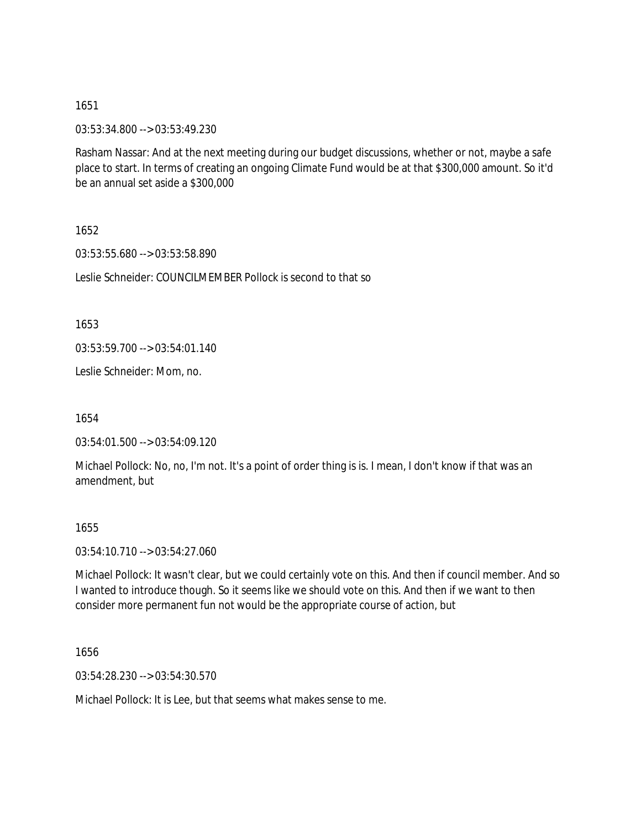1651

03:53:34.800 --> 03:53:49.230

Rasham Nassar: And at the next meeting during our budget discussions, whether or not, maybe a safe place to start. In terms of creating an ongoing Climate Fund would be at that \$300,000 amount. So it'd be an annual set aside a \$300,000

1652

03:53:55.680 --> 03:53:58.890

Leslie Schneider: COUNCILMEMBER Pollock is second to that so

1653

03:53:59.700 --> 03:54:01.140

Leslie Schneider: Mom, no.

1654

03:54:01.500 --> 03:54:09.120

Michael Pollock: No, no, I'm not. It's a point of order thing is is. I mean, I don't know if that was an amendment, but

1655

03:54:10.710 --> 03:54:27.060

Michael Pollock: It wasn't clear, but we could certainly vote on this. And then if council member. And so I wanted to introduce though. So it seems like we should vote on this. And then if we want to then consider more permanent fun not would be the appropriate course of action, but

1656

03:54:28.230 --> 03:54:30.570

Michael Pollock: It is Lee, but that seems what makes sense to me.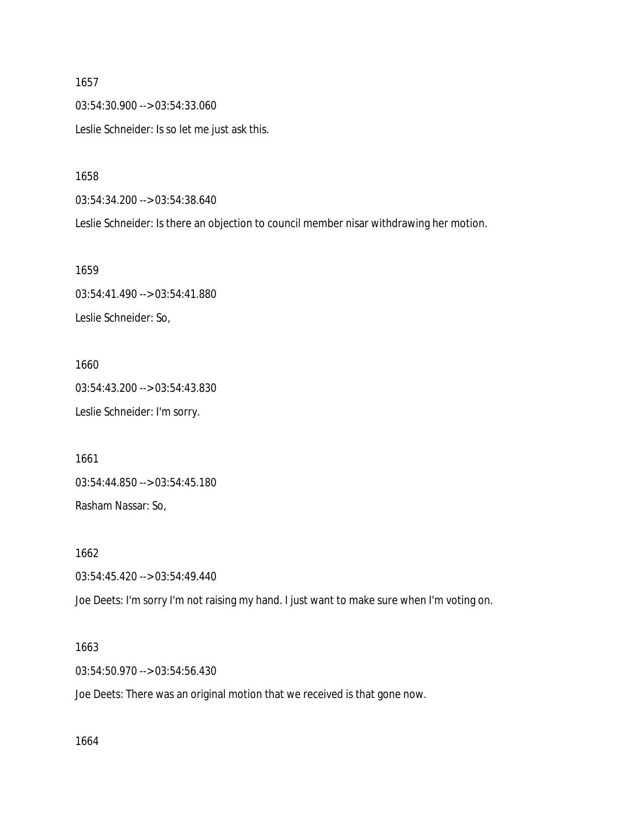1657 03:54:30.900 --> 03:54:33.060 Leslie Schneider: Is so let me just ask this.

1658

03:54:34.200 --> 03:54:38.640

Leslie Schneider: Is there an objection to council member nisar withdrawing her motion.

1659 03:54:41.490 --> 03:54:41.880 Leslie Schneider: So,

1660 03:54:43.200 --> 03:54:43.830 Leslie Schneider: I'm sorry.

1661 03:54:44.850 --> 03:54:45.180 Rasham Nassar: So,

1662

03:54:45.420 --> 03:54:49.440

Joe Deets: I'm sorry I'm not raising my hand. I just want to make sure when I'm voting on.

1663

03:54:50.970 --> 03:54:56.430

Joe Deets: There was an original motion that we received is that gone now.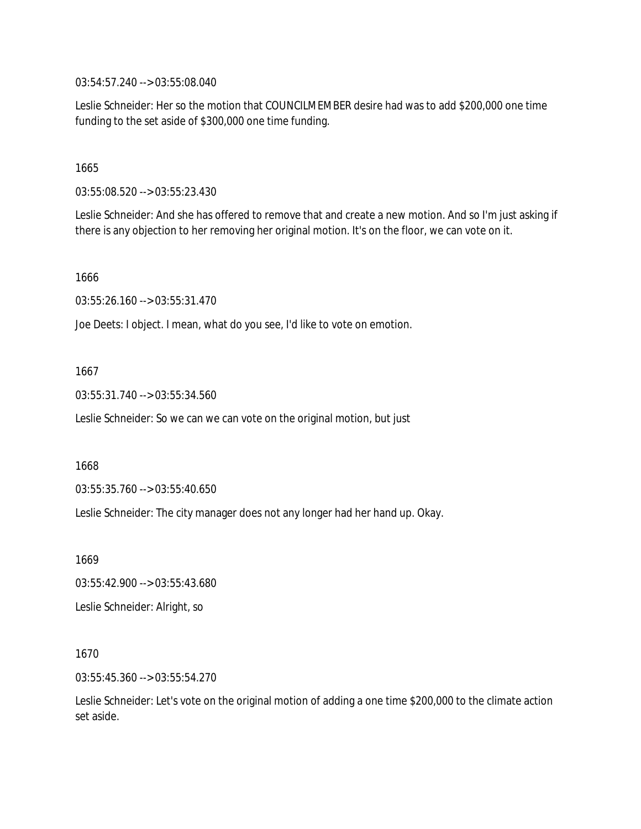03:54:57.240 --> 03:55:08.040

Leslie Schneider: Her so the motion that COUNCILMEMBER desire had was to add \$200,000 one time funding to the set aside of \$300,000 one time funding.

1665

03:55:08.520 --> 03:55:23.430

Leslie Schneider: And she has offered to remove that and create a new motion. And so I'm just asking if there is any objection to her removing her original motion. It's on the floor, we can vote on it.

1666

03:55:26.160 --> 03:55:31.470

Joe Deets: I object. I mean, what do you see, I'd like to vote on emotion.

1667

03:55:31.740 --> 03:55:34.560

Leslie Schneider: So we can we can vote on the original motion, but just

1668

03:55:35.760 --> 03:55:40.650

Leslie Schneider: The city manager does not any longer had her hand up. Okay.

1669

03:55:42.900 --> 03:55:43.680

Leslie Schneider: Alright, so

1670

03:55:45.360 --> 03:55:54.270

Leslie Schneider: Let's vote on the original motion of adding a one time \$200,000 to the climate action set aside.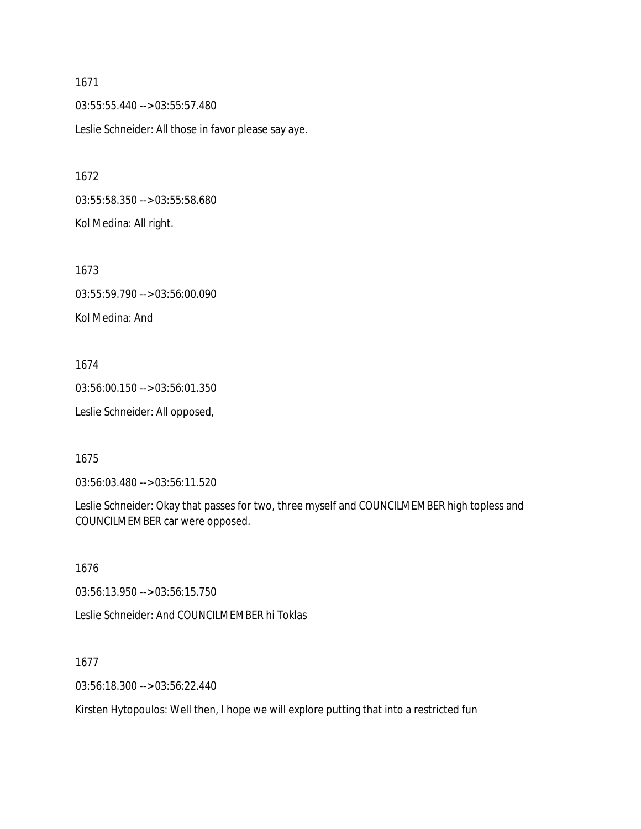1671 03:55:55.440 --> 03:55:57.480 Leslie Schneider: All those in favor please say aye.

1672 03:55:58.350 --> 03:55:58.680 Kol Medina: All right.

1673 03:55:59.790 --> 03:56:00.090 Kol Medina: And

1674 03:56:00.150 --> 03:56:01.350 Leslie Schneider: All opposed,

1675

03:56:03.480 --> 03:56:11.520

Leslie Schneider: Okay that passes for two, three myself and COUNCILMEMBER high topless and COUNCILMEMBER car were opposed.

1676

03:56:13.950 --> 03:56:15.750

Leslie Schneider: And COUNCILMEMBER hi Toklas

1677

03:56:18.300 --> 03:56:22.440

Kirsten Hytopoulos: Well then, I hope we will explore putting that into a restricted fun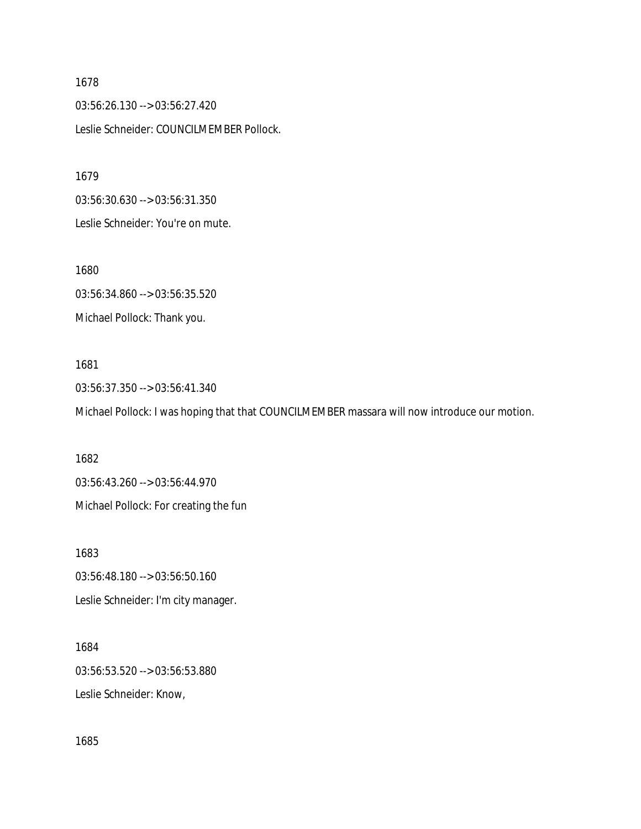1678 03:56:26.130 --> 03:56:27.420 Leslie Schneider: COUNCILMEMBER Pollock.

1679 03:56:30.630 --> 03:56:31.350 Leslie Schneider: You're on mute.

1680 03:56:34.860 --> 03:56:35.520 Michael Pollock: Thank you.

# 1681 03:56:37.350 --> 03:56:41.340 Michael Pollock: I was hoping that that COUNCILMEMBER massara will now introduce our motion.

1682 03:56:43.260 --> 03:56:44.970 Michael Pollock: For creating the fun

1683 03:56:48.180 --> 03:56:50.160 Leslie Schneider: I'm city manager.

1684 03:56:53.520 --> 03:56:53.880 Leslie Schneider: Know,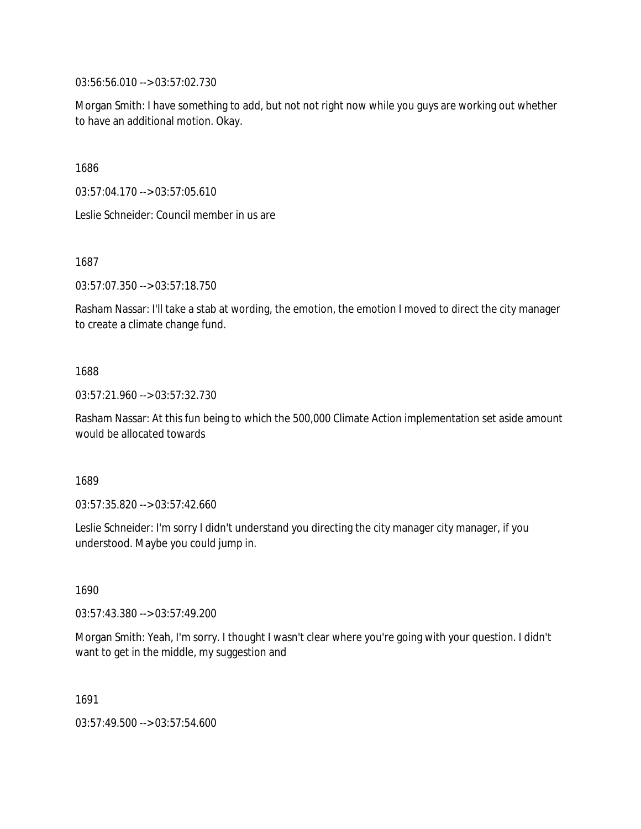03:56:56.010 --> 03:57:02.730

Morgan Smith: I have something to add, but not not right now while you guys are working out whether to have an additional motion. Okay.

1686

03:57:04.170 --> 03:57:05.610

Leslie Schneider: Council member in us are

1687

03:57:07.350 --> 03:57:18.750

Rasham Nassar: I'll take a stab at wording, the emotion, the emotion I moved to direct the city manager to create a climate change fund.

#### 1688

03:57:21.960 --> 03:57:32.730

Rasham Nassar: At this fun being to which the 500,000 Climate Action implementation set aside amount would be allocated towards

1689

03:57:35.820 --> 03:57:42.660

Leslie Schneider: I'm sorry I didn't understand you directing the city manager city manager, if you understood. Maybe you could jump in.

1690

03:57:43.380 --> 03:57:49.200

Morgan Smith: Yeah, I'm sorry. I thought I wasn't clear where you're going with your question. I didn't want to get in the middle, my suggestion and

1691

03:57:49.500 --> 03:57:54.600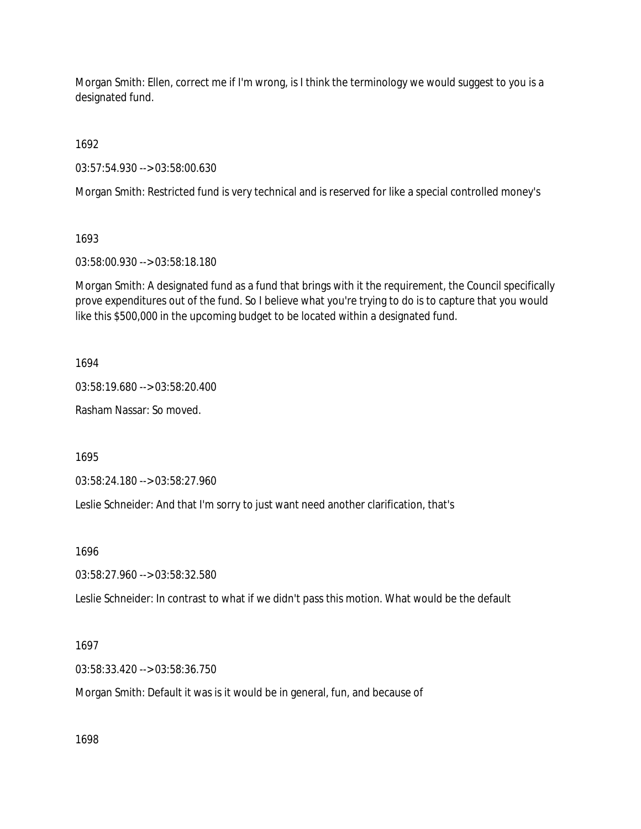Morgan Smith: Ellen, correct me if I'm wrong, is I think the terminology we would suggest to you is a designated fund.

1692

03:57:54.930 --> 03:58:00.630

Morgan Smith: Restricted fund is very technical and is reserved for like a special controlled money's

1693

03:58:00.930 --> 03:58:18.180

Morgan Smith: A designated fund as a fund that brings with it the requirement, the Council specifically prove expenditures out of the fund. So I believe what you're trying to do is to capture that you would like this \$500,000 in the upcoming budget to be located within a designated fund.

1694

03:58:19.680 --> 03:58:20.400

Rasham Nassar: So moved.

1695

03:58:24.180 --> 03:58:27.960

Leslie Schneider: And that I'm sorry to just want need another clarification, that's

1696

03:58:27.960 --> 03:58:32.580

Leslie Schneider: In contrast to what if we didn't pass this motion. What would be the default

1697

03:58:33.420 --> 03:58:36.750

Morgan Smith: Default it was is it would be in general, fun, and because of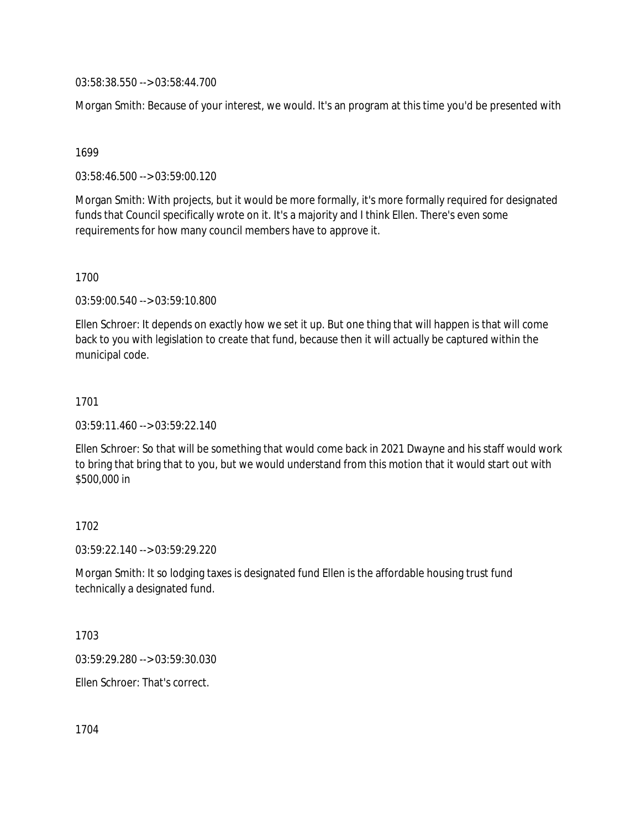03:58:38.550 --> 03:58:44.700

Morgan Smith: Because of your interest, we would. It's an program at this time you'd be presented with

#### 1699

03:58:46.500 --> 03:59:00.120

Morgan Smith: With projects, but it would be more formally, it's more formally required for designated funds that Council specifically wrote on it. It's a majority and I think Ellen. There's even some requirements for how many council members have to approve it.

## 1700

03:59:00.540 --> 03:59:10.800

Ellen Schroer: It depends on exactly how we set it up. But one thing that will happen is that will come back to you with legislation to create that fund, because then it will actually be captured within the municipal code.

## 1701

03:59:11.460 --> 03:59:22.140

Ellen Schroer: So that will be something that would come back in 2021 Dwayne and his staff would work to bring that bring that to you, but we would understand from this motion that it would start out with \$500,000 in

## 1702

03:59:22.140 --> 03:59:29.220

Morgan Smith: It so lodging taxes is designated fund Ellen is the affordable housing trust fund technically a designated fund.

1703

03:59:29.280 --> 03:59:30.030

Ellen Schroer: That's correct.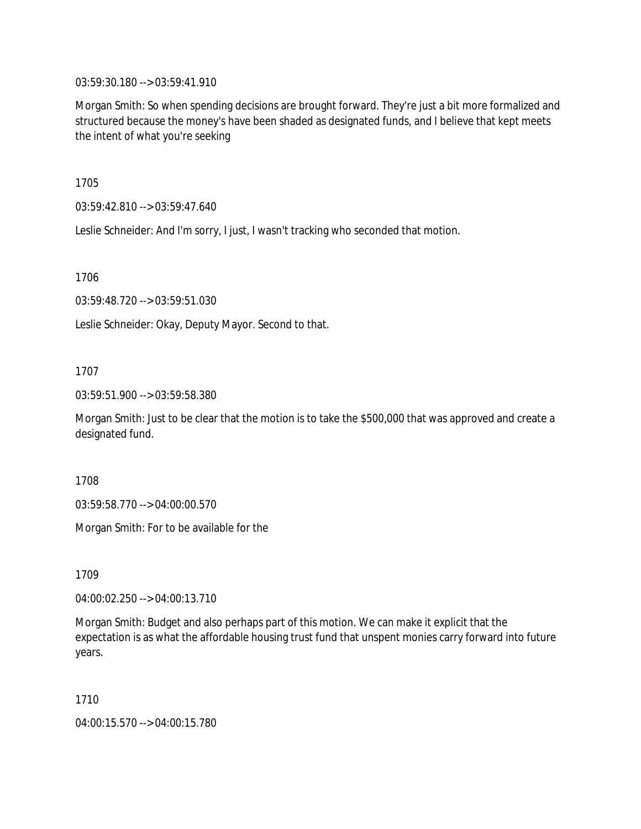03:59:30.180 --> 03:59:41.910

Morgan Smith: So when spending decisions are brought forward. They're just a bit more formalized and structured because the money's have been shaded as designated funds, and I believe that kept meets the intent of what you're seeking

1705

03:59:42.810 --> 03:59:47.640

Leslie Schneider: And I'm sorry, I just, I wasn't tracking who seconded that motion.

1706

03:59:48.720 --> 03:59:51.030

Leslie Schneider: Okay, Deputy Mayor. Second to that.

## 1707

03:59:51.900 --> 03:59:58.380

Morgan Smith: Just to be clear that the motion is to take the \$500,000 that was approved and create a designated fund.

1708

03:59:58.770 --> 04:00:00.570

Morgan Smith: For to be available for the

1709

04:00:02.250 --> 04:00:13.710

Morgan Smith: Budget and also perhaps part of this motion. We can make it explicit that the expectation is as what the affordable housing trust fund that unspent monies carry forward into future years.

1710

04:00:15.570 --> 04:00:15.780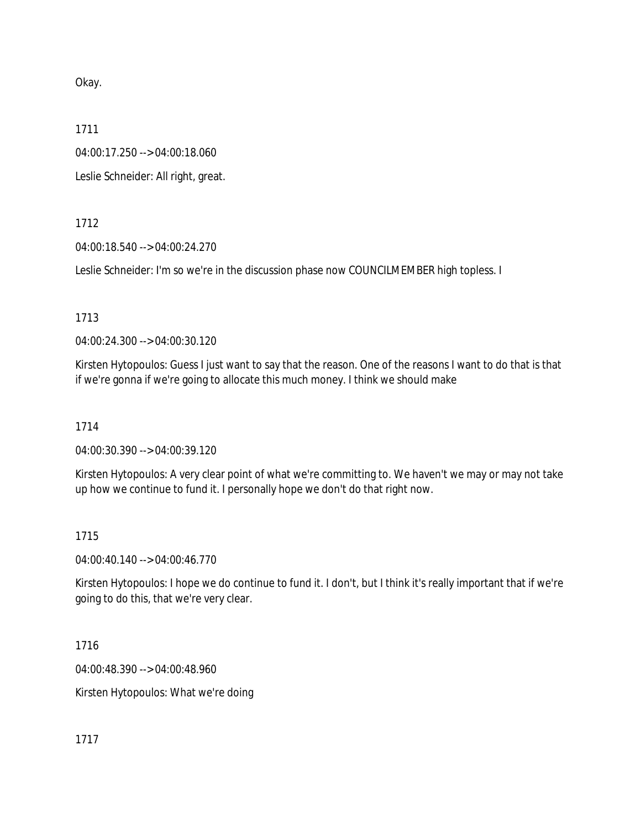Okay.

1711

04:00:17.250 --> 04:00:18.060

Leslie Schneider: All right, great.

1712

04:00:18.540 --> 04:00:24.270

Leslie Schneider: I'm so we're in the discussion phase now COUNCILMEMBER high topless. I

1713

04:00:24.300 --> 04:00:30.120

Kirsten Hytopoulos: Guess I just want to say that the reason. One of the reasons I want to do that is that if we're gonna if we're going to allocate this much money. I think we should make

1714

04:00:30.390 --> 04:00:39.120

Kirsten Hytopoulos: A very clear point of what we're committing to. We haven't we may or may not take up how we continue to fund it. I personally hope we don't do that right now.

## 1715

04:00:40.140 --> 04:00:46.770

Kirsten Hytopoulos: I hope we do continue to fund it. I don't, but I think it's really important that if we're going to do this, that we're very clear.

1716

04:00:48.390 --> 04:00:48.960

Kirsten Hytopoulos: What we're doing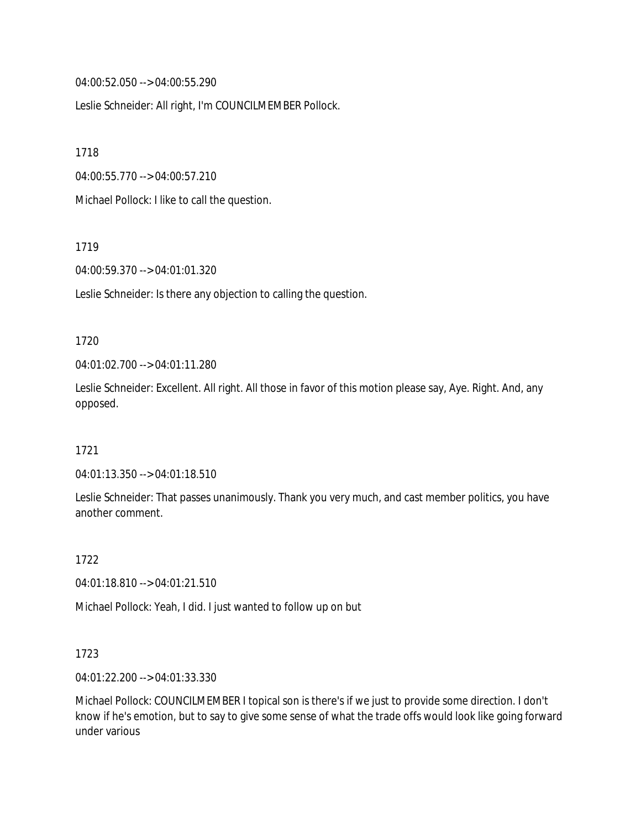04:00:52.050 --> 04:00:55.290

Leslie Schneider: All right, I'm COUNCILMEMBER Pollock.

1718

04:00:55.770 --> 04:00:57.210

Michael Pollock: I like to call the question.

1719

04:00:59.370 --> 04:01:01.320

Leslie Schneider: Is there any objection to calling the question.

#### 1720

04:01:02.700 --> 04:01:11.280

Leslie Schneider: Excellent. All right. All those in favor of this motion please say, Aye. Right. And, any opposed.

#### 1721

04:01:13.350 --> 04:01:18.510

Leslie Schneider: That passes unanimously. Thank you very much, and cast member politics, you have another comment.

1722

04:01:18.810 --> 04:01:21.510

Michael Pollock: Yeah, I did. I just wanted to follow up on but

#### 1723

04:01:22.200 --> 04:01:33.330

Michael Pollock: COUNCILMEMBER I topical son is there's if we just to provide some direction. I don't know if he's emotion, but to say to give some sense of what the trade offs would look like going forward under various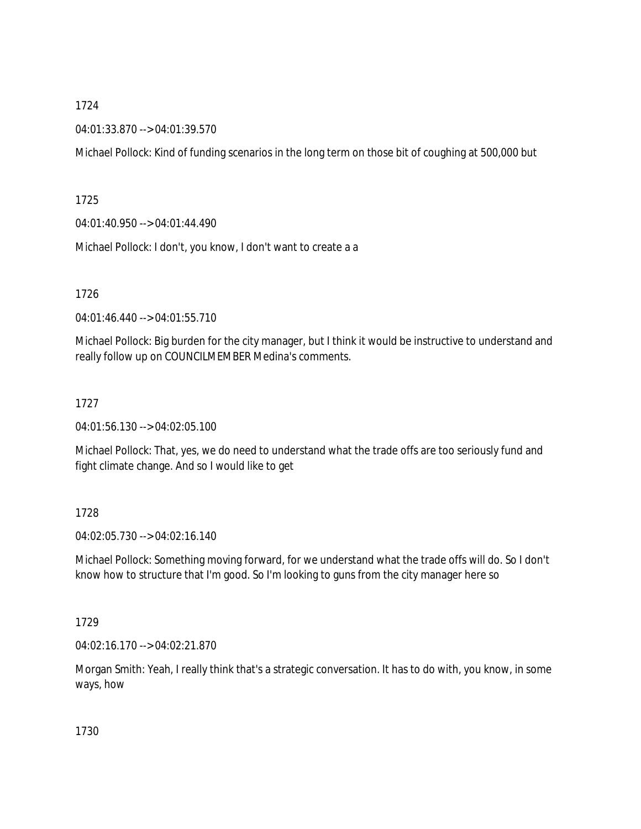## 1724

04:01:33.870 --> 04:01:39.570

Michael Pollock: Kind of funding scenarios in the long term on those bit of coughing at 500,000 but

1725

04:01:40.950 --> 04:01:44.490

Michael Pollock: I don't, you know, I don't want to create a a

1726

04:01:46.440 --> 04:01:55.710

Michael Pollock: Big burden for the city manager, but I think it would be instructive to understand and really follow up on COUNCILMEMBER Medina's comments.

## 1727

04:01:56.130 --> 04:02:05.100

Michael Pollock: That, yes, we do need to understand what the trade offs are too seriously fund and fight climate change. And so I would like to get

## 1728

04:02:05.730 --> 04:02:16.140

Michael Pollock: Something moving forward, for we understand what the trade offs will do. So I don't know how to structure that I'm good. So I'm looking to guns from the city manager here so

## 1729

04:02:16.170 --> 04:02:21.870

Morgan Smith: Yeah, I really think that's a strategic conversation. It has to do with, you know, in some ways, how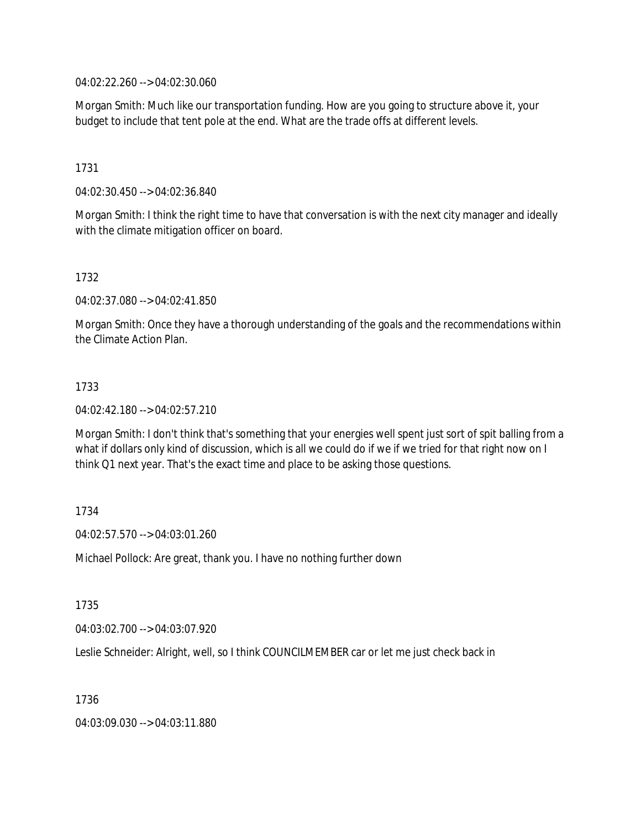04:02:22.260 --> 04:02:30.060

Morgan Smith: Much like our transportation funding. How are you going to structure above it, your budget to include that tent pole at the end. What are the trade offs at different levels.

1731

04:02:30.450 --> 04:02:36.840

Morgan Smith: I think the right time to have that conversation is with the next city manager and ideally with the climate mitigation officer on board.

1732

04:02:37.080 --> 04:02:41.850

Morgan Smith: Once they have a thorough understanding of the goals and the recommendations within the Climate Action Plan.

#### 1733

04:02:42.180 --> 04:02:57.210

Morgan Smith: I don't think that's something that your energies well spent just sort of spit balling from a what if dollars only kind of discussion, which is all we could do if we if we tried for that right now on I think Q1 next year. That's the exact time and place to be asking those questions.

1734

04:02:57.570 --> 04:03:01.260

Michael Pollock: Are great, thank you. I have no nothing further down

1735

04:03:02.700 --> 04:03:07.920

Leslie Schneider: Alright, well, so I think COUNCILMEMBER car or let me just check back in

1736

04:03:09.030 --> 04:03:11.880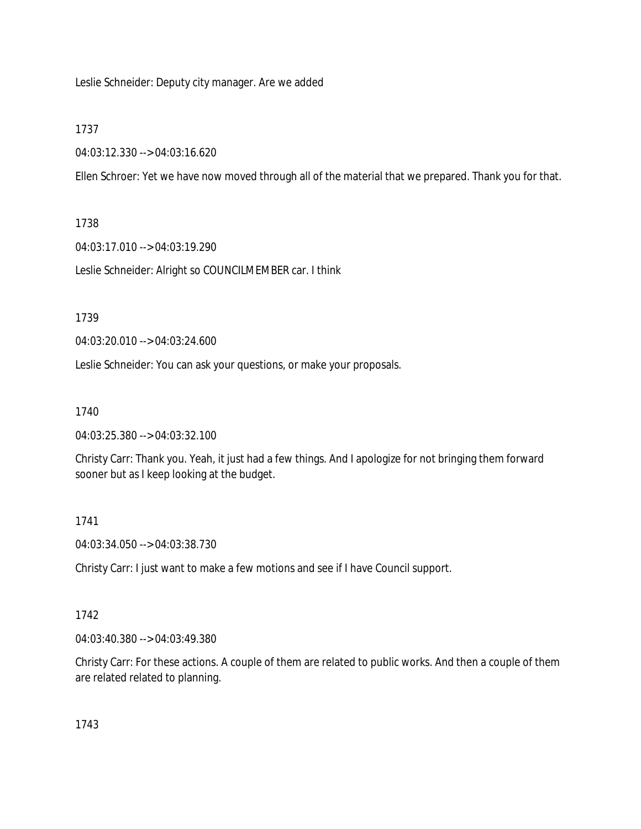Leslie Schneider: Deputy city manager. Are we added

#### 1737

04:03:12.330 --> 04:03:16.620

Ellen Schroer: Yet we have now moved through all of the material that we prepared. Thank you for that.

#### 1738

04:03:17.010 --> 04:03:19.290

Leslie Schneider: Alright so COUNCILMEMBER car. I think

1739

04:03:20.010 --> 04:03:24.600

Leslie Schneider: You can ask your questions, or make your proposals.

## 1740

04:03:25.380 --> 04:03:32.100

Christy Carr: Thank you. Yeah, it just had a few things. And I apologize for not bringing them forward sooner but as I keep looking at the budget.

## 1741

04:03:34.050 --> 04:03:38.730

Christy Carr: I just want to make a few motions and see if I have Council support.

## 1742

04:03:40.380 --> 04:03:49.380

Christy Carr: For these actions. A couple of them are related to public works. And then a couple of them are related related to planning.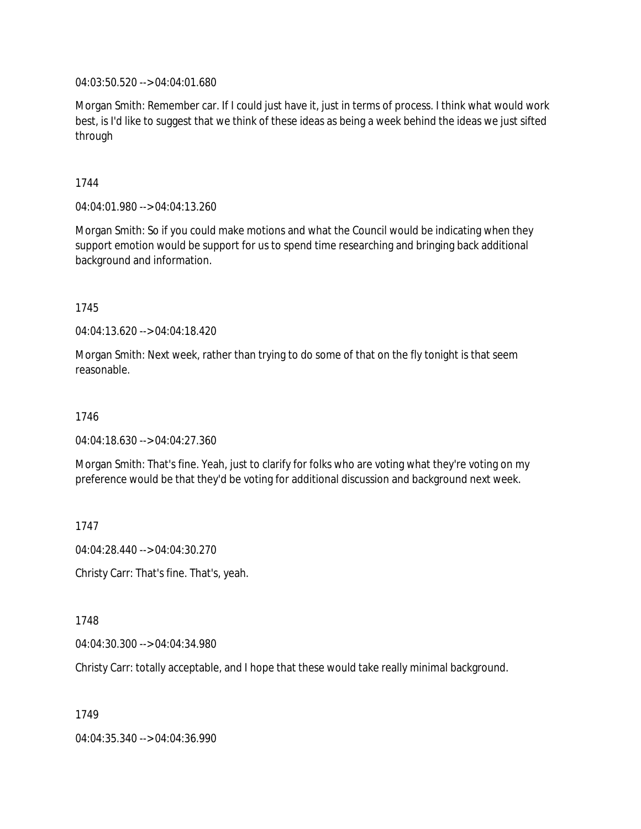04:03:50.520 --> 04:04:01.680

Morgan Smith: Remember car. If I could just have it, just in terms of process. I think what would work best, is I'd like to suggest that we think of these ideas as being a week behind the ideas we just sifted through

1744

04:04:01.980 --> 04:04:13.260

Morgan Smith: So if you could make motions and what the Council would be indicating when they support emotion would be support for us to spend time researching and bringing back additional background and information.

1745

04:04:13.620 --> 04:04:18.420

Morgan Smith: Next week, rather than trying to do some of that on the fly tonight is that seem reasonable.

1746

04:04:18.630 --> 04:04:27.360

Morgan Smith: That's fine. Yeah, just to clarify for folks who are voting what they're voting on my preference would be that they'd be voting for additional discussion and background next week.

1747

04:04:28.440 --> 04:04:30.270

Christy Carr: That's fine. That's, yeah.

1748

04:04:30.300 --> 04:04:34.980

Christy Carr: totally acceptable, and I hope that these would take really minimal background.

1749

04:04:35.340 --> 04:04:36.990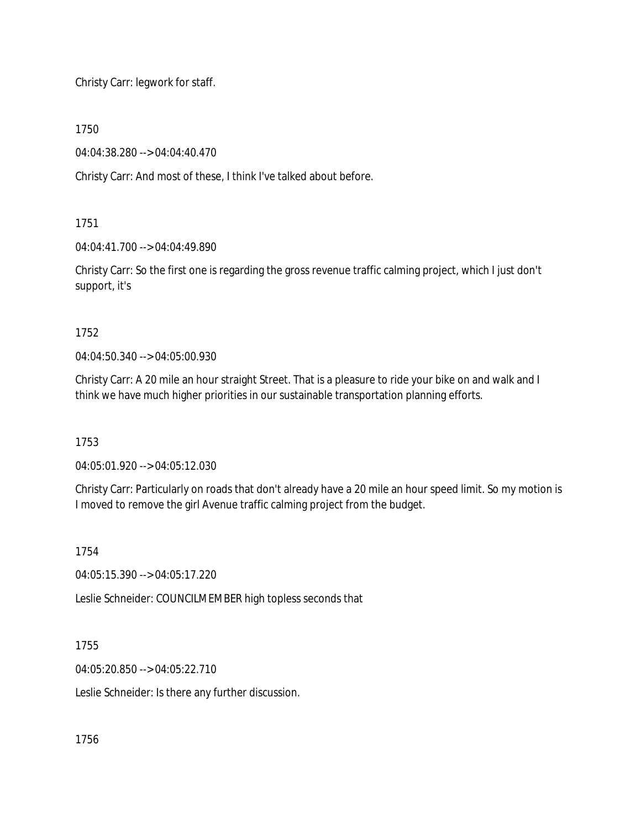Christy Carr: legwork for staff.

1750

04:04:38.280 --> 04:04:40.470

Christy Carr: And most of these, I think I've talked about before.

1751

04:04:41.700 --> 04:04:49.890

Christy Carr: So the first one is regarding the gross revenue traffic calming project, which I just don't support, it's

1752

04:04:50.340 --> 04:05:00.930

Christy Carr: A 20 mile an hour straight Street. That is a pleasure to ride your bike on and walk and I think we have much higher priorities in our sustainable transportation planning efforts.

1753

04:05:01.920 --> 04:05:12.030

Christy Carr: Particularly on roads that don't already have a 20 mile an hour speed limit. So my motion is I moved to remove the girl Avenue traffic calming project from the budget.

1754

04:05:15.390 --> 04:05:17.220

Leslie Schneider: COUNCILMEMBER high topless seconds that

1755

04:05:20.850 --> 04:05:22.710

Leslie Schneider: Is there any further discussion.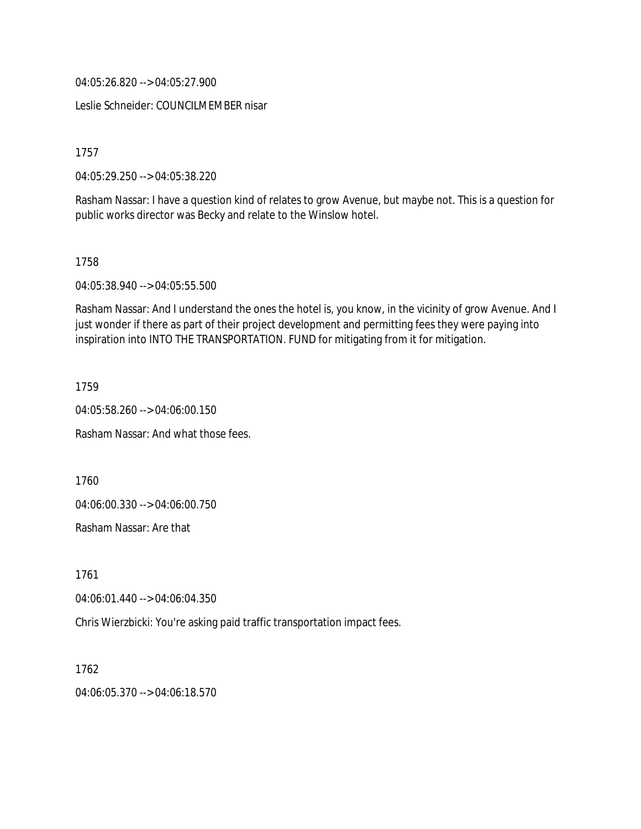04:05:26.820 --> 04:05:27.900

Leslie Schneider: COUNCILMEMBER nisar

1757

04:05:29.250 --> 04:05:38.220

Rasham Nassar: I have a question kind of relates to grow Avenue, but maybe not. This is a question for public works director was Becky and relate to the Winslow hotel.

1758

04:05:38.940 --> 04:05:55.500

Rasham Nassar: And I understand the ones the hotel is, you know, in the vicinity of grow Avenue. And I just wonder if there as part of their project development and permitting fees they were paying into inspiration into INTO THE TRANSPORTATION. FUND for mitigating from it for mitigation.

1759

04:05:58.260 --> 04:06:00.150

Rasham Nassar: And what those fees.

1760

04:06:00.330 --> 04:06:00.750

Rasham Nassar: Are that

1761

04:06:01.440 --> 04:06:04.350

Chris Wierzbicki: You're asking paid traffic transportation impact fees.

1762 04:06:05.370 --> 04:06:18.570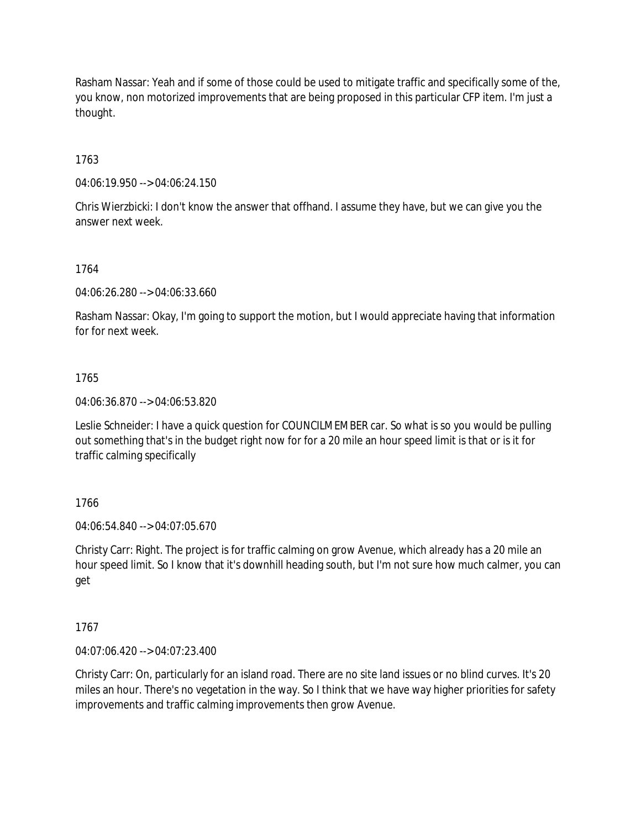Rasham Nassar: Yeah and if some of those could be used to mitigate traffic and specifically some of the, you know, non motorized improvements that are being proposed in this particular CFP item. I'm just a thought.

1763

04:06:19.950 --> 04:06:24.150

Chris Wierzbicki: I don't know the answer that offhand. I assume they have, but we can give you the answer next week.

1764

04:06:26.280 --> 04:06:33.660

Rasham Nassar: Okay, I'm going to support the motion, but I would appreciate having that information for for next week.

1765

04:06:36.870 --> 04:06:53.820

Leslie Schneider: I have a quick question for COUNCILMEMBER car. So what is so you would be pulling out something that's in the budget right now for for a 20 mile an hour speed limit is that or is it for traffic calming specifically

1766

04:06:54.840 --> 04:07:05.670

Christy Carr: Right. The project is for traffic calming on grow Avenue, which already has a 20 mile an hour speed limit. So I know that it's downhill heading south, but I'm not sure how much calmer, you can get

1767

04:07:06.420 --> 04:07:23.400

Christy Carr: On, particularly for an island road. There are no site land issues or no blind curves. It's 20 miles an hour. There's no vegetation in the way. So I think that we have way higher priorities for safety improvements and traffic calming improvements then grow Avenue.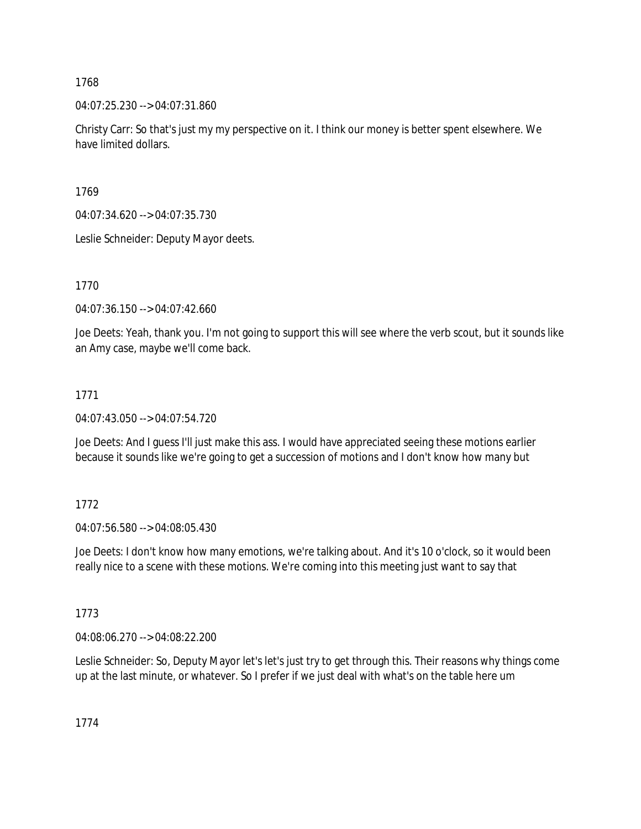1768

04:07:25.230 --> 04:07:31.860

Christy Carr: So that's just my my perspective on it. I think our money is better spent elsewhere. We have limited dollars.

1769

04:07:34.620 --> 04:07:35.730

Leslie Schneider: Deputy Mayor deets.

1770

04:07:36.150 --> 04:07:42.660

Joe Deets: Yeah, thank you. I'm not going to support this will see where the verb scout, but it sounds like an Amy case, maybe we'll come back.

#### 1771

04:07:43.050 --> 04:07:54.720

Joe Deets: And I guess I'll just make this ass. I would have appreciated seeing these motions earlier because it sounds like we're going to get a succession of motions and I don't know how many but

#### 1772

04:07:56.580 --> 04:08:05.430

Joe Deets: I don't know how many emotions, we're talking about. And it's 10 o'clock, so it would been really nice to a scene with these motions. We're coming into this meeting just want to say that

#### 1773

04:08:06.270 --> 04:08:22.200

Leslie Schneider: So, Deputy Mayor let's let's just try to get through this. Their reasons why things come up at the last minute, or whatever. So I prefer if we just deal with what's on the table here um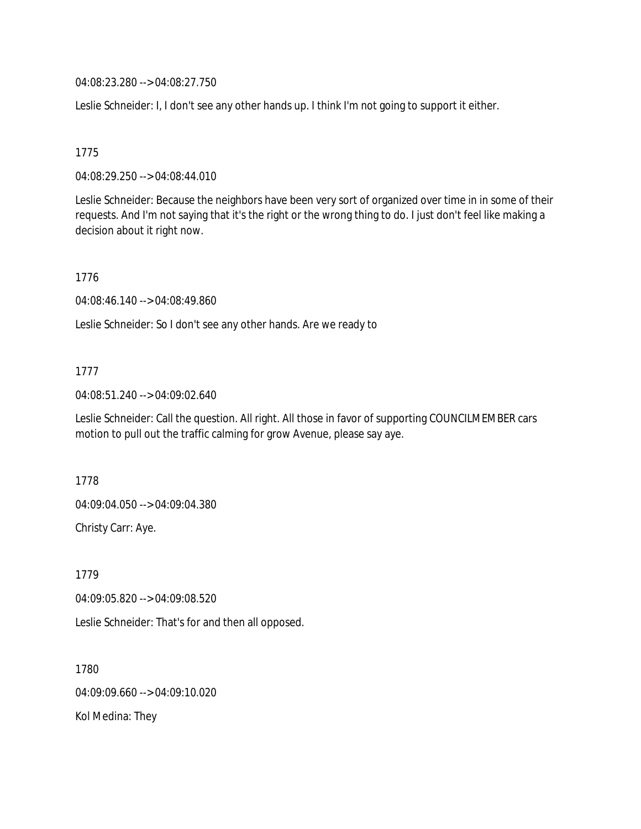04:08:23.280 --> 04:08:27.750

Leslie Schneider: I, I don't see any other hands up. I think I'm not going to support it either.

## 1775

04:08:29.250 --> 04:08:44.010

Leslie Schneider: Because the neighbors have been very sort of organized over time in in some of their requests. And I'm not saying that it's the right or the wrong thing to do. I just don't feel like making a decision about it right now.

## 1776

04:08:46.140 --> 04:08:49.860

Leslie Schneider: So I don't see any other hands. Are we ready to

## 1777

04:08:51.240 --> 04:09:02.640

Leslie Schneider: Call the question. All right. All those in favor of supporting COUNCILMEMBER cars motion to pull out the traffic calming for grow Avenue, please say aye.

1778

04:09:04.050 --> 04:09:04.380

Christy Carr: Aye.

1779 04:09:05.820 --> 04:09:08.520

Leslie Schneider: That's for and then all opposed.

1780 04:09:09.660 --> 04:09:10.020 Kol Medina: They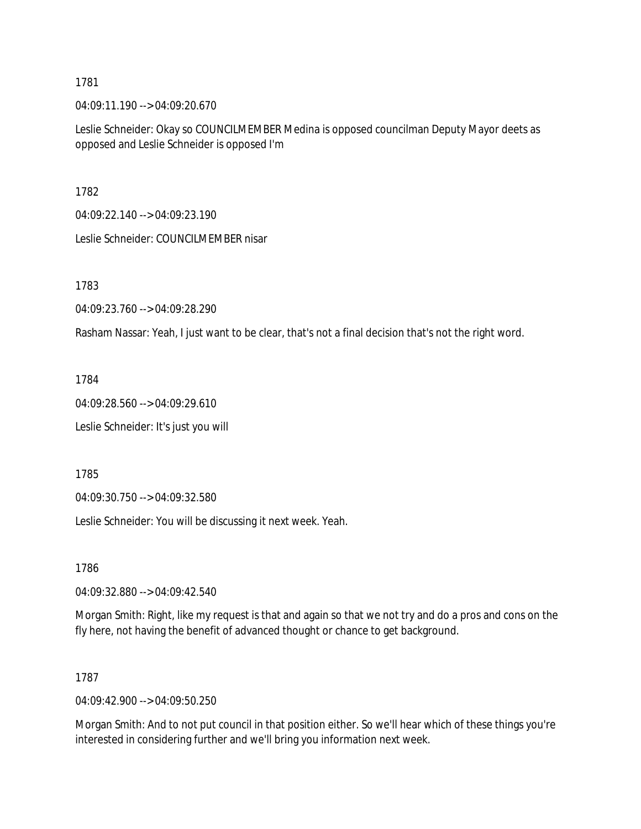1781

04:09:11.190 --> 04:09:20.670

Leslie Schneider: Okay so COUNCILMEMBER Medina is opposed councilman Deputy Mayor deets as opposed and Leslie Schneider is opposed I'm

1782

04:09:22.140 --> 04:09:23.190

Leslie Schneider: COUNCILMEMBER nisar

1783

04:09:23.760 --> 04:09:28.290

Rasham Nassar: Yeah, I just want to be clear, that's not a final decision that's not the right word.

1784

04:09:28.560 --> 04:09:29.610 Leslie Schneider: It's just you will

1785

04:09:30.750 --> 04:09:32.580

Leslie Schneider: You will be discussing it next week. Yeah.

1786

04:09:32.880 --> 04:09:42.540

Morgan Smith: Right, like my request is that and again so that we not try and do a pros and cons on the fly here, not having the benefit of advanced thought or chance to get background.

#### 1787

04:09:42.900 --> 04:09:50.250

Morgan Smith: And to not put council in that position either. So we'll hear which of these things you're interested in considering further and we'll bring you information next week.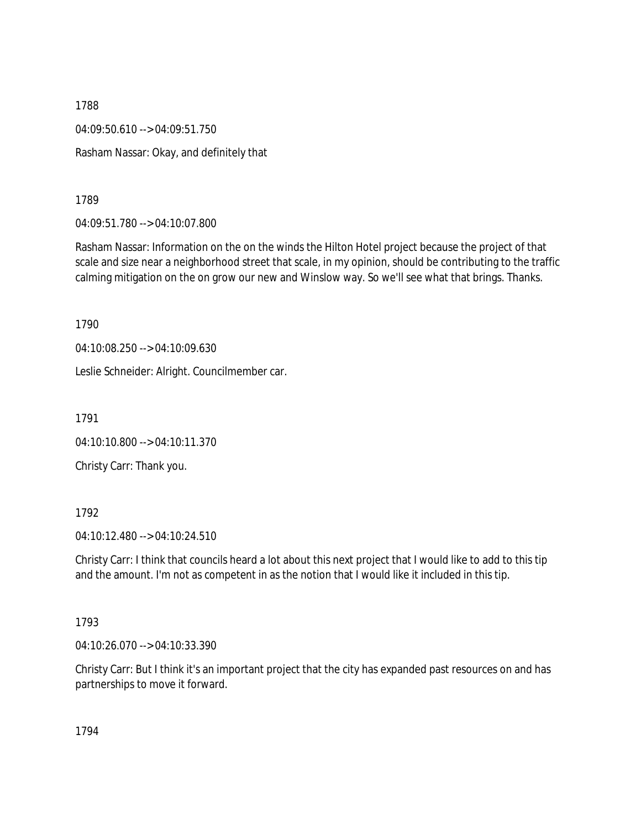1788 04:09:50.610 --> 04:09:51.750 Rasham Nassar: Okay, and definitely that

1789

04:09:51.780 --> 04:10:07.800

Rasham Nassar: Information on the on the winds the Hilton Hotel project because the project of that scale and size near a neighborhood street that scale, in my opinion, should be contributing to the traffic calming mitigation on the on grow our new and Winslow way. So we'll see what that brings. Thanks.

1790

04:10:08.250 --> 04:10:09.630

Leslie Schneider: Alright. Councilmember car.

1791

04:10:10.800 --> 04:10:11.370

Christy Carr: Thank you.

1792

04:10:12.480 --> 04:10:24.510

Christy Carr: I think that councils heard a lot about this next project that I would like to add to this tip and the amount. I'm not as competent in as the notion that I would like it included in this tip.

1793

04:10:26.070 --> 04:10:33.390

Christy Carr: But I think it's an important project that the city has expanded past resources on and has partnerships to move it forward.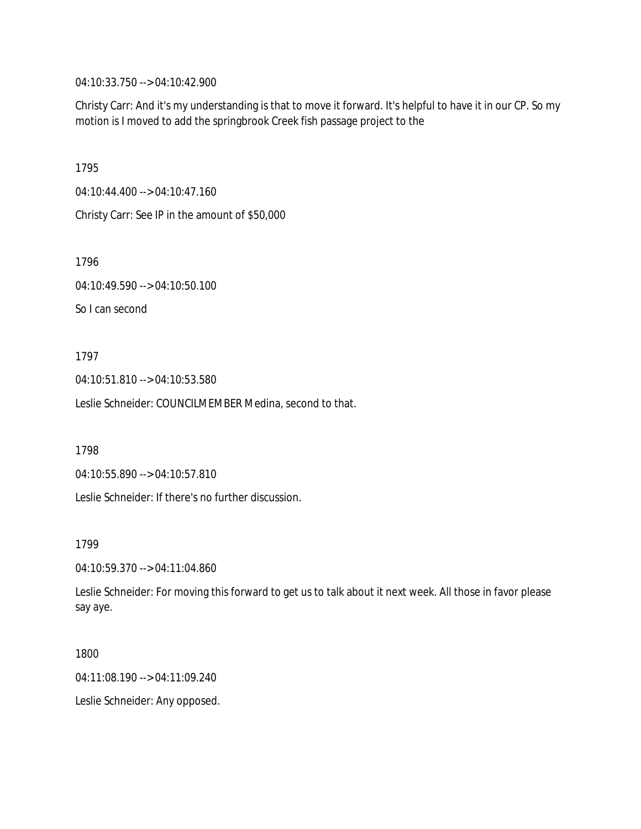04:10:33.750 --> 04:10:42.900

Christy Carr: And it's my understanding is that to move it forward. It's helpful to have it in our CP. So my motion is I moved to add the springbrook Creek fish passage project to the

1795

04:10:44.400 --> 04:10:47.160

Christy Carr: See IP in the amount of \$50,000

1796

04:10:49.590 --> 04:10:50.100

So I can second

1797

04:10:51.810 --> 04:10:53.580

Leslie Schneider: COUNCILMEMBER Medina, second to that.

1798

04:10:55.890 --> 04:10:57.810

Leslie Schneider: If there's no further discussion.

1799

04:10:59.370 --> 04:11:04.860

Leslie Schneider: For moving this forward to get us to talk about it next week. All those in favor please say aye.

1800

04:11:08.190 --> 04:11:09.240

Leslie Schneider: Any opposed.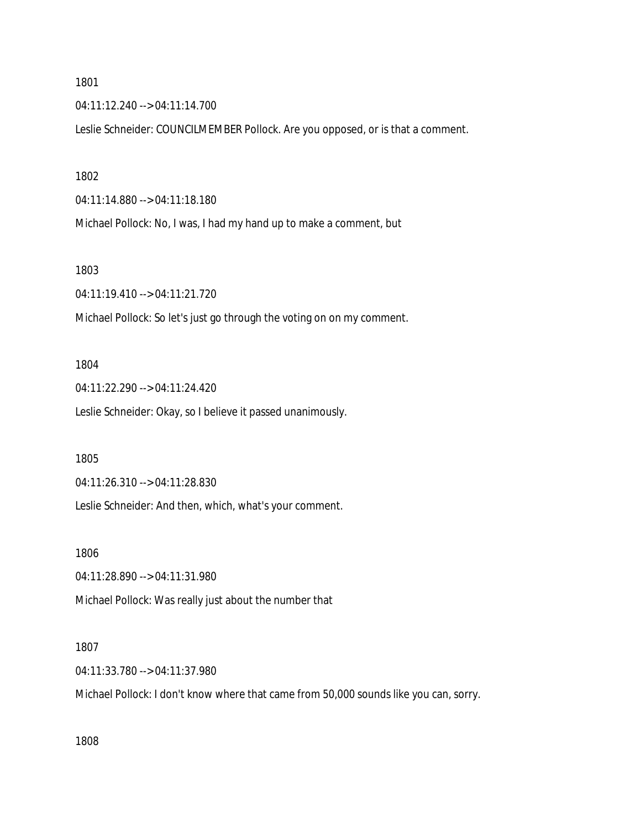1801

04:11:12.240 --> 04:11:14.700

Leslie Schneider: COUNCILMEMBER Pollock. Are you opposed, or is that a comment.

1802

04:11:14.880 --> 04:11:18.180

Michael Pollock: No, I was, I had my hand up to make a comment, but

1803

04:11:19.410 --> 04:11:21.720

Michael Pollock: So let's just go through the voting on on my comment.

1804

04:11:22.290 --> 04:11:24.420 Leslie Schneider: Okay, so I believe it passed unanimously.

1805

04:11:26.310 --> 04:11:28.830

Leslie Schneider: And then, which, what's your comment.

1806

04:11:28.890 --> 04:11:31.980

Michael Pollock: Was really just about the number that

1807

04:11:33.780 --> 04:11:37.980

Michael Pollock: I don't know where that came from 50,000 sounds like you can, sorry.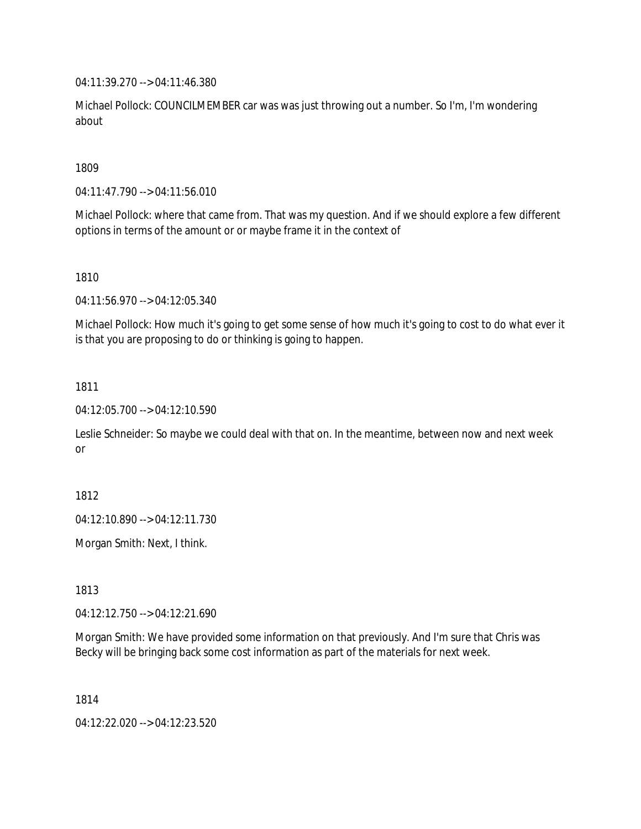04:11:39.270 --> 04:11:46.380

Michael Pollock: COUNCILMEMBER car was was just throwing out a number. So I'm, I'm wondering about

1809

04:11:47.790 --> 04:11:56.010

Michael Pollock: where that came from. That was my question. And if we should explore a few different options in terms of the amount or or maybe frame it in the context of

1810

04:11:56.970 --> 04:12:05.340

Michael Pollock: How much it's going to get some sense of how much it's going to cost to do what ever it is that you are proposing to do or thinking is going to happen.

1811

04:12:05.700 --> 04:12:10.590

Leslie Schneider: So maybe we could deal with that on. In the meantime, between now and next week or

1812

04:12:10.890 --> 04:12:11.730

Morgan Smith: Next, I think.

1813

04:12:12.750 --> 04:12:21.690

Morgan Smith: We have provided some information on that previously. And I'm sure that Chris was Becky will be bringing back some cost information as part of the materials for next week.

1814

04:12:22.020 --> 04:12:23.520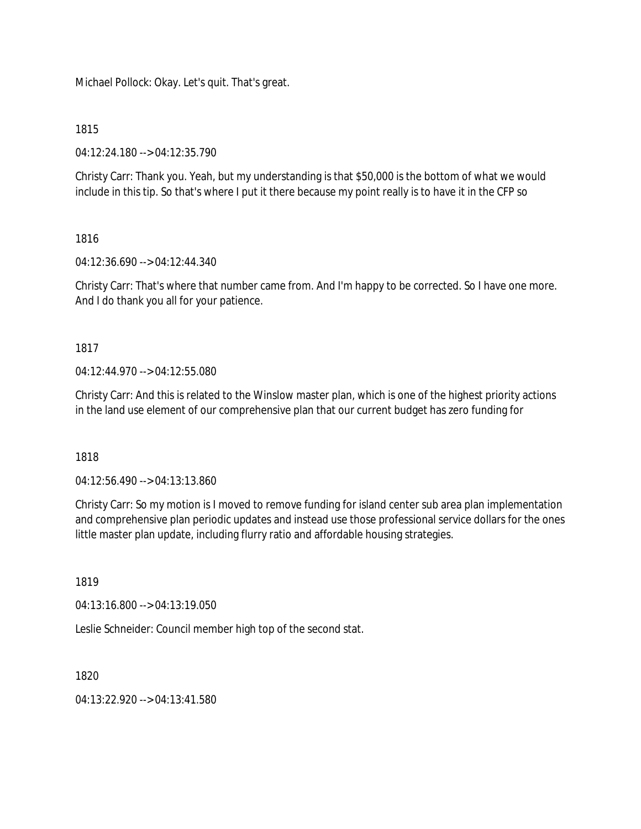Michael Pollock: Okay. Let's quit. That's great.

#### 1815

04:12:24.180 --> 04:12:35.790

Christy Carr: Thank you. Yeah, but my understanding is that \$50,000 is the bottom of what we would include in this tip. So that's where I put it there because my point really is to have it in the CFP so

## 1816

04:12:36.690 --> 04:12:44.340

Christy Carr: That's where that number came from. And I'm happy to be corrected. So I have one more. And I do thank you all for your patience.

## 1817

 $04.12.44.970 -> 04.12.55.080$ 

Christy Carr: And this is related to the Winslow master plan, which is one of the highest priority actions in the land use element of our comprehensive plan that our current budget has zero funding for

## 1818

04:12:56.490 --> 04:13:13.860

Christy Carr: So my motion is I moved to remove funding for island center sub area plan implementation and comprehensive plan periodic updates and instead use those professional service dollars for the ones little master plan update, including flurry ratio and affordable housing strategies.

#### 1819

04:13:16.800 --> 04:13:19.050

Leslie Schneider: Council member high top of the second stat.

1820

04:13:22.920 --> 04:13:41.580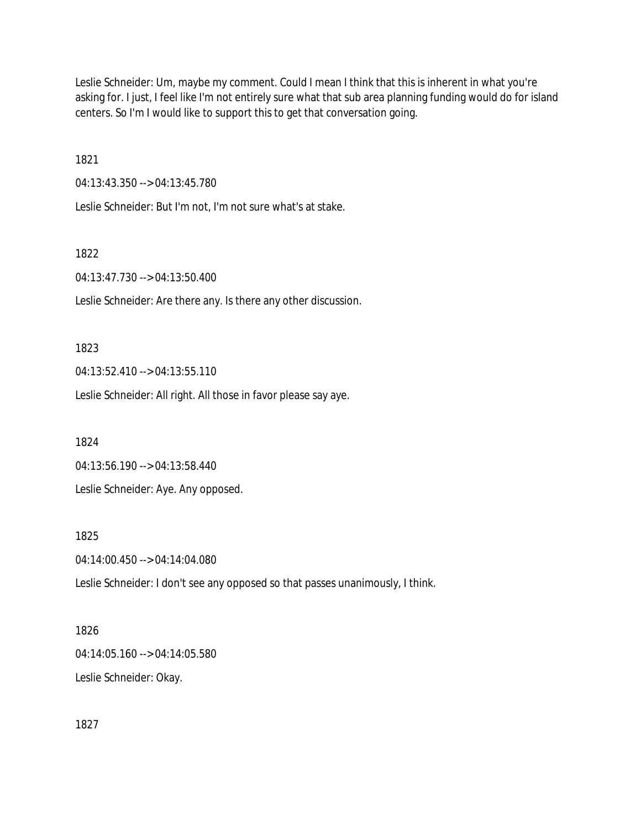Leslie Schneider: Um, maybe my comment. Could I mean I think that this is inherent in what you're asking for. I just, I feel like I'm not entirely sure what that sub area planning funding would do for island centers. So I'm I would like to support this to get that conversation going.

1821

04:13:43.350 --> 04:13:45.780

Leslie Schneider: But I'm not, I'm not sure what's at stake.

1822

04:13:47.730 --> 04:13:50.400

Leslie Schneider: Are there any. Is there any other discussion.

1823

04:13:52.410 --> 04:13:55.110

Leslie Schneider: All right. All those in favor please say aye.

1824

04:13:56.190 --> 04:13:58.440

Leslie Schneider: Aye. Any opposed.

1825

04:14:00.450 --> 04:14:04.080

Leslie Schneider: I don't see any opposed so that passes unanimously, I think.

1826

04:14:05.160 --> 04:14:05.580 Leslie Schneider: Okay.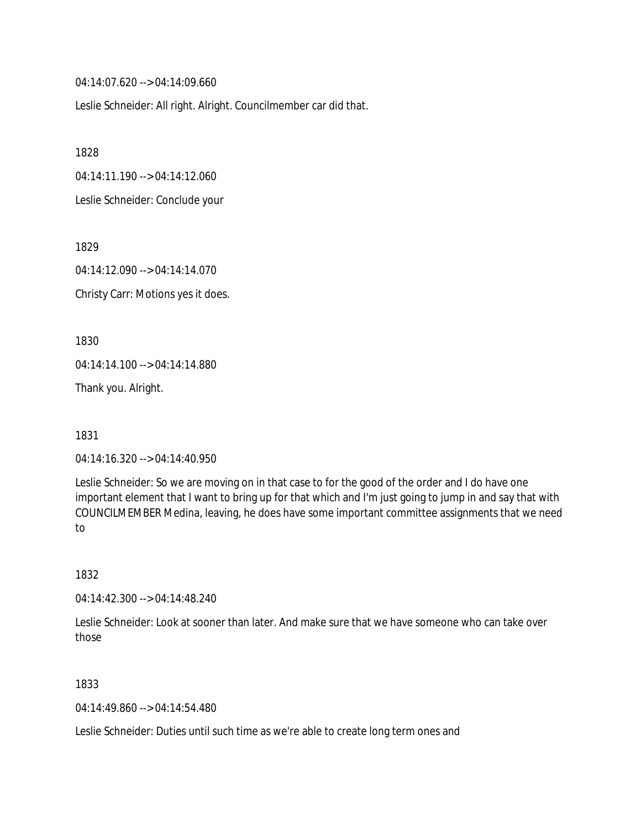04:14:07.620 --> 04:14:09.660

Leslie Schneider: All right. Alright. Councilmember car did that.

1828

04:14:11.190 --> 04:14:12.060

Leslie Schneider: Conclude your

1829

04:14:12.090 --> 04:14:14.070 Christy Carr: Motions yes it does.

1830

04:14:14.100 --> 04:14:14.880

Thank you. Alright.

1831

04:14:16.320 --> 04:14:40.950

Leslie Schneider: So we are moving on in that case to for the good of the order and I do have one important element that I want to bring up for that which and I'm just going to jump in and say that with COUNCILMEMBER Medina, leaving, he does have some important committee assignments that we need to

1832

04:14:42.300 --> 04:14:48.240

Leslie Schneider: Look at sooner than later. And make sure that we have someone who can take over those

1833

04:14:49.860 --> 04:14:54.480

Leslie Schneider: Duties until such time as we're able to create long term ones and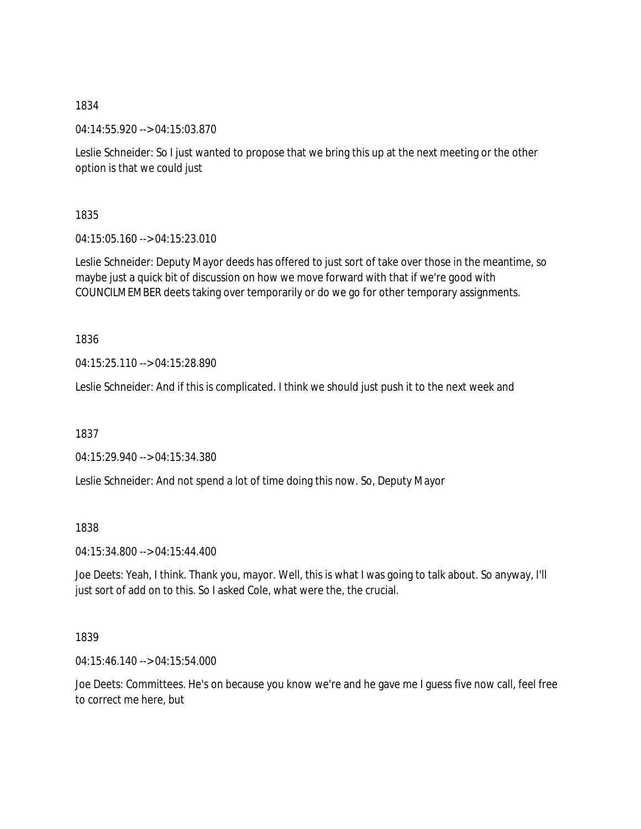1834

04:14:55.920 --> 04:15:03.870

Leslie Schneider: So I just wanted to propose that we bring this up at the next meeting or the other option is that we could just

1835

04:15:05.160 --> 04:15:23.010

Leslie Schneider: Deputy Mayor deeds has offered to just sort of take over those in the meantime, so maybe just a quick bit of discussion on how we move forward with that if we're good with COUNCILMEMBER deets taking over temporarily or do we go for other temporary assignments.

1836

04:15:25.110 --> 04:15:28.890

Leslie Schneider: And if this is complicated. I think we should just push it to the next week and

1837

04:15:29.940 --> 04:15:34.380

Leslie Schneider: And not spend a lot of time doing this now. So, Deputy Mayor

1838

04:15:34.800 --> 04:15:44.400

Joe Deets: Yeah, I think. Thank you, mayor. Well, this is what I was going to talk about. So anyway, I'll just sort of add on to this. So I asked Cole, what were the, the crucial.

1839

04:15:46.140 --> 04:15:54.000

Joe Deets: Committees. He's on because you know we're and he gave me I guess five now call, feel free to correct me here, but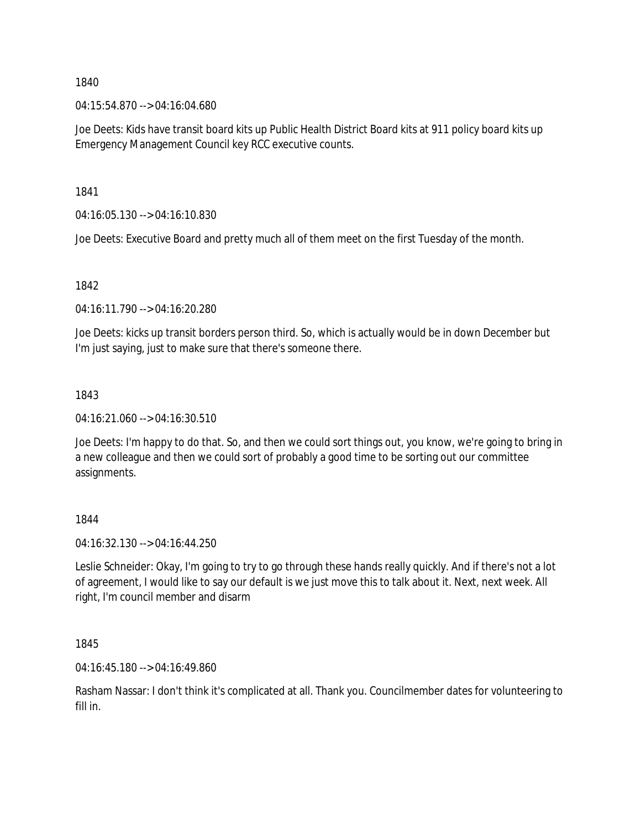1840

04:15:54.870 --> 04:16:04.680

Joe Deets: Kids have transit board kits up Public Health District Board kits at 911 policy board kits up Emergency Management Council key RCC executive counts.

1841

04:16:05.130 --> 04:16:10.830

Joe Deets: Executive Board and pretty much all of them meet on the first Tuesday of the month.

1842

04:16:11.790 --> 04:16:20.280

Joe Deets: kicks up transit borders person third. So, which is actually would be in down December but I'm just saying, just to make sure that there's someone there.

## 1843

04:16:21.060 --> 04:16:30.510

Joe Deets: I'm happy to do that. So, and then we could sort things out, you know, we're going to bring in a new colleague and then we could sort of probably a good time to be sorting out our committee assignments.

## 1844

04:16:32.130 --> 04:16:44.250

Leslie Schneider: Okay, I'm going to try to go through these hands really quickly. And if there's not a lot of agreement, I would like to say our default is we just move this to talk about it. Next, next week. All right, I'm council member and disarm

1845

04:16:45.180 --> 04:16:49.860

Rasham Nassar: I don't think it's complicated at all. Thank you. Councilmember dates for volunteering to fill in.